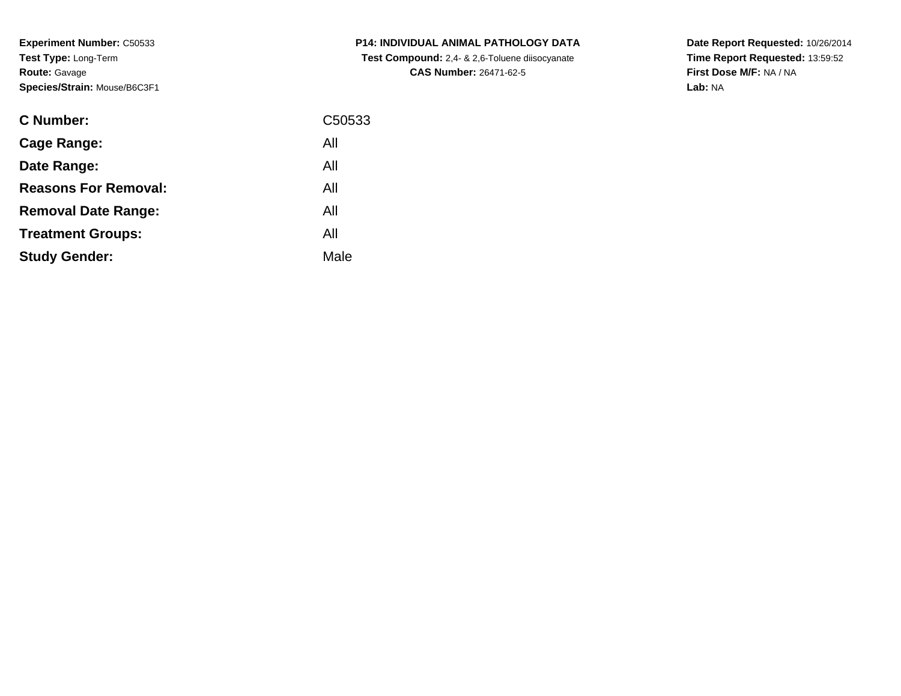**Experiment Number:** C50533**Test Type:** Long-Term**Route:** Gavage**Species/Strain:** Mouse/B6C3F1

| <b>C Number:</b>            | C50533 |
|-----------------------------|--------|
| <b>Cage Range:</b>          | All    |
| Date Range:                 | All    |
| <b>Reasons For Removal:</b> | All    |
| <b>Removal Date Range:</b>  | All    |
| <b>Treatment Groups:</b>    | All    |
| <b>Study Gender:</b>        | Male   |
|                             |        |

**P14: INDIVIDUAL ANIMAL PATHOLOGY DATA Test Compound:** 2,4- & 2,6-Toluene diisocyanate**CAS Number:** 26471-62-5

**Date Report Requested:** 10/26/2014 **Time Report Requested:** 13:59:52**First Dose M/F:** NA / NA**Lab:** NA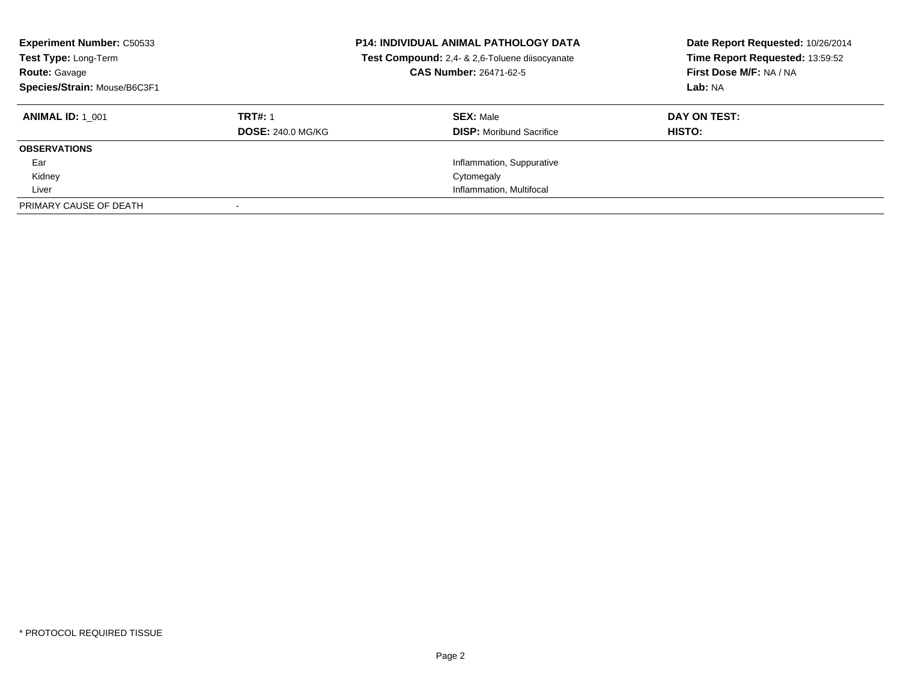| <b>Experiment Number: C50533</b><br>Test Type: Long-Term<br><b>Route: Gavage</b><br>Species/Strain: Mouse/B6C3F1 |                          | <b>P14: INDIVIDUAL ANIMAL PATHOLOGY DATA</b><br>Test Compound: 2,4- & 2,6-Toluene diisocyanate<br>CAS Number: 26471-62-5 | Date Report Requested: 10/26/2014<br>Time Report Requested: 13:59:52<br>First Dose M/F: NA / NA<br>Lab: NA |
|------------------------------------------------------------------------------------------------------------------|--------------------------|--------------------------------------------------------------------------------------------------------------------------|------------------------------------------------------------------------------------------------------------|
| <b>ANIMAL ID: 1 001</b>                                                                                          | <b>TRT#: 1</b>           | <b>SEX: Male</b>                                                                                                         | DAY ON TEST:                                                                                               |
|                                                                                                                  | <b>DOSE: 240.0 MG/KG</b> | <b>DISP:</b> Moribund Sacrifice                                                                                          | <b>HISTO:</b>                                                                                              |
| <b>OBSERVATIONS</b>                                                                                              |                          |                                                                                                                          |                                                                                                            |
| Ear                                                                                                              |                          | Inflammation, Suppurative                                                                                                |                                                                                                            |
| Kidney                                                                                                           |                          | Cytomegaly                                                                                                               |                                                                                                            |
| Liver                                                                                                            |                          | Inflammation, Multifocal                                                                                                 |                                                                                                            |
| PRIMARY CAUSE OF DEATH                                                                                           |                          |                                                                                                                          |                                                                                                            |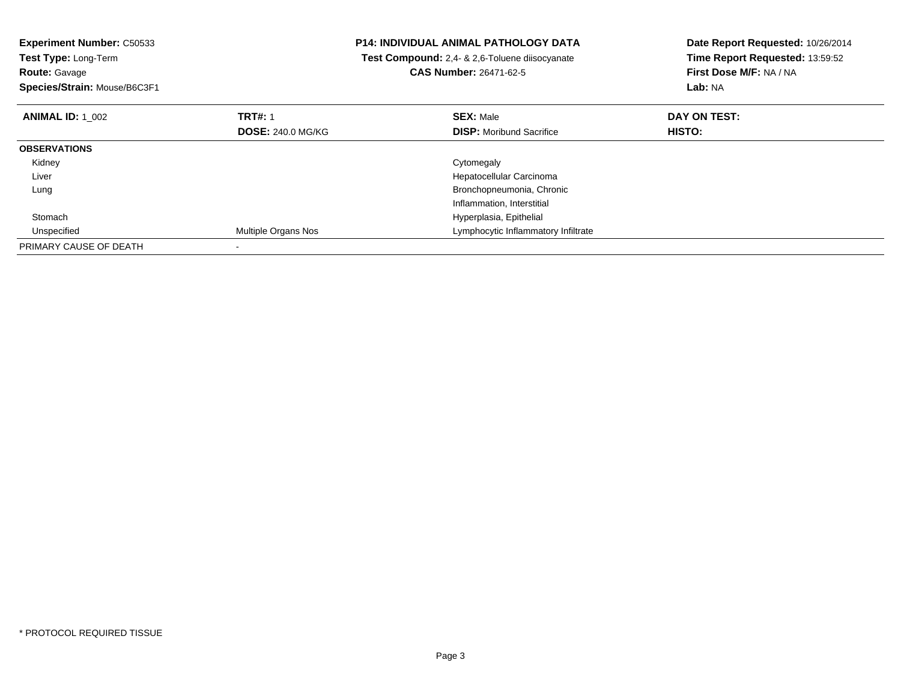| <b>Experiment Number: C50533</b><br>Test Type: Long-Term<br><b>Route: Gavage</b><br>Species/Strain: Mouse/B6C3F1 |                          | <b>P14: INDIVIDUAL ANIMAL PATHOLOGY DATA</b><br>Test Compound: 2,4- & 2,6-Toluene diisocyanate<br><b>CAS Number: 26471-62-5</b> | Date Report Requested: 10/26/2014<br>Time Report Requested: 13:59:52<br>First Dose M/F: NA / NA<br>Lab: NA |
|------------------------------------------------------------------------------------------------------------------|--------------------------|---------------------------------------------------------------------------------------------------------------------------------|------------------------------------------------------------------------------------------------------------|
| <b>ANIMAL ID: 1 002</b>                                                                                          | <b>TRT#: 1</b>           | <b>SEX: Male</b>                                                                                                                | DAY ON TEST:                                                                                               |
|                                                                                                                  | <b>DOSE: 240.0 MG/KG</b> | <b>DISP:</b> Moribund Sacrifice                                                                                                 | <b>HISTO:</b>                                                                                              |
| <b>OBSERVATIONS</b>                                                                                              |                          |                                                                                                                                 |                                                                                                            |
| Kidney                                                                                                           |                          | Cytomegaly                                                                                                                      |                                                                                                            |
| Liver                                                                                                            |                          | Hepatocellular Carcinoma                                                                                                        |                                                                                                            |
| Lung                                                                                                             |                          | Bronchopneumonia, Chronic                                                                                                       |                                                                                                            |
|                                                                                                                  |                          | Inflammation, Interstitial                                                                                                      |                                                                                                            |
| Stomach                                                                                                          |                          | Hyperplasia, Epithelial                                                                                                         |                                                                                                            |
| Unspecified                                                                                                      | Multiple Organs Nos      | Lymphocytic Inflammatory Infiltrate                                                                                             |                                                                                                            |
| PRIMARY CAUSE OF DEATH                                                                                           |                          |                                                                                                                                 |                                                                                                            |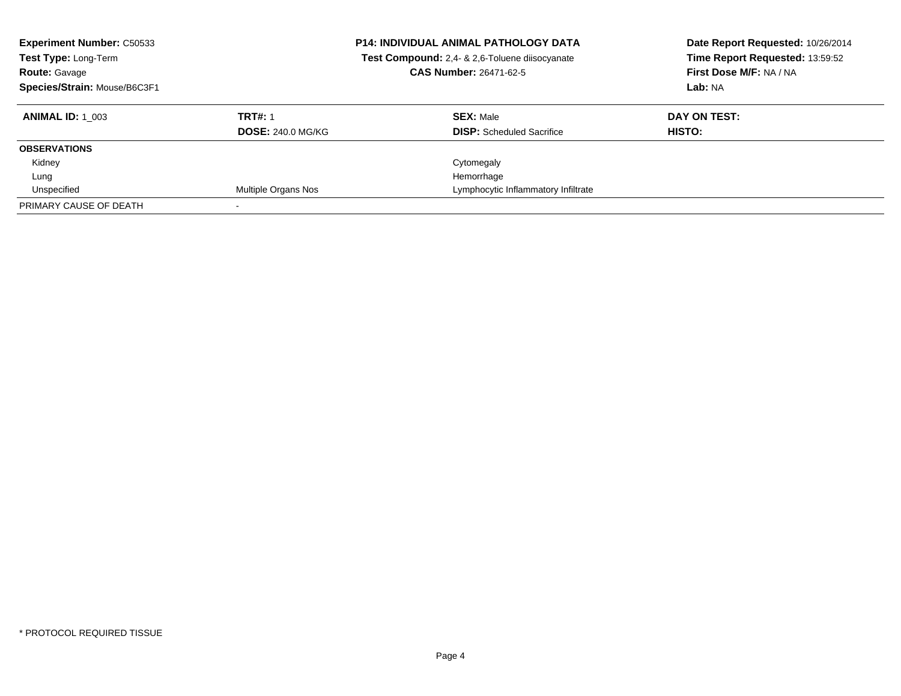| <b>Experiment Number: C50533</b><br>Test Type: Long-Term<br><b>Route: Gavage</b><br>Species/Strain: Mouse/B6C3F1 |                          | <b>P14: INDIVIDUAL ANIMAL PATHOLOGY DATA</b><br>Test Compound: 2,4- & 2,6-Toluene diisocyanate<br><b>CAS Number: 26471-62-5</b> | Date Report Requested: 10/26/2014<br>Time Report Requested: 13:59:52<br>First Dose M/F: NA / NA<br>Lab: NA |
|------------------------------------------------------------------------------------------------------------------|--------------------------|---------------------------------------------------------------------------------------------------------------------------------|------------------------------------------------------------------------------------------------------------|
| <b>ANIMAL ID:</b> 1 003                                                                                          | <b>TRT#: 1</b>           | <b>SEX: Male</b>                                                                                                                | DAY ON TEST:                                                                                               |
|                                                                                                                  | <b>DOSE: 240.0 MG/KG</b> | <b>DISP:</b> Scheduled Sacrifice                                                                                                | HISTO:                                                                                                     |
| <b>OBSERVATIONS</b>                                                                                              |                          |                                                                                                                                 |                                                                                                            |
| Kidney                                                                                                           |                          | Cytomegaly                                                                                                                      |                                                                                                            |
| Lung                                                                                                             |                          | Hemorrhage                                                                                                                      |                                                                                                            |
| Unspecified                                                                                                      | Multiple Organs Nos      | Lymphocytic Inflammatory Infiltrate                                                                                             |                                                                                                            |
| PRIMARY CAUSE OF DEATH                                                                                           |                          |                                                                                                                                 |                                                                                                            |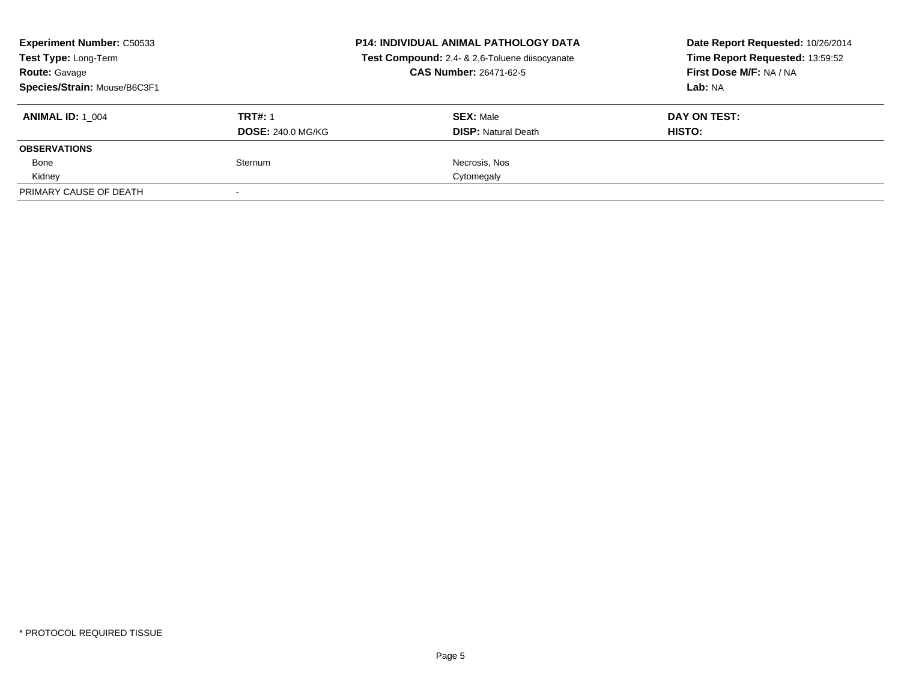| <b>Experiment Number: C50533</b><br>Test Type: Long-Term<br><b>Route: Gavage</b><br>Species/Strain: Mouse/B6C3F1 |                                            | <b>P14: INDIVIDUAL ANIMAL PATHOLOGY DATA</b><br>Test Compound: 2,4- & 2,6-Toluene diisocyanate<br><b>CAS Number: 26471-62-5</b> | Date Report Requested: 10/26/2014<br>Time Report Requested: 13:59:52<br>First Dose M/F: NA / NA<br>Lab: NA |
|------------------------------------------------------------------------------------------------------------------|--------------------------------------------|---------------------------------------------------------------------------------------------------------------------------------|------------------------------------------------------------------------------------------------------------|
| <b>ANIMAL ID:</b> 1 004                                                                                          | <b>TRT#: 1</b><br><b>DOSE: 240.0 MG/KG</b> | <b>SEX: Male</b><br><b>DISP: Natural Death</b>                                                                                  | DAY ON TEST:<br>HISTO:                                                                                     |
| <b>OBSERVATIONS</b>                                                                                              |                                            |                                                                                                                                 |                                                                                                            |
| Bone                                                                                                             | Sternum                                    | Necrosis, Nos                                                                                                                   |                                                                                                            |
| Kidney                                                                                                           |                                            | Cytomegaly                                                                                                                      |                                                                                                            |
| PRIMARY CAUSE OF DEATH                                                                                           |                                            |                                                                                                                                 |                                                                                                            |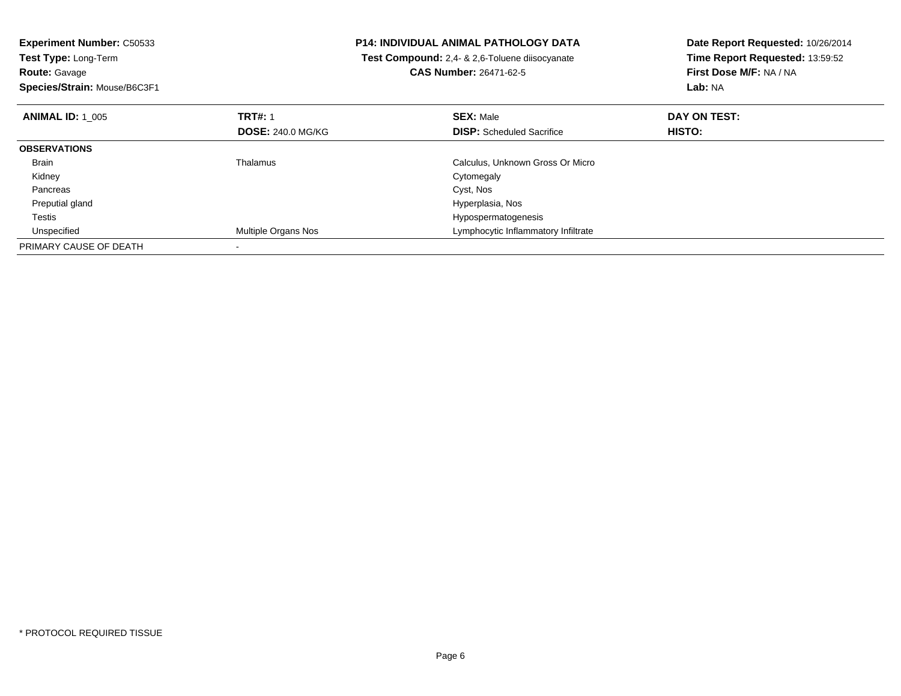| <b>Experiment Number: C50533</b> |                            | P14: INDIVIDUAL ANIMAL PATHOLOGY DATA                 | Date Report Requested: 10/26/2014 |
|----------------------------------|----------------------------|-------------------------------------------------------|-----------------------------------|
| <b>Test Type: Long-Term</b>      |                            | <b>Test Compound:</b> 2,4- & 2,6-Toluene diisocyanate | Time Report Requested: 13:59:52   |
| <b>Route: Gavage</b>             |                            | <b>CAS Number: 26471-62-5</b>                         | First Dose M/F: NA / NA           |
| Species/Strain: Mouse/B6C3F1     |                            |                                                       | Lab: NA                           |
| <b>ANIMAL ID: 1 005</b>          | <b>TRT#: 1</b>             | <b>SEX: Male</b>                                      | DAY ON TEST:                      |
|                                  | <b>DOSE: 240.0 MG/KG</b>   | <b>DISP:</b> Scheduled Sacrifice                      | <b>HISTO:</b>                     |
| <b>OBSERVATIONS</b>              |                            |                                                       |                                   |
| Brain                            | Thalamus                   | Calculus, Unknown Gross Or Micro                      |                                   |
| Kidney                           |                            | Cytomegaly                                            |                                   |
| Pancreas                         |                            | Cyst, Nos                                             |                                   |
| Preputial gland                  |                            | Hyperplasia, Nos                                      |                                   |
| Testis                           |                            | Hypospermatogenesis                                   |                                   |
| Unspecified                      | <b>Multiple Organs Nos</b> | Lymphocytic Inflammatory Infiltrate                   |                                   |
| PRIMARY CAUSE OF DEATH           |                            |                                                       |                                   |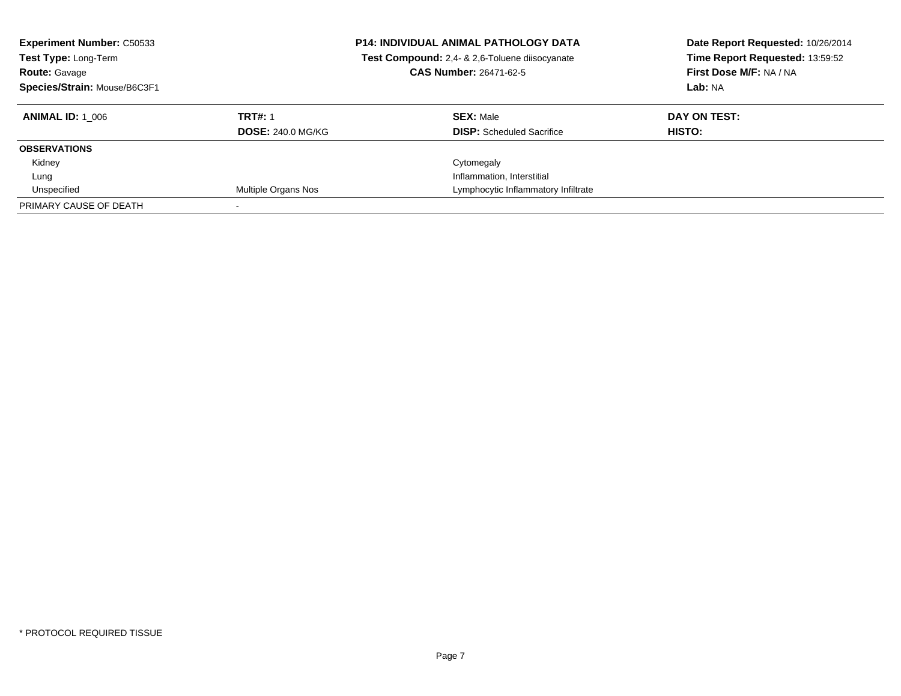| <b>Experiment Number: C50533</b><br>Test Type: Long-Term<br><b>Route: Gavage</b><br>Species/Strain: Mouse/B6C3F1 |                          | <b>P14: INDIVIDUAL ANIMAL PATHOLOGY DATA</b><br>Test Compound: 2,4- & 2,6-Toluene diisocyanate<br><b>CAS Number: 26471-62-5</b> | Date Report Requested: 10/26/2014<br>Time Report Requested: 13:59:52<br>First Dose M/F: NA / NA<br>Lab: NA |
|------------------------------------------------------------------------------------------------------------------|--------------------------|---------------------------------------------------------------------------------------------------------------------------------|------------------------------------------------------------------------------------------------------------|
| <b>ANIMAL ID:</b> 1 006                                                                                          | <b>TRT#: 1</b>           | <b>SEX: Male</b>                                                                                                                | DAY ON TEST:                                                                                               |
|                                                                                                                  | <b>DOSE: 240.0 MG/KG</b> | <b>DISP:</b> Scheduled Sacrifice                                                                                                | HISTO:                                                                                                     |
| <b>OBSERVATIONS</b>                                                                                              |                          |                                                                                                                                 |                                                                                                            |
| Kidney                                                                                                           |                          | Cytomegaly                                                                                                                      |                                                                                                            |
| Lung                                                                                                             |                          | Inflammation, Interstitial                                                                                                      |                                                                                                            |
| Unspecified                                                                                                      | Multiple Organs Nos      | Lymphocytic Inflammatory Infiltrate                                                                                             |                                                                                                            |
| PRIMARY CAUSE OF DEATH                                                                                           |                          |                                                                                                                                 |                                                                                                            |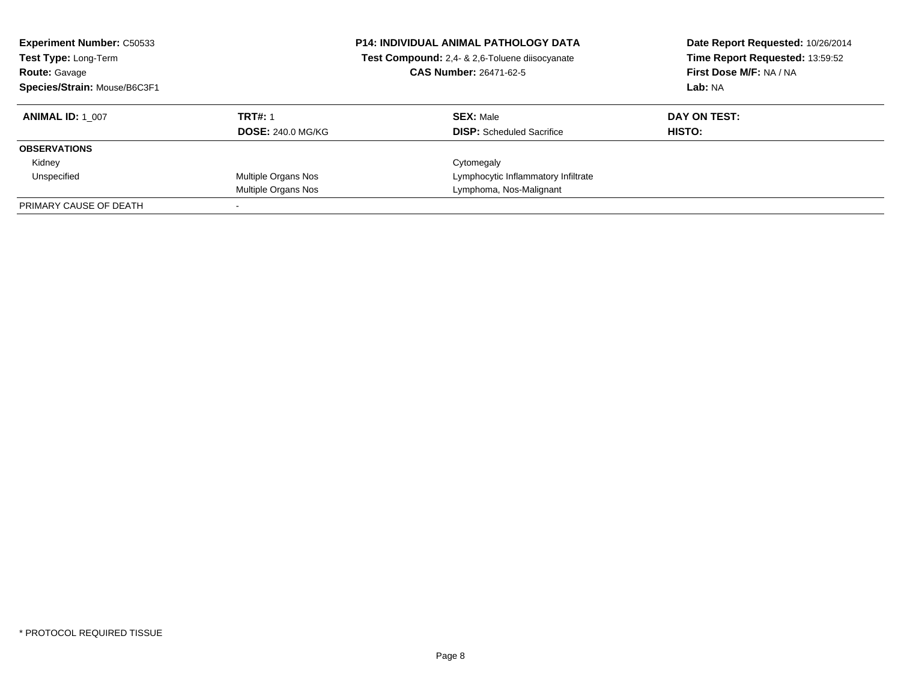| <b>Experiment Number: C50533</b><br>Test Type: Long-Term<br><b>Route: Gavage</b><br>Species/Strain: Mouse/B6C3F1 |                          | <b>P14: INDIVIDUAL ANIMAL PATHOLOGY DATA</b><br>Test Compound: 2,4- & 2,6-Toluene diisocyanate<br>CAS Number: 26471-62-5 | Date Report Requested: 10/26/2014<br>Time Report Requested: 13:59:52<br>First Dose M/F: NA / NA<br>Lab: NA |
|------------------------------------------------------------------------------------------------------------------|--------------------------|--------------------------------------------------------------------------------------------------------------------------|------------------------------------------------------------------------------------------------------------|
| <b>ANIMAL ID: 1 007</b>                                                                                          | <b>TRT#: 1</b>           | <b>SEX: Male</b>                                                                                                         | DAY ON TEST:                                                                                               |
|                                                                                                                  | <b>DOSE: 240.0 MG/KG</b> | <b>DISP:</b> Scheduled Sacrifice                                                                                         | HISTO:                                                                                                     |
| <b>OBSERVATIONS</b>                                                                                              |                          |                                                                                                                          |                                                                                                            |
| Kidney                                                                                                           |                          | Cytomegaly                                                                                                               |                                                                                                            |
| Unspecified                                                                                                      | Multiple Organs Nos      | Lymphocytic Inflammatory Infiltrate                                                                                      |                                                                                                            |
|                                                                                                                  | Multiple Organs Nos      | Lymphoma, Nos-Malignant                                                                                                  |                                                                                                            |
| PRIMARY CAUSE OF DEATH                                                                                           |                          |                                                                                                                          |                                                                                                            |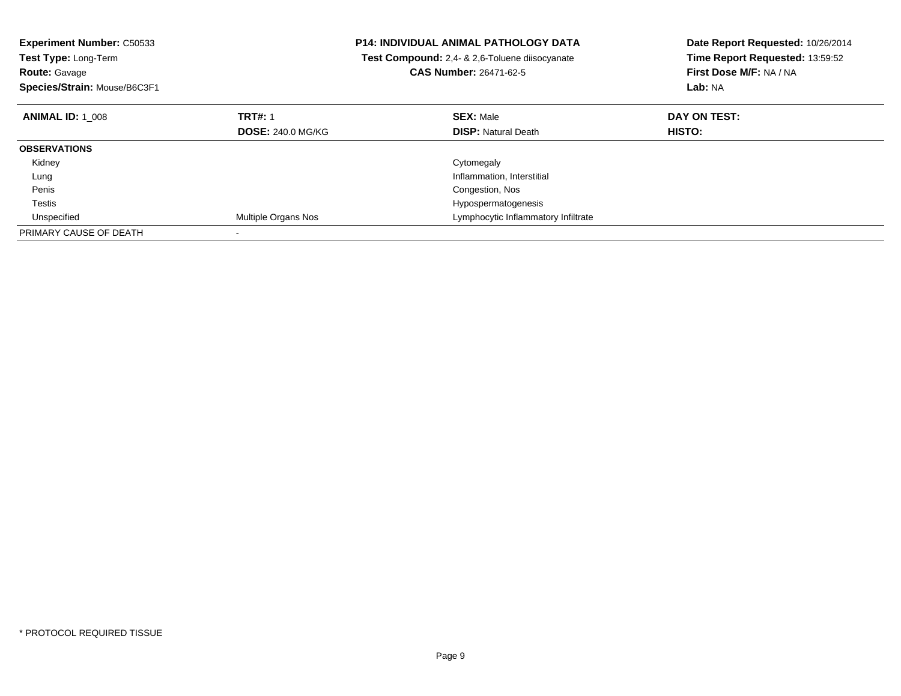| <b>Experiment Number: C50533</b><br>Test Type: Long-Term<br><b>Route: Gavage</b> |                          | P14: INDIVIDUAL ANIMAL PATHOLOGY DATA<br>Test Compound: 2,4- & 2,6-Toluene diisocyanate<br><b>CAS Number: 26471-62-5</b> | Date Report Requested: 10/26/2014<br>Time Report Requested: 13:59:52<br>First Dose M/F: NA / NA |
|----------------------------------------------------------------------------------|--------------------------|--------------------------------------------------------------------------------------------------------------------------|-------------------------------------------------------------------------------------------------|
| Species/Strain: Mouse/B6C3F1                                                     |                          |                                                                                                                          | Lab: NA                                                                                         |
| <b>ANIMAL ID: 1 008</b>                                                          | <b>TRT#: 1</b>           | <b>SEX: Male</b>                                                                                                         | DAY ON TEST:                                                                                    |
|                                                                                  | <b>DOSE: 240.0 MG/KG</b> | <b>DISP:</b> Natural Death                                                                                               | HISTO:                                                                                          |
| <b>OBSERVATIONS</b>                                                              |                          |                                                                                                                          |                                                                                                 |
| Kidney                                                                           |                          | Cytomegaly                                                                                                               |                                                                                                 |
| Lung                                                                             |                          | Inflammation, Interstitial                                                                                               |                                                                                                 |
| Penis                                                                            |                          | Congestion, Nos                                                                                                          |                                                                                                 |
| Testis                                                                           |                          | Hypospermatogenesis                                                                                                      |                                                                                                 |
| Unspecified                                                                      | Multiple Organs Nos      | Lymphocytic Inflammatory Infiltrate                                                                                      |                                                                                                 |
| PRIMARY CAUSE OF DEATH                                                           |                          |                                                                                                                          |                                                                                                 |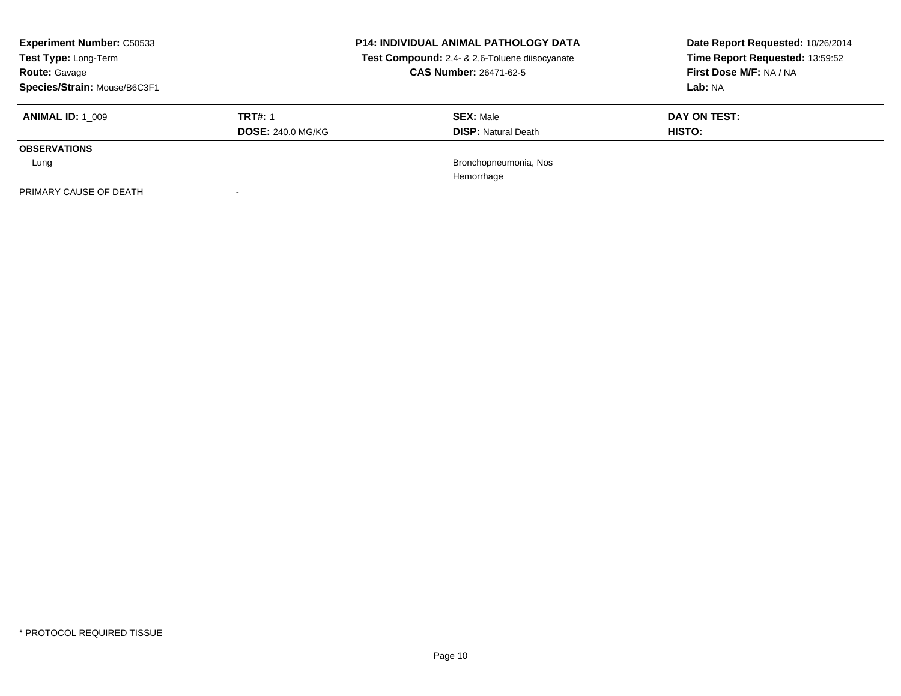| <b>Experiment Number: C50533</b><br>Test Type: Long-Term<br><b>Route: Gavage</b><br>Species/Strain: Mouse/B6C3F1 |                                            | <b>P14: INDIVIDUAL ANIMAL PATHOLOGY DATA</b><br>Test Compound: 2,4- & 2,6-Toluene diisocyanate<br><b>CAS Number: 26471-62-5</b> | Date Report Requested: 10/26/2014<br>Time Report Requested: 13:59:52<br>First Dose M/F: NA / NA<br>Lab: NA |
|------------------------------------------------------------------------------------------------------------------|--------------------------------------------|---------------------------------------------------------------------------------------------------------------------------------|------------------------------------------------------------------------------------------------------------|
| <b>ANIMAL ID: 1 009</b>                                                                                          | <b>TRT#: 1</b><br><b>DOSE: 240.0 MG/KG</b> | <b>SEX: Male</b><br><b>DISP:</b> Natural Death                                                                                  | DAY ON TEST:<br>HISTO:                                                                                     |
| <b>OBSERVATIONS</b>                                                                                              |                                            |                                                                                                                                 |                                                                                                            |
| Lung                                                                                                             |                                            | Bronchopneumonia, Nos                                                                                                           |                                                                                                            |
|                                                                                                                  |                                            | Hemorrhage                                                                                                                      |                                                                                                            |
| PRIMARY CAUSE OF DEATH                                                                                           |                                            |                                                                                                                                 |                                                                                                            |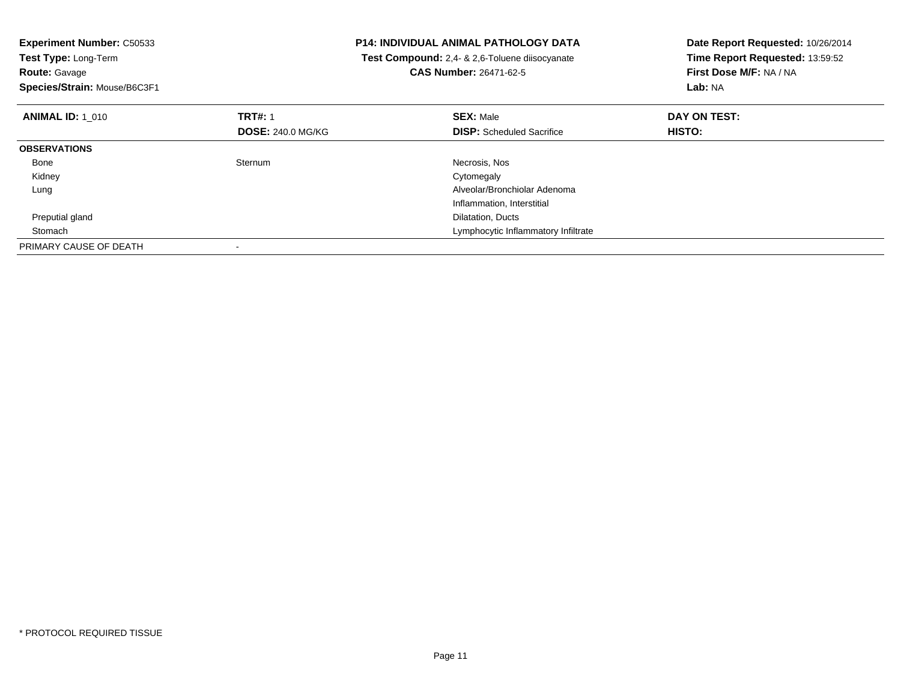| <b>Experiment Number: C50533</b> |                          | <b>P14: INDIVIDUAL ANIMAL PATHOLOGY DATA</b>   | Date Report Requested: 10/26/2014 |
|----------------------------------|--------------------------|------------------------------------------------|-----------------------------------|
| Test Type: Long-Term             |                          | Test Compound: 2,4- & 2,6-Toluene diisocyanate | Time Report Requested: 13:59:52   |
| <b>Route: Gavage</b>             |                          | <b>CAS Number: 26471-62-5</b>                  | First Dose M/F: NA / NA           |
| Species/Strain: Mouse/B6C3F1     |                          |                                                | Lab: NA                           |
| <b>ANIMAL ID: 1 010</b>          | <b>TRT#: 1</b>           | <b>SEX: Male</b>                               | DAY ON TEST:                      |
|                                  | <b>DOSE: 240.0 MG/KG</b> | <b>DISP:</b> Scheduled Sacrifice               | HISTO:                            |
| <b>OBSERVATIONS</b>              |                          |                                                |                                   |
| Bone                             | Sternum                  | Necrosis, Nos                                  |                                   |
| Kidney                           |                          | Cytomegaly                                     |                                   |
| Lung                             |                          | Alveolar/Bronchiolar Adenoma                   |                                   |
|                                  |                          | Inflammation, Interstitial                     |                                   |
| Preputial gland                  |                          | Dilatation, Ducts                              |                                   |
| Stomach                          |                          | Lymphocytic Inflammatory Infiltrate            |                                   |
| PRIMARY CAUSE OF DEATH           |                          |                                                |                                   |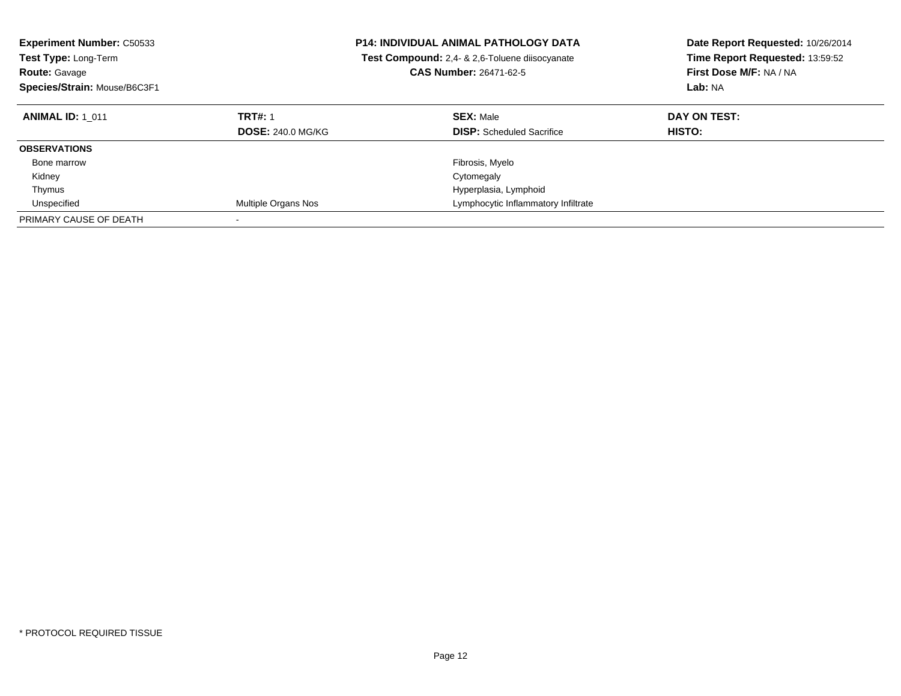| <b>Experiment Number: C50533</b><br><b>Test Type: Long-Term</b><br><b>Route: Gavage</b><br>Species/Strain: Mouse/B6C3F1 |                          | <b>P14: INDIVIDUAL ANIMAL PATHOLOGY DATA</b><br>Test Compound: 2,4- & 2,6-Toluene diisocyanate<br><b>CAS Number: 26471-62-5</b> | Date Report Requested: 10/26/2014<br>Time Report Requested: 13:59:52<br>First Dose M/F: NA / NA<br>Lab: NA |
|-------------------------------------------------------------------------------------------------------------------------|--------------------------|---------------------------------------------------------------------------------------------------------------------------------|------------------------------------------------------------------------------------------------------------|
| <b>ANIMAL ID: 1 011</b>                                                                                                 | <b>TRT#: 1</b>           | <b>SEX: Male</b>                                                                                                                | DAY ON TEST:                                                                                               |
|                                                                                                                         | <b>DOSE: 240.0 MG/KG</b> | <b>DISP:</b> Scheduled Sacrifice                                                                                                | <b>HISTO:</b>                                                                                              |
| <b>OBSERVATIONS</b>                                                                                                     |                          |                                                                                                                                 |                                                                                                            |
| Bone marrow                                                                                                             |                          | Fibrosis, Myelo                                                                                                                 |                                                                                                            |
| Kidney                                                                                                                  |                          | Cytomegaly                                                                                                                      |                                                                                                            |
| Thymus                                                                                                                  |                          | Hyperplasia, Lymphoid                                                                                                           |                                                                                                            |
| Unspecified                                                                                                             | Multiple Organs Nos      | Lymphocytic Inflammatory Infiltrate                                                                                             |                                                                                                            |
| PRIMARY CAUSE OF DEATH                                                                                                  |                          |                                                                                                                                 |                                                                                                            |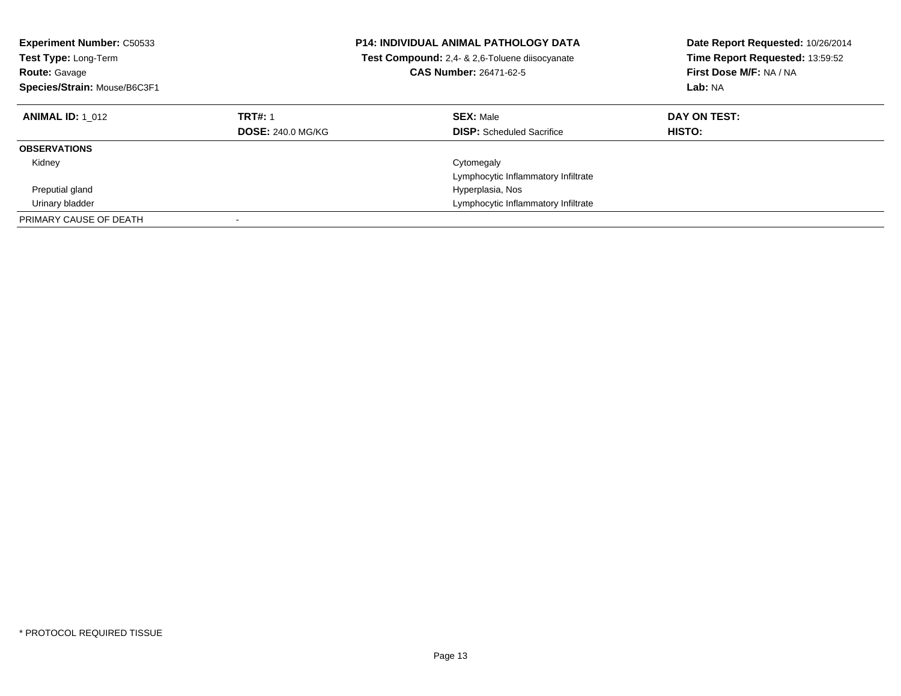| <b>Experiment Number: C50533</b><br><b>Test Type: Long-Term</b><br><b>Route: Gavage</b><br>Species/Strain: Mouse/B6C3F1 |                                            | <b>P14: INDIVIDUAL ANIMAL PATHOLOGY DATA</b><br><b>Test Compound:</b> 2.4- & 2.6-Toluene diisocyanate<br><b>CAS Number: 26471-62-5</b> | Date Report Requested: 10/26/2014<br>Time Report Requested: 13:59:52<br>First Dose M/F: NA / NA<br>Lab: NA |
|-------------------------------------------------------------------------------------------------------------------------|--------------------------------------------|----------------------------------------------------------------------------------------------------------------------------------------|------------------------------------------------------------------------------------------------------------|
| <b>ANIMAL ID: 1 012</b>                                                                                                 | <b>TRT#: 1</b><br><b>DOSE: 240.0 MG/KG</b> | <b>SEX: Male</b><br><b>DISP:</b> Scheduled Sacrifice                                                                                   | DAY ON TEST:<br><b>HISTO:</b>                                                                              |
| <b>OBSERVATIONS</b>                                                                                                     |                                            |                                                                                                                                        |                                                                                                            |
| Kidney                                                                                                                  |                                            | Cytomegaly<br>Lymphocytic Inflammatory Infiltrate                                                                                      |                                                                                                            |
| Preputial gland                                                                                                         |                                            | Hyperplasia, Nos                                                                                                                       |                                                                                                            |
| Urinary bladder                                                                                                         |                                            | Lymphocytic Inflammatory Infiltrate                                                                                                    |                                                                                                            |
| PRIMARY CAUSE OF DEATH                                                                                                  |                                            |                                                                                                                                        |                                                                                                            |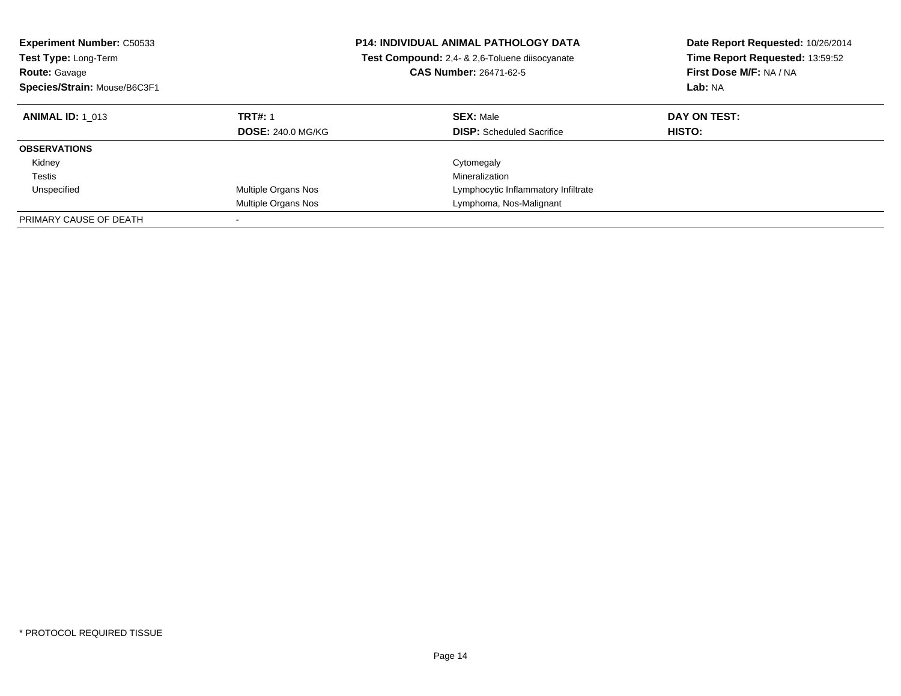| <b>Experiment Number: C50533</b><br><b>Test Type: Long-Term</b><br><b>Route: Gavage</b><br>Species/Strain: Mouse/B6C3F1 |                                            | <b>P14: INDIVIDUAL ANIMAL PATHOLOGY DATA</b><br>Test Compound: 2,4- & 2,6-Toluene diisocyanate<br><b>CAS Number: 26471-62-5</b> | Date Report Requested: 10/26/2014<br>Time Report Requested: 13:59:52<br>First Dose M/F: NA / NA<br>Lab: NA |
|-------------------------------------------------------------------------------------------------------------------------|--------------------------------------------|---------------------------------------------------------------------------------------------------------------------------------|------------------------------------------------------------------------------------------------------------|
| <b>ANIMAL ID: 1 013</b>                                                                                                 | <b>TRT#: 1</b><br><b>DOSE: 240.0 MG/KG</b> | <b>SEX: Male</b><br><b>DISP:</b> Scheduled Sacrifice                                                                            | DAY ON TEST:<br><b>HISTO:</b>                                                                              |
| <b>OBSERVATIONS</b>                                                                                                     |                                            |                                                                                                                                 |                                                                                                            |
|                                                                                                                         |                                            |                                                                                                                                 |                                                                                                            |
| Kidney                                                                                                                  |                                            | Cytomegaly                                                                                                                      |                                                                                                            |
| Testis                                                                                                                  |                                            | Mineralization                                                                                                                  |                                                                                                            |
| Unspecified                                                                                                             | Multiple Organs Nos                        | Lymphocytic Inflammatory Infiltrate                                                                                             |                                                                                                            |
|                                                                                                                         | Multiple Organs Nos                        | Lymphoma, Nos-Malignant                                                                                                         |                                                                                                            |
| PRIMARY CAUSE OF DEATH                                                                                                  |                                            |                                                                                                                                 |                                                                                                            |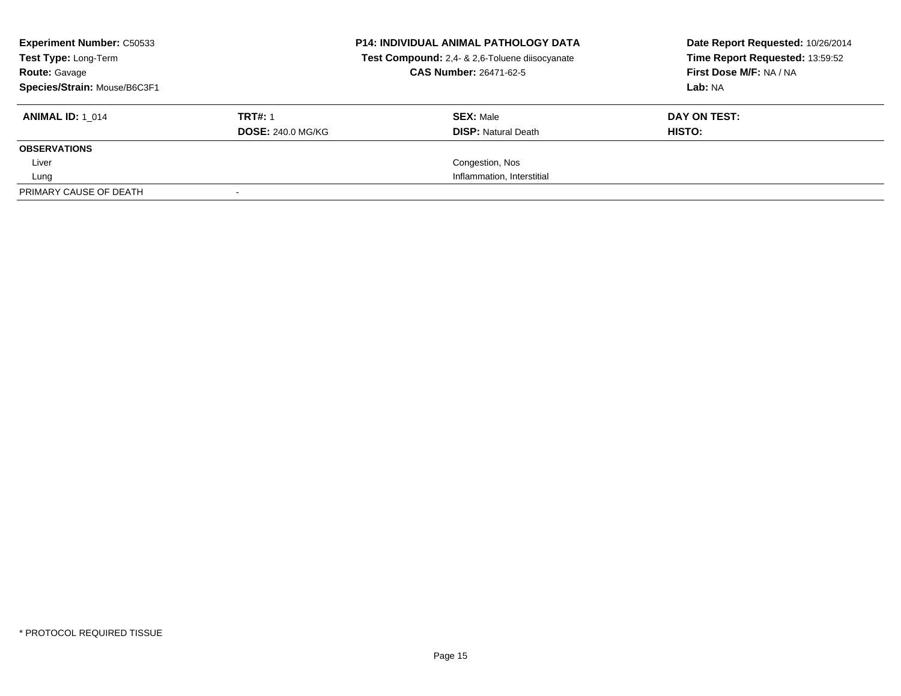| <b>Experiment Number: C50533</b><br>Test Type: Long-Term<br><b>Route: Gavage</b><br>Species/Strain: Mouse/B6C3F1 |                          | <b>P14: INDIVIDUAL ANIMAL PATHOLOGY DATA</b><br>Test Compound: 2,4- & 2,6-Toluene diisocyanate<br><b>CAS Number: 26471-62-5</b> | Date Report Requested: 10/26/2014<br>Time Report Requested: 13:59:52<br>First Dose M/F: NA / NA<br>Lab: NA |
|------------------------------------------------------------------------------------------------------------------|--------------------------|---------------------------------------------------------------------------------------------------------------------------------|------------------------------------------------------------------------------------------------------------|
| <b>ANIMAL ID:</b> 1 014                                                                                          | <b>TRT#: 1</b>           | <b>SEX: Male</b>                                                                                                                | DAY ON TEST:                                                                                               |
|                                                                                                                  | <b>DOSE: 240.0 MG/KG</b> | <b>DISP:</b> Natural Death                                                                                                      | <b>HISTO:</b>                                                                                              |
| <b>OBSERVATIONS</b>                                                                                              |                          |                                                                                                                                 |                                                                                                            |
| Liver                                                                                                            |                          | Congestion, Nos                                                                                                                 |                                                                                                            |
| Lung                                                                                                             |                          | Inflammation, Interstitial                                                                                                      |                                                                                                            |
| PRIMARY CAUSE OF DEATH                                                                                           |                          |                                                                                                                                 |                                                                                                            |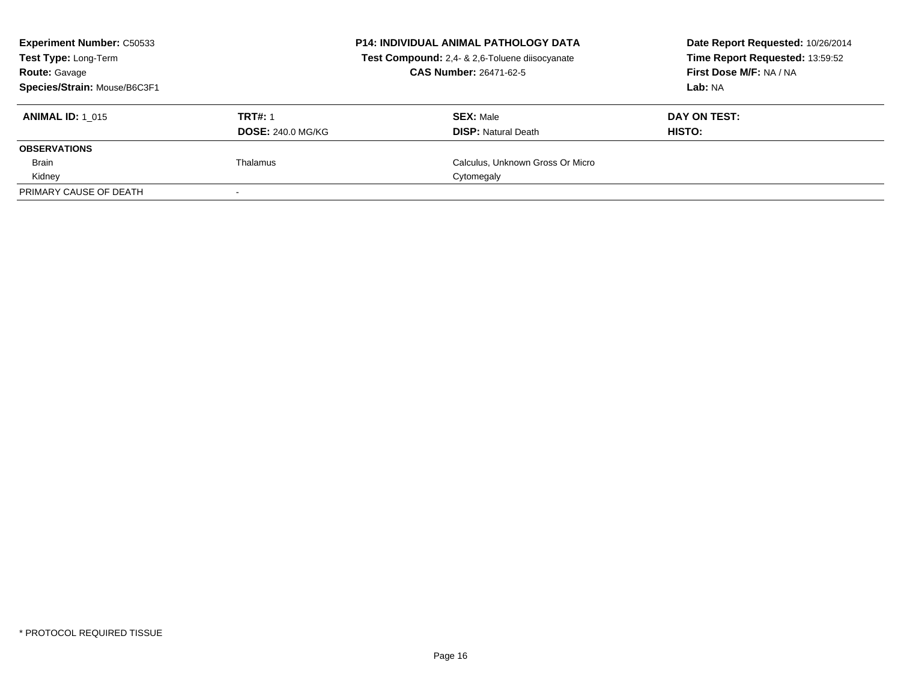| <b>Experiment Number: C50533</b><br><b>Test Type: Long-Term</b><br><b>Route: Gavage</b><br>Species/Strain: Mouse/B6C3F1 |                                            | <b>P14: INDIVIDUAL ANIMAL PATHOLOGY DATA</b><br>Test Compound: 2,4- & 2,6-Toluene diisocyanate<br><b>CAS Number: 26471-62-5</b> | Date Report Requested: 10/26/2014<br>Time Report Requested: 13:59:52<br>First Dose M/F: NA / NA<br>Lab: NA |
|-------------------------------------------------------------------------------------------------------------------------|--------------------------------------------|---------------------------------------------------------------------------------------------------------------------------------|------------------------------------------------------------------------------------------------------------|
| <b>ANIMAL ID: 1 015</b>                                                                                                 | <b>TRT#: 1</b><br><b>DOSE: 240.0 MG/KG</b> | <b>SEX: Male</b><br><b>DISP:</b> Natural Death                                                                                  | DAY ON TEST:<br>HISTO:                                                                                     |
| <b>OBSERVATIONS</b>                                                                                                     |                                            |                                                                                                                                 |                                                                                                            |
| Brain                                                                                                                   | Thalamus                                   | Calculus, Unknown Gross Or Micro                                                                                                |                                                                                                            |
| Kidney                                                                                                                  |                                            | Cytomegaly                                                                                                                      |                                                                                                            |
| PRIMARY CAUSE OF DEATH                                                                                                  |                                            |                                                                                                                                 |                                                                                                            |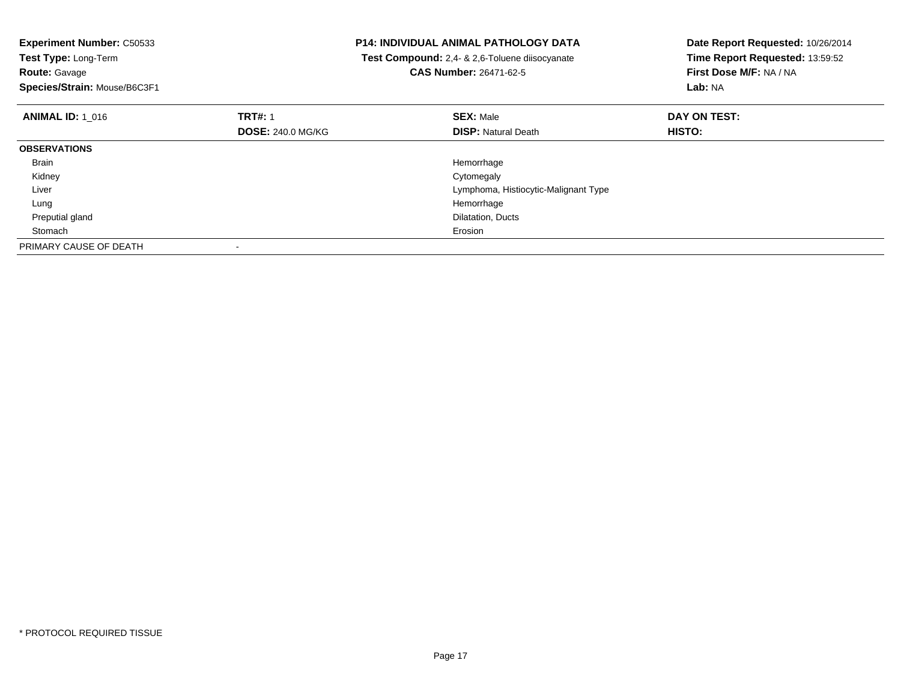| <b>Experiment Number: C50533</b> |                          | <b>P14: INDIVIDUAL ANIMAL PATHOLOGY DATA</b>          | Date Report Requested: 10/26/2014 |
|----------------------------------|--------------------------|-------------------------------------------------------|-----------------------------------|
| Test Type: Long-Term             |                          | <b>Test Compound:</b> 2,4- & 2,6-Toluene diisocyanate | Time Report Requested: 13:59:52   |
| <b>Route: Gavage</b>             |                          | CAS Number: 26471-62-5                                | First Dose M/F: NA / NA           |
| Species/Strain: Mouse/B6C3F1     |                          |                                                       | Lab: NA                           |
| <b>ANIMAL ID: 1 016</b>          | <b>TRT#: 1</b>           | <b>SEX: Male</b>                                      | DAY ON TEST:                      |
|                                  | <b>DOSE: 240.0 MG/KG</b> | <b>DISP: Natural Death</b>                            | HISTO:                            |
| <b>OBSERVATIONS</b>              |                          |                                                       |                                   |
| Brain                            |                          | Hemorrhage                                            |                                   |
| Kidney                           |                          | Cytomegaly                                            |                                   |
| Liver                            |                          | Lymphoma, Histiocytic-Malignant Type                  |                                   |
| Lung                             |                          | Hemorrhage                                            |                                   |
| Preputial gland                  |                          | Dilatation, Ducts                                     |                                   |
| Stomach                          |                          | Erosion                                               |                                   |
| PRIMARY CAUSE OF DEATH           |                          |                                                       |                                   |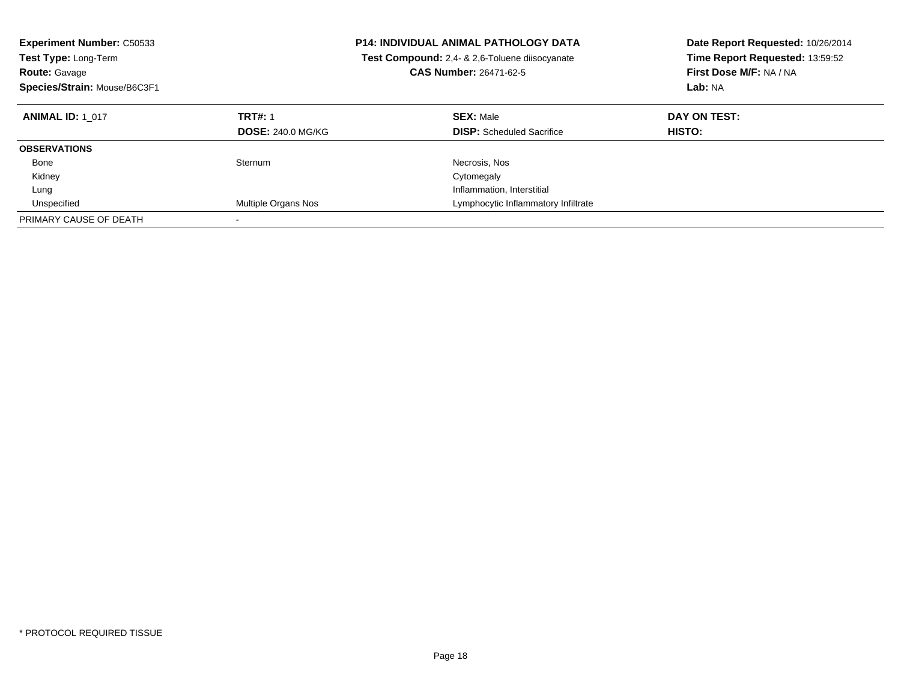| <b>Experiment Number: C50533</b><br><b>Test Type: Long-Term</b><br><b>Route: Gavage</b><br>Species/Strain: Mouse/B6C3F1 |                          | <b>P14: INDIVIDUAL ANIMAL PATHOLOGY DATA</b><br>Test Compound: 2,4- & 2,6-Toluene diisocyanate<br><b>CAS Number: 26471-62-5</b> | Date Report Requested: 10/26/2014<br>Time Report Requested: 13:59:52<br>First Dose M/F: NA / NA<br>Lab: NA |
|-------------------------------------------------------------------------------------------------------------------------|--------------------------|---------------------------------------------------------------------------------------------------------------------------------|------------------------------------------------------------------------------------------------------------|
| <b>ANIMAL ID: 1 017</b>                                                                                                 | <b>TRT#: 1</b>           | <b>SEX: Male</b>                                                                                                                | DAY ON TEST:                                                                                               |
|                                                                                                                         | <b>DOSE: 240.0 MG/KG</b> | <b>DISP:</b> Scheduled Sacrifice                                                                                                | <b>HISTO:</b>                                                                                              |
| <b>OBSERVATIONS</b>                                                                                                     |                          |                                                                                                                                 |                                                                                                            |
| Bone                                                                                                                    | Sternum                  | Necrosis, Nos                                                                                                                   |                                                                                                            |
| Kidney                                                                                                                  |                          | Cytomegaly                                                                                                                      |                                                                                                            |
| Lung                                                                                                                    |                          | Inflammation, Interstitial                                                                                                      |                                                                                                            |
| Unspecified                                                                                                             | Multiple Organs Nos      | Lymphocytic Inflammatory Infiltrate                                                                                             |                                                                                                            |
| PRIMARY CAUSE OF DEATH                                                                                                  |                          |                                                                                                                                 |                                                                                                            |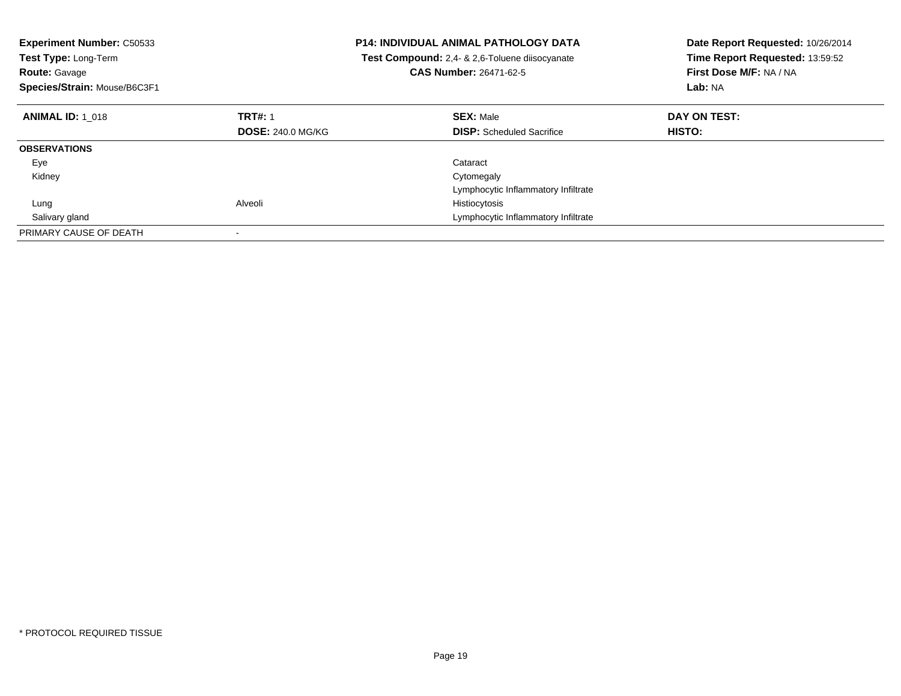| <b>Experiment Number: C50533</b><br><b>Test Type: Long-Term</b><br><b>Route: Gavage</b><br>Species/Strain: Mouse/B6C3F1 |                          | <b>P14: INDIVIDUAL ANIMAL PATHOLOGY DATA</b><br><b>Test Compound:</b> 2,4- & 2,6-Toluene diisocyanate<br>CAS Number: 26471-62-5 | Date Report Requested: 10/26/2014<br>Time Report Requested: 13:59:52<br>First Dose M/F: NA / NA<br>Lab: NA |
|-------------------------------------------------------------------------------------------------------------------------|--------------------------|---------------------------------------------------------------------------------------------------------------------------------|------------------------------------------------------------------------------------------------------------|
| <b>ANIMAL ID: 1 018</b>                                                                                                 | <b>TRT#: 1</b>           | <b>SEX: Male</b>                                                                                                                | DAY ON TEST:                                                                                               |
|                                                                                                                         | <b>DOSE: 240.0 MG/KG</b> | <b>DISP:</b> Scheduled Sacrifice                                                                                                | <b>HISTO:</b>                                                                                              |
| <b>OBSERVATIONS</b>                                                                                                     |                          |                                                                                                                                 |                                                                                                            |
| Eye                                                                                                                     |                          | Cataract                                                                                                                        |                                                                                                            |
| Kidney                                                                                                                  |                          | Cytomegaly                                                                                                                      |                                                                                                            |
|                                                                                                                         |                          | Lymphocytic Inflammatory Infiltrate                                                                                             |                                                                                                            |
| Lung                                                                                                                    | Alveoli                  | Histiocytosis                                                                                                                   |                                                                                                            |
| Salivary gland                                                                                                          |                          | Lymphocytic Inflammatory Infiltrate                                                                                             |                                                                                                            |
| PRIMARY CAUSE OF DEATH                                                                                                  | $\overline{\phantom{a}}$ |                                                                                                                                 |                                                                                                            |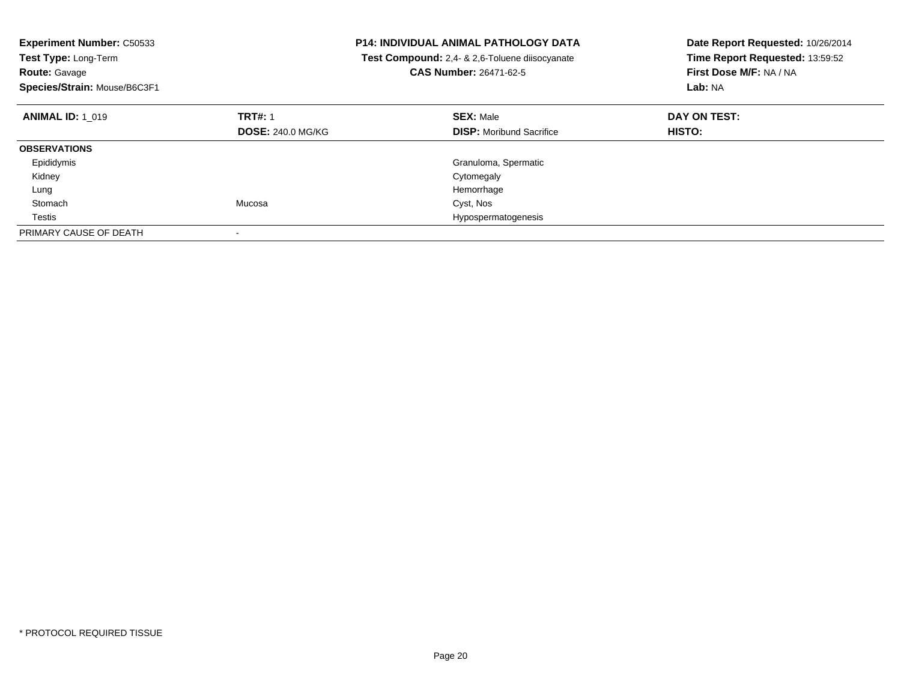| Experiment Number: C50533<br>Test Type: Long-Term<br><b>Route: Gavage</b><br>Species/Strain: Mouse/B6C3F1 |                          | <b>P14: INDIVIDUAL ANIMAL PATHOLOGY DATA</b><br>Test Compound: 2,4- & 2,6-Toluene diisocyanate<br><b>CAS Number: 26471-62-5</b> | Date Report Requested: 10/26/2014<br>Time Report Requested: 13:59:52<br>First Dose M/F: NA / NA<br>Lab: NA |
|-----------------------------------------------------------------------------------------------------------|--------------------------|---------------------------------------------------------------------------------------------------------------------------------|------------------------------------------------------------------------------------------------------------|
| <b>ANIMAL ID: 1 019</b>                                                                                   | <b>TRT#: 1</b>           | <b>SEX: Male</b>                                                                                                                | DAY ON TEST:                                                                                               |
|                                                                                                           | <b>DOSE: 240.0 MG/KG</b> | <b>DISP:</b> Moribund Sacrifice                                                                                                 | <b>HISTO:</b>                                                                                              |
| <b>OBSERVATIONS</b>                                                                                       |                          |                                                                                                                                 |                                                                                                            |
| Epididymis                                                                                                |                          | Granuloma, Spermatic                                                                                                            |                                                                                                            |
| Kidney                                                                                                    |                          | Cytomegaly                                                                                                                      |                                                                                                            |
| Lung                                                                                                      |                          | Hemorrhage                                                                                                                      |                                                                                                            |
| Stomach                                                                                                   | Mucosa                   | Cyst, Nos                                                                                                                       |                                                                                                            |
| Testis                                                                                                    |                          | Hypospermatogenesis                                                                                                             |                                                                                                            |
| PRIMARY CAUSE OF DEATH                                                                                    |                          |                                                                                                                                 |                                                                                                            |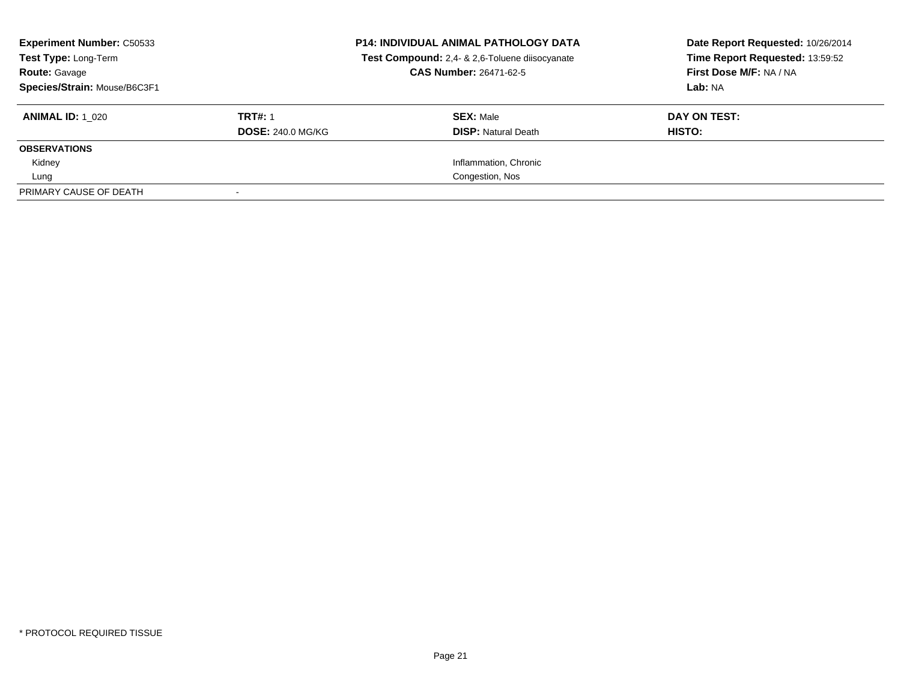| <b>Experiment Number: C50533</b><br>Test Type: Long-Term<br><b>Route: Gavage</b><br>Species/Strain: Mouse/B6C3F1 |                                            | <b>P14: INDIVIDUAL ANIMAL PATHOLOGY DATA</b><br>Test Compound: 2,4- & 2,6-Toluene diisocyanate<br>CAS Number: 26471-62-5 | Date Report Requested: 10/26/2014<br>Time Report Requested: 13:59:52<br>First Dose M/F: NA / NA<br>Lab: NA |
|------------------------------------------------------------------------------------------------------------------|--------------------------------------------|--------------------------------------------------------------------------------------------------------------------------|------------------------------------------------------------------------------------------------------------|
| <b>ANIMAL ID: 1 020</b>                                                                                          | <b>TRT#: 1</b><br><b>DOSE: 240.0 MG/KG</b> | <b>SEX: Male</b><br><b>DISP: Natural Death</b>                                                                           | DAY ON TEST:<br>HISTO:                                                                                     |
| <b>OBSERVATIONS</b>                                                                                              |                                            |                                                                                                                          |                                                                                                            |
| Kidney                                                                                                           |                                            | Inflammation, Chronic                                                                                                    |                                                                                                            |
| Lung                                                                                                             |                                            | Congestion, Nos                                                                                                          |                                                                                                            |
| PRIMARY CAUSE OF DEATH                                                                                           |                                            |                                                                                                                          |                                                                                                            |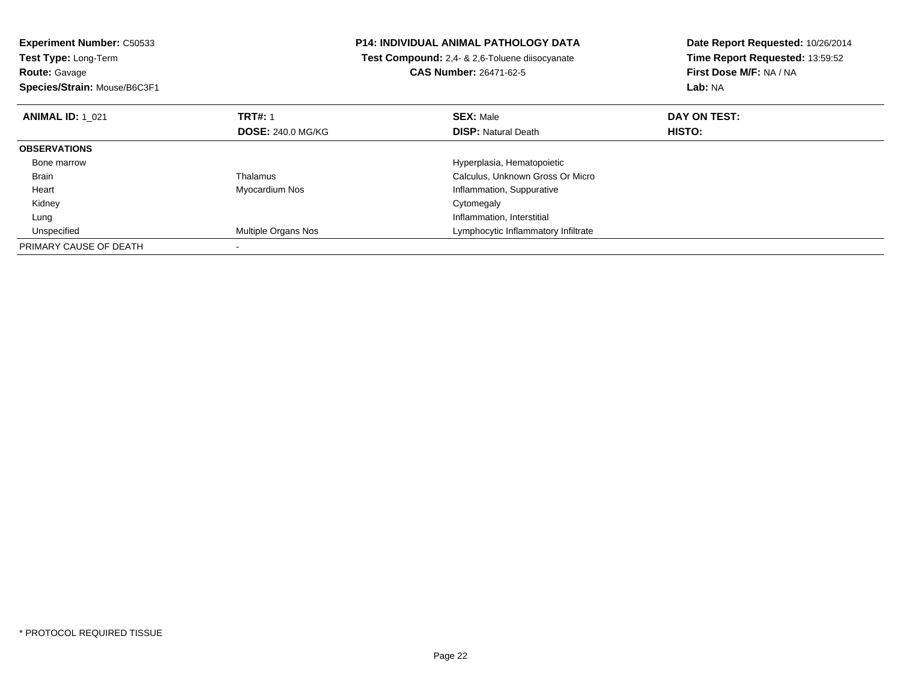**Experiment Number:** C50533**Test Type:** Long-Term**Route:** Gavage **Species/Strain:** Mouse/B6C3F1**P14: INDIVIDUAL ANIMAL PATHOLOGY DATA Test Compound:** 2,4- & 2,6-Toluene diisocyanate**CAS Number:** 26471-62-5**Date Report Requested:** 10/26/2014**Time Report Requested:** 13:59:52**First Dose M/F:** NA / NA**Lab:** NA**ANIMAL ID:** 1\_021**TRT#:** 1 **SEX:** Male **DAY ON TEST: DOSE:** 240.0 MG/KG**DISP:** Natural Death **HISTO: OBSERVATIONS** Bone marrowHyperplasia, Hematopoietic<br>Calculus, Unknown Gross C BrainCalculus, Unknown Gross Or Micro Heart Myocardium Nos Inflammation, Suppurative Kidneyy the control of the control of the control of the control of the control of the control of the control of the control of the control of the control of the control of the control of the control of the control of the contro LungInflammation, Interstitial<br>Multiple Organs Nos **Altitude State State Control Control Control Cymphocytic Inflammato**  UnspecifiedLymphocytic Inflammatory Infiltrate PRIMARY CAUSE OF DEATH-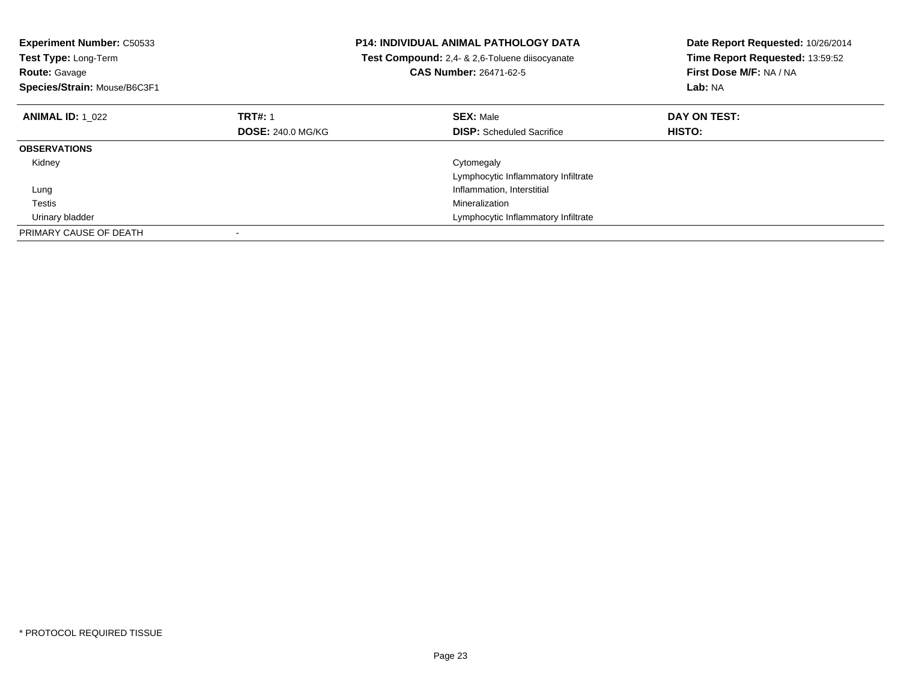| <b>Experiment Number: C50533</b><br>Test Type: Long-Term<br><b>Route: Gavage</b><br>Species/Strain: Mouse/B6C3F1 |                          | <b>P14: INDIVIDUAL ANIMAL PATHOLOGY DATA</b><br>Test Compound: 2,4- & 2,6-Toluene diisocyanate<br><b>CAS Number: 26471-62-5</b> | Date Report Requested: 10/26/2014<br>Time Report Requested: 13:59:52<br>First Dose M/F: NA / NA<br>Lab: NA |
|------------------------------------------------------------------------------------------------------------------|--------------------------|---------------------------------------------------------------------------------------------------------------------------------|------------------------------------------------------------------------------------------------------------|
| <b>ANIMAL ID: 1 022</b>                                                                                          | <b>TRT#: 1</b>           | <b>SEX: Male</b>                                                                                                                | DAY ON TEST:                                                                                               |
|                                                                                                                  | <b>DOSE: 240.0 MG/KG</b> | <b>DISP:</b> Scheduled Sacrifice                                                                                                | HISTO:                                                                                                     |
| <b>OBSERVATIONS</b>                                                                                              |                          |                                                                                                                                 |                                                                                                            |
| Kidney                                                                                                           |                          | Cytomegaly                                                                                                                      |                                                                                                            |
|                                                                                                                  |                          | Lymphocytic Inflammatory Infiltrate                                                                                             |                                                                                                            |
| Lung                                                                                                             |                          | Inflammation, Interstitial                                                                                                      |                                                                                                            |
| Testis                                                                                                           |                          | Mineralization                                                                                                                  |                                                                                                            |
| Urinary bladder                                                                                                  |                          | Lymphocytic Inflammatory Infiltrate                                                                                             |                                                                                                            |
| PRIMARY CAUSE OF DEATH                                                                                           |                          |                                                                                                                                 |                                                                                                            |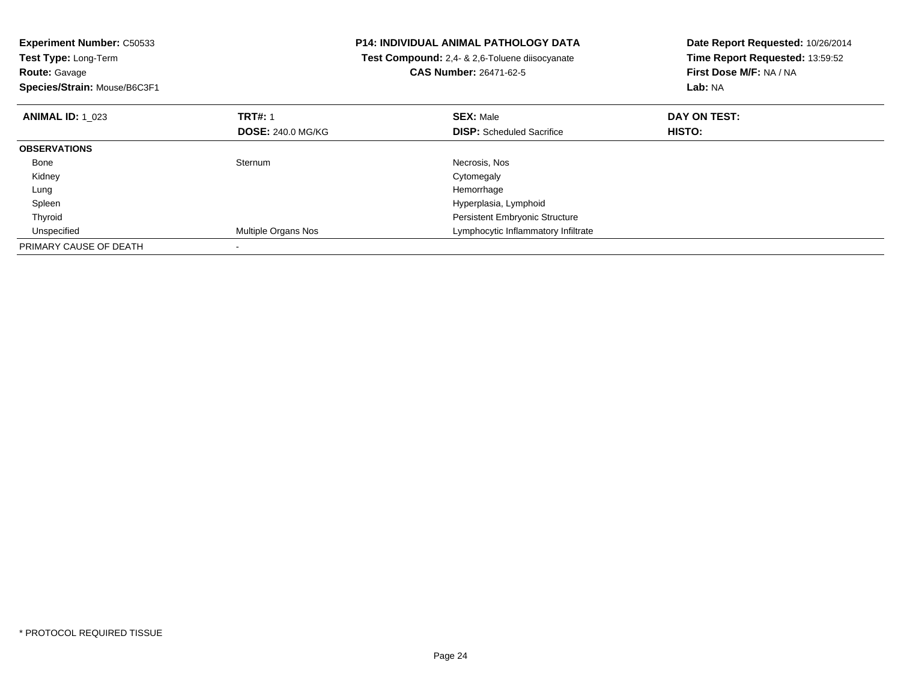| <b>Experiment Number: C50533</b> | <b>P14: INDIVIDUAL ANIMAL PATHOLOGY DATA</b> |                                                       | Date Report Requested: 10/26/2014 |
|----------------------------------|----------------------------------------------|-------------------------------------------------------|-----------------------------------|
| Test Type: Long-Term             |                                              | <b>Test Compound:</b> 2,4- & 2,6-Toluene diisocyanate | Time Report Requested: 13:59:52   |
| <b>Route: Gavage</b>             |                                              | CAS Number: 26471-62-5                                | First Dose M/F: NA / NA           |
| Species/Strain: Mouse/B6C3F1     |                                              |                                                       | Lab: NA                           |
| <b>ANIMAL ID: 1 023</b>          | <b>TRT#: 1</b>                               | <b>SEX: Male</b>                                      | DAY ON TEST:                      |
|                                  | <b>DOSE: 240.0 MG/KG</b>                     | <b>DISP:</b> Scheduled Sacrifice                      | HISTO:                            |
| <b>OBSERVATIONS</b>              |                                              |                                                       |                                   |
| Bone                             | Sternum                                      | Necrosis, Nos                                         |                                   |
| Kidney                           |                                              | Cytomegaly                                            |                                   |
| Lung                             |                                              | Hemorrhage                                            |                                   |
| Spleen                           |                                              | Hyperplasia, Lymphoid                                 |                                   |
| Thyroid                          |                                              | Persistent Embryonic Structure                        |                                   |
| Unspecified                      | Multiple Organs Nos                          | Lymphocytic Inflammatory Infiltrate                   |                                   |
| PRIMARY CAUSE OF DEATH           |                                              |                                                       |                                   |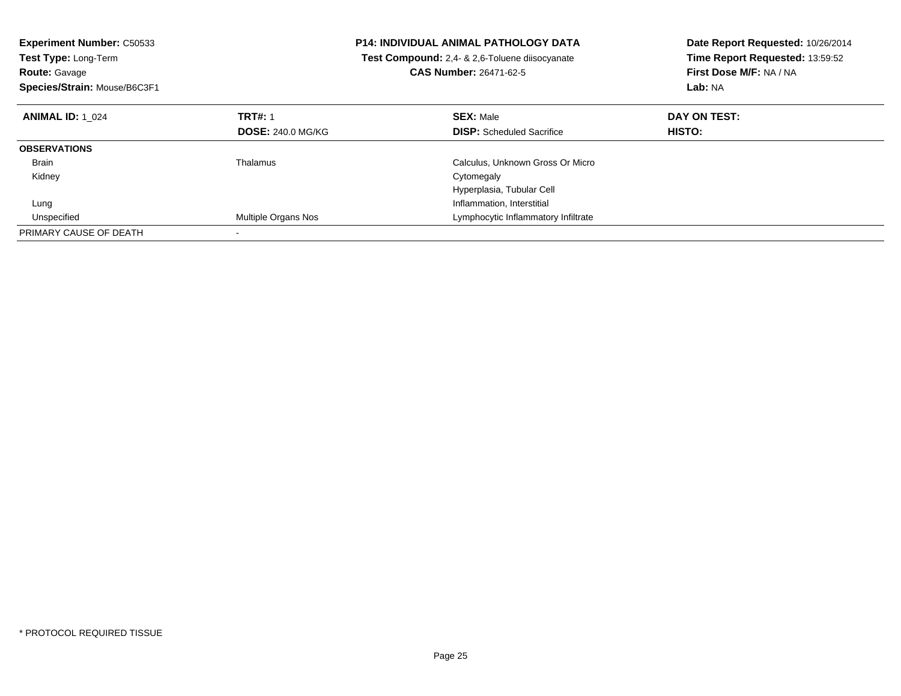| <b>Experiment Number: C50533</b><br><b>Test Type: Long-Term</b><br><b>Route: Gavage</b><br>Species/Strain: Mouse/B6C3F1 |                          | <b>P14: INDIVIDUAL ANIMAL PATHOLOGY DATA</b><br>Test Compound: 2,4- & 2,6-Toluene diisocyanate<br><b>CAS Number: 26471-62-5</b> | Date Report Requested: 10/26/2014<br>Time Report Requested: 13:59:52<br>First Dose M/F: NA / NA<br>Lab: NA |
|-------------------------------------------------------------------------------------------------------------------------|--------------------------|---------------------------------------------------------------------------------------------------------------------------------|------------------------------------------------------------------------------------------------------------|
| <b>ANIMAL ID: 1 024</b>                                                                                                 | <b>TRT#: 1</b>           | <b>SEX: Male</b>                                                                                                                | DAY ON TEST:                                                                                               |
|                                                                                                                         | <b>DOSE: 240.0 MG/KG</b> | <b>DISP:</b> Scheduled Sacrifice                                                                                                | HISTO:                                                                                                     |
| <b>OBSERVATIONS</b>                                                                                                     |                          |                                                                                                                                 |                                                                                                            |
| <b>Brain</b>                                                                                                            | Thalamus                 | Calculus, Unknown Gross Or Micro                                                                                                |                                                                                                            |
| Kidney                                                                                                                  |                          | Cytomegaly                                                                                                                      |                                                                                                            |
|                                                                                                                         |                          | Hyperplasia, Tubular Cell                                                                                                       |                                                                                                            |
| Lung                                                                                                                    |                          | Inflammation, Interstitial                                                                                                      |                                                                                                            |
| Unspecified                                                                                                             | Multiple Organs Nos      | Lymphocytic Inflammatory Infiltrate                                                                                             |                                                                                                            |
| PRIMARY CAUSE OF DEATH                                                                                                  |                          |                                                                                                                                 |                                                                                                            |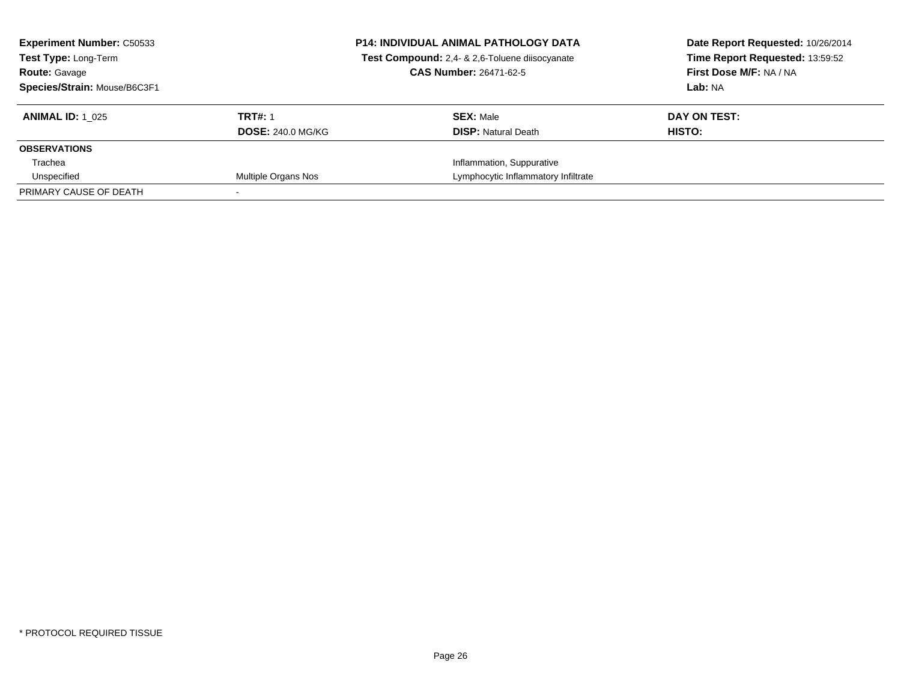| <b>Experiment Number: C50533</b><br>Test Type: Long-Term<br><b>Route: Gavage</b><br>Species/Strain: Mouse/B6C3F1 |                                            | <b>P14: INDIVIDUAL ANIMAL PATHOLOGY DATA</b><br>Test Compound: 2,4- & 2,6-Toluene diisocyanate<br><b>CAS Number: 26471-62-5</b> | Date Report Requested: 10/26/2014<br>Time Report Requested: 13:59:52<br>First Dose M/F: NA / NA<br>Lab: NA |
|------------------------------------------------------------------------------------------------------------------|--------------------------------------------|---------------------------------------------------------------------------------------------------------------------------------|------------------------------------------------------------------------------------------------------------|
| <b>ANIMAL ID: 1 025</b>                                                                                          | <b>TRT#: 1</b><br><b>DOSE: 240.0 MG/KG</b> | <b>SEX: Male</b><br><b>DISP:</b> Natural Death                                                                                  | DAY ON TEST:<br>HISTO:                                                                                     |
| <b>OBSERVATIONS</b>                                                                                              |                                            |                                                                                                                                 |                                                                                                            |
| Trachea                                                                                                          |                                            | Inflammation, Suppurative                                                                                                       |                                                                                                            |
| Unspecified                                                                                                      | Multiple Organs Nos                        | Lymphocytic Inflammatory Infiltrate                                                                                             |                                                                                                            |
| PRIMARY CAUSE OF DEATH                                                                                           |                                            |                                                                                                                                 |                                                                                                            |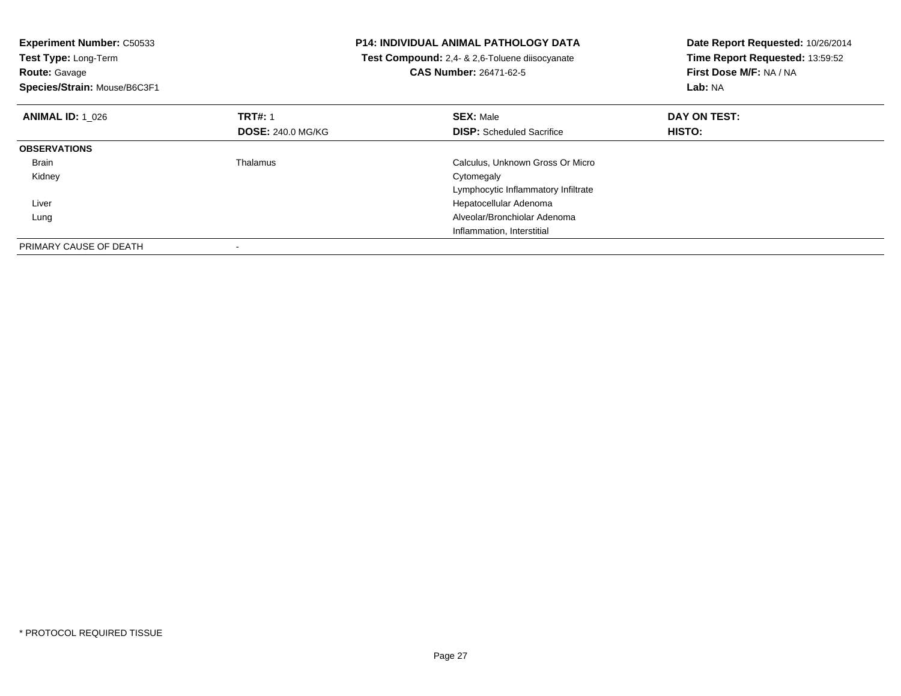| <b>Experiment Number: C50533</b> |                          | <b>P14: INDIVIDUAL ANIMAL PATHOLOGY DATA</b>   | Date Report Requested: 10/26/2014 |
|----------------------------------|--------------------------|------------------------------------------------|-----------------------------------|
| Test Type: Long-Term             |                          | Test Compound: 2,4- & 2,6-Toluene diisocyanate | Time Report Requested: 13:59:52   |
| <b>Route: Gavage</b>             |                          | <b>CAS Number: 26471-62-5</b>                  | First Dose M/F: NA / NA           |
| Species/Strain: Mouse/B6C3F1     |                          |                                                | Lab: NA                           |
| <b>ANIMAL ID: 1 026</b>          | <b>TRT#: 1</b>           | <b>SEX: Male</b>                               | DAY ON TEST:                      |
|                                  | <b>DOSE: 240.0 MG/KG</b> | <b>DISP:</b> Scheduled Sacrifice               | HISTO:                            |
| <b>OBSERVATIONS</b>              |                          |                                                |                                   |
| Brain                            | Thalamus                 | Calculus, Unknown Gross Or Micro               |                                   |
| Kidney                           |                          | Cytomegaly                                     |                                   |
|                                  |                          | Lymphocytic Inflammatory Infiltrate            |                                   |
| Liver                            |                          | Hepatocellular Adenoma                         |                                   |
| Lung                             |                          | Alveolar/Bronchiolar Adenoma                   |                                   |
|                                  |                          | Inflammation, Interstitial                     |                                   |
| PRIMARY CAUSE OF DEATH           |                          |                                                |                                   |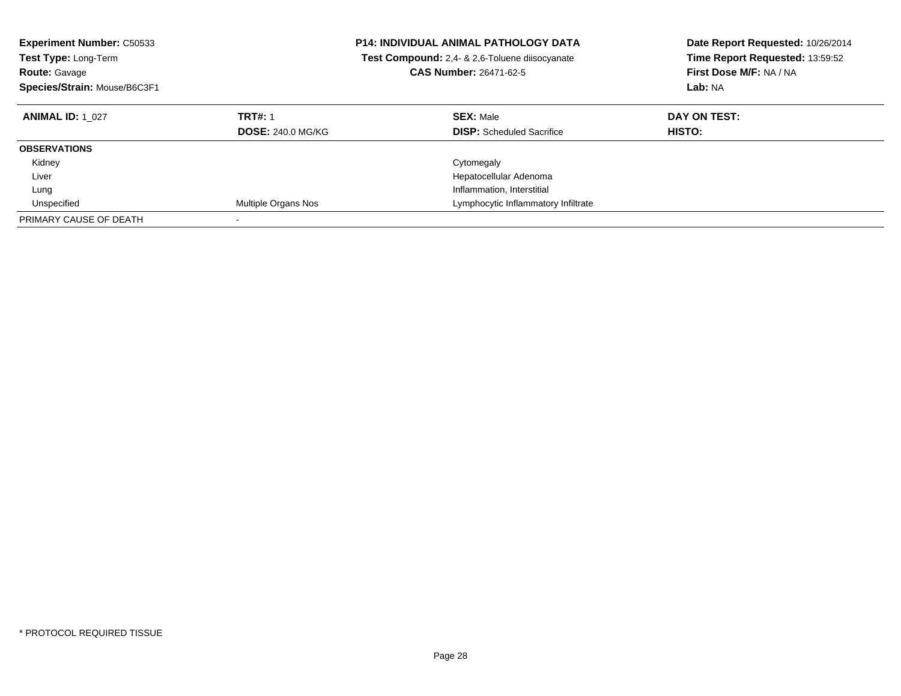| <b>Experiment Number: C50533</b><br><b>Test Type: Long-Term</b><br><b>Route: Gavage</b><br>Species/Strain: Mouse/B6C3F1 |                                            | <b>P14: INDIVIDUAL ANIMAL PATHOLOGY DATA</b><br>Test Compound: 2,4- & 2,6-Toluene diisocyanate<br><b>CAS Number: 26471-62-5</b> | Date Report Requested: 10/26/2014<br>Time Report Requested: 13:59:52<br>First Dose M/F: NA / NA<br>Lab: NA |
|-------------------------------------------------------------------------------------------------------------------------|--------------------------------------------|---------------------------------------------------------------------------------------------------------------------------------|------------------------------------------------------------------------------------------------------------|
| <b>ANIMAL ID: 1 027</b>                                                                                                 | <b>TRT#: 1</b><br><b>DOSE: 240.0 MG/KG</b> | <b>SEX: Male</b><br><b>DISP:</b> Scheduled Sacrifice                                                                            | DAY ON TEST:<br>HISTO:                                                                                     |
| <b>OBSERVATIONS</b>                                                                                                     |                                            |                                                                                                                                 |                                                                                                            |
| Kidney                                                                                                                  |                                            | Cytomegaly                                                                                                                      |                                                                                                            |
| Liver                                                                                                                   |                                            | Hepatocellular Adenoma                                                                                                          |                                                                                                            |
| Lung                                                                                                                    |                                            | Inflammation, Interstitial                                                                                                      |                                                                                                            |
| Unspecified                                                                                                             | Multiple Organs Nos                        | Lymphocytic Inflammatory Infiltrate                                                                                             |                                                                                                            |
| PRIMARY CAUSE OF DEATH                                                                                                  |                                            |                                                                                                                                 |                                                                                                            |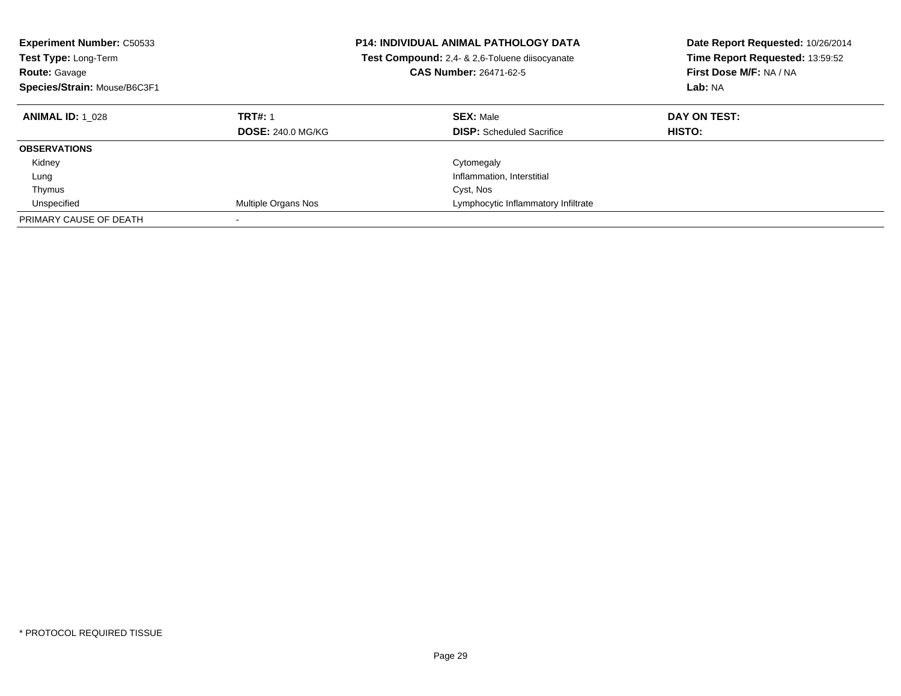| <b>Experiment Number: C50533</b><br><b>Test Type: Long-Term</b><br><b>Route: Gavage</b><br>Species/Strain: Mouse/B6C3F1 |                                            | <b>P14: INDIVIDUAL ANIMAL PATHOLOGY DATA</b><br><b>Test Compound:</b> 2.4- & 2.6-Toluene diisocyanate<br><b>CAS Number: 26471-62-5</b> | Date Report Requested: 10/26/2014<br>Time Report Requested: 13:59:52<br>First Dose M/F: NA / NA<br>Lab: NA |
|-------------------------------------------------------------------------------------------------------------------------|--------------------------------------------|----------------------------------------------------------------------------------------------------------------------------------------|------------------------------------------------------------------------------------------------------------|
| <b>ANIMAL ID: 1 028</b>                                                                                                 | <b>TRT#: 1</b><br><b>DOSE: 240.0 MG/KG</b> | <b>SEX: Male</b><br><b>DISP:</b> Scheduled Sacrifice                                                                                   | DAY ON TEST:<br><b>HISTO:</b>                                                                              |
| <b>OBSERVATIONS</b>                                                                                                     |                                            |                                                                                                                                        |                                                                                                            |
| Kidney                                                                                                                  |                                            | Cytomegaly                                                                                                                             |                                                                                                            |
| Lung                                                                                                                    |                                            | Inflammation, Interstitial                                                                                                             |                                                                                                            |
| Thymus                                                                                                                  |                                            | Cyst, Nos                                                                                                                              |                                                                                                            |
| Unspecified                                                                                                             | Multiple Organs Nos                        | Lymphocytic Inflammatory Infiltrate                                                                                                    |                                                                                                            |
| PRIMARY CAUSE OF DEATH                                                                                                  |                                            |                                                                                                                                        |                                                                                                            |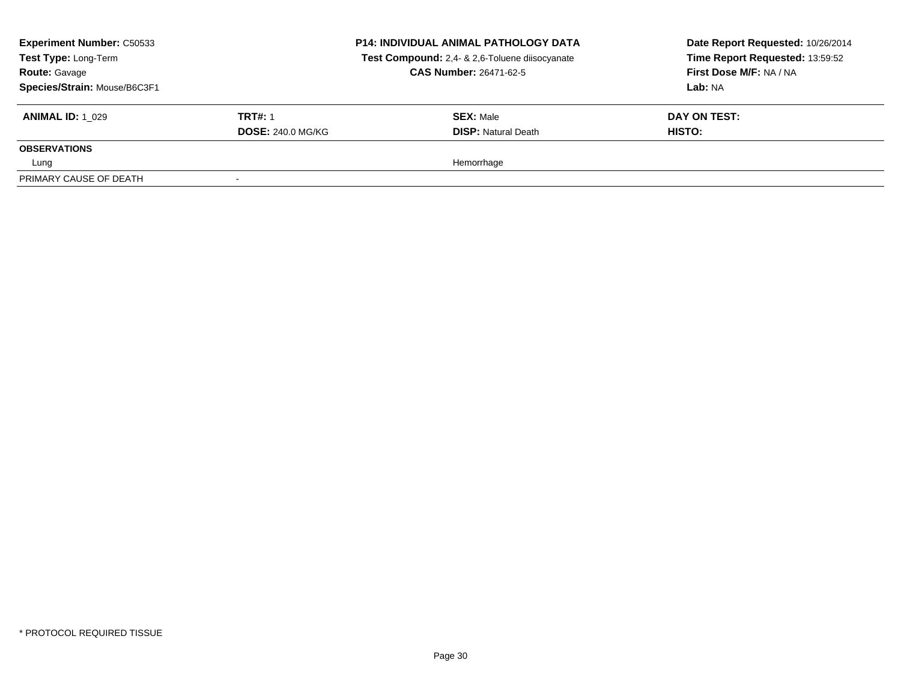| <b>Experiment Number: C50533</b><br>Test Type: Long-Term<br><b>Route: Gavage</b><br>Species/Strain: Mouse/B6C3F1 |                          | <b>P14: INDIVIDUAL ANIMAL PATHOLOGY DATA</b><br>Test Compound: 2,4- & 2,6-Toluene diisocyanate<br><b>CAS Number: 26471-62-5</b> | Date Report Requested: 10/26/2014<br>Time Report Requested: 13:59:52<br>First Dose M/F: NA / NA<br>Lab: NA |
|------------------------------------------------------------------------------------------------------------------|--------------------------|---------------------------------------------------------------------------------------------------------------------------------|------------------------------------------------------------------------------------------------------------|
| <b>ANIMAL ID: 1 029</b>                                                                                          | <b>TRT#: 1</b>           | <b>SEX: Male</b>                                                                                                                | DAY ON TEST:                                                                                               |
|                                                                                                                  | <b>DOSE: 240.0 MG/KG</b> | <b>DISP:</b> Natural Death                                                                                                      | HISTO:                                                                                                     |
| <b>OBSERVATIONS</b>                                                                                              |                          |                                                                                                                                 |                                                                                                            |
| Lung                                                                                                             |                          | Hemorrhage                                                                                                                      |                                                                                                            |
| PRIMARY CAUSE OF DEATH                                                                                           | $\overline{\phantom{a}}$ |                                                                                                                                 |                                                                                                            |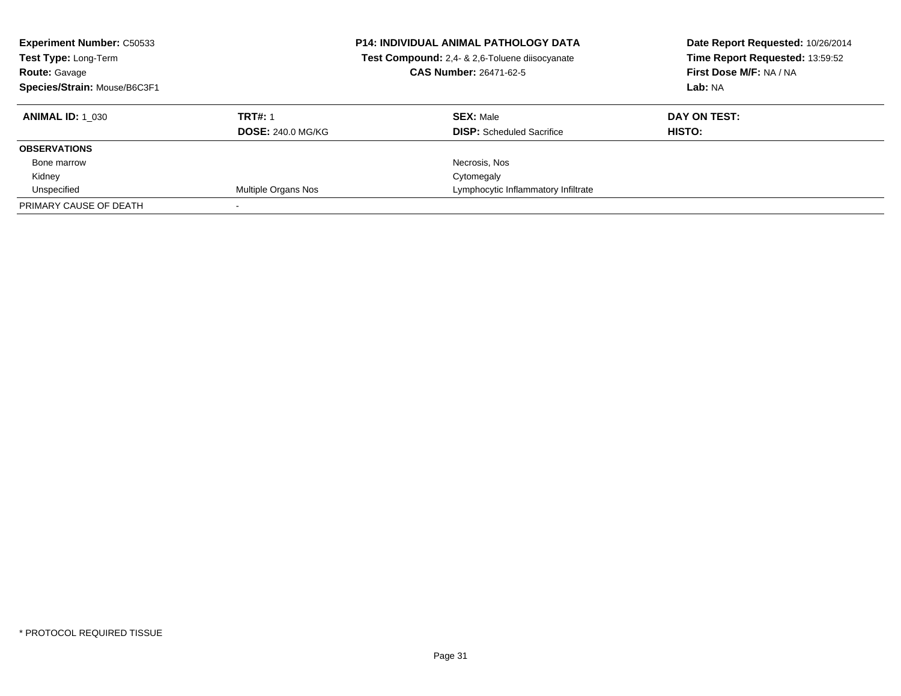| <b>Experiment Number: C50533</b><br>Test Type: Long-Term<br><b>Route: Gavage</b><br>Species/Strain: Mouse/B6C3F1 |                          | <b>P14: INDIVIDUAL ANIMAL PATHOLOGY DATA</b><br>Test Compound: 2,4- & 2,6-Toluene diisocyanate<br><b>CAS Number: 26471-62-5</b> | Date Report Requested: 10/26/2014<br>Time Report Requested: 13:59:52<br>First Dose M/F: NA / NA<br>Lab: NA |
|------------------------------------------------------------------------------------------------------------------|--------------------------|---------------------------------------------------------------------------------------------------------------------------------|------------------------------------------------------------------------------------------------------------|
| <b>ANIMAL ID:</b> 1 030                                                                                          | <b>TRT#: 1</b>           | <b>SEX: Male</b>                                                                                                                | DAY ON TEST:                                                                                               |
|                                                                                                                  | <b>DOSE: 240.0 MG/KG</b> | <b>DISP:</b> Scheduled Sacrifice                                                                                                | HISTO:                                                                                                     |
| <b>OBSERVATIONS</b>                                                                                              |                          |                                                                                                                                 |                                                                                                            |
| Bone marrow                                                                                                      |                          | Necrosis, Nos                                                                                                                   |                                                                                                            |
| Kidney                                                                                                           |                          | Cytomegaly                                                                                                                      |                                                                                                            |
| Unspecified                                                                                                      | Multiple Organs Nos      | Lymphocytic Inflammatory Infiltrate                                                                                             |                                                                                                            |
| PRIMARY CAUSE OF DEATH                                                                                           |                          |                                                                                                                                 |                                                                                                            |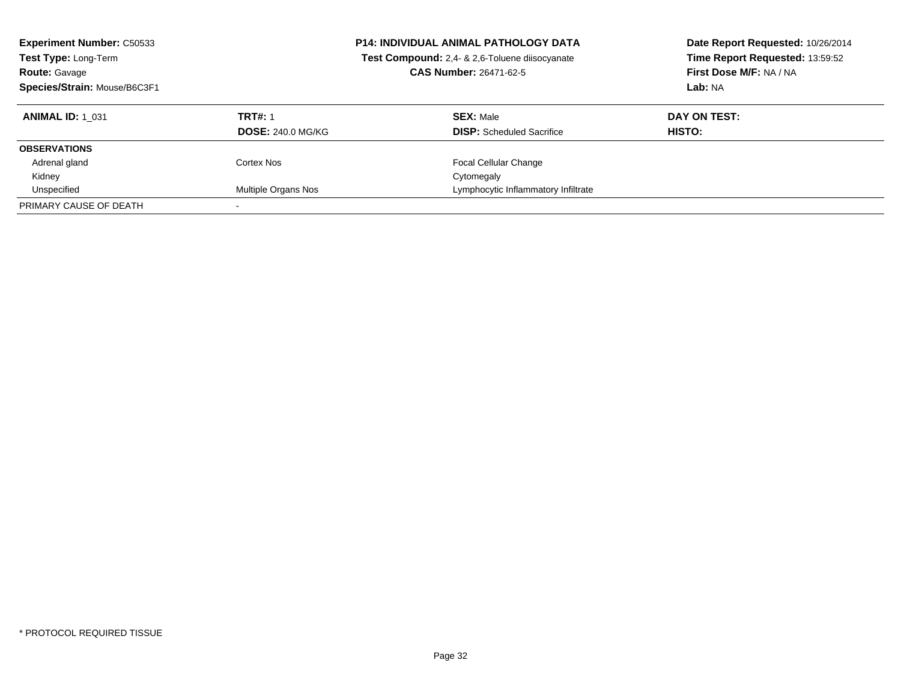| <b>Experiment Number: C50533</b><br>Test Type: Long-Term<br><b>Route: Gavage</b><br>Species/Strain: Mouse/B6C3F1 |                          | <b>P14: INDIVIDUAL ANIMAL PATHOLOGY DATA</b><br>Test Compound: 2,4- & 2,6-Toluene diisocyanate<br><b>CAS Number: 26471-62-5</b> | Date Report Requested: 10/26/2014<br>Time Report Requested: 13:59:52<br>First Dose M/F: NA / NA<br>Lab: NA |
|------------------------------------------------------------------------------------------------------------------|--------------------------|---------------------------------------------------------------------------------------------------------------------------------|------------------------------------------------------------------------------------------------------------|
| <b>ANIMAL ID: 1 031</b>                                                                                          | <b>TRT#: 1</b>           | <b>SEX:</b> Male                                                                                                                | DAY ON TEST:                                                                                               |
|                                                                                                                  | <b>DOSE: 240.0 MG/KG</b> | <b>DISP:</b> Scheduled Sacrifice                                                                                                | <b>HISTO:</b>                                                                                              |
| <b>OBSERVATIONS</b>                                                                                              |                          |                                                                                                                                 |                                                                                                            |
| Adrenal gland                                                                                                    | Cortex Nos               | <b>Focal Cellular Change</b>                                                                                                    |                                                                                                            |
| Kidney                                                                                                           |                          | Cytomegaly                                                                                                                      |                                                                                                            |
| Unspecified                                                                                                      | Multiple Organs Nos      | Lymphocytic Inflammatory Infiltrate                                                                                             |                                                                                                            |
| PRIMARY CAUSE OF DEATH                                                                                           |                          |                                                                                                                                 |                                                                                                            |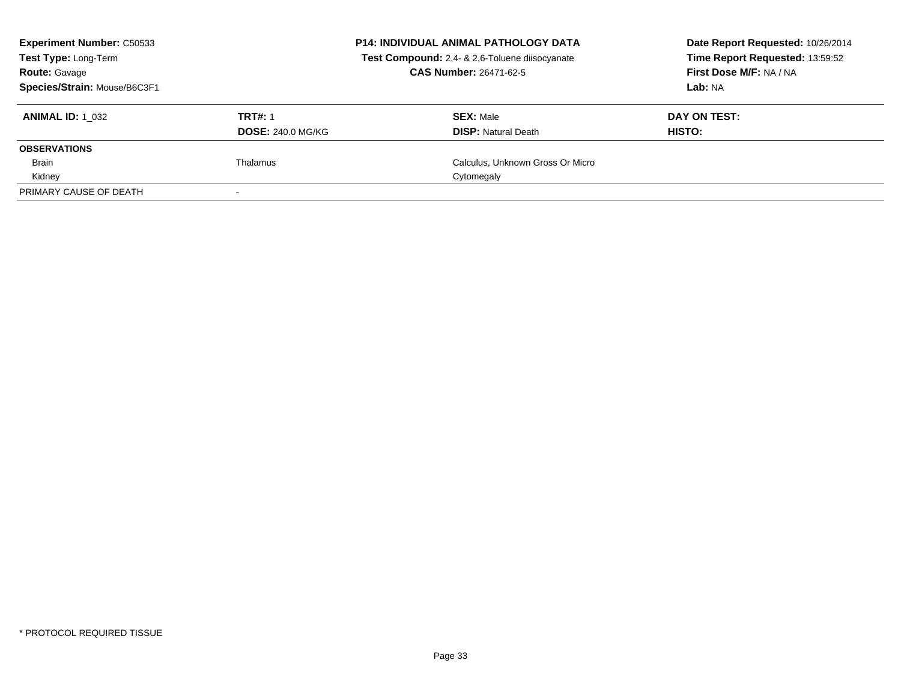| <b>Experiment Number: C50533</b><br>Test Type: Long-Term<br><b>Route: Gavage</b><br>Species/Strain: Mouse/B6C3F1 |                                            | <b>P14: INDIVIDUAL ANIMAL PATHOLOGY DATA</b><br>Test Compound: 2,4- & 2,6-Toluene diisocyanate<br><b>CAS Number: 26471-62-5</b> | Date Report Requested: 10/26/2014<br>Time Report Requested: 13:59:52<br>First Dose M/F: NA / NA<br>Lab: NA |
|------------------------------------------------------------------------------------------------------------------|--------------------------------------------|---------------------------------------------------------------------------------------------------------------------------------|------------------------------------------------------------------------------------------------------------|
| <b>ANIMAL ID: 1 032</b>                                                                                          | <b>TRT#: 1</b><br><b>DOSE: 240.0 MG/KG</b> | <b>SEX: Male</b><br><b>DISP:</b> Natural Death                                                                                  | DAY ON TEST:<br>HISTO:                                                                                     |
| <b>OBSERVATIONS</b>                                                                                              |                                            |                                                                                                                                 |                                                                                                            |
| <b>Brain</b>                                                                                                     | Thalamus                                   | Calculus, Unknown Gross Or Micro                                                                                                |                                                                                                            |
| Kidney                                                                                                           |                                            | Cytomegaly                                                                                                                      |                                                                                                            |
| PRIMARY CAUSE OF DEATH                                                                                           |                                            |                                                                                                                                 |                                                                                                            |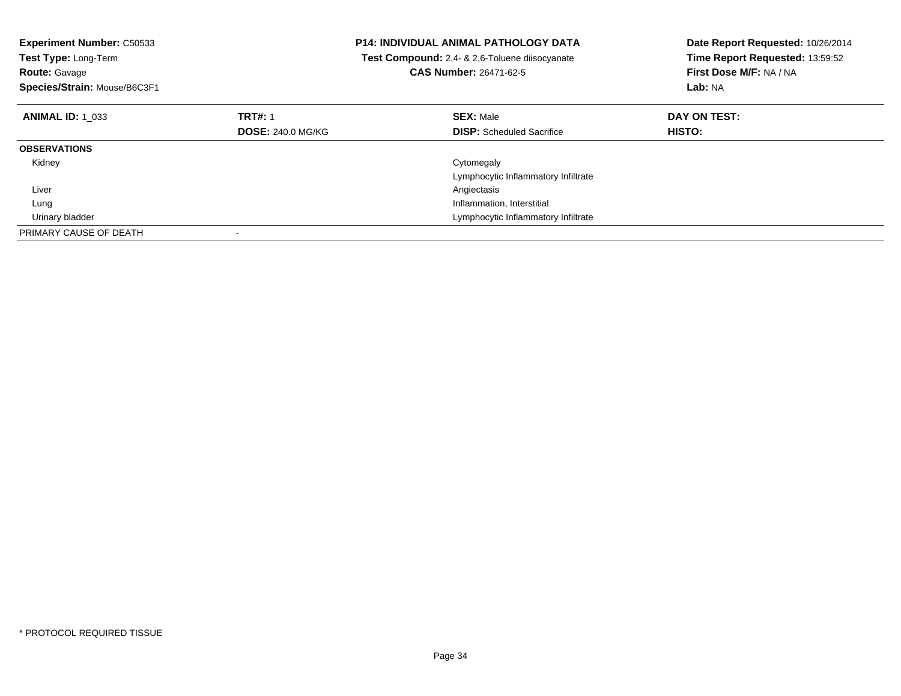| <b>Experiment Number: C50533</b><br><b>Test Type: Long-Term</b><br><b>Route: Gavage</b><br>Species/Strain: Mouse/B6C3F1 |                          | <b>P14: INDIVIDUAL ANIMAL PATHOLOGY DATA</b><br>Test Compound: 2,4- & 2,6-Toluene diisocyanate<br><b>CAS Number: 26471-62-5</b> | Date Report Requested: 10/26/2014<br>Time Report Requested: 13:59:52<br>First Dose M/F: NA / NA<br>Lab: NA |
|-------------------------------------------------------------------------------------------------------------------------|--------------------------|---------------------------------------------------------------------------------------------------------------------------------|------------------------------------------------------------------------------------------------------------|
| <b>ANIMAL ID: 1 033</b>                                                                                                 | <b>TRT#: 1</b>           | <b>SEX: Male</b>                                                                                                                | DAY ON TEST:                                                                                               |
|                                                                                                                         | <b>DOSE: 240.0 MG/KG</b> | <b>DISP:</b> Scheduled Sacrifice                                                                                                | HISTO:                                                                                                     |
| <b>OBSERVATIONS</b>                                                                                                     |                          |                                                                                                                                 |                                                                                                            |
| Kidney                                                                                                                  |                          | Cytomegaly                                                                                                                      |                                                                                                            |
|                                                                                                                         |                          | Lymphocytic Inflammatory Infiltrate                                                                                             |                                                                                                            |
| Liver                                                                                                                   |                          | Angiectasis                                                                                                                     |                                                                                                            |
| Lung                                                                                                                    |                          | Inflammation, Interstitial                                                                                                      |                                                                                                            |
| Urinary bladder                                                                                                         |                          | Lymphocytic Inflammatory Infiltrate                                                                                             |                                                                                                            |
| PRIMARY CAUSE OF DEATH                                                                                                  |                          |                                                                                                                                 |                                                                                                            |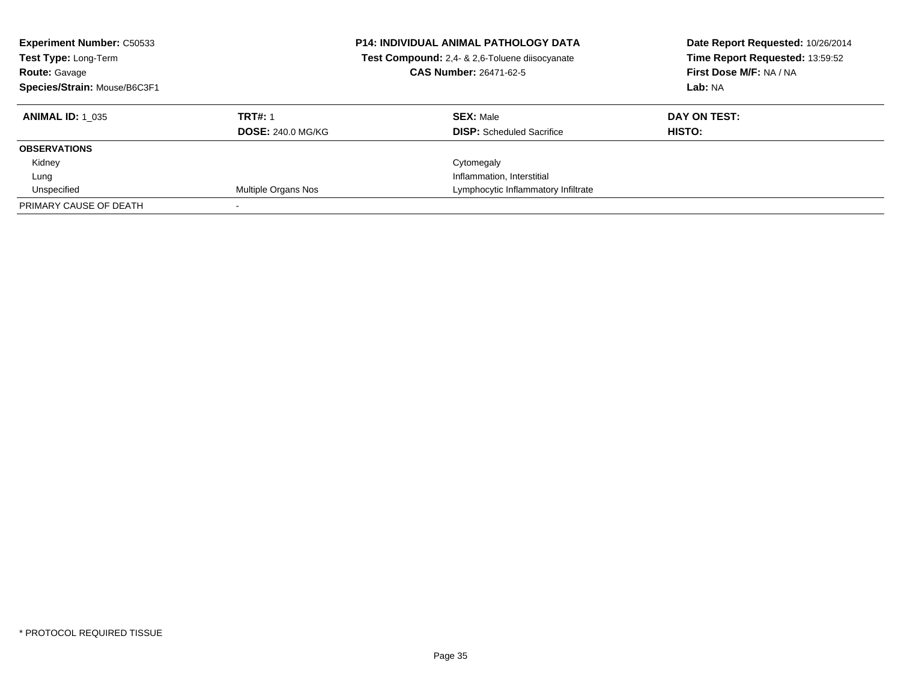| <b>Experiment Number: C50533</b><br>Test Type: Long-Term<br><b>Route: Gavage</b><br>Species/Strain: Mouse/B6C3F1 |                          | <b>P14: INDIVIDUAL ANIMAL PATHOLOGY DATA</b><br>Test Compound: 2,4- & 2,6-Toluene diisocyanate<br><b>CAS Number: 26471-62-5</b> | Date Report Requested: 10/26/2014<br>Time Report Requested: 13:59:52<br>First Dose M/F: NA / NA<br>Lab: NA |
|------------------------------------------------------------------------------------------------------------------|--------------------------|---------------------------------------------------------------------------------------------------------------------------------|------------------------------------------------------------------------------------------------------------|
| <b>ANIMAL ID: 1 035</b>                                                                                          | <b>TRT#: 1</b>           | <b>SEX: Male</b>                                                                                                                | DAY ON TEST:                                                                                               |
|                                                                                                                  | <b>DOSE: 240.0 MG/KG</b> | <b>DISP:</b> Scheduled Sacrifice                                                                                                | HISTO:                                                                                                     |
| <b>OBSERVATIONS</b>                                                                                              |                          |                                                                                                                                 |                                                                                                            |
| Kidney                                                                                                           |                          | Cytomegaly                                                                                                                      |                                                                                                            |
| Lung                                                                                                             |                          | Inflammation, Interstitial                                                                                                      |                                                                                                            |
| Unspecified                                                                                                      | Multiple Organs Nos      | Lymphocytic Inflammatory Infiltrate                                                                                             |                                                                                                            |
| PRIMARY CAUSE OF DEATH                                                                                           |                          |                                                                                                                                 |                                                                                                            |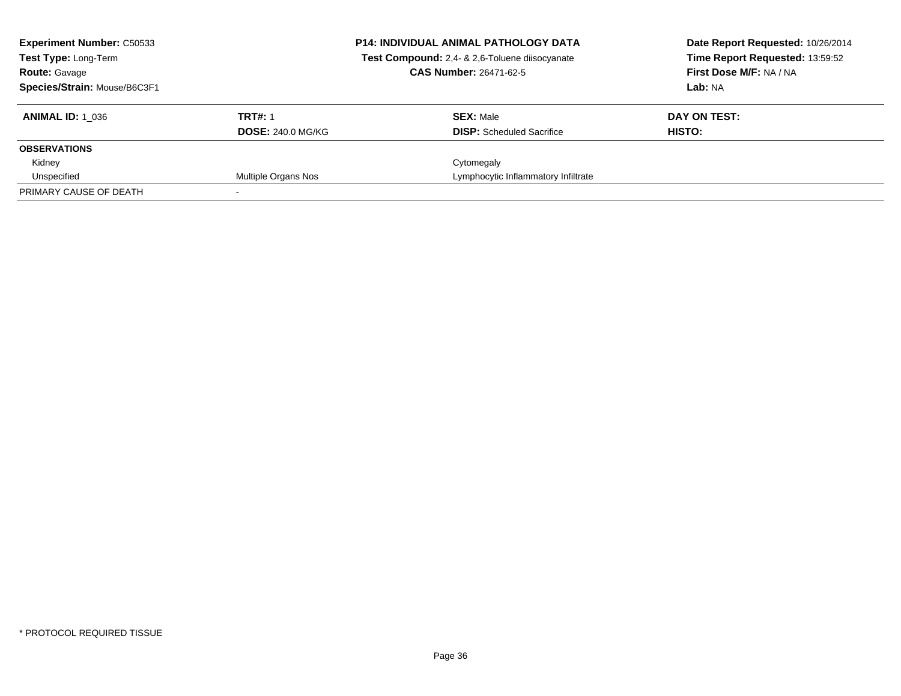| <b>Experiment Number: C50533</b><br><b>Test Type: Long-Term</b><br><b>Route: Gavage</b><br>Species/Strain: Mouse/B6C3F1 |                                            | <b>P14: INDIVIDUAL ANIMAL PATHOLOGY DATA</b><br>Test Compound: 2,4- & 2,6-Toluene diisocyanate<br><b>CAS Number: 26471-62-5</b> | Date Report Requested: 10/26/2014<br>Time Report Requested: 13:59:52<br>First Dose M/F: NA / NA<br>Lab: NA |
|-------------------------------------------------------------------------------------------------------------------------|--------------------------------------------|---------------------------------------------------------------------------------------------------------------------------------|------------------------------------------------------------------------------------------------------------|
| <b>ANIMAL ID: 1 036</b>                                                                                                 | <b>TRT#: 1</b><br><b>DOSE: 240.0 MG/KG</b> | <b>SEX: Male</b><br><b>DISP:</b> Scheduled Sacrifice                                                                            | DAY ON TEST:<br>HISTO:                                                                                     |
| <b>OBSERVATIONS</b>                                                                                                     |                                            |                                                                                                                                 |                                                                                                            |
| Kidney                                                                                                                  |                                            | Cytomegaly                                                                                                                      |                                                                                                            |
| Unspecified                                                                                                             | Multiple Organs Nos                        | Lymphocytic Inflammatory Infiltrate                                                                                             |                                                                                                            |
| PRIMARY CAUSE OF DEATH                                                                                                  |                                            |                                                                                                                                 |                                                                                                            |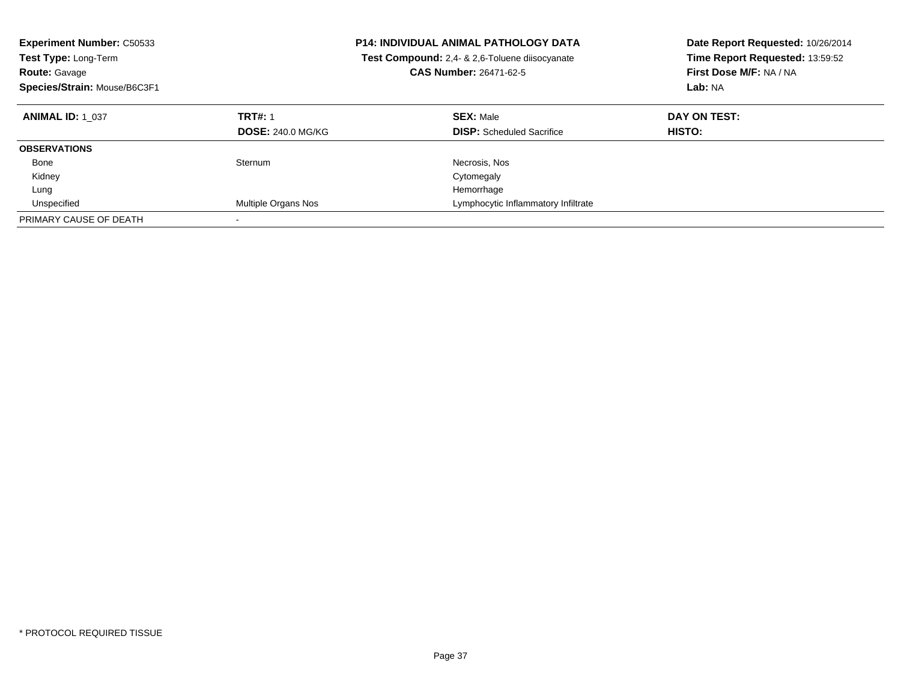| <b>Experiment Number: C50533</b><br><b>Test Type: Long-Term</b><br><b>Route: Gavage</b><br>Species/Strain: Mouse/B6C3F1 |                          | <b>P14: INDIVIDUAL ANIMAL PATHOLOGY DATA</b><br>Test Compound: 2,4- & 2,6-Toluene diisocyanate<br><b>CAS Number: 26471-62-5</b> | Date Report Requested: 10/26/2014<br>Time Report Requested: 13:59:52<br>First Dose M/F: NA / NA<br>Lab: NA |
|-------------------------------------------------------------------------------------------------------------------------|--------------------------|---------------------------------------------------------------------------------------------------------------------------------|------------------------------------------------------------------------------------------------------------|
| <b>ANIMAL ID: 1 037</b>                                                                                                 | <b>TRT#: 1</b>           | <b>SEX: Male</b>                                                                                                                | DAY ON TEST:                                                                                               |
|                                                                                                                         | <b>DOSE: 240.0 MG/KG</b> | <b>DISP:</b> Scheduled Sacrifice                                                                                                | <b>HISTO:</b>                                                                                              |
| <b>OBSERVATIONS</b>                                                                                                     |                          |                                                                                                                                 |                                                                                                            |
| Bone                                                                                                                    | Sternum                  | Necrosis, Nos                                                                                                                   |                                                                                                            |
| Kidney                                                                                                                  |                          | Cytomegaly                                                                                                                      |                                                                                                            |
| Lung                                                                                                                    |                          | Hemorrhage                                                                                                                      |                                                                                                            |
| Unspecified                                                                                                             | Multiple Organs Nos      | Lymphocytic Inflammatory Infiltrate                                                                                             |                                                                                                            |
| PRIMARY CAUSE OF DEATH                                                                                                  |                          |                                                                                                                                 |                                                                                                            |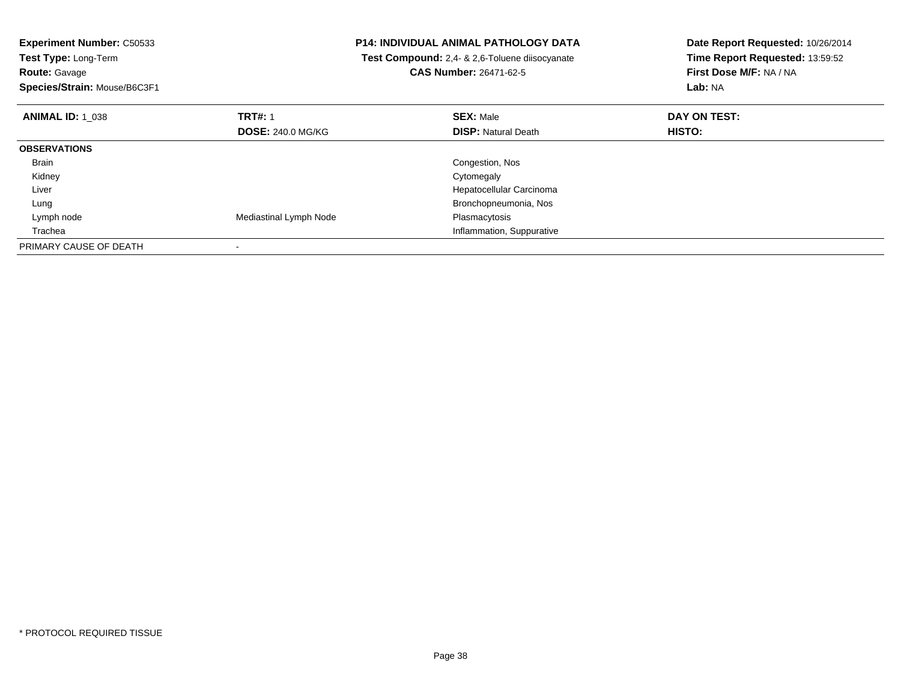**Experiment Number:** C50533**Test Type:** Long-Term

**Route:** Gavage

**Species/Strain:** Mouse/B6C3F1

## **P14: INDIVIDUAL ANIMAL PATHOLOGY DATA**

 **Test Compound:** 2,4- & 2,6-Toluene diisocyanate**CAS Number:** 26471-62-5

**Date Report Requested:** 10/26/2014 **Time Report Requested:** 13:59:52**First Dose M/F:** NA / NA**Lab:** NA

| <b>ANIMAL ID: 1 038</b> | <b>TRT#: 1</b>           | <b>SEX: Male</b>           | DAY ON TEST: |  |
|-------------------------|--------------------------|----------------------------|--------------|--|
|                         | <b>DOSE: 240.0 MG/KG</b> | <b>DISP: Natural Death</b> | HISTO:       |  |
| <b>OBSERVATIONS</b>     |                          |                            |              |  |
| Brain                   |                          | Congestion, Nos            |              |  |
| Kidney                  |                          | Cytomegaly                 |              |  |
| Liver                   |                          | Hepatocellular Carcinoma   |              |  |
| Lung                    |                          | Bronchopneumonia, Nos      |              |  |
| Lymph node              | Mediastinal Lymph Node   | Plasmacytosis              |              |  |
| Trachea                 |                          | Inflammation, Suppurative  |              |  |
| PRIMARY CAUSE OF DEATH  |                          |                            |              |  |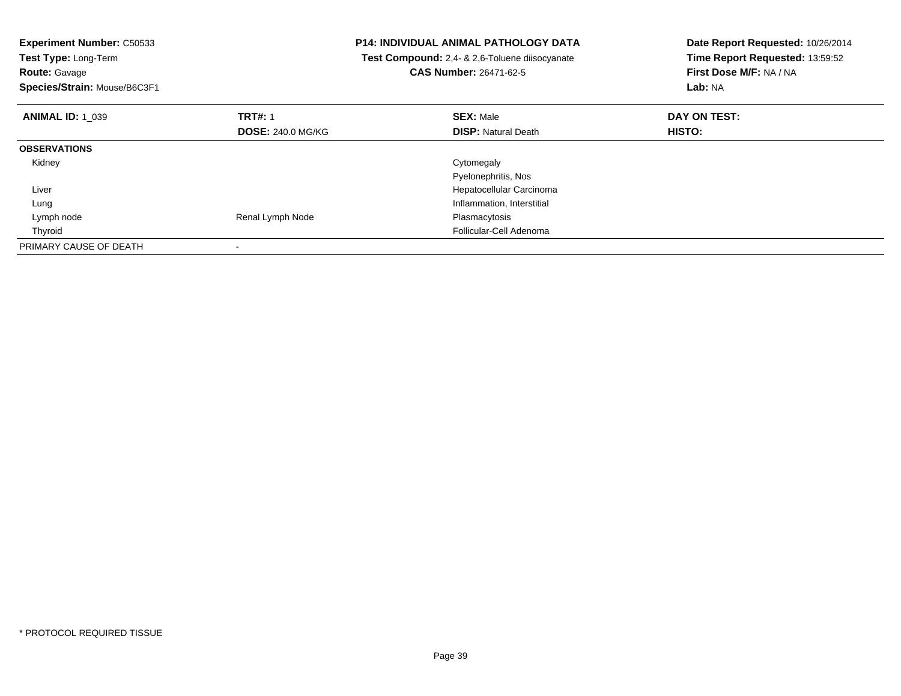| <b>Experiment Number: C50533</b> |                          | <b>P14: INDIVIDUAL ANIMAL PATHOLOGY DATA</b>   | Date Report Requested: 10/26/2014 |
|----------------------------------|--------------------------|------------------------------------------------|-----------------------------------|
| Test Type: Long-Term             |                          | Test Compound: 2,4- & 2,6-Toluene diisocyanate | Time Report Requested: 13:59:52   |
| <b>Route: Gavage</b>             |                          | <b>CAS Number: 26471-62-5</b>                  | First Dose M/F: NA / NA           |
| Species/Strain: Mouse/B6C3F1     |                          |                                                | Lab: NA                           |
| <b>ANIMAL ID: 1 039</b>          | <b>TRT#: 1</b>           | <b>SEX: Male</b>                               | DAY ON TEST:                      |
|                                  | <b>DOSE: 240.0 MG/KG</b> | <b>DISP: Natural Death</b>                     | HISTO:                            |
| <b>OBSERVATIONS</b>              |                          |                                                |                                   |
| Kidney                           |                          | Cytomegaly                                     |                                   |
|                                  |                          | Pyelonephritis, Nos                            |                                   |
| Liver                            |                          | Hepatocellular Carcinoma                       |                                   |
| Lung                             |                          | Inflammation, Interstitial                     |                                   |
| Lymph node                       | Renal Lymph Node         | Plasmacytosis                                  |                                   |
| Thyroid                          |                          | Follicular-Cell Adenoma                        |                                   |
| PRIMARY CAUSE OF DEATH           |                          |                                                |                                   |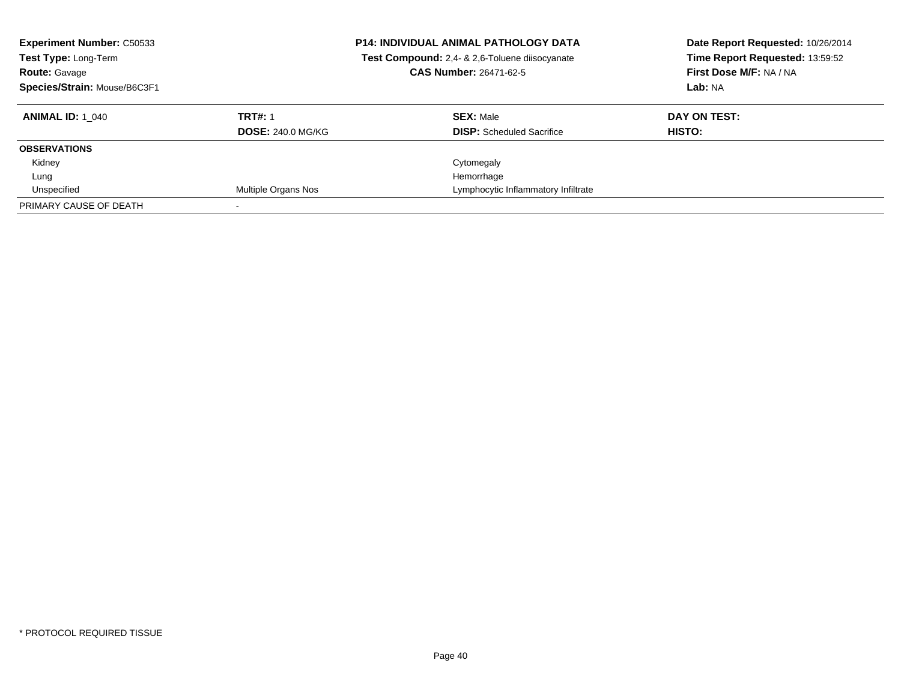| <b>Experiment Number: C50533</b><br>Test Type: Long-Term<br><b>Route: Gavage</b><br>Species/Strain: Mouse/B6C3F1 |                          | <b>P14: INDIVIDUAL ANIMAL PATHOLOGY DATA</b><br>Test Compound: 2,4- & 2,6-Toluene diisocyanate<br><b>CAS Number: 26471-62-5</b> | Date Report Requested: 10/26/2014<br>Time Report Requested: 13:59:52<br>First Dose M/F: NA / NA<br>Lab: NA |
|------------------------------------------------------------------------------------------------------------------|--------------------------|---------------------------------------------------------------------------------------------------------------------------------|------------------------------------------------------------------------------------------------------------|
| <b>ANIMAL ID:</b> 1 040                                                                                          | <b>TRT#: 1</b>           | <b>SEX: Male</b>                                                                                                                | DAY ON TEST:                                                                                               |
|                                                                                                                  | <b>DOSE: 240.0 MG/KG</b> | <b>DISP:</b> Scheduled Sacrifice                                                                                                | HISTO:                                                                                                     |
| <b>OBSERVATIONS</b>                                                                                              |                          |                                                                                                                                 |                                                                                                            |
| Kidney                                                                                                           |                          | Cytomegaly                                                                                                                      |                                                                                                            |
| Lung                                                                                                             |                          | Hemorrhage                                                                                                                      |                                                                                                            |
| Unspecified                                                                                                      | Multiple Organs Nos      | Lymphocytic Inflammatory Infiltrate                                                                                             |                                                                                                            |
| PRIMARY CAUSE OF DEATH                                                                                           |                          |                                                                                                                                 |                                                                                                            |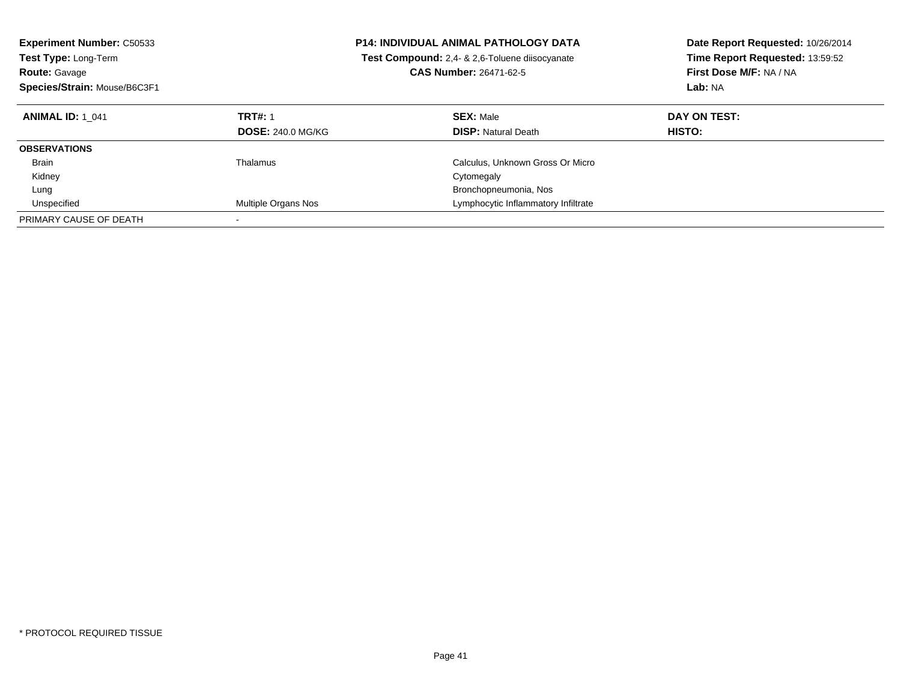| <b>Experiment Number: C50533</b><br><b>Test Type: Long-Term</b><br><b>Route: Gavage</b><br>Species/Strain: Mouse/B6C3F1 |                          | <b>P14: INDIVIDUAL ANIMAL PATHOLOGY DATA</b><br><b>Test Compound:</b> 2,4- & 2,6-Toluene diisocyanate<br><b>CAS Number: 26471-62-5</b> | Date Report Requested: 10/26/2014<br>Time Report Requested: 13:59:52<br>First Dose M/F: NA / NA<br><b>Lab: NA</b> |
|-------------------------------------------------------------------------------------------------------------------------|--------------------------|----------------------------------------------------------------------------------------------------------------------------------------|-------------------------------------------------------------------------------------------------------------------|
| <b>ANIMAL ID: 1 041</b>                                                                                                 | <b>TRT#: 1</b>           | <b>SEX: Male</b>                                                                                                                       | DAY ON TEST:                                                                                                      |
|                                                                                                                         | <b>DOSE: 240.0 MG/KG</b> | <b>DISP:</b> Natural Death                                                                                                             | <b>HISTO:</b>                                                                                                     |
| <b>OBSERVATIONS</b>                                                                                                     |                          |                                                                                                                                        |                                                                                                                   |
| <b>Brain</b>                                                                                                            | Thalamus                 | Calculus, Unknown Gross Or Micro                                                                                                       |                                                                                                                   |
| Kidney                                                                                                                  |                          | Cytomegaly                                                                                                                             |                                                                                                                   |
| Lung                                                                                                                    |                          | Bronchopneumonia, Nos                                                                                                                  |                                                                                                                   |
| Unspecified                                                                                                             | Multiple Organs Nos      | Lymphocytic Inflammatory Infiltrate                                                                                                    |                                                                                                                   |
| PRIMARY CAUSE OF DEATH                                                                                                  |                          |                                                                                                                                        |                                                                                                                   |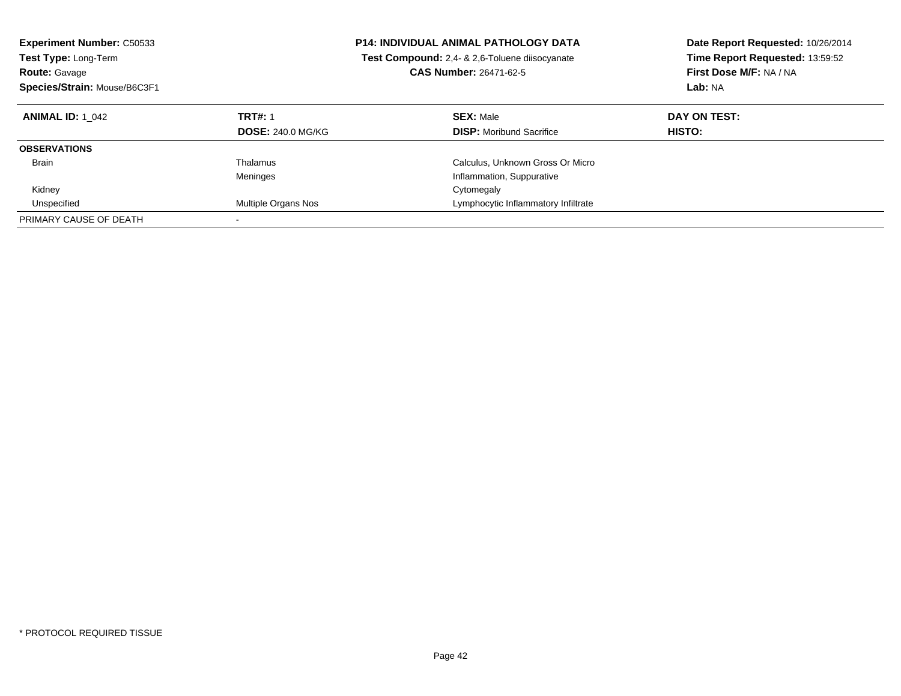| <b>Experiment Number: C50533</b><br>Test Type: Long-Term<br><b>Route: Gavage</b><br>Species/Strain: Mouse/B6C3F1 |                                            | <b>P14: INDIVIDUAL ANIMAL PATHOLOGY DATA</b><br><b>Test Compound:</b> 2,4- & 2,6-Toluene diisocyanate<br><b>CAS Number: 26471-62-5</b> | Date Report Requested: 10/26/2014<br>Time Report Requested: 13:59:52<br>First Dose M/F: NA / NA<br>Lab: NA |
|------------------------------------------------------------------------------------------------------------------|--------------------------------------------|----------------------------------------------------------------------------------------------------------------------------------------|------------------------------------------------------------------------------------------------------------|
| <b>ANIMAL ID:</b> 1 042                                                                                          | <b>TRT#: 1</b><br><b>DOSE: 240.0 MG/KG</b> | <b>SEX: Male</b><br><b>DISP:</b> Moribund Sacrifice                                                                                    | DAY ON TEST:<br><b>HISTO:</b>                                                                              |
| <b>OBSERVATIONS</b>                                                                                              |                                            |                                                                                                                                        |                                                                                                            |
| <b>Brain</b>                                                                                                     | Thalamus<br>Meninges                       | Calculus, Unknown Gross Or Micro<br>Inflammation, Suppurative                                                                          |                                                                                                            |
| Kidney                                                                                                           |                                            | Cytomegaly                                                                                                                             |                                                                                                            |
| Unspecified                                                                                                      | Multiple Organs Nos                        | Lymphocytic Inflammatory Infiltrate                                                                                                    |                                                                                                            |
| PRIMARY CAUSE OF DEATH                                                                                           |                                            |                                                                                                                                        |                                                                                                            |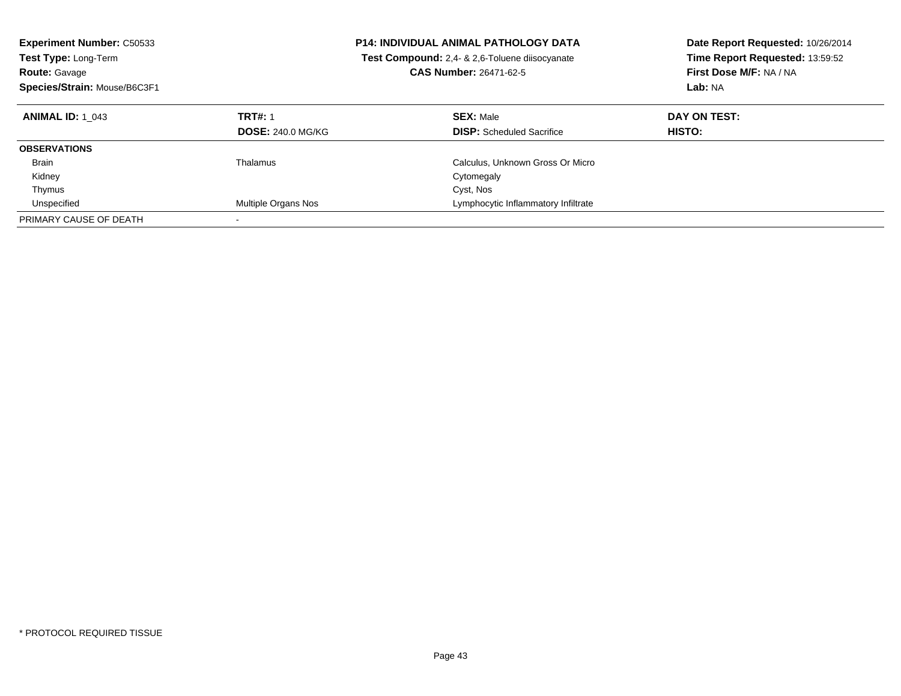| <b>Experiment Number: C50533</b><br><b>Test Type: Long-Term</b><br><b>Route: Gavage</b><br>Species/Strain: Mouse/B6C3F1 |                                            | <b>P14: INDIVIDUAL ANIMAL PATHOLOGY DATA</b><br>Test Compound: 2,4- & 2,6-Toluene diisocyanate<br><b>CAS Number: 26471-62-5</b> | Date Report Requested: 10/26/2014<br>Time Report Requested: 13:59:52<br>First Dose M/F: NA / NA<br>Lab: NA |
|-------------------------------------------------------------------------------------------------------------------------|--------------------------------------------|---------------------------------------------------------------------------------------------------------------------------------|------------------------------------------------------------------------------------------------------------|
| <b>ANIMAL ID: 1 043</b>                                                                                                 | <b>TRT#: 1</b><br><b>DOSE: 240.0 MG/KG</b> | <b>SEX: Male</b><br><b>DISP:</b> Scheduled Sacrifice                                                                            | DAY ON TEST:<br>HISTO:                                                                                     |
| <b>OBSERVATIONS</b>                                                                                                     |                                            |                                                                                                                                 |                                                                                                            |
| <b>Brain</b>                                                                                                            | Thalamus                                   | Calculus, Unknown Gross Or Micro                                                                                                |                                                                                                            |
| Kidney                                                                                                                  |                                            | Cytomegaly                                                                                                                      |                                                                                                            |
| Thymus                                                                                                                  |                                            | Cyst, Nos                                                                                                                       |                                                                                                            |
| Unspecified                                                                                                             | Multiple Organs Nos                        | Lymphocytic Inflammatory Infiltrate                                                                                             |                                                                                                            |
| PRIMARY CAUSE OF DEATH                                                                                                  |                                            |                                                                                                                                 |                                                                                                            |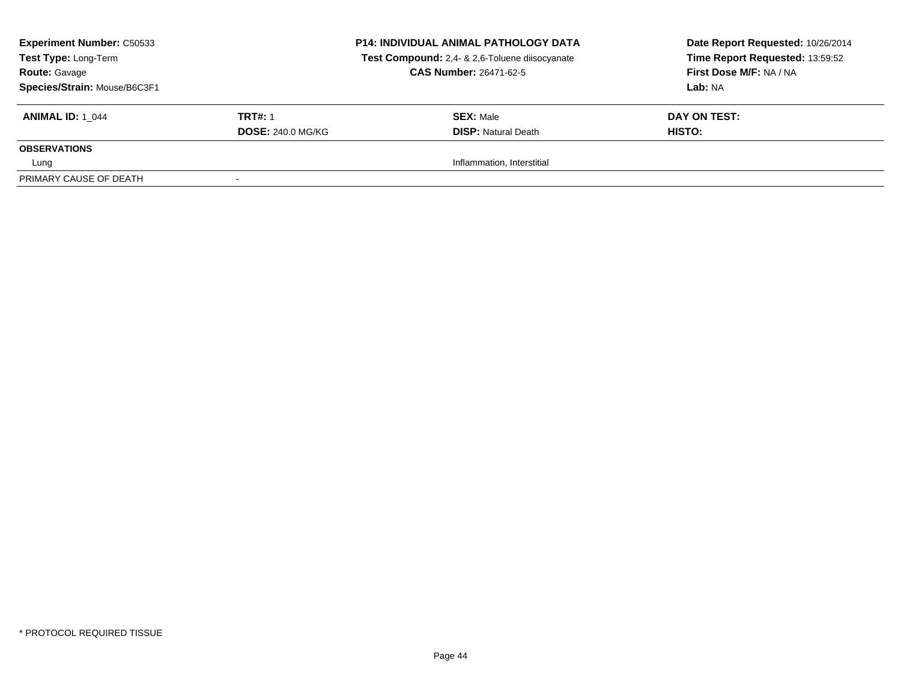| <b>Experiment Number: C50533</b><br>Test Type: Long-Term<br><b>Route: Gavage</b><br>Species/Strain: Mouse/B6C3F1 |                          | <b>P14: INDIVIDUAL ANIMAL PATHOLOGY DATA</b><br>Test Compound: 2,4- & 2,6-Toluene diisocyanate<br><b>CAS Number: 26471-62-5</b> | Date Report Requested: 10/26/2014<br>Time Report Requested: 13:59:52<br>First Dose M/F: NA / NA<br>Lab: NA |
|------------------------------------------------------------------------------------------------------------------|--------------------------|---------------------------------------------------------------------------------------------------------------------------------|------------------------------------------------------------------------------------------------------------|
| <b>ANIMAL ID:</b> 1 044                                                                                          | <b>TRT#: 1</b>           | <b>SEX: Male</b>                                                                                                                | DAY ON TEST:                                                                                               |
|                                                                                                                  | <b>DOSE: 240.0 MG/KG</b> | <b>DISP:</b> Natural Death                                                                                                      | HISTO:                                                                                                     |
| <b>OBSERVATIONS</b>                                                                                              |                          |                                                                                                                                 |                                                                                                            |
| Lung                                                                                                             |                          | Inflammation, Interstitial                                                                                                      |                                                                                                            |
| PRIMARY CAUSE OF DEATH                                                                                           |                          |                                                                                                                                 |                                                                                                            |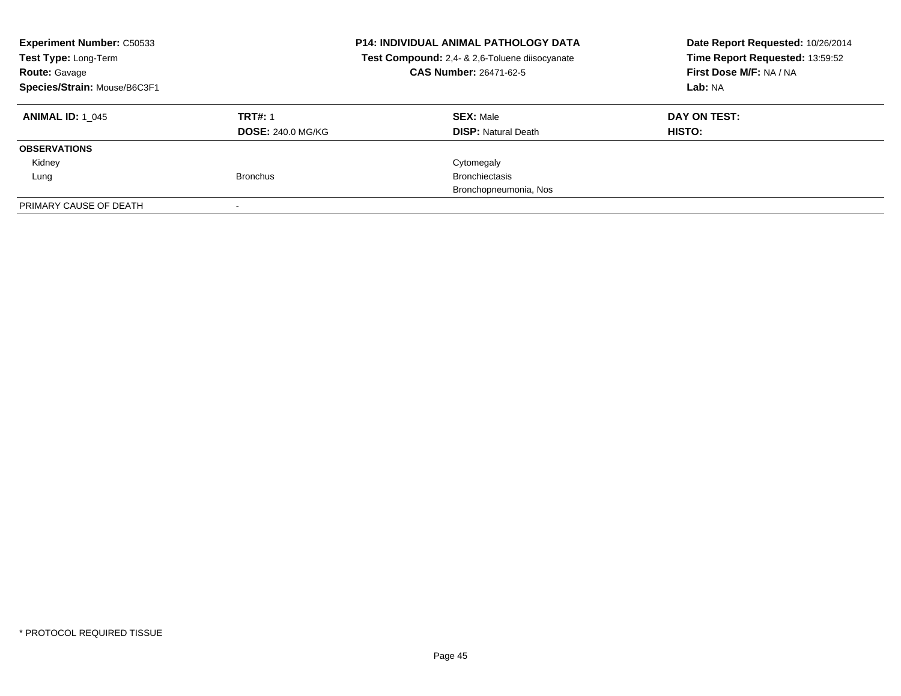| <b>Experiment Number: C50533</b><br>Test Type: Long-Term<br><b>Route: Gavage</b><br>Species/Strain: Mouse/B6C3F1 |                          | <b>P14: INDIVIDUAL ANIMAL PATHOLOGY DATA</b><br>Test Compound: 2,4- & 2,6-Toluene diisocyanate<br><b>CAS Number: 26471-62-5</b> | Date Report Requested: 10/26/2014<br>Time Report Requested: 13:59:52<br>First Dose M/F: NA / NA<br>Lab: NA |
|------------------------------------------------------------------------------------------------------------------|--------------------------|---------------------------------------------------------------------------------------------------------------------------------|------------------------------------------------------------------------------------------------------------|
| <b>ANIMAL ID: 1 045</b>                                                                                          | <b>TRT#: 1</b>           | <b>SEX: Male</b>                                                                                                                | DAY ON TEST:                                                                                               |
|                                                                                                                  | <b>DOSE: 240.0 MG/KG</b> | <b>DISP:</b> Natural Death                                                                                                      | HISTO:                                                                                                     |
| <b>OBSERVATIONS</b>                                                                                              |                          |                                                                                                                                 |                                                                                                            |
| Kidney                                                                                                           |                          | Cytomegaly                                                                                                                      |                                                                                                            |
| Lung                                                                                                             | <b>Bronchus</b>          | <b>Bronchiectasis</b>                                                                                                           |                                                                                                            |
|                                                                                                                  |                          | Bronchopneumonia, Nos                                                                                                           |                                                                                                            |
| PRIMARY CAUSE OF DEATH                                                                                           |                          |                                                                                                                                 |                                                                                                            |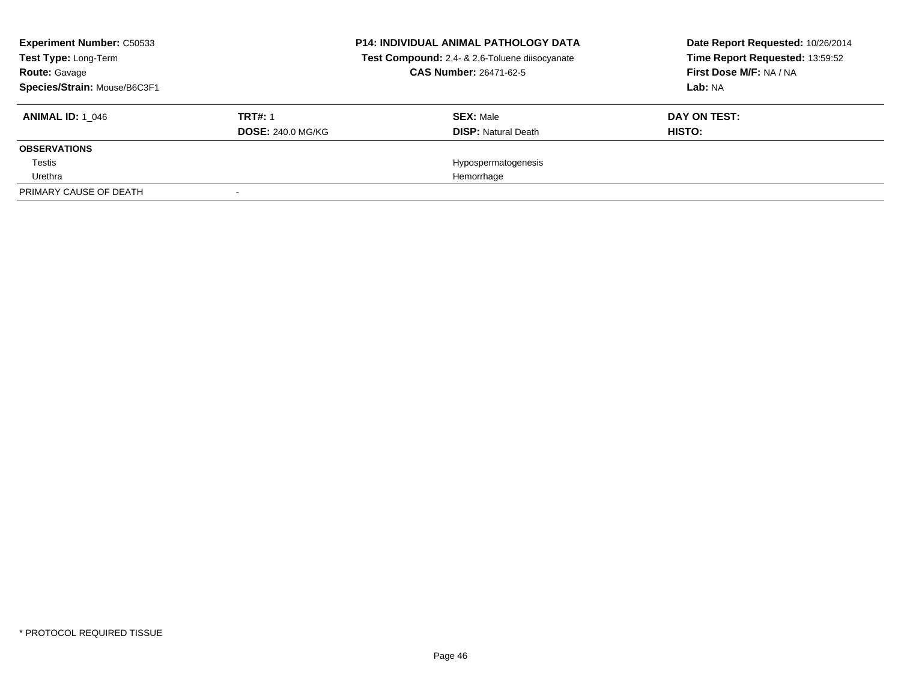| <b>Experiment Number: C50533</b><br>Test Type: Long-Term<br><b>Route: Gavage</b><br>Species/Strain: Mouse/B6C3F1 |                          | <b>P14: INDIVIDUAL ANIMAL PATHOLOGY DATA</b><br>Test Compound: 2,4- & 2,6-Toluene diisocyanate<br><b>CAS Number: 26471-62-5</b> | Date Report Requested: 10/26/2014<br>Time Report Requested: 13:59:52<br>First Dose M/F: NA / NA<br>Lab: NA |
|------------------------------------------------------------------------------------------------------------------|--------------------------|---------------------------------------------------------------------------------------------------------------------------------|------------------------------------------------------------------------------------------------------------|
| <b>ANIMAL ID: 1 046</b>                                                                                          | <b>TRT#: 1</b>           | <b>SEX: Male</b>                                                                                                                | DAY ON TEST:                                                                                               |
|                                                                                                                  | <b>DOSE: 240.0 MG/KG</b> | <b>DISP:</b> Natural Death                                                                                                      | HISTO:                                                                                                     |
| <b>OBSERVATIONS</b>                                                                                              |                          |                                                                                                                                 |                                                                                                            |
| Testis                                                                                                           |                          | Hypospermatogenesis                                                                                                             |                                                                                                            |
| Urethra                                                                                                          |                          | Hemorrhage                                                                                                                      |                                                                                                            |
| PRIMARY CAUSE OF DEATH                                                                                           |                          |                                                                                                                                 |                                                                                                            |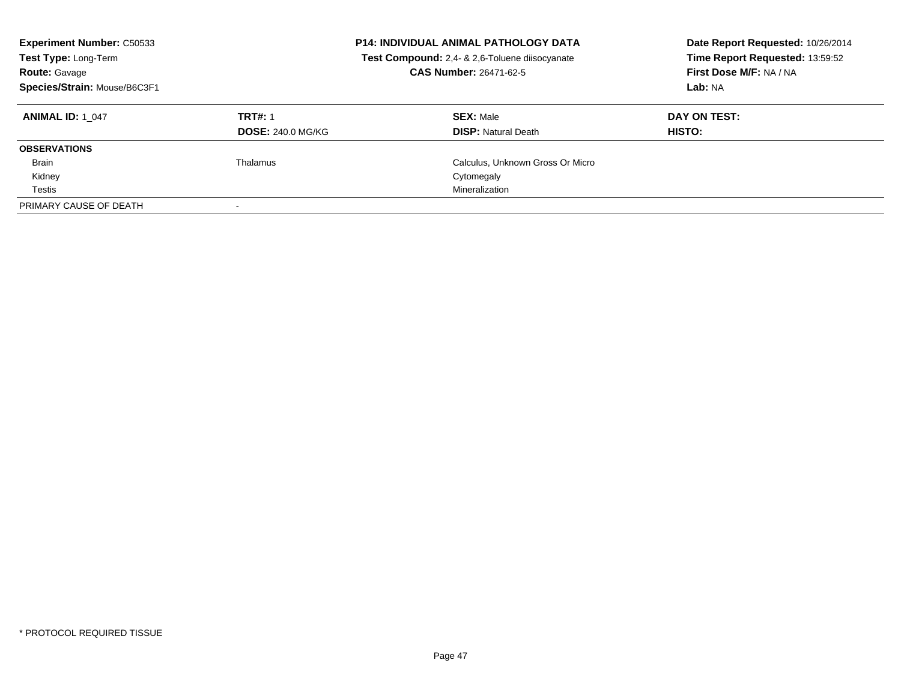| <b>Experiment Number: C50533</b><br>Test Type: Long-Term<br><b>Route: Gavage</b><br>Species/Strain: Mouse/B6C3F1 |                                            | <b>P14: INDIVIDUAL ANIMAL PATHOLOGY DATA</b><br>Test Compound: 2,4- & 2,6-Toluene diisocyanate<br>CAS Number: 26471-62-5 | Date Report Requested: 10/26/2014<br>Time Report Requested: 13:59:52<br>First Dose M/F: NA / NA<br>Lab: NA |
|------------------------------------------------------------------------------------------------------------------|--------------------------------------------|--------------------------------------------------------------------------------------------------------------------------|------------------------------------------------------------------------------------------------------------|
| <b>ANIMAL ID: 1 047</b>                                                                                          | <b>TRT#: 1</b><br><b>DOSE: 240.0 MG/KG</b> | <b>SEX: Male</b><br><b>DISP: Natural Death</b>                                                                           | DAY ON TEST:<br>HISTO:                                                                                     |
| <b>OBSERVATIONS</b>                                                                                              |                                            |                                                                                                                          |                                                                                                            |
| <b>Brain</b>                                                                                                     | Thalamus                                   | Calculus, Unknown Gross Or Micro                                                                                         |                                                                                                            |
| Kidney                                                                                                           |                                            | Cytomegaly                                                                                                               |                                                                                                            |
| Testis                                                                                                           |                                            | Mineralization                                                                                                           |                                                                                                            |
| PRIMARY CAUSE OF DEATH                                                                                           |                                            |                                                                                                                          |                                                                                                            |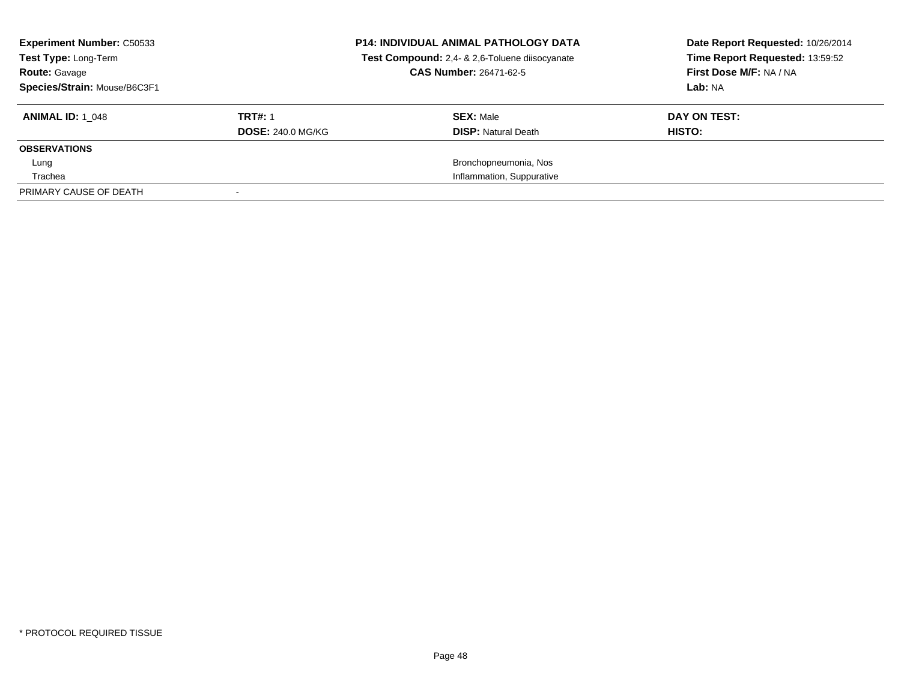| <b>Experiment Number: C50533</b><br>Test Type: Long-Term<br><b>Route: Gavage</b><br>Species/Strain: Mouse/B6C3F1 |                          | <b>P14: INDIVIDUAL ANIMAL PATHOLOGY DATA</b><br>Test Compound: 2,4- & 2,6-Toluene diisocyanate<br><b>CAS Number: 26471-62-5</b> | Date Report Requested: 10/26/2014<br>Time Report Requested: 13:59:52<br>First Dose M/F: NA / NA<br>Lab: NA |
|------------------------------------------------------------------------------------------------------------------|--------------------------|---------------------------------------------------------------------------------------------------------------------------------|------------------------------------------------------------------------------------------------------------|
| <b>ANIMAL ID: 1 048</b>                                                                                          | <b>TRT#: 1</b>           | <b>SEX: Male</b>                                                                                                                | DAY ON TEST:                                                                                               |
|                                                                                                                  | <b>DOSE: 240.0 MG/KG</b> | <b>DISP:</b> Natural Death                                                                                                      | HISTO:                                                                                                     |
| <b>OBSERVATIONS</b>                                                                                              |                          |                                                                                                                                 |                                                                                                            |
| Lung                                                                                                             |                          | Bronchopneumonia, Nos                                                                                                           |                                                                                                            |
| Trachea                                                                                                          |                          | Inflammation, Suppurative                                                                                                       |                                                                                                            |
| PRIMARY CAUSE OF DEATH                                                                                           |                          |                                                                                                                                 |                                                                                                            |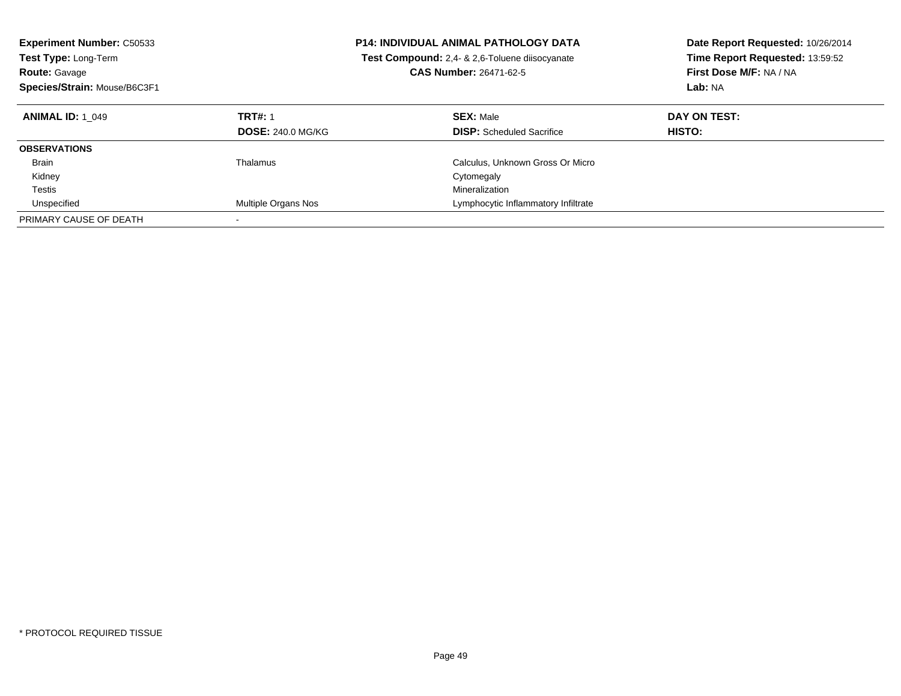| <b>Experiment Number: C50533</b><br><b>Test Type: Long-Term</b><br><b>Route: Gavage</b><br>Species/Strain: Mouse/B6C3F1 |                                            | <b>P14: INDIVIDUAL ANIMAL PATHOLOGY DATA</b><br>Test Compound: 2,4- & 2,6-Toluene diisocyanate<br><b>CAS Number: 26471-62-5</b> | Date Report Requested: 10/26/2014<br>Time Report Requested: 13:59:52<br>First Dose M/F: NA / NA<br>Lab: NA |
|-------------------------------------------------------------------------------------------------------------------------|--------------------------------------------|---------------------------------------------------------------------------------------------------------------------------------|------------------------------------------------------------------------------------------------------------|
| <b>ANIMAL ID: 1 049</b>                                                                                                 | <b>TRT#: 1</b><br><b>DOSE: 240.0 MG/KG</b> | <b>SEX: Male</b><br><b>DISP:</b> Scheduled Sacrifice                                                                            | DAY ON TEST:<br>HISTO:                                                                                     |
| <b>OBSERVATIONS</b>                                                                                                     |                                            |                                                                                                                                 |                                                                                                            |
| <b>Brain</b>                                                                                                            | Thalamus                                   | Calculus, Unknown Gross Or Micro                                                                                                |                                                                                                            |
| Kidney                                                                                                                  |                                            | Cytomegaly                                                                                                                      |                                                                                                            |
| Testis                                                                                                                  |                                            | Mineralization                                                                                                                  |                                                                                                            |
| Unspecified                                                                                                             | Multiple Organs Nos                        | Lymphocytic Inflammatory Infiltrate                                                                                             |                                                                                                            |
| PRIMARY CAUSE OF DEATH                                                                                                  |                                            |                                                                                                                                 |                                                                                                            |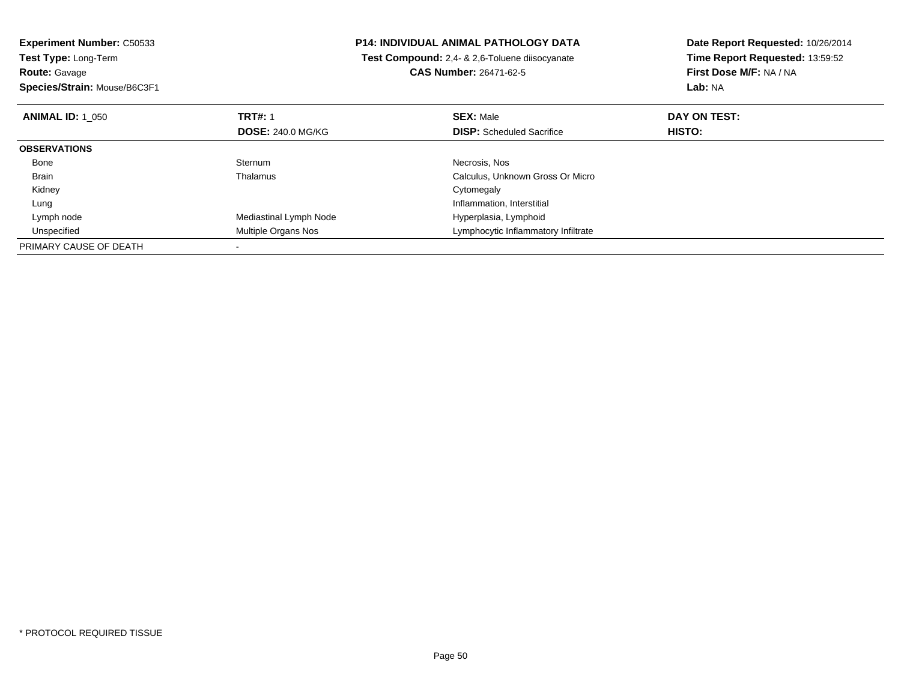| <b>Experiment Number: C50533</b> |                          | <b>P14: INDIVIDUAL ANIMAL PATHOLOGY DATA</b>   | Date Report Requested: 10/26/2014 |  |
|----------------------------------|--------------------------|------------------------------------------------|-----------------------------------|--|
| Test Type: Long-Term             |                          | Test Compound: 2,4- & 2,6-Toluene diisocyanate | Time Report Requested: 13:59:52   |  |
| <b>Route: Gavage</b>             |                          | <b>CAS Number: 26471-62-5</b>                  | First Dose M/F: NA / NA           |  |
| Species/Strain: Mouse/B6C3F1     |                          |                                                | Lab: NA                           |  |
| <b>ANIMAL ID: 1 050</b>          | <b>TRT#: 1</b>           | <b>SEX: Male</b>                               | DAY ON TEST:                      |  |
|                                  | <b>DOSE: 240.0 MG/KG</b> | <b>DISP:</b> Scheduled Sacrifice               | HISTO:                            |  |
| <b>OBSERVATIONS</b>              |                          |                                                |                                   |  |
| Bone                             | Sternum                  | Necrosis, Nos                                  |                                   |  |
| Brain                            | Thalamus                 | Calculus, Unknown Gross Or Micro               |                                   |  |
| Kidney                           |                          | Cytomegaly                                     |                                   |  |
| Lung                             |                          | Inflammation, Interstitial                     |                                   |  |
| Lymph node                       | Mediastinal Lymph Node   | Hyperplasia, Lymphoid                          |                                   |  |
| Unspecified                      | Multiple Organs Nos      | Lymphocytic Inflammatory Infiltrate            |                                   |  |
| PRIMARY CAUSE OF DEATH           |                          |                                                |                                   |  |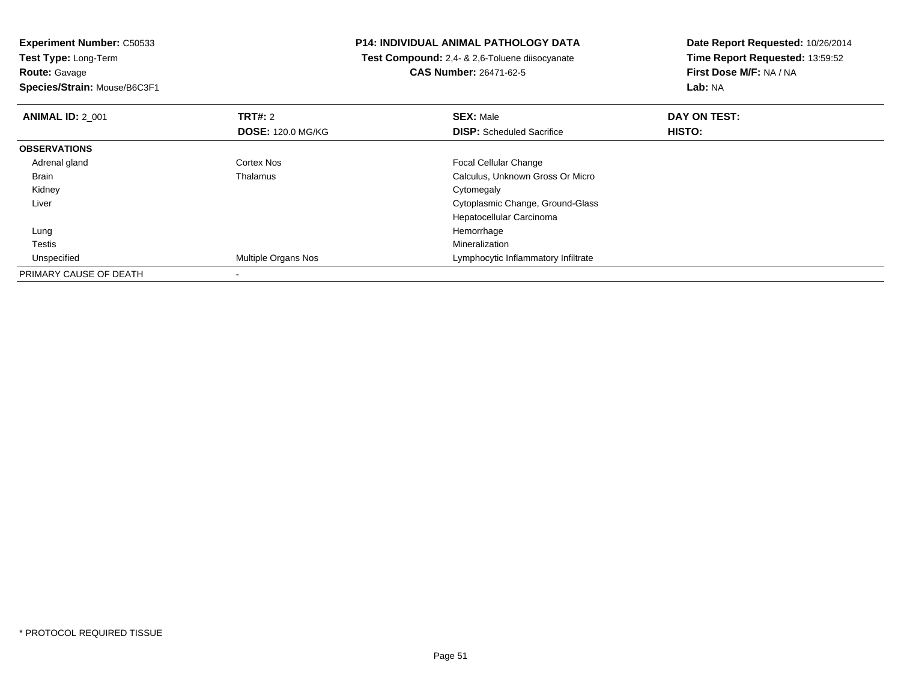**Experiment Number:** C50533**Test Type:** Long-Term**Route:** Gavage

**Species/Strain:** Mouse/B6C3F1

## **P14: INDIVIDUAL ANIMAL PATHOLOGY DATA**

 **Test Compound:** 2,4- & 2,6-Toluene diisocyanate**CAS Number:** 26471-62-5

**Date Report Requested:** 10/26/2014 **Time Report Requested:** 13:59:52**First Dose M/F:** NA / NA**Lab:** NA

| <b>ANIMAL ID: 2 001</b> | TRT#: 2                    | <b>SEX: Male</b>                    | DAY ON TEST: |  |
|-------------------------|----------------------------|-------------------------------------|--------------|--|
|                         | <b>DOSE: 120.0 MG/KG</b>   | <b>DISP:</b> Scheduled Sacrifice    | HISTO:       |  |
| <b>OBSERVATIONS</b>     |                            |                                     |              |  |
| Adrenal gland           | Cortex Nos                 | <b>Focal Cellular Change</b>        |              |  |
| <b>Brain</b>            | Thalamus                   | Calculus, Unknown Gross Or Micro    |              |  |
| Kidney                  |                            | Cytomegaly                          |              |  |
| Liver                   |                            | Cytoplasmic Change, Ground-Glass    |              |  |
|                         |                            | Hepatocellular Carcinoma            |              |  |
| Lung                    |                            | Hemorrhage                          |              |  |
| Testis                  |                            | Mineralization                      |              |  |
| Unspecified             | <b>Multiple Organs Nos</b> | Lymphocytic Inflammatory Infiltrate |              |  |
| PRIMARY CAUSE OF DEATH  |                            |                                     |              |  |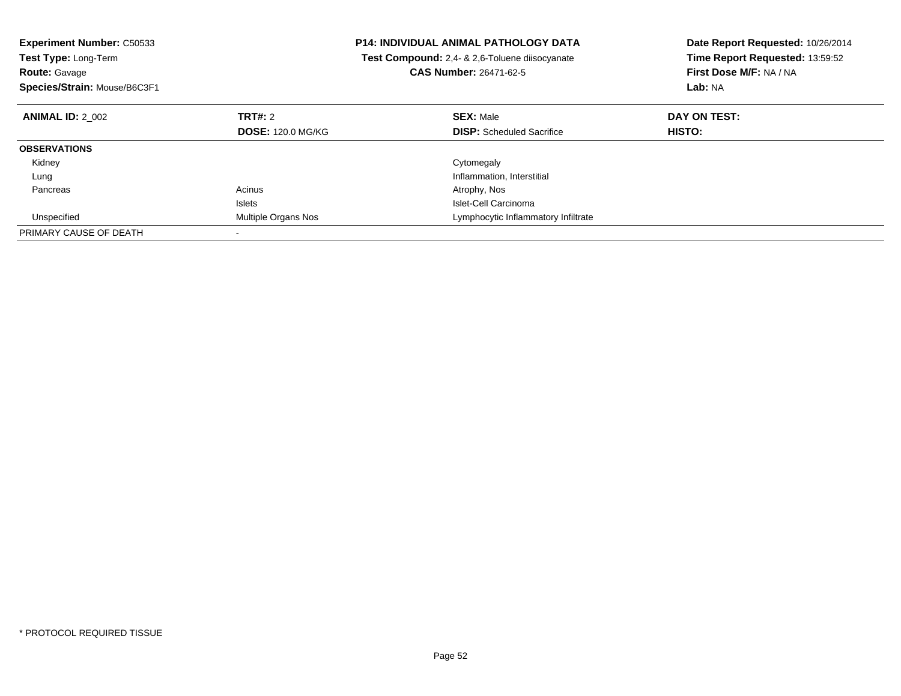| <b>Experiment Number: C50533</b><br><b>Test Type: Long-Term</b><br><b>Route: Gavage</b><br>Species/Strain: Mouse/B6C3F1 |                          | <b>P14: INDIVIDUAL ANIMAL PATHOLOGY DATA</b><br>Test Compound: 2,4- & 2,6-Toluene diisocyanate<br><b>CAS Number: 26471-62-5</b> | Date Report Requested: 10/26/2014<br>Time Report Requested: 13:59:52<br>First Dose M/F: NA / NA<br>Lab: NA |
|-------------------------------------------------------------------------------------------------------------------------|--------------------------|---------------------------------------------------------------------------------------------------------------------------------|------------------------------------------------------------------------------------------------------------|
| <b>ANIMAL ID: 2 002</b>                                                                                                 | TRT#: 2                  | <b>SEX: Male</b>                                                                                                                | DAY ON TEST:                                                                                               |
|                                                                                                                         | <b>DOSE: 120.0 MG/KG</b> | <b>DISP:</b> Scheduled Sacrifice                                                                                                | HISTO:                                                                                                     |
| <b>OBSERVATIONS</b>                                                                                                     |                          |                                                                                                                                 |                                                                                                            |
| Kidney                                                                                                                  |                          | Cytomegaly                                                                                                                      |                                                                                                            |
| Lung                                                                                                                    |                          | Inflammation, Interstitial                                                                                                      |                                                                                                            |
| Pancreas                                                                                                                | Acinus                   | Atrophy, Nos                                                                                                                    |                                                                                                            |
|                                                                                                                         | <b>Islets</b>            | Islet-Cell Carcinoma                                                                                                            |                                                                                                            |
| Unspecified                                                                                                             | Multiple Organs Nos      | Lymphocytic Inflammatory Infiltrate                                                                                             |                                                                                                            |
| PRIMARY CAUSE OF DEATH                                                                                                  |                          |                                                                                                                                 |                                                                                                            |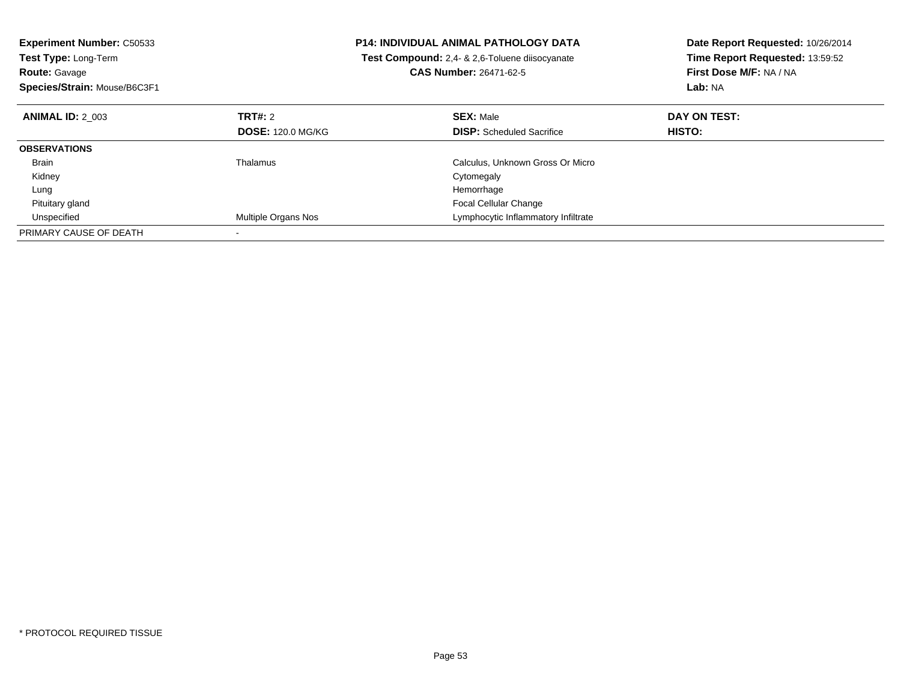| <b>Experiment Number: C50533</b><br><b>Test Type: Long-Term</b><br><b>Route: Gavage</b><br>Species/Strain: Mouse/B6C3F1 |                            | <b>P14: INDIVIDUAL ANIMAL PATHOLOGY DATA</b><br>Test Compound: 2,4- & 2,6-Toluene diisocyanate<br><b>CAS Number: 26471-62-5</b> | Date Report Requested: 10/26/2014<br>Time Report Requested: 13:59:52<br>First Dose M/F: NA / NA<br>Lab: NA |
|-------------------------------------------------------------------------------------------------------------------------|----------------------------|---------------------------------------------------------------------------------------------------------------------------------|------------------------------------------------------------------------------------------------------------|
| <b>ANIMAL ID: 2 003</b>                                                                                                 | TRT#: 2                    | <b>SEX: Male</b>                                                                                                                | DAY ON TEST:                                                                                               |
|                                                                                                                         | <b>DOSE: 120.0 MG/KG</b>   | <b>DISP:</b> Scheduled Sacrifice                                                                                                | <b>HISTO:</b>                                                                                              |
| <b>OBSERVATIONS</b>                                                                                                     |                            |                                                                                                                                 |                                                                                                            |
| <b>Brain</b>                                                                                                            | Thalamus                   | Calculus, Unknown Gross Or Micro                                                                                                |                                                                                                            |
| Kidney                                                                                                                  |                            | Cytomegaly                                                                                                                      |                                                                                                            |
| Lung                                                                                                                    |                            | Hemorrhage                                                                                                                      |                                                                                                            |
| Pituitary gland                                                                                                         |                            | Focal Cellular Change                                                                                                           |                                                                                                            |
| Unspecified                                                                                                             | <b>Multiple Organs Nos</b> | Lymphocytic Inflammatory Infiltrate                                                                                             |                                                                                                            |
| PRIMARY CAUSE OF DEATH                                                                                                  |                            |                                                                                                                                 |                                                                                                            |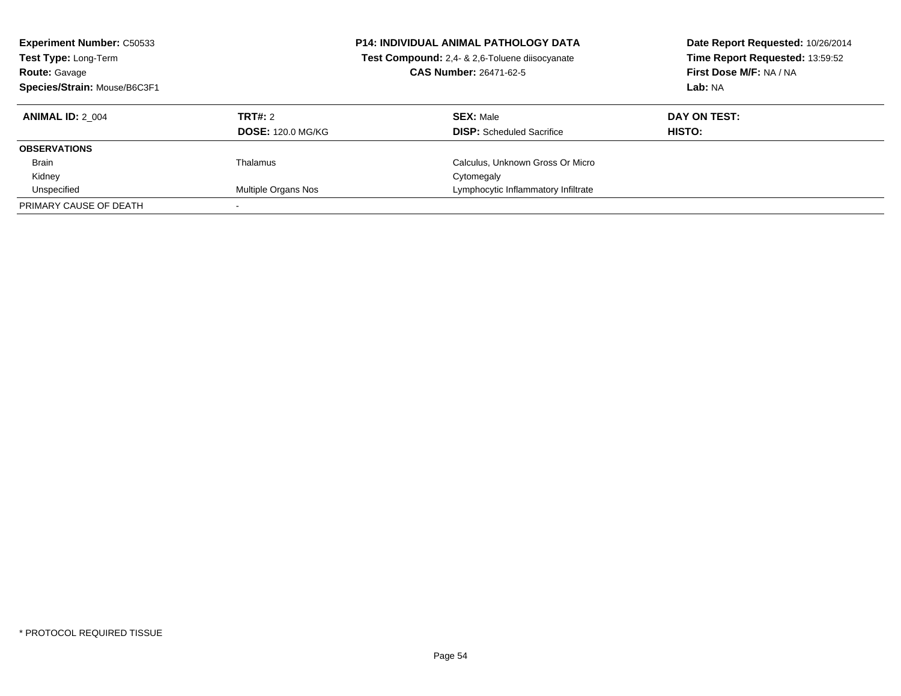| <b>Experiment Number: C50533</b><br>Test Type: Long-Term<br><b>Route: Gavage</b><br>Species/Strain: Mouse/B6C3F1 |                          | <b>P14: INDIVIDUAL ANIMAL PATHOLOGY DATA</b><br>Test Compound: 2,4- & 2,6-Toluene diisocyanate<br><b>CAS Number: 26471-62-5</b> | Date Report Requested: 10/26/2014<br>Time Report Requested: 13:59:52<br>First Dose M/F: NA / NA<br>Lab: NA |
|------------------------------------------------------------------------------------------------------------------|--------------------------|---------------------------------------------------------------------------------------------------------------------------------|------------------------------------------------------------------------------------------------------------|
| <b>ANIMAL ID: 2 004</b>                                                                                          | TRT#: 2                  | <b>SEX:</b> Male                                                                                                                | DAY ON TEST:                                                                                               |
|                                                                                                                  | <b>DOSE: 120.0 MG/KG</b> | <b>DISP:</b> Scheduled Sacrifice                                                                                                | <b>HISTO:</b>                                                                                              |
| <b>OBSERVATIONS</b>                                                                                              |                          |                                                                                                                                 |                                                                                                            |
| <b>Brain</b>                                                                                                     | Thalamus                 | Calculus, Unknown Gross Or Micro                                                                                                |                                                                                                            |
| Kidney                                                                                                           |                          | Cytomegaly                                                                                                                      |                                                                                                            |
| Unspecified                                                                                                      | Multiple Organs Nos      | Lymphocytic Inflammatory Infiltrate                                                                                             |                                                                                                            |
| PRIMARY CAUSE OF DEATH                                                                                           |                          |                                                                                                                                 |                                                                                                            |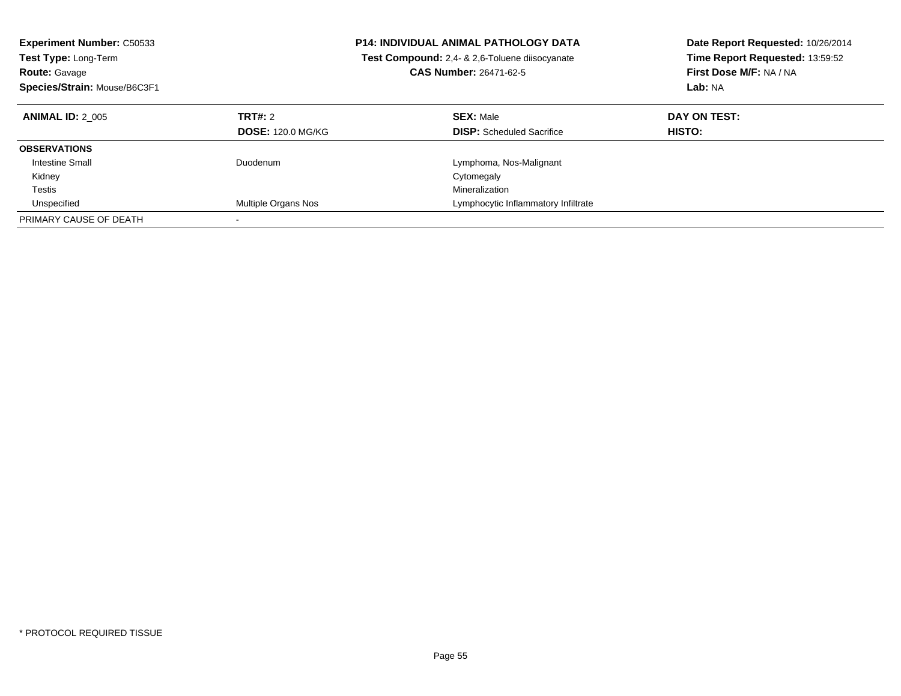| <b>Experiment Number: C50533</b><br>Test Type: Long-Term<br><b>Route: Gavage</b><br>Species/Strain: Mouse/B6C3F1 |                                     | <b>P14: INDIVIDUAL ANIMAL PATHOLOGY DATA</b><br><b>Test Compound:</b> 2,4- & 2,6-Toluene diisocyanate<br><b>CAS Number: 26471-62-5</b> | Date Report Requested: 10/26/2014<br>Time Report Requested: 13:59:52<br>First Dose M/F: NA / NA<br>Lab: NA |
|------------------------------------------------------------------------------------------------------------------|-------------------------------------|----------------------------------------------------------------------------------------------------------------------------------------|------------------------------------------------------------------------------------------------------------|
| <b>ANIMAL ID: 2 005</b>                                                                                          | TRT#: 2<br><b>DOSE: 120.0 MG/KG</b> | <b>SEX: Male</b><br><b>DISP:</b> Scheduled Sacrifice                                                                                   | DAY ON TEST:<br><b>HISTO:</b>                                                                              |
| <b>OBSERVATIONS</b>                                                                                              |                                     |                                                                                                                                        |                                                                                                            |
| Intestine Small                                                                                                  | Duodenum                            | Lymphoma, Nos-Malignant                                                                                                                |                                                                                                            |
| Kidney                                                                                                           |                                     | Cytomegaly                                                                                                                             |                                                                                                            |
| Testis                                                                                                           |                                     | Mineralization                                                                                                                         |                                                                                                            |
| Unspecified                                                                                                      | Multiple Organs Nos                 | Lymphocytic Inflammatory Infiltrate                                                                                                    |                                                                                                            |
| PRIMARY CAUSE OF DEATH                                                                                           |                                     |                                                                                                                                        |                                                                                                            |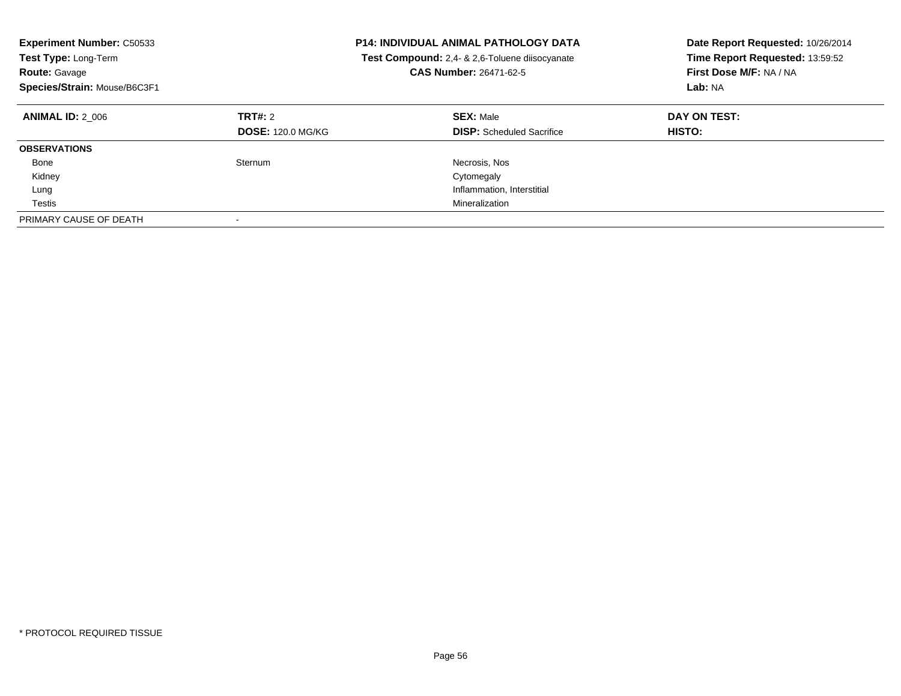| <b>Experiment Number: C50533</b><br><b>Test Type: Long-Term</b><br><b>Route: Gavage</b><br>Species/Strain: Mouse/B6C3F1 |                                     | <b>P14: INDIVIDUAL ANIMAL PATHOLOGY DATA</b><br>Test Compound: 2,4- & 2,6-Toluene diisocyanate<br><b>CAS Number: 26471-62-5</b> | Date Report Requested: 10/26/2014<br>Time Report Requested: 13:59:52<br>First Dose M/F: NA / NA<br>Lab: NA |
|-------------------------------------------------------------------------------------------------------------------------|-------------------------------------|---------------------------------------------------------------------------------------------------------------------------------|------------------------------------------------------------------------------------------------------------|
| <b>ANIMAL ID: 2 006</b>                                                                                                 | TRT#: 2<br><b>DOSE: 120.0 MG/KG</b> | <b>SEX: Male</b><br><b>DISP:</b> Scheduled Sacrifice                                                                            | DAY ON TEST:<br><b>HISTO:</b>                                                                              |
| <b>OBSERVATIONS</b>                                                                                                     |                                     |                                                                                                                                 |                                                                                                            |
| Bone                                                                                                                    | Sternum                             | Necrosis, Nos                                                                                                                   |                                                                                                            |
| Kidney                                                                                                                  |                                     | Cytomegaly                                                                                                                      |                                                                                                            |
| Lung                                                                                                                    |                                     | Inflammation, Interstitial                                                                                                      |                                                                                                            |
| Testis                                                                                                                  |                                     | Mineralization                                                                                                                  |                                                                                                            |
| PRIMARY CAUSE OF DEATH                                                                                                  |                                     |                                                                                                                                 |                                                                                                            |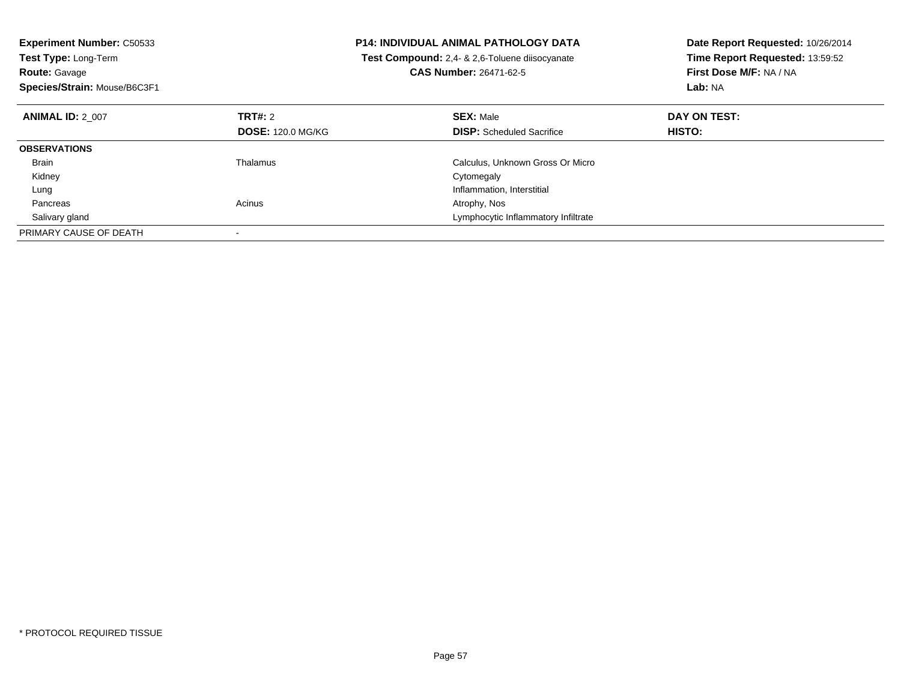| <b>Experiment Number: C50533</b><br><b>Test Type: Long-Term</b><br><b>Route: Gavage</b><br>Species/Strain: Mouse/B6C3F1 |                          | <b>P14: INDIVIDUAL ANIMAL PATHOLOGY DATA</b><br>Test Compound: 2.4- & 2.6-Toluene diisocyanate<br><b>CAS Number: 26471-62-5</b> | Date Report Requested: 10/26/2014<br>Time Report Requested: 13:59:52<br>First Dose M/F: NA / NA<br>Lab: NA |
|-------------------------------------------------------------------------------------------------------------------------|--------------------------|---------------------------------------------------------------------------------------------------------------------------------|------------------------------------------------------------------------------------------------------------|
| <b>ANIMAL ID: 2 007</b>                                                                                                 | TRT#: 2                  | <b>SEX: Male</b>                                                                                                                | DAY ON TEST:                                                                                               |
|                                                                                                                         | <b>DOSE: 120.0 MG/KG</b> | <b>DISP:</b> Scheduled Sacrifice                                                                                                | HISTO:                                                                                                     |
| <b>OBSERVATIONS</b>                                                                                                     |                          |                                                                                                                                 |                                                                                                            |
| <b>Brain</b>                                                                                                            | Thalamus                 | Calculus, Unknown Gross Or Micro                                                                                                |                                                                                                            |
| Kidney                                                                                                                  |                          | Cytomegaly                                                                                                                      |                                                                                                            |
| Lung                                                                                                                    |                          | Inflammation, Interstitial                                                                                                      |                                                                                                            |
| Pancreas                                                                                                                | Acinus                   | Atrophy, Nos                                                                                                                    |                                                                                                            |
| Salivary gland                                                                                                          |                          | Lymphocytic Inflammatory Infiltrate                                                                                             |                                                                                                            |
| PRIMARY CAUSE OF DEATH                                                                                                  |                          |                                                                                                                                 |                                                                                                            |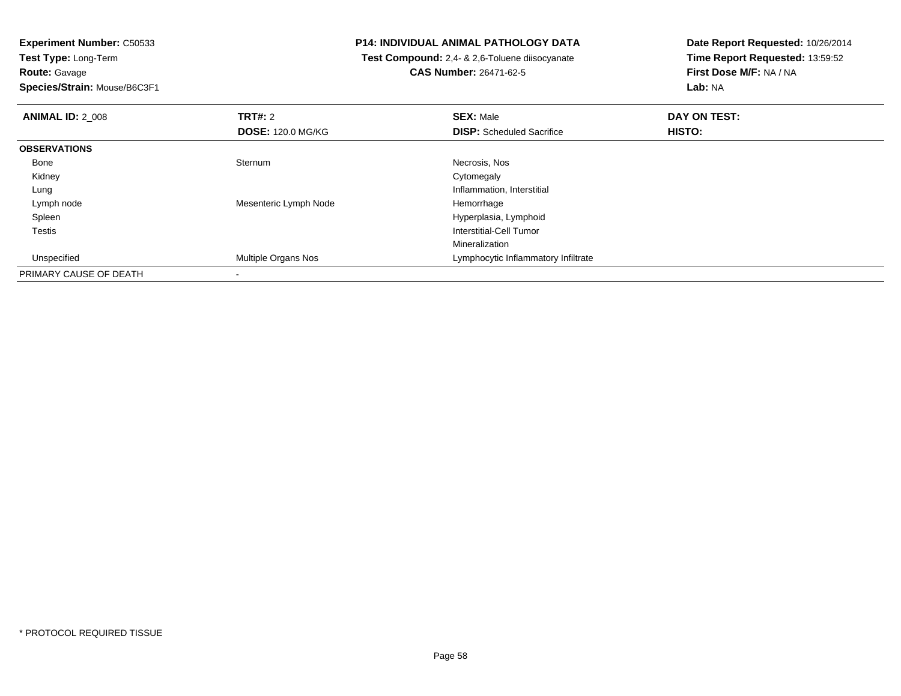**Experiment Number:** C50533**Test Type:** Long-Term**Route:** Gavage

**Species/Strain:** Mouse/B6C3F1

## **P14: INDIVIDUAL ANIMAL PATHOLOGY DATA**

 **Test Compound:** 2,4- & 2,6-Toluene diisocyanate**CAS Number:** 26471-62-5

**Date Report Requested:** 10/26/2014 **Time Report Requested:** 13:59:52**First Dose M/F:** NA / NA**Lab:** NA

| <b>ANIMAL ID: 2 008</b> | TRT#: 2                    | <b>SEX: Male</b>                    | DAY ON TEST: |  |
|-------------------------|----------------------------|-------------------------------------|--------------|--|
|                         | <b>DOSE: 120.0 MG/KG</b>   | <b>DISP:</b> Scheduled Sacrifice    | HISTO:       |  |
| <b>OBSERVATIONS</b>     |                            |                                     |              |  |
| Bone                    | Sternum                    | Necrosis, Nos                       |              |  |
| Kidney                  |                            | Cytomegaly                          |              |  |
| Lung                    |                            | Inflammation, Interstitial          |              |  |
| Lymph node              | Mesenteric Lymph Node      | Hemorrhage                          |              |  |
| Spleen                  |                            | Hyperplasia, Lymphoid               |              |  |
| Testis                  |                            | Interstitial-Cell Tumor             |              |  |
|                         |                            | Mineralization                      |              |  |
| Unspecified             | <b>Multiple Organs Nos</b> | Lymphocytic Inflammatory Infiltrate |              |  |
| PRIMARY CAUSE OF DEATH  |                            |                                     |              |  |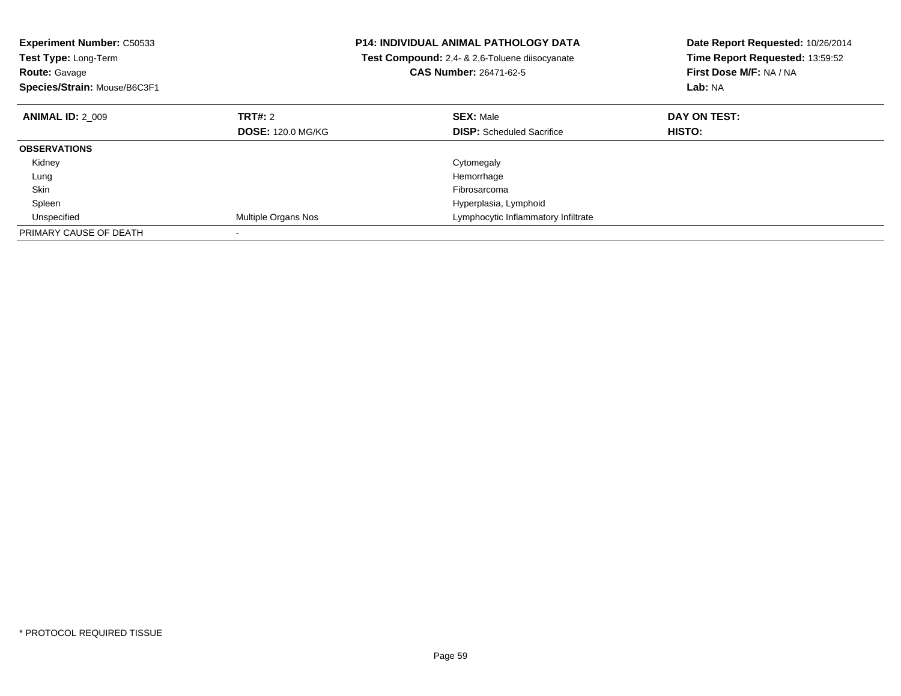| <b>Experiment Number: C50533</b><br><b>Test Type: Long-Term</b><br><b>Route: Gavage</b><br>Species/Strain: Mouse/B6C3F1 |                          | <b>P14: INDIVIDUAL ANIMAL PATHOLOGY DATA</b><br>Test Compound: 2,4- & 2,6-Toluene diisocyanate<br><b>CAS Number: 26471-62-5</b> | Date Report Requested: 10/26/2014<br>Time Report Requested: 13:59:52<br>First Dose M/F: NA / NA<br>Lab: NA |
|-------------------------------------------------------------------------------------------------------------------------|--------------------------|---------------------------------------------------------------------------------------------------------------------------------|------------------------------------------------------------------------------------------------------------|
| <b>ANIMAL ID: 2 009</b>                                                                                                 | <b>TRT#: 2</b>           | <b>SEX: Male</b>                                                                                                                | DAY ON TEST:                                                                                               |
|                                                                                                                         | <b>DOSE: 120.0 MG/KG</b> | <b>DISP:</b> Scheduled Sacrifice                                                                                                | HISTO:                                                                                                     |
| <b>OBSERVATIONS</b>                                                                                                     |                          |                                                                                                                                 |                                                                                                            |
| Kidney                                                                                                                  |                          | Cytomegaly                                                                                                                      |                                                                                                            |
| Lung                                                                                                                    |                          | Hemorrhage                                                                                                                      |                                                                                                            |
| Skin                                                                                                                    |                          | Fibrosarcoma                                                                                                                    |                                                                                                            |
| Spleen                                                                                                                  |                          | Hyperplasia, Lymphoid                                                                                                           |                                                                                                            |
| Unspecified                                                                                                             | Multiple Organs Nos      | Lymphocytic Inflammatory Infiltrate                                                                                             |                                                                                                            |
| PRIMARY CAUSE OF DEATH                                                                                                  |                          |                                                                                                                                 |                                                                                                            |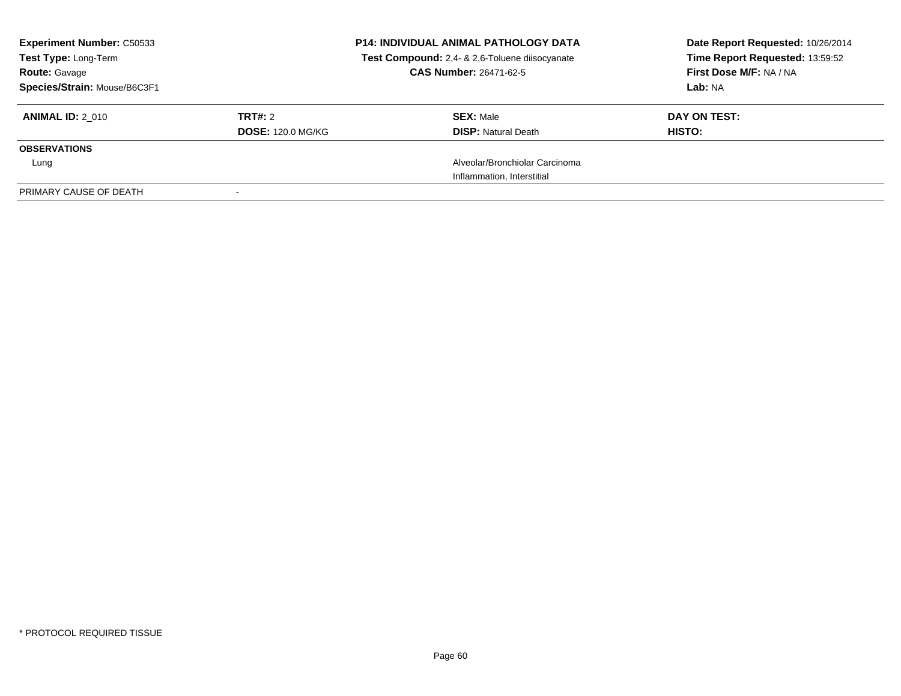| <b>Experiment Number: C50533</b><br>Test Type: Long-Term<br><b>Route: Gavage</b><br>Species/Strain: Mouse/B6C3F1 |                          | <b>P14: INDIVIDUAL ANIMAL PATHOLOGY DATA</b><br>Test Compound: 2,4- & 2,6-Toluene diisocyanate<br><b>CAS Number: 26471-62-5</b> | Date Report Requested: 10/26/2014<br>Time Report Requested: 13:59:52<br>First Dose M/F: NA / NA<br>Lab: NA |
|------------------------------------------------------------------------------------------------------------------|--------------------------|---------------------------------------------------------------------------------------------------------------------------------|------------------------------------------------------------------------------------------------------------|
| <b>ANIMAL ID: 2 010</b>                                                                                          | TRT#: 2                  | <b>SEX: Male</b>                                                                                                                | DAY ON TEST:                                                                                               |
|                                                                                                                  | <b>DOSE: 120.0 MG/KG</b> | <b>DISP: Natural Death</b>                                                                                                      | HISTO:                                                                                                     |
| <b>OBSERVATIONS</b>                                                                                              |                          |                                                                                                                                 |                                                                                                            |
| Lung                                                                                                             |                          | Alveolar/Bronchiolar Carcinoma                                                                                                  |                                                                                                            |
|                                                                                                                  |                          | Inflammation, Interstitial                                                                                                      |                                                                                                            |
| PRIMARY CAUSE OF DEATH                                                                                           |                          |                                                                                                                                 |                                                                                                            |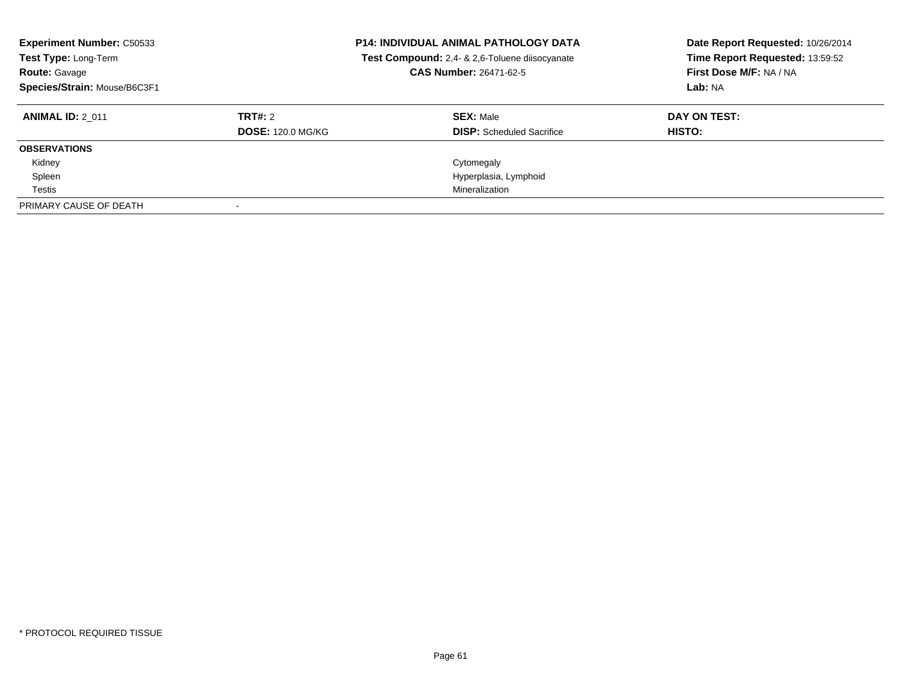| <b>Experiment Number: C50533</b><br>Test Type: Long-Term<br><b>Route: Gavage</b><br>Species/Strain: Mouse/B6C3F1 |                          | <b>P14: INDIVIDUAL ANIMAL PATHOLOGY DATA</b><br>Test Compound: 2,4- & 2,6-Toluene diisocyanate<br>CAS Number: 26471-62-5 | Date Report Requested: 10/26/2014<br>Time Report Requested: 13:59:52<br>First Dose M/F: NA / NA<br>Lab: NA |
|------------------------------------------------------------------------------------------------------------------|--------------------------|--------------------------------------------------------------------------------------------------------------------------|------------------------------------------------------------------------------------------------------------|
| <b>ANIMAL ID: 2 011</b>                                                                                          | TRT#: 2                  | <b>SEX: Male</b>                                                                                                         | DAY ON TEST:                                                                                               |
|                                                                                                                  | <b>DOSE: 120.0 MG/KG</b> | <b>DISP:</b> Scheduled Sacrifice                                                                                         | HISTO:                                                                                                     |
| <b>OBSERVATIONS</b>                                                                                              |                          |                                                                                                                          |                                                                                                            |
| Kidney                                                                                                           |                          | Cytomegaly                                                                                                               |                                                                                                            |
| Spleen                                                                                                           |                          | Hyperplasia, Lymphoid                                                                                                    |                                                                                                            |
| Testis                                                                                                           |                          | Mineralization                                                                                                           |                                                                                                            |
| PRIMARY CAUSE OF DEATH                                                                                           |                          |                                                                                                                          |                                                                                                            |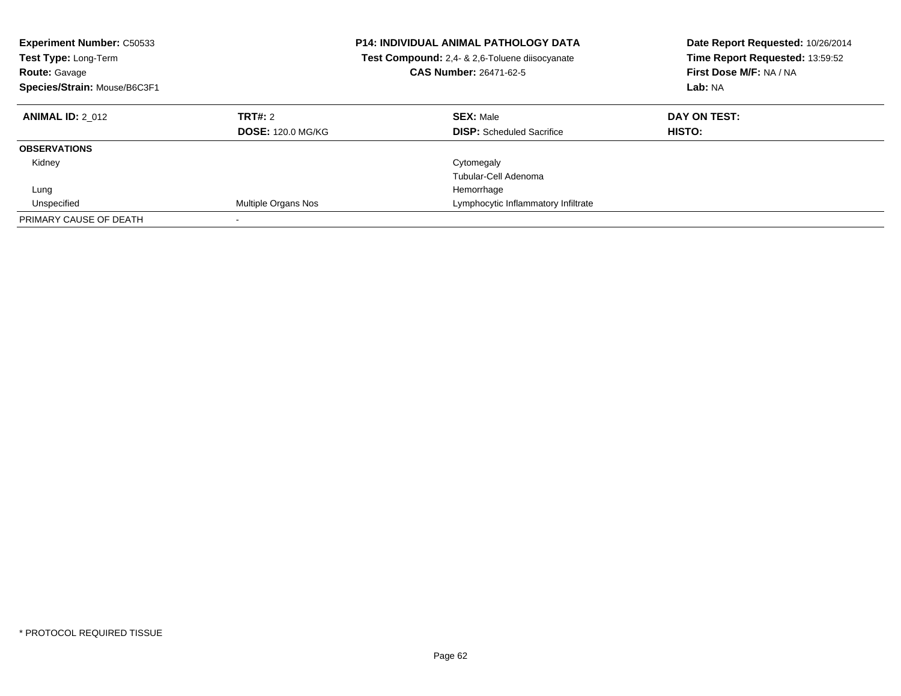| <b>Experiment Number: C50533</b><br><b>Test Type: Long-Term</b><br><b>Route: Gavage</b><br>Species/Strain: Mouse/B6C3F1 |                                     | <b>P14: INDIVIDUAL ANIMAL PATHOLOGY DATA</b><br><b>Test Compound:</b> 2.4- & 2.6-Toluene diisocyanate<br><b>CAS Number: 26471-62-5</b> | Date Report Requested: 10/26/2014<br>Time Report Requested: 13:59:52<br>First Dose M/F: NA / NA<br>Lab: NA |
|-------------------------------------------------------------------------------------------------------------------------|-------------------------------------|----------------------------------------------------------------------------------------------------------------------------------------|------------------------------------------------------------------------------------------------------------|
| <b>ANIMAL ID: 2 012</b>                                                                                                 | TRT#: 2<br><b>DOSE: 120.0 MG/KG</b> | <b>SEX: Male</b><br><b>DISP:</b> Scheduled Sacrifice                                                                                   | DAY ON TEST:<br><b>HISTO:</b>                                                                              |
| <b>OBSERVATIONS</b>                                                                                                     |                                     |                                                                                                                                        |                                                                                                            |
| Kidney                                                                                                                  |                                     | Cytomegaly<br>Tubular-Cell Adenoma                                                                                                     |                                                                                                            |
| Lung                                                                                                                    |                                     | Hemorrhage                                                                                                                             |                                                                                                            |
| Unspecified                                                                                                             | Multiple Organs Nos                 | Lymphocytic Inflammatory Infiltrate                                                                                                    |                                                                                                            |
| PRIMARY CAUSE OF DEATH                                                                                                  |                                     |                                                                                                                                        |                                                                                                            |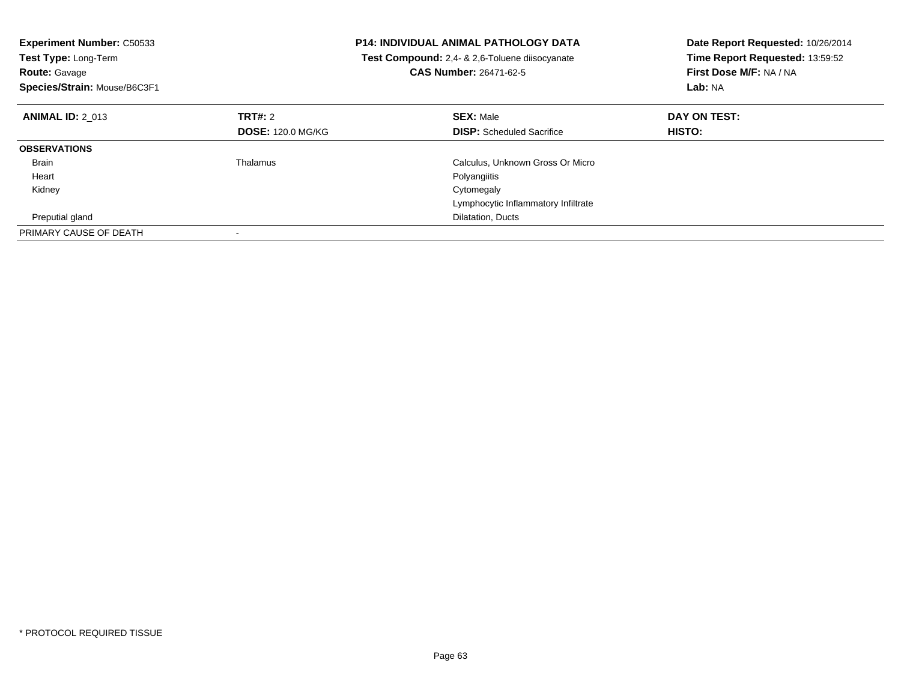| <b>Experiment Number: C50533</b><br><b>Test Type: Long-Term</b><br><b>Route: Gavage</b><br>Species/Strain: Mouse/B6C3F1 |                          | <b>P14: INDIVIDUAL ANIMAL PATHOLOGY DATA</b><br>Test Compound: 2,4- & 2,6-Toluene diisocyanate<br><b>CAS Number: 26471-62-5</b> | Date Report Requested: 10/26/2014<br>Time Report Requested: 13:59:52<br>First Dose M/F: NA / NA<br>Lab: NA |
|-------------------------------------------------------------------------------------------------------------------------|--------------------------|---------------------------------------------------------------------------------------------------------------------------------|------------------------------------------------------------------------------------------------------------|
| <b>ANIMAL ID: 2 013</b>                                                                                                 | TRT#: 2                  | <b>SEX: Male</b>                                                                                                                | DAY ON TEST:                                                                                               |
|                                                                                                                         | <b>DOSE: 120.0 MG/KG</b> | <b>DISP:</b> Scheduled Sacrifice                                                                                                | <b>HISTO:</b>                                                                                              |
| <b>OBSERVATIONS</b>                                                                                                     |                          |                                                                                                                                 |                                                                                                            |
| <b>Brain</b>                                                                                                            | Thalamus                 | Calculus, Unknown Gross Or Micro                                                                                                |                                                                                                            |
| Heart                                                                                                                   |                          | Polyangiitis                                                                                                                    |                                                                                                            |
| Kidney                                                                                                                  |                          | Cytomegaly                                                                                                                      |                                                                                                            |
|                                                                                                                         |                          | Lymphocytic Inflammatory Infiltrate                                                                                             |                                                                                                            |
| Preputial gland                                                                                                         |                          | Dilatation, Ducts                                                                                                               |                                                                                                            |
| PRIMARY CAUSE OF DEATH                                                                                                  |                          |                                                                                                                                 |                                                                                                            |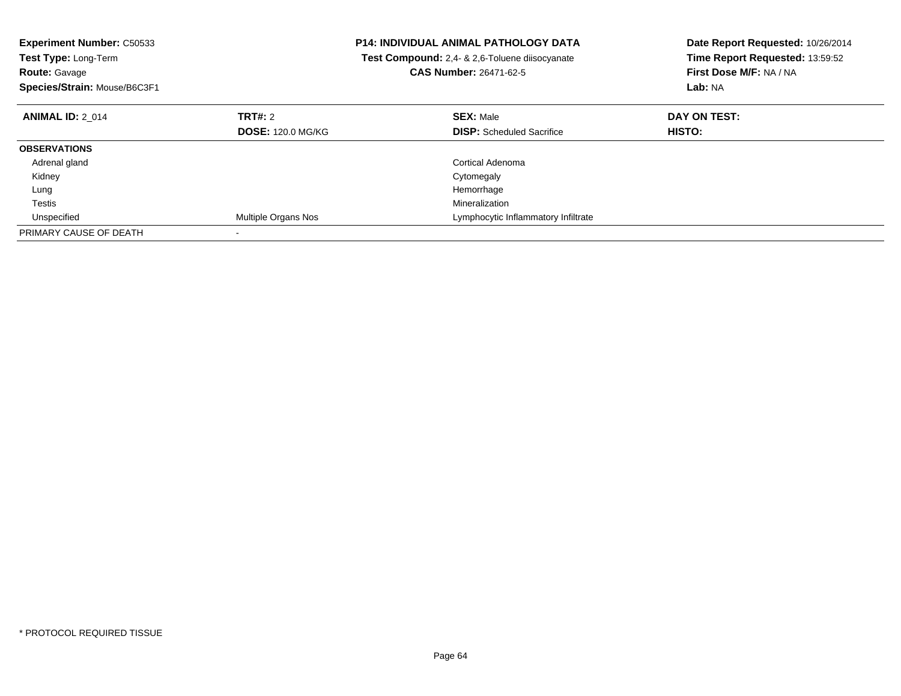| <b>Experiment Number: C50533</b> |                          | <b>P14: INDIVIDUAL ANIMAL PATHOLOGY DATA</b>   | Date Report Requested: 10/26/2014 |
|----------------------------------|--------------------------|------------------------------------------------|-----------------------------------|
| Test Type: Long-Term             |                          | Test Compound: 2,4- & 2,6-Toluene diisocyanate | Time Report Requested: 13:59:52   |
| <b>Route: Gavage</b>             |                          | <b>CAS Number: 26471-62-5</b>                  | First Dose M/F: NA / NA           |
| Species/Strain: Mouse/B6C3F1     |                          |                                                | Lab: NA                           |
| <b>ANIMAL ID: 2 014</b>          | TRT#: 2                  | <b>SEX: Male</b>                               | DAY ON TEST:                      |
|                                  | <b>DOSE: 120.0 MG/KG</b> | <b>DISP:</b> Scheduled Sacrifice               | HISTO:                            |
| <b>OBSERVATIONS</b>              |                          |                                                |                                   |
| Adrenal gland                    |                          | Cortical Adenoma                               |                                   |
| Kidney                           |                          | Cytomegaly                                     |                                   |
| Lung                             |                          | Hemorrhage                                     |                                   |
| Testis                           |                          | Mineralization                                 |                                   |
| Unspecified                      | Multiple Organs Nos      | Lymphocytic Inflammatory Infiltrate            |                                   |
| PRIMARY CAUSE OF DEATH           |                          |                                                |                                   |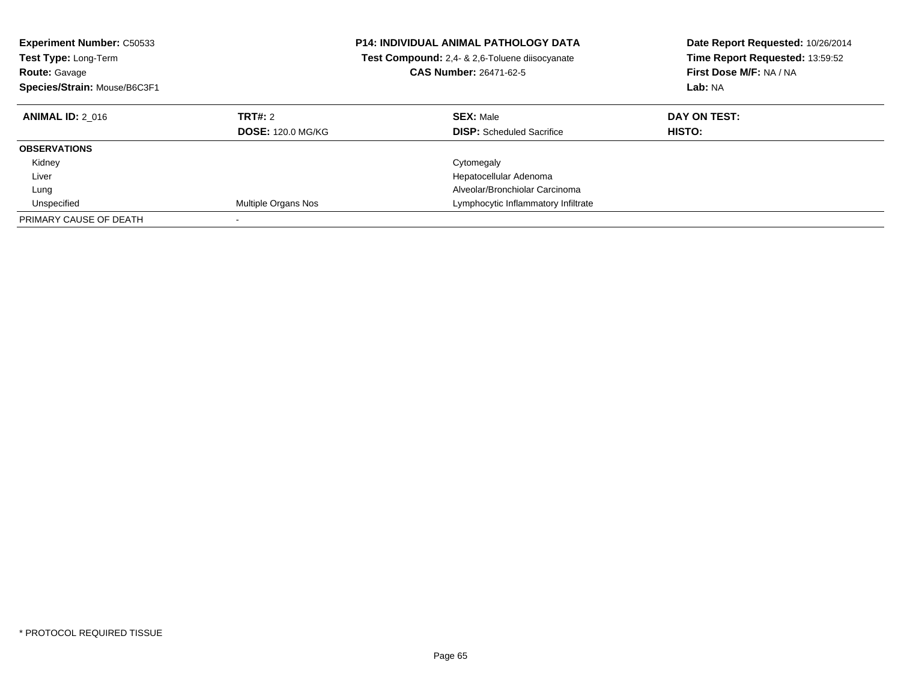| <b>Experiment Number: C50533</b><br><b>Test Type: Long-Term</b><br><b>Route: Gavage</b><br>Species/Strain: Mouse/B6C3F1 |                                     | <b>P14: INDIVIDUAL ANIMAL PATHOLOGY DATA</b><br>Test Compound: 2,4- & 2,6-Toluene diisocyanate<br><b>CAS Number: 26471-62-5</b> | Date Report Requested: 10/26/2014<br>Time Report Requested: 13:59:52<br>First Dose M/F: NA / NA<br>Lab: NA |
|-------------------------------------------------------------------------------------------------------------------------|-------------------------------------|---------------------------------------------------------------------------------------------------------------------------------|------------------------------------------------------------------------------------------------------------|
| <b>ANIMAL ID: 2 016</b>                                                                                                 | TRT#: 2<br><b>DOSE: 120.0 MG/KG</b> | <b>SEX: Male</b><br><b>DISP:</b> Scheduled Sacrifice                                                                            | DAY ON TEST:<br>HISTO:                                                                                     |
| <b>OBSERVATIONS</b>                                                                                                     |                                     |                                                                                                                                 |                                                                                                            |
| Kidney                                                                                                                  |                                     | Cytomegaly                                                                                                                      |                                                                                                            |
| Liver                                                                                                                   |                                     | Hepatocellular Adenoma                                                                                                          |                                                                                                            |
| Lung                                                                                                                    |                                     | Alveolar/Bronchiolar Carcinoma                                                                                                  |                                                                                                            |
| Unspecified                                                                                                             | Multiple Organs Nos                 | Lymphocytic Inflammatory Infiltrate                                                                                             |                                                                                                            |
| PRIMARY CAUSE OF DEATH                                                                                                  |                                     |                                                                                                                                 |                                                                                                            |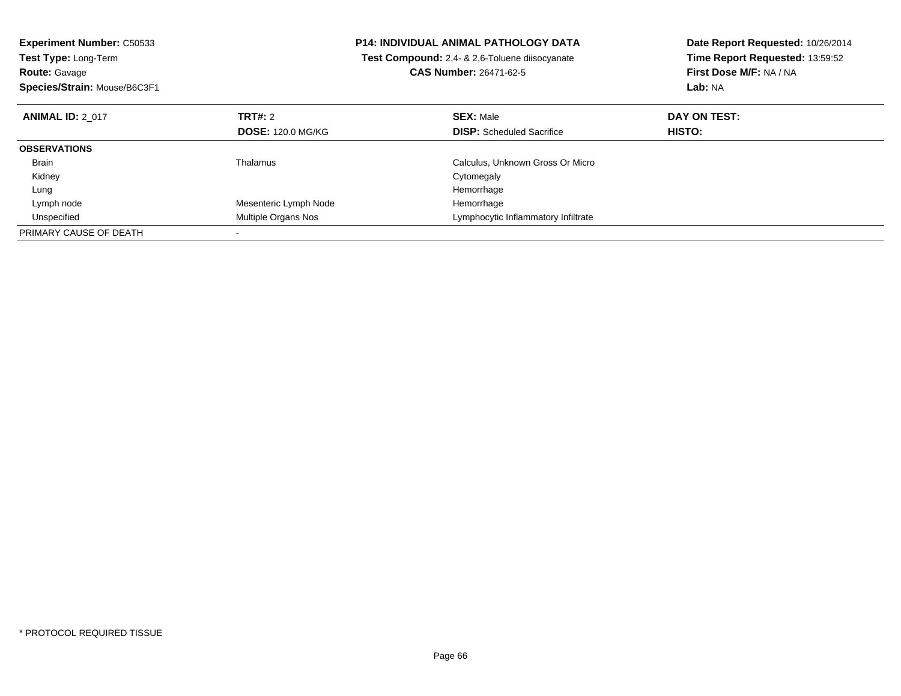| <b>Experiment Number: C50533</b> | <b>P14: INDIVIDUAL ANIMAL PATHOLOGY DATA</b> |                                                | Date Report Requested: 10/26/2014 |
|----------------------------------|----------------------------------------------|------------------------------------------------|-----------------------------------|
| Test Type: Long-Term             |                                              | Test Compound: 2.4- & 2.6-Toluene diisocyanate | Time Report Requested: 13:59:52   |
| <b>Route: Gavage</b>             |                                              | <b>CAS Number: 26471-62-5</b>                  | First Dose M/F: NA / NA           |
| Species/Strain: Mouse/B6C3F1     |                                              |                                                | Lab: NA                           |
| <b>ANIMAL ID: 2 017</b>          | TRT#: 2                                      | <b>SEX: Male</b>                               | DAY ON TEST:                      |
|                                  | <b>DOSE: 120.0 MG/KG</b>                     | <b>DISP:</b> Scheduled Sacrifice               | <b>HISTO:</b>                     |
| <b>OBSERVATIONS</b>              |                                              |                                                |                                   |
| Brain                            | Thalamus                                     | Calculus, Unknown Gross Or Micro               |                                   |
| Kidney                           |                                              | Cytomegaly                                     |                                   |
| Lung                             |                                              | Hemorrhage                                     |                                   |
| Lymph node                       | Mesenteric Lymph Node                        | Hemorrhage                                     |                                   |
| Unspecified                      | Multiple Organs Nos                          | Lymphocytic Inflammatory Infiltrate            |                                   |
| PRIMARY CAUSE OF DEATH           |                                              |                                                |                                   |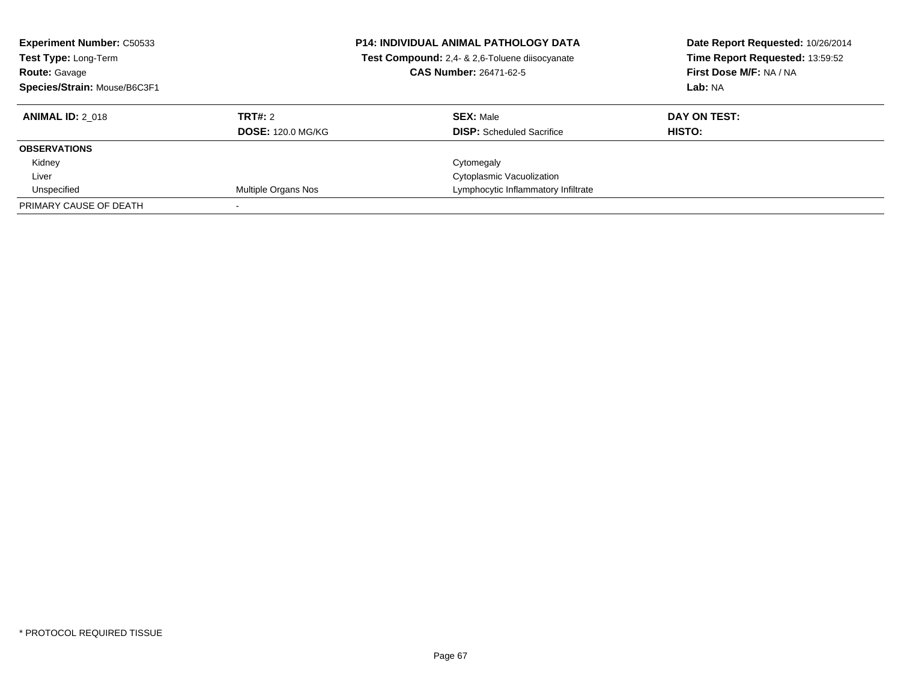| <b>Experiment Number: C50533</b><br>Test Type: Long-Term<br><b>Route: Gavage</b><br>Species/Strain: Mouse/B6C3F1 |                          | <b>P14: INDIVIDUAL ANIMAL PATHOLOGY DATA</b><br>Test Compound: 2,4- & 2,6-Toluene diisocyanate<br><b>CAS Number: 26471-62-5</b> | Date Report Requested: 10/26/2014<br>Time Report Requested: 13:59:52<br>First Dose M/F: NA / NA<br>Lab: NA |
|------------------------------------------------------------------------------------------------------------------|--------------------------|---------------------------------------------------------------------------------------------------------------------------------|------------------------------------------------------------------------------------------------------------|
| <b>ANIMAL ID: 2 018</b>                                                                                          | TRT#: 2                  | <b>SEX: Male</b>                                                                                                                | DAY ON TEST:                                                                                               |
|                                                                                                                  | <b>DOSE: 120.0 MG/KG</b> | <b>DISP:</b> Scheduled Sacrifice                                                                                                | HISTO:                                                                                                     |
| <b>OBSERVATIONS</b>                                                                                              |                          |                                                                                                                                 |                                                                                                            |
| Kidney                                                                                                           |                          | Cytomegaly                                                                                                                      |                                                                                                            |
| Liver                                                                                                            |                          | Cytoplasmic Vacuolization                                                                                                       |                                                                                                            |
| Unspecified                                                                                                      | Multiple Organs Nos      | Lymphocytic Inflammatory Infiltrate                                                                                             |                                                                                                            |
| PRIMARY CAUSE OF DEATH                                                                                           |                          |                                                                                                                                 |                                                                                                            |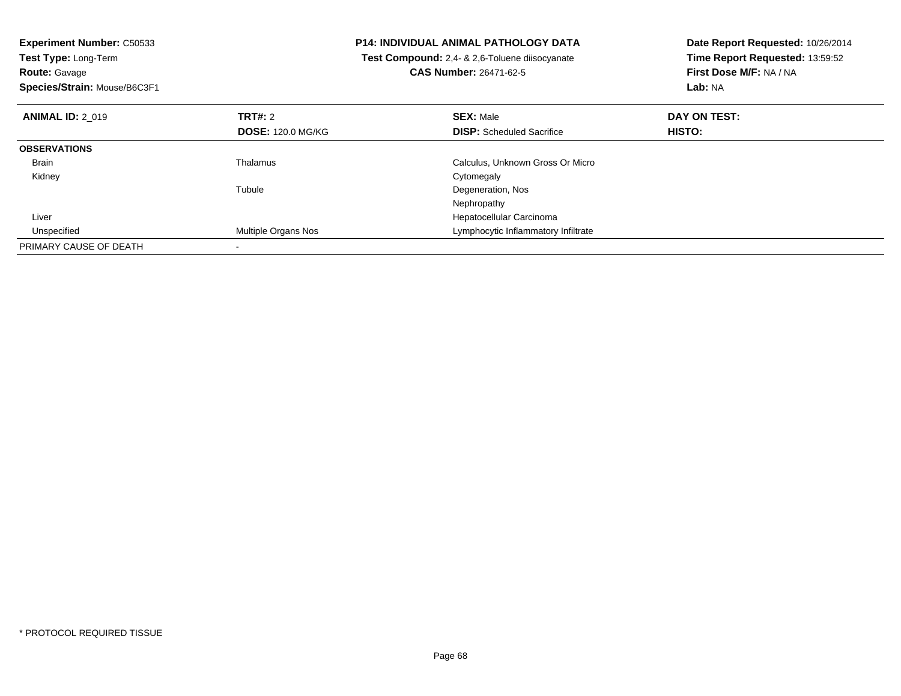| <b>Experiment Number: C50533</b><br>Test Type: Long-Term<br><b>Route: Gavage</b><br>Species/Strain: Mouse/B6C3F1 |                            | <b>P14: INDIVIDUAL ANIMAL PATHOLOGY DATA</b><br>Test Compound: 2,4- & 2,6-Toluene diisocyanate<br><b>CAS Number: 26471-62-5</b> | Date Report Requested: 10/26/2014<br>Time Report Requested: 13:59:52<br>First Dose M/F: NA / NA<br>Lab: NA |
|------------------------------------------------------------------------------------------------------------------|----------------------------|---------------------------------------------------------------------------------------------------------------------------------|------------------------------------------------------------------------------------------------------------|
| <b>ANIMAL ID: 2 019</b>                                                                                          | <b>TRT#: 2</b>             | <b>SEX: Male</b>                                                                                                                | DAY ON TEST:                                                                                               |
|                                                                                                                  | <b>DOSE: 120.0 MG/KG</b>   | <b>DISP:</b> Scheduled Sacrifice                                                                                                | <b>HISTO:</b>                                                                                              |
| <b>OBSERVATIONS</b>                                                                                              |                            |                                                                                                                                 |                                                                                                            |
| Brain                                                                                                            | Thalamus                   | Calculus, Unknown Gross Or Micro                                                                                                |                                                                                                            |
| Kidney                                                                                                           |                            | Cytomegaly                                                                                                                      |                                                                                                            |
|                                                                                                                  | Tubule                     | Degeneration, Nos                                                                                                               |                                                                                                            |
|                                                                                                                  |                            | Nephropathy                                                                                                                     |                                                                                                            |
| Liver                                                                                                            |                            | Hepatocellular Carcinoma                                                                                                        |                                                                                                            |
| Unspecified                                                                                                      | <b>Multiple Organs Nos</b> | Lymphocytic Inflammatory Infiltrate                                                                                             |                                                                                                            |
| PRIMARY CAUSE OF DEATH                                                                                           |                            |                                                                                                                                 |                                                                                                            |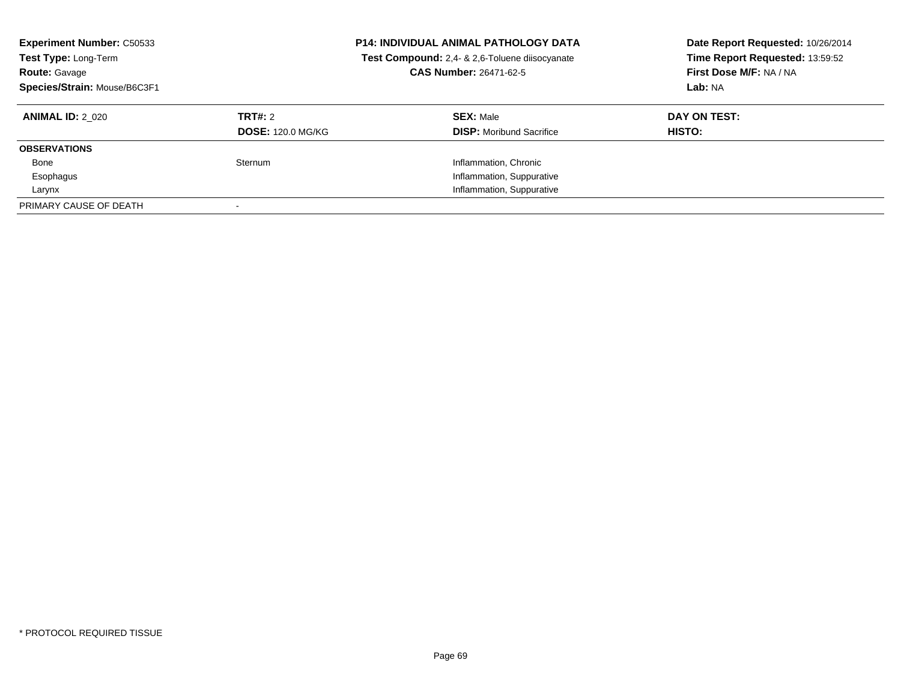| <b>Experiment Number: C50533</b><br>Test Type: Long-Term<br><b>Route: Gavage</b><br>Species/Strain: Mouse/B6C3F1 |                                     | <b>P14: INDIVIDUAL ANIMAL PATHOLOGY DATA</b><br>Test Compound: 2,4- & 2,6-Toluene diisocyanate<br>CAS Number: 26471-62-5 | Date Report Requested: 10/26/2014<br>Time Report Requested: 13:59:52<br>First Dose M/F: NA / NA<br>Lab: NA |
|------------------------------------------------------------------------------------------------------------------|-------------------------------------|--------------------------------------------------------------------------------------------------------------------------|------------------------------------------------------------------------------------------------------------|
| <b>ANIMAL ID: 2 020</b>                                                                                          | TRT#: 2<br><b>DOSE: 120.0 MG/KG</b> | <b>SEX: Male</b><br><b>DISP:</b> Moribund Sacrifice                                                                      | DAY ON TEST:<br><b>HISTO:</b>                                                                              |
| <b>OBSERVATIONS</b>                                                                                              |                                     |                                                                                                                          |                                                                                                            |
| Bone                                                                                                             | Sternum                             | Inflammation, Chronic                                                                                                    |                                                                                                            |
| Esophagus                                                                                                        |                                     | Inflammation, Suppurative                                                                                                |                                                                                                            |
| Larynx                                                                                                           |                                     | Inflammation, Suppurative                                                                                                |                                                                                                            |
| PRIMARY CAUSE OF DEATH                                                                                           |                                     |                                                                                                                          |                                                                                                            |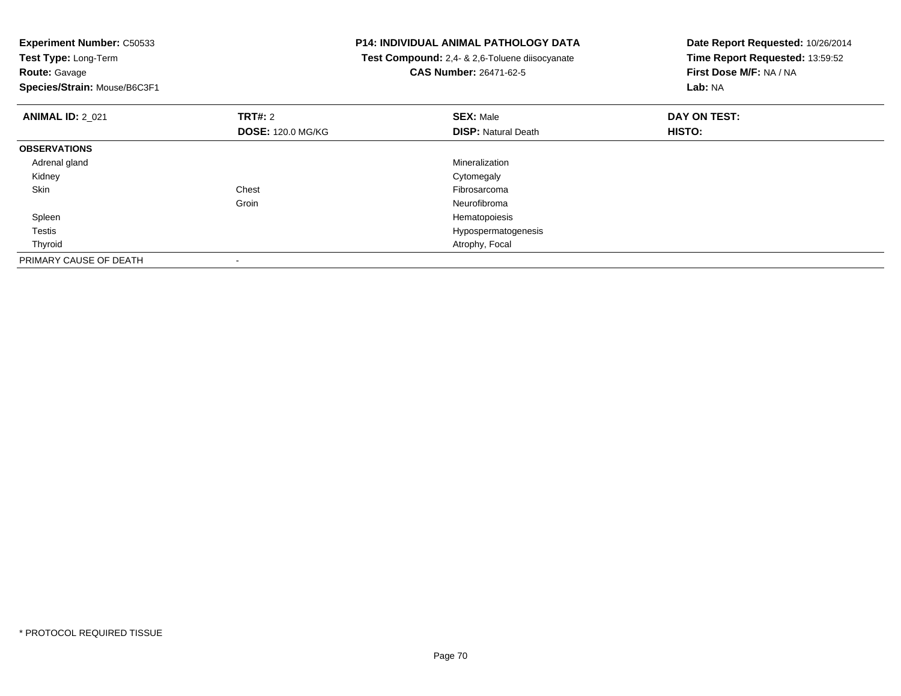| <b>Experiment Number: C50533</b> |                          | <b>P14: INDIVIDUAL ANIMAL PATHOLOGY DATA</b>          | Date Report Requested: 10/26/2014 |
|----------------------------------|--------------------------|-------------------------------------------------------|-----------------------------------|
| Test Type: Long-Term             |                          | <b>Test Compound:</b> 2,4- & 2,6-Toluene diisocyanate | Time Report Requested: 13:59:52   |
| <b>Route: Gavage</b>             |                          | <b>CAS Number: 26471-62-5</b>                         | First Dose M/F: NA / NA           |
| Species/Strain: Mouse/B6C3F1     |                          |                                                       | Lab: NA                           |
| <b>ANIMAL ID: 2 021</b>          | <b>TRT#:</b> 2           | <b>SEX: Male</b>                                      | DAY ON TEST:                      |
|                                  | <b>DOSE: 120.0 MG/KG</b> | <b>DISP: Natural Death</b>                            | HISTO:                            |
| <b>OBSERVATIONS</b>              |                          |                                                       |                                   |
| Adrenal gland                    |                          | Mineralization                                        |                                   |
| Kidney                           |                          | Cytomegaly                                            |                                   |
| Skin                             | Chest                    | Fibrosarcoma                                          |                                   |
|                                  | Groin                    | Neurofibroma                                          |                                   |
| Spleen                           |                          | Hematopoiesis                                         |                                   |
| Testis                           |                          | Hypospermatogenesis                                   |                                   |
| Thyroid                          |                          | Atrophy, Focal                                        |                                   |
| PRIMARY CAUSE OF DEATH           |                          |                                                       |                                   |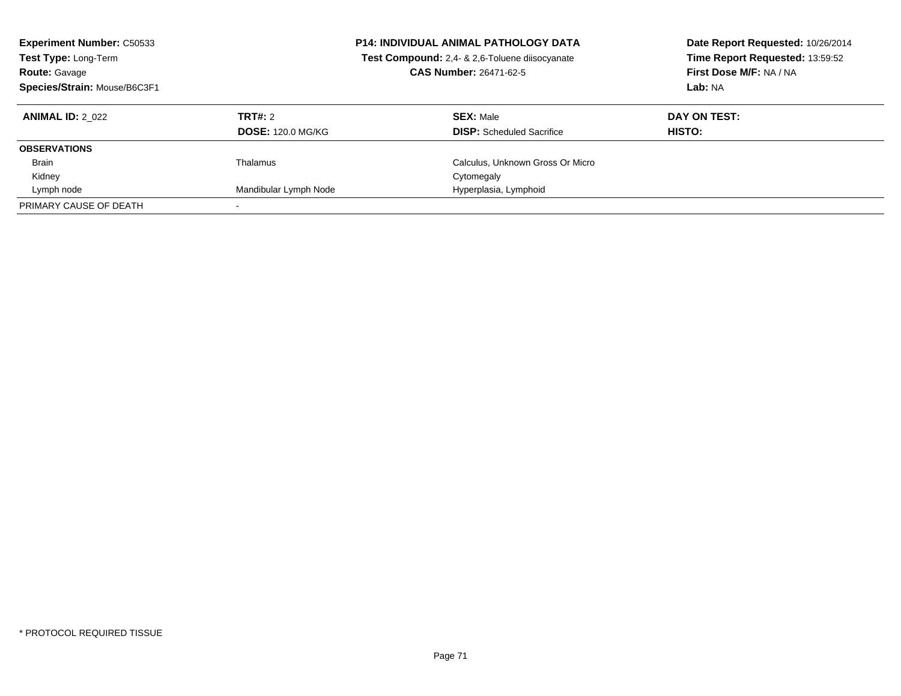| <b>Experiment Number: C50533</b><br>Test Type: Long-Term<br><b>Route: Gavage</b><br>Species/Strain: Mouse/B6C3F1 |                          | <b>P14: INDIVIDUAL ANIMAL PATHOLOGY DATA</b><br>Test Compound: 2,4- & 2,6-Toluene diisocyanate<br><b>CAS Number: 26471-62-5</b> | Date Report Requested: 10/26/2014<br>Time Report Requested: 13:59:52<br>First Dose M/F: NA / NA<br>Lab: NA |
|------------------------------------------------------------------------------------------------------------------|--------------------------|---------------------------------------------------------------------------------------------------------------------------------|------------------------------------------------------------------------------------------------------------|
| <b>ANIMAL ID: 2 022</b>                                                                                          | TRT#: 2                  | <b>SEX: Male</b>                                                                                                                | DAY ON TEST:                                                                                               |
|                                                                                                                  | <b>DOSE: 120.0 MG/KG</b> | <b>DISP:</b> Scheduled Sacrifice                                                                                                | <b>HISTO:</b>                                                                                              |
| <b>OBSERVATIONS</b>                                                                                              |                          |                                                                                                                                 |                                                                                                            |
| <b>Brain</b>                                                                                                     | Thalamus                 | Calculus, Unknown Gross Or Micro                                                                                                |                                                                                                            |
| Kidney                                                                                                           |                          | Cytomegaly                                                                                                                      |                                                                                                            |
| Lymph node                                                                                                       | Mandibular Lymph Node    | Hyperplasia, Lymphoid                                                                                                           |                                                                                                            |
| PRIMARY CAUSE OF DEATH                                                                                           |                          |                                                                                                                                 |                                                                                                            |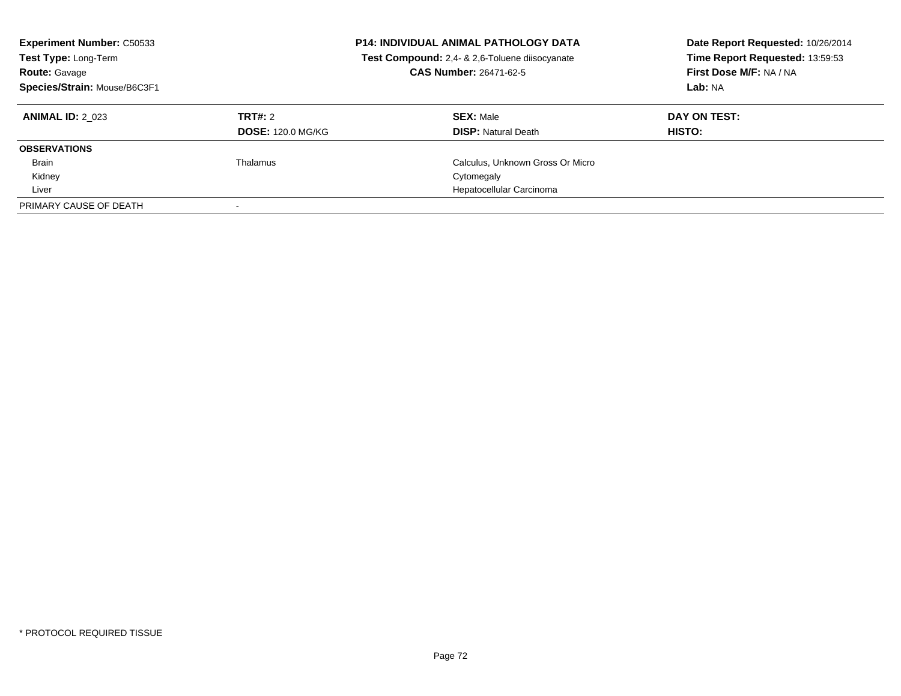| <b>Experiment Number: C50533</b><br>Test Type: Long-Term<br><b>Route: Gavage</b><br>Species/Strain: Mouse/B6C3F1 |                                     | <b>P14: INDIVIDUAL ANIMAL PATHOLOGY DATA</b><br>Test Compound: 2,4- & 2,6-Toluene diisocyanate<br>CAS Number: 26471-62-5 | Date Report Requested: 10/26/2014<br>Time Report Requested: 13:59:53<br>First Dose M/F: NA / NA<br>Lab: NA |
|------------------------------------------------------------------------------------------------------------------|-------------------------------------|--------------------------------------------------------------------------------------------------------------------------|------------------------------------------------------------------------------------------------------------|
| <b>ANIMAL ID: 2 023</b>                                                                                          | TRT#: 2<br><b>DOSE: 120.0 MG/KG</b> | <b>SEX: Male</b><br><b>DISP: Natural Death</b>                                                                           | DAY ON TEST:<br>HISTO:                                                                                     |
| <b>OBSERVATIONS</b>                                                                                              |                                     |                                                                                                                          |                                                                                                            |
| <b>Brain</b>                                                                                                     | Thalamus                            | Calculus, Unknown Gross Or Micro                                                                                         |                                                                                                            |
| Kidney                                                                                                           |                                     | Cytomegaly                                                                                                               |                                                                                                            |
| Liver                                                                                                            |                                     | Hepatocellular Carcinoma                                                                                                 |                                                                                                            |
| PRIMARY CAUSE OF DEATH                                                                                           |                                     |                                                                                                                          |                                                                                                            |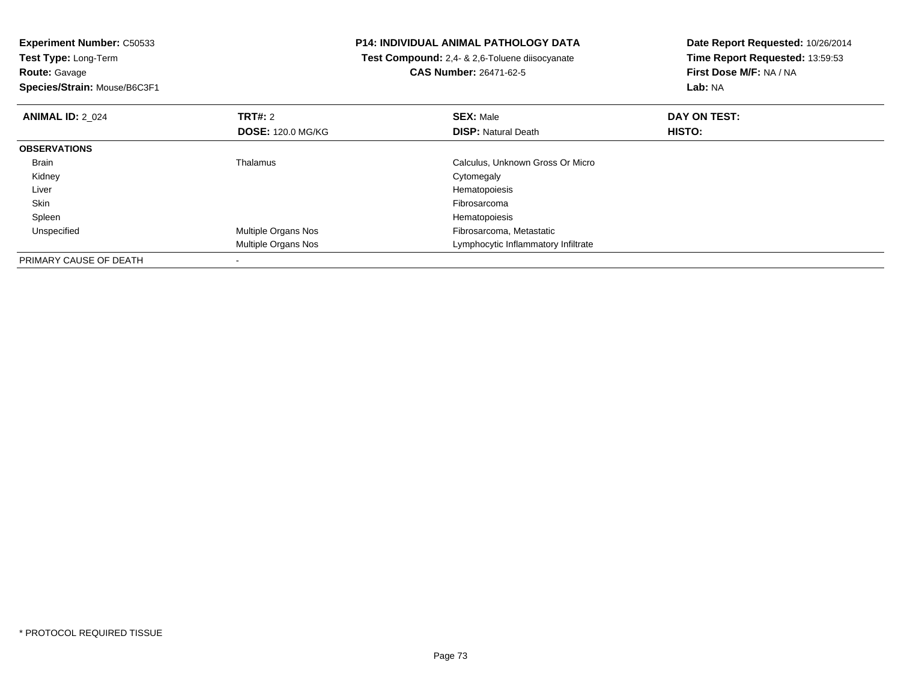**Experiment Number:** C50533**Test Type:** Long-Term**Route:** Gavage **Species/Strain:** Mouse/B6C3F1**P14: INDIVIDUAL ANIMAL PATHOLOGY DATA Test Compound:** 2,4- & 2,6-Toluene diisocyanate**CAS Number:** 26471-62-5**Date Report Requested:** 10/26/2014**Time Report Requested:** 13:59:53**First Dose M/F:** NA / NA**Lab:** NA**ANIMAL ID:** 2\_024**TRT#:** 2 **SEX:** Male **DAY ON TEST: DOSE:** 120.0 MG/KG**DISP:** Natural Death **HISTO: OBSERVATIONS** BrainThalamus Calculus, Unknown Gross Or Micro<br>Cytomegaly Kidneyy the control of the control of the control of the control of the control of the control of the control of the control of the control of the control of the control of the control of the control of the control of the contro Liver HematopoiesisFibrosarcoma Skinn and the contract of the contract of the contract of the contract of the contract of the contract of the contract of the contract of the contract of the contract of the contract of the contract of the contract of the cont Spleenn and the state of the state of the state of the state of the state of the state of the state of the state of the state of the state of the state of the state of the state of the state of the state of the state of the stat UnspecifiedMultiple Organs Nos **Fibrosarcoma**, Metastatic Multiple Organs Nos Lymphocytic Inflammatory InfiltratePRIMARY CAUSE OF DEATH-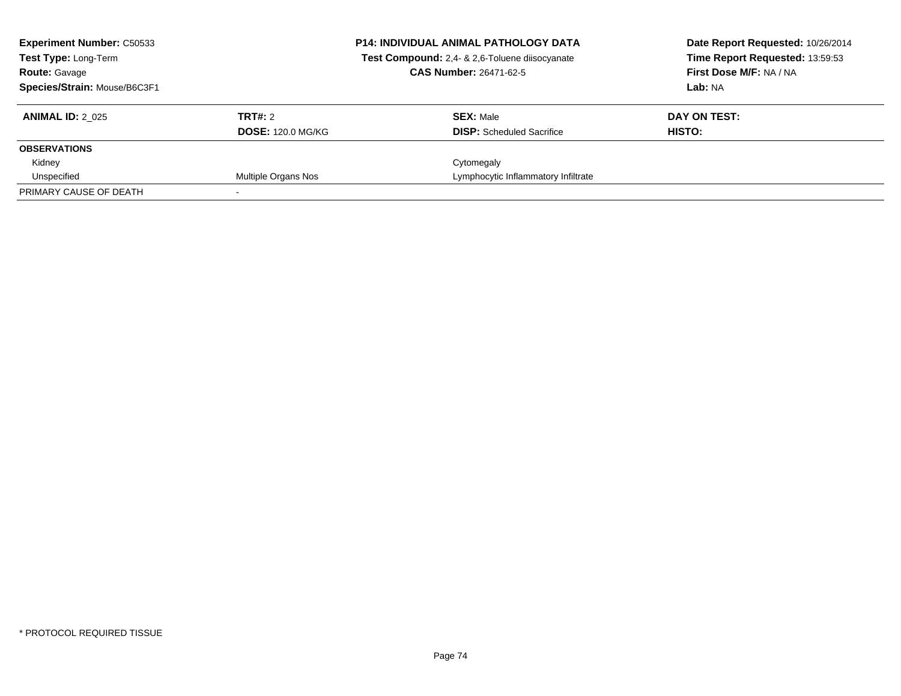| <b>Experiment Number: C50533</b><br>Test Type: Long-Term<br><b>Route: Gavage</b><br>Species/Strain: Mouse/B6C3F1 |                                     | <b>P14: INDIVIDUAL ANIMAL PATHOLOGY DATA</b><br>Test Compound: 2,4- & 2,6-Toluene diisocyanate<br><b>CAS Number: 26471-62-5</b> | Date Report Requested: 10/26/2014<br>Time Report Requested: 13:59:53<br>First Dose M/F: NA / NA<br>Lab: NA |
|------------------------------------------------------------------------------------------------------------------|-------------------------------------|---------------------------------------------------------------------------------------------------------------------------------|------------------------------------------------------------------------------------------------------------|
| <b>ANIMAL ID: 2 025</b>                                                                                          | TRT#: 2<br><b>DOSE: 120.0 MG/KG</b> | <b>SEX: Male</b><br><b>DISP:</b> Scheduled Sacrifice                                                                            | DAY ON TEST:<br>HISTO:                                                                                     |
| <b>OBSERVATIONS</b>                                                                                              |                                     |                                                                                                                                 |                                                                                                            |
| Kidney                                                                                                           |                                     | Cytomegaly                                                                                                                      |                                                                                                            |
| Unspecified                                                                                                      | Multiple Organs Nos                 | Lymphocytic Inflammatory Infiltrate                                                                                             |                                                                                                            |
| PRIMARY CAUSE OF DEATH                                                                                           |                                     |                                                                                                                                 |                                                                                                            |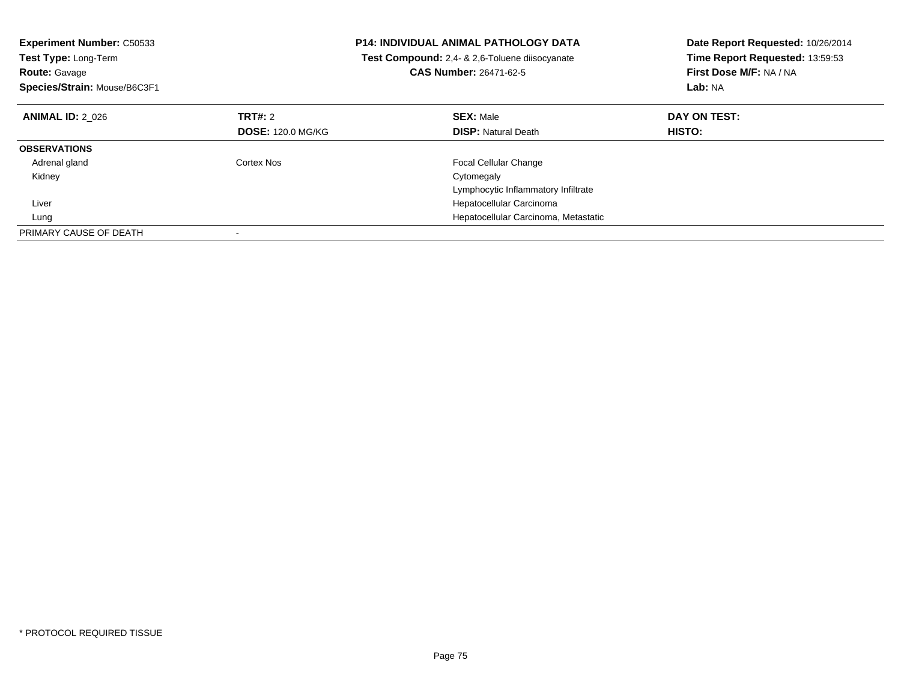| <b>Experiment Number: C50533</b> |                          | <b>P14: INDIVIDUAL ANIMAL PATHOLOGY DATA</b>   | Date Report Requested: 10/26/2014 |  |
|----------------------------------|--------------------------|------------------------------------------------|-----------------------------------|--|
| <b>Test Type: Long-Term</b>      |                          | Test Compound: 2,4- & 2,6-Toluene diisocyanate | Time Report Requested: 13:59:53   |  |
| <b>Route: Gavage</b>             |                          | <b>CAS Number: 26471-62-5</b>                  | First Dose M/F: NA / NA           |  |
| Species/Strain: Mouse/B6C3F1     |                          |                                                | Lab: NA                           |  |
| <b>ANIMAL ID: 2 026</b>          | <b>TRT#: 2</b>           | <b>SEX: Male</b>                               | DAY ON TEST:                      |  |
|                                  | <b>DOSE: 120.0 MG/KG</b> | <b>DISP: Natural Death</b>                     | <b>HISTO:</b>                     |  |
| <b>OBSERVATIONS</b>              |                          |                                                |                                   |  |
| Adrenal gland                    | Cortex Nos               | <b>Focal Cellular Change</b>                   |                                   |  |
| Kidney                           |                          | Cytomegaly                                     |                                   |  |
|                                  |                          | Lymphocytic Inflammatory Infiltrate            |                                   |  |
| Liver                            |                          | Hepatocellular Carcinoma                       |                                   |  |
| Lung                             |                          | Hepatocellular Carcinoma, Metastatic           |                                   |  |
| PRIMARY CAUSE OF DEATH           |                          |                                                |                                   |  |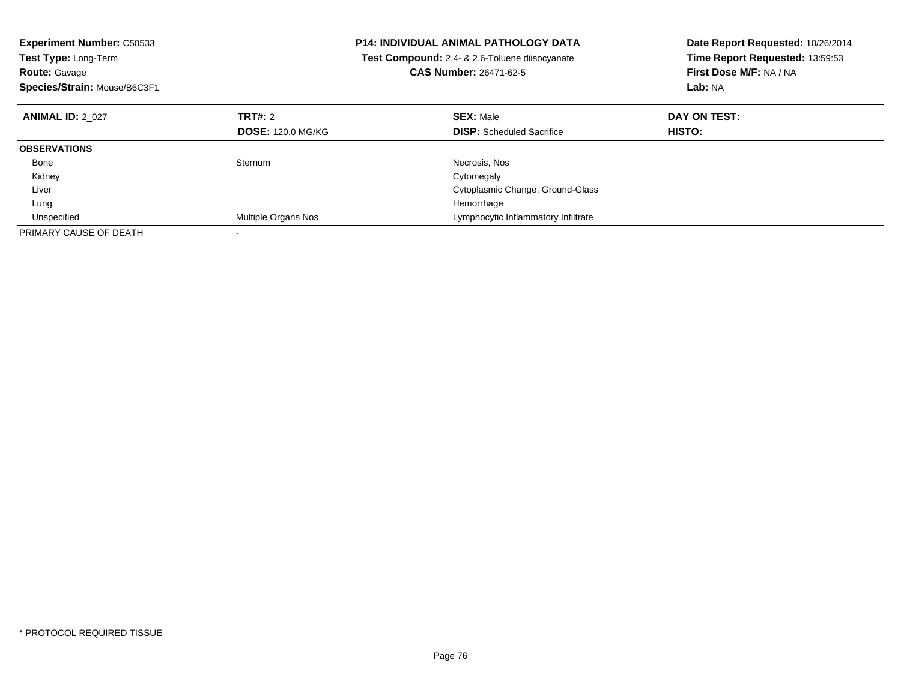| <b>Experiment Number: C50533</b> |                          | <b>P14: INDIVIDUAL ANIMAL PATHOLOGY DATA</b>   | Date Report Requested: 10/26/2014 |  |
|----------------------------------|--------------------------|------------------------------------------------|-----------------------------------|--|
| Test Type: Long-Term             |                          | Test Compound: 2.4- & 2.6-Toluene diisocyanate | Time Report Requested: 13:59:53   |  |
| <b>Route: Gavage</b>             |                          | <b>CAS Number: 26471-62-5</b>                  | First Dose M/F: NA / NA           |  |
| Species/Strain: Mouse/B6C3F1     |                          |                                                | Lab: NA                           |  |
| <b>ANIMAL ID: 2 027</b>          | TRT#: 2                  | <b>SEX: Male</b>                               | DAY ON TEST:                      |  |
|                                  | <b>DOSE: 120.0 MG/KG</b> | <b>DISP:</b> Scheduled Sacrifice               | <b>HISTO:</b>                     |  |
| <b>OBSERVATIONS</b>              |                          |                                                |                                   |  |
| Bone                             | Sternum                  | Necrosis, Nos                                  |                                   |  |
| Kidney                           |                          | Cytomegaly                                     |                                   |  |
| Liver                            |                          | Cytoplasmic Change, Ground-Glass               |                                   |  |
| Lung                             |                          | Hemorrhage                                     |                                   |  |
| Unspecified                      | Multiple Organs Nos      | Lymphocytic Inflammatory Infiltrate            |                                   |  |
| PRIMARY CAUSE OF DEATH           |                          |                                                |                                   |  |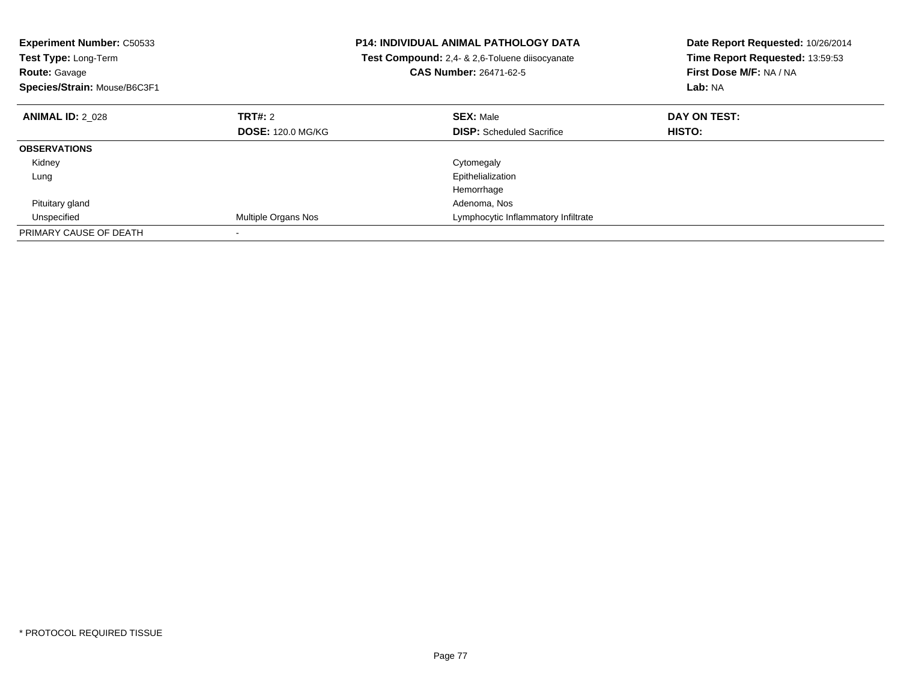| <b>Experiment Number: C50533</b><br><b>Test Type: Long-Term</b><br><b>Route: Gavage</b><br>Species/Strain: Mouse/B6C3F1 |                          | <b>P14: INDIVIDUAL ANIMAL PATHOLOGY DATA</b><br><b>Test Compound:</b> 2.4- & 2.6-Toluene diisocyanate<br><b>CAS Number: 26471-62-5</b> | Date Report Requested: 10/26/2014<br>Time Report Requested: 13:59:53<br>First Dose M/F: NA / NA<br>Lab: NA |
|-------------------------------------------------------------------------------------------------------------------------|--------------------------|----------------------------------------------------------------------------------------------------------------------------------------|------------------------------------------------------------------------------------------------------------|
| <b>ANIMAL ID: 2 028</b>                                                                                                 | TRT#: 2                  | <b>SEX: Male</b>                                                                                                                       | DAY ON TEST:                                                                                               |
|                                                                                                                         | <b>DOSE: 120.0 MG/KG</b> | <b>DISP:</b> Scheduled Sacrifice                                                                                                       | HISTO:                                                                                                     |
| <b>OBSERVATIONS</b>                                                                                                     |                          |                                                                                                                                        |                                                                                                            |
| Kidney                                                                                                                  |                          | Cytomegaly                                                                                                                             |                                                                                                            |
| Lung                                                                                                                    |                          | Epithelialization                                                                                                                      |                                                                                                            |
|                                                                                                                         |                          | Hemorrhage                                                                                                                             |                                                                                                            |
| Pituitary gland                                                                                                         |                          | Adenoma, Nos                                                                                                                           |                                                                                                            |
| Unspecified                                                                                                             | Multiple Organs Nos      | Lymphocytic Inflammatory Infiltrate                                                                                                    |                                                                                                            |
| PRIMARY CAUSE OF DEATH                                                                                                  |                          |                                                                                                                                        |                                                                                                            |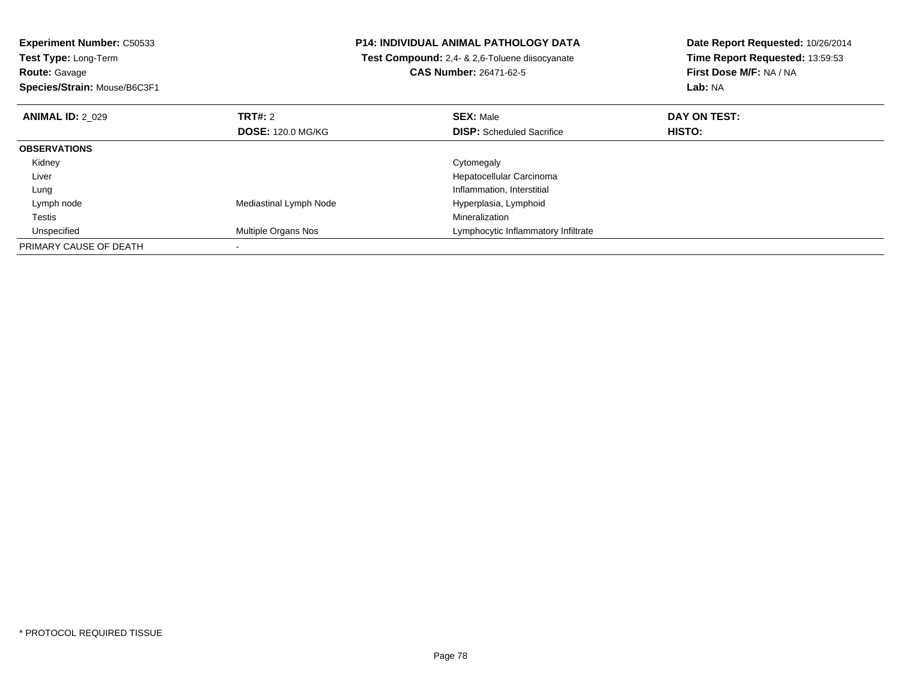**Experiment Number:** C50533**Test Type:** Long-Term**Route:** Gavage

**Species/Strain:** Mouse/B6C3F1

## **P14: INDIVIDUAL ANIMAL PATHOLOGY DATA**

 **Test Compound:** 2,4- & 2,6-Toluene diisocyanate**CAS Number:** 26471-62-5

**Date Report Requested:** 10/26/2014**Time Report Requested:** 13:59:53**First Dose M/F:** NA / NA**Lab:** NA

| <b>ANIMAL ID: 2 029</b> | <b>TRT#: 2</b>           | <b>SEX: Male</b>                    | DAY ON TEST: |  |
|-------------------------|--------------------------|-------------------------------------|--------------|--|
|                         | <b>DOSE: 120.0 MG/KG</b> | <b>DISP:</b> Scheduled Sacrifice    | HISTO:       |  |
| <b>OBSERVATIONS</b>     |                          |                                     |              |  |
| Kidney                  |                          | Cytomegaly                          |              |  |
| Liver                   |                          | Hepatocellular Carcinoma            |              |  |
| Lung                    |                          | Inflammation, Interstitial          |              |  |
| Lymph node              | Mediastinal Lymph Node   | Hyperplasia, Lymphoid               |              |  |
| Testis                  |                          | Mineralization                      |              |  |
| Unspecified             | Multiple Organs Nos      | Lymphocytic Inflammatory Infiltrate |              |  |
| PRIMARY CAUSE OF DEATH  |                          |                                     |              |  |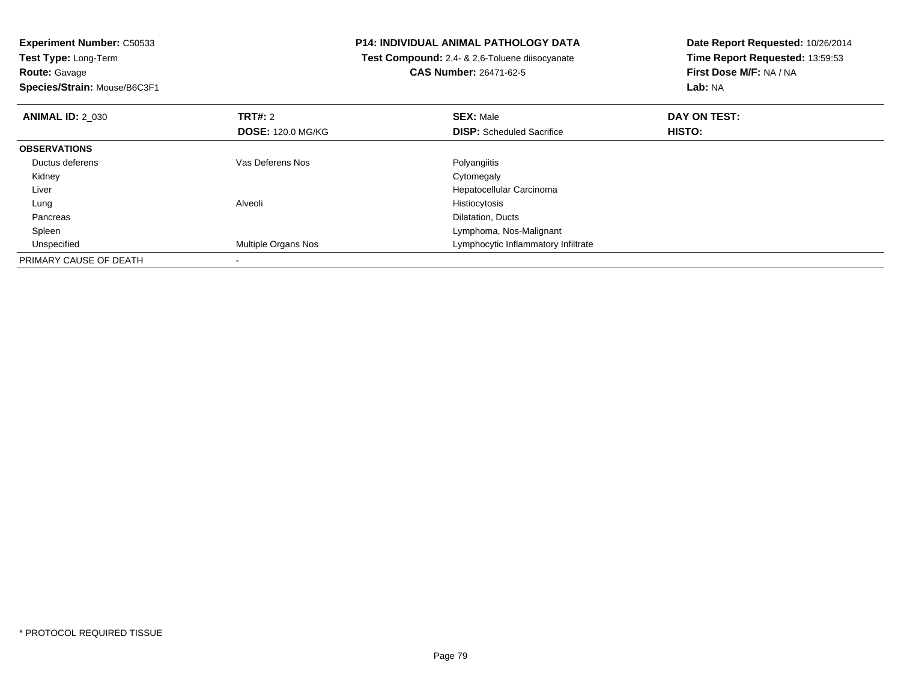**Experiment Number:** C50533**Test Type:** Long-Term**Route:** Gavage

**Species/Strain:** Mouse/B6C3F1

## **P14: INDIVIDUAL ANIMAL PATHOLOGY DATA**

 **Test Compound:** 2,4- & 2,6-Toluene diisocyanate**CAS Number:** 26471-62-5

**Date Report Requested:** 10/26/2014**Time Report Requested:** 13:59:53**First Dose M/F:** NA / NA**Lab:** NA

| <b>ANIMAL ID: 2 030</b> | TRT#: 2                  | <b>SEX: Male</b>                    | DAY ON TEST: |  |
|-------------------------|--------------------------|-------------------------------------|--------------|--|
|                         | <b>DOSE: 120.0 MG/KG</b> | <b>DISP:</b> Scheduled Sacrifice    | HISTO:       |  |
| <b>OBSERVATIONS</b>     |                          |                                     |              |  |
| Ductus deferens         | Vas Deferens Nos         | Polyangiitis                        |              |  |
| Kidney                  |                          | Cytomegaly                          |              |  |
| Liver                   |                          | Hepatocellular Carcinoma            |              |  |
| Lung                    | Alveoli                  | Histiocytosis                       |              |  |
| Pancreas                |                          | Dilatation, Ducts                   |              |  |
| Spleen                  |                          | Lymphoma, Nos-Malignant             |              |  |
| Unspecified             | Multiple Organs Nos      | Lymphocytic Inflammatory Infiltrate |              |  |
| PRIMARY CAUSE OF DEATH  |                          |                                     |              |  |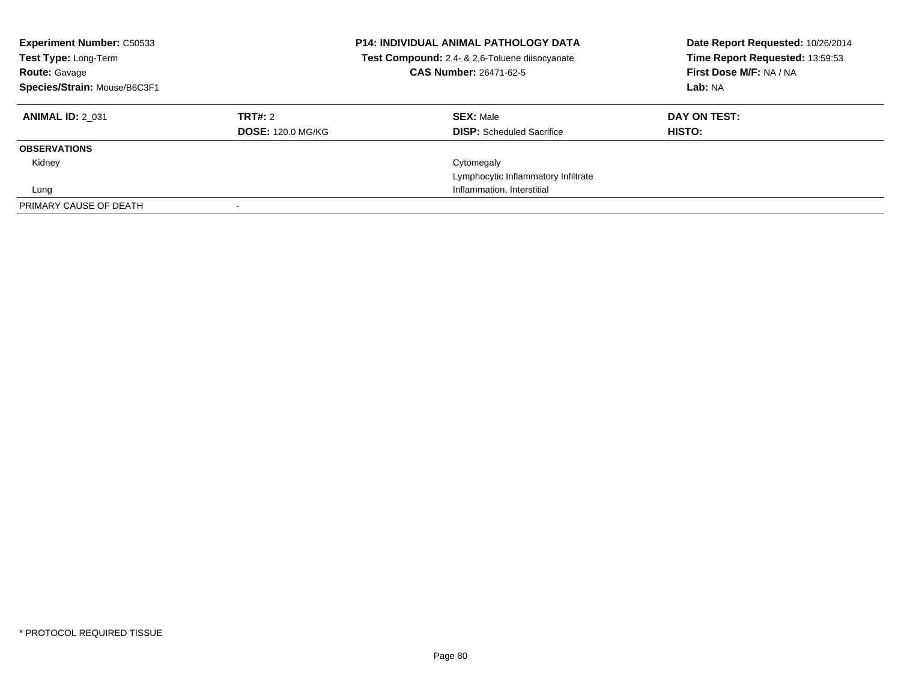| <b>Experiment Number: C50533</b><br><b>Test Type: Long-Term</b><br><b>Route: Gavage</b><br>Species/Strain: Mouse/B6C3F1 |                          | <b>P14: INDIVIDUAL ANIMAL PATHOLOGY DATA</b><br>Test Compound: 2,4- & 2,6-Toluene diisocyanate<br>CAS Number: 26471-62-5 | Date Report Requested: 10/26/2014<br>Time Report Requested: 13:59:53<br>First Dose M/F: NA / NA<br>Lab: NA |
|-------------------------------------------------------------------------------------------------------------------------|--------------------------|--------------------------------------------------------------------------------------------------------------------------|------------------------------------------------------------------------------------------------------------|
| <b>ANIMAL ID: 2 031</b>                                                                                                 | TRT#: 2                  | <b>SEX: Male</b>                                                                                                         | DAY ON TEST:                                                                                               |
|                                                                                                                         | <b>DOSE: 120.0 MG/KG</b> | <b>DISP:</b> Scheduled Sacrifice                                                                                         | <b>HISTO:</b>                                                                                              |
| <b>OBSERVATIONS</b>                                                                                                     |                          |                                                                                                                          |                                                                                                            |
| Kidney                                                                                                                  |                          | Cytomegaly                                                                                                               |                                                                                                            |
|                                                                                                                         |                          | Lymphocytic Inflammatory Infiltrate                                                                                      |                                                                                                            |
| Lung                                                                                                                    |                          | Inflammation, Interstitial                                                                                               |                                                                                                            |
| PRIMARY CAUSE OF DEATH                                                                                                  |                          |                                                                                                                          |                                                                                                            |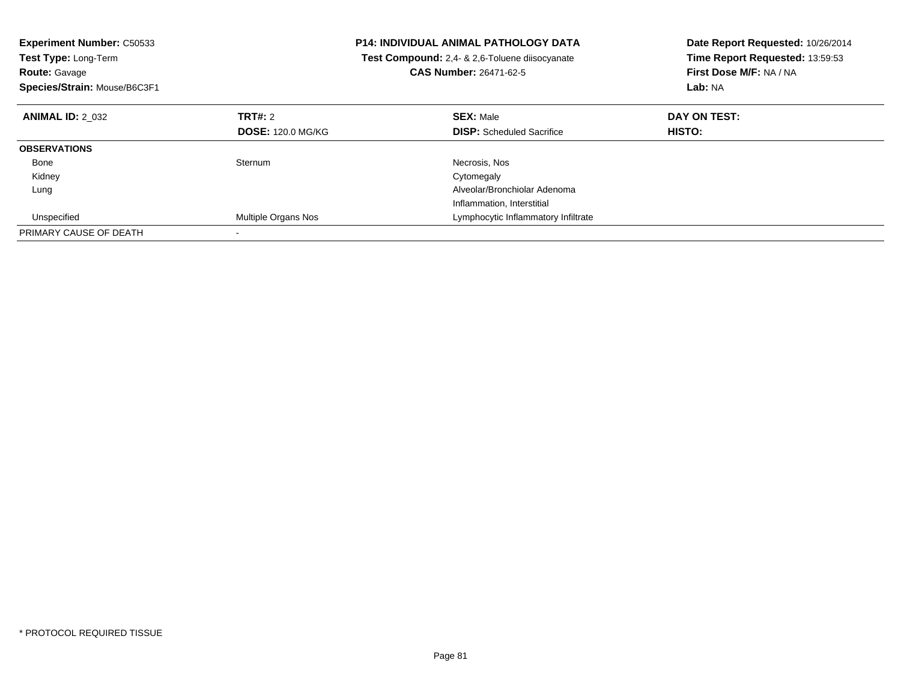| <b>Experiment Number: C50533</b> |                          | <b>P14: INDIVIDUAL ANIMAL PATHOLOGY DATA</b>   | Date Report Requested: 10/26/2014 |
|----------------------------------|--------------------------|------------------------------------------------|-----------------------------------|
| Test Type: Long-Term             |                          | Test Compound: 2,4- & 2,6-Toluene diisocyanate | Time Report Requested: 13:59:53   |
| <b>Route: Gavage</b>             |                          | <b>CAS Number: 26471-62-5</b>                  | First Dose M/F: NA / NA           |
| Species/Strain: Mouse/B6C3F1     |                          |                                                | Lab: NA                           |
| <b>ANIMAL ID: 2 032</b>          | <b>TRT#: 2</b>           | <b>SEX: Male</b>                               | DAY ON TEST:                      |
|                                  | <b>DOSE: 120.0 MG/KG</b> | <b>DISP:</b> Scheduled Sacrifice               | <b>HISTO:</b>                     |
| <b>OBSERVATIONS</b>              |                          |                                                |                                   |
| Bone                             | Sternum                  | Necrosis, Nos                                  |                                   |
| Kidney                           |                          | Cytomegaly                                     |                                   |
| Lung                             |                          | Alveolar/Bronchiolar Adenoma                   |                                   |
|                                  |                          | Inflammation, Interstitial                     |                                   |
| Unspecified                      | Multiple Organs Nos      | Lymphocytic Inflammatory Infiltrate            |                                   |
| PRIMARY CAUSE OF DEATH           |                          |                                                |                                   |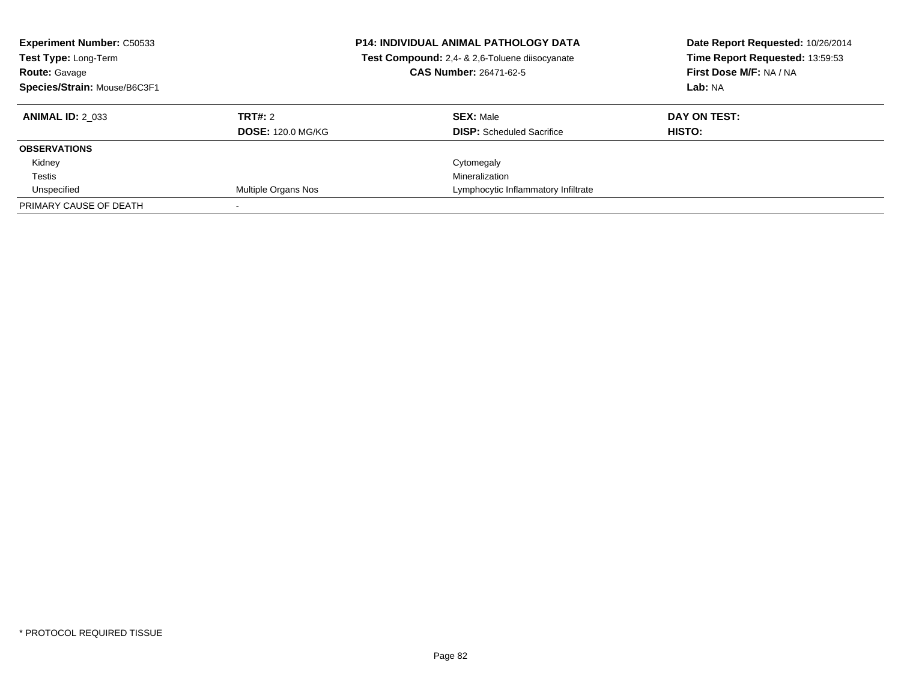| <b>Experiment Number: C50533</b><br>Test Type: Long-Term<br><b>Route: Gavage</b><br>Species/Strain: Mouse/B6C3F1 |                          | <b>P14: INDIVIDUAL ANIMAL PATHOLOGY DATA</b><br>Test Compound: 2,4- & 2,6-Toluene diisocyanate<br><b>CAS Number: 26471-62-5</b> | Date Report Requested: 10/26/2014<br>Time Report Requested: 13:59:53<br>First Dose M/F: NA / NA<br>Lab: NA |
|------------------------------------------------------------------------------------------------------------------|--------------------------|---------------------------------------------------------------------------------------------------------------------------------|------------------------------------------------------------------------------------------------------------|
| <b>ANIMAL ID: 2 033</b>                                                                                          | TRT#: 2                  | <b>SEX: Male</b>                                                                                                                | DAY ON TEST:                                                                                               |
|                                                                                                                  | <b>DOSE: 120.0 MG/KG</b> | <b>DISP:</b> Scheduled Sacrifice                                                                                                | <b>HISTO:</b>                                                                                              |
| <b>OBSERVATIONS</b>                                                                                              |                          |                                                                                                                                 |                                                                                                            |
| Kidney                                                                                                           |                          | Cytomegaly                                                                                                                      |                                                                                                            |
| Testis                                                                                                           |                          | Mineralization                                                                                                                  |                                                                                                            |
| Unspecified                                                                                                      | Multiple Organs Nos      | Lymphocytic Inflammatory Infiltrate                                                                                             |                                                                                                            |
| PRIMARY CAUSE OF DEATH                                                                                           |                          |                                                                                                                                 |                                                                                                            |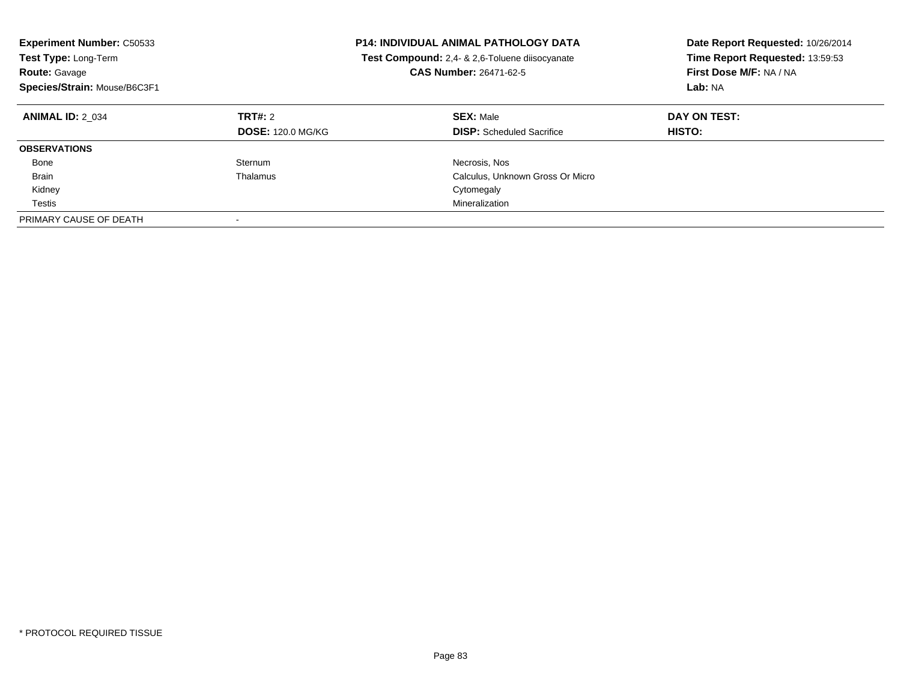| <b>Experiment Number: C50533</b><br><b>Test Type: Long-Term</b><br><b>Route: Gavage</b><br>Species/Strain: Mouse/B6C3F1 |                                     | <b>P14: INDIVIDUAL ANIMAL PATHOLOGY DATA</b><br>Test Compound: 2,4- & 2,6-Toluene diisocyanate<br>CAS Number: 26471-62-5 | Date Report Requested: 10/26/2014<br>Time Report Requested: 13:59:53<br>First Dose M/F: NA / NA<br>Lab: NA |
|-------------------------------------------------------------------------------------------------------------------------|-------------------------------------|--------------------------------------------------------------------------------------------------------------------------|------------------------------------------------------------------------------------------------------------|
| <b>ANIMAL ID: 2 034</b>                                                                                                 | TRT#: 2<br><b>DOSE: 120.0 MG/KG</b> | <b>SEX: Male</b><br><b>DISP:</b> Scheduled Sacrifice                                                                     | DAY ON TEST:<br><b>HISTO:</b>                                                                              |
| <b>OBSERVATIONS</b>                                                                                                     |                                     |                                                                                                                          |                                                                                                            |
| Bone                                                                                                                    | Sternum                             | Necrosis, Nos                                                                                                            |                                                                                                            |
| <b>Brain</b>                                                                                                            | Thalamus                            | Calculus, Unknown Gross Or Micro                                                                                         |                                                                                                            |
| Kidney                                                                                                                  |                                     | Cytomegaly                                                                                                               |                                                                                                            |
| Testis                                                                                                                  |                                     | Mineralization                                                                                                           |                                                                                                            |
| PRIMARY CAUSE OF DEATH                                                                                                  |                                     |                                                                                                                          |                                                                                                            |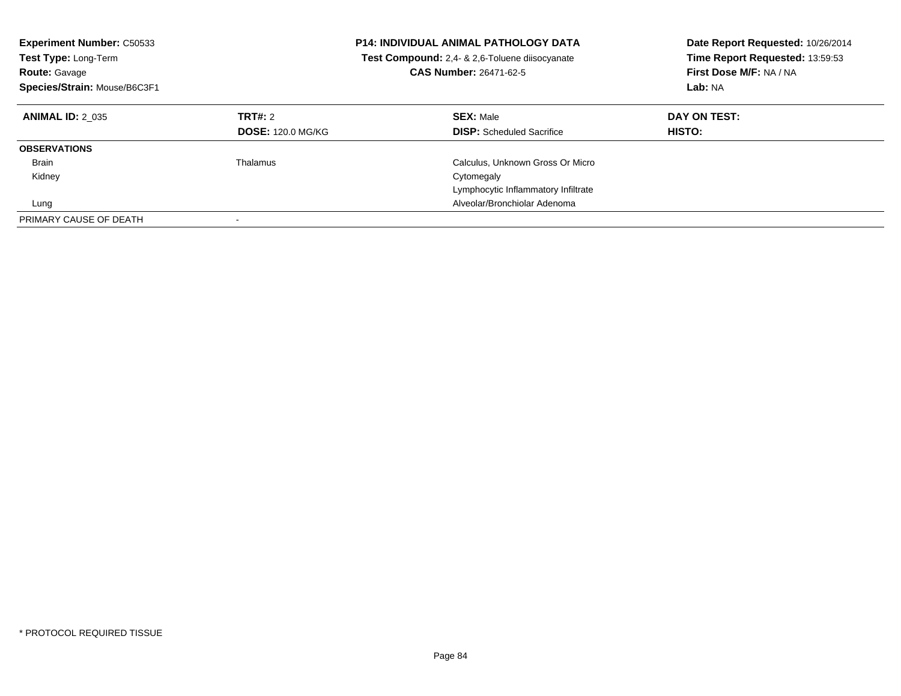| <b>Experiment Number: C50533</b><br><b>Test Type: Long-Term</b><br><b>Route: Gavage</b><br>Species/Strain: Mouse/B6C3F1 |                                     | <b>P14: INDIVIDUAL ANIMAL PATHOLOGY DATA</b><br>Test Compound: 2,4- & 2,6-Toluene diisocyanate<br><b>CAS Number: 26471-62-5</b> | Date Report Requested: 10/26/2014<br>Time Report Requested: 13:59:53<br>First Dose M/F: NA / NA<br>Lab: NA |
|-------------------------------------------------------------------------------------------------------------------------|-------------------------------------|---------------------------------------------------------------------------------------------------------------------------------|------------------------------------------------------------------------------------------------------------|
| <b>ANIMAL ID: 2 035</b>                                                                                                 | TRT#: 2<br><b>DOSE: 120.0 MG/KG</b> | <b>SEX: Male</b><br><b>DISP:</b> Scheduled Sacrifice                                                                            | DAY ON TEST:<br>HISTO:                                                                                     |
| <b>OBSERVATIONS</b>                                                                                                     |                                     |                                                                                                                                 |                                                                                                            |
| <b>Brain</b>                                                                                                            | Thalamus                            | Calculus, Unknown Gross Or Micro                                                                                                |                                                                                                            |
| Kidney                                                                                                                  |                                     | Cytomegaly                                                                                                                      |                                                                                                            |
|                                                                                                                         |                                     | Lymphocytic Inflammatory Infiltrate                                                                                             |                                                                                                            |
| Lung                                                                                                                    |                                     | Alveolar/Bronchiolar Adenoma                                                                                                    |                                                                                                            |
| PRIMARY CAUSE OF DEATH                                                                                                  |                                     |                                                                                                                                 |                                                                                                            |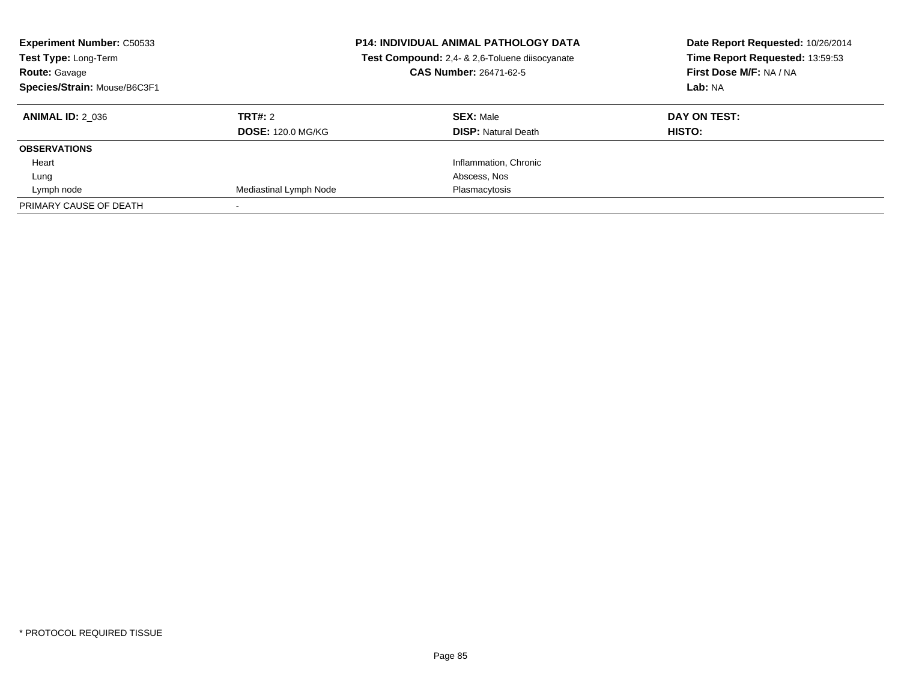| <b>Experiment Number: C50533</b><br>Test Type: Long-Term<br><b>Route: Gavage</b><br>Species/Strain: Mouse/B6C3F1 |                          | <b>P14: INDIVIDUAL ANIMAL PATHOLOGY DATA</b><br>Test Compound: 2,4- & 2,6-Toluene diisocyanate<br>CAS Number: 26471-62-5 | Date Report Requested: 10/26/2014<br>Time Report Requested: 13:59:53<br>First Dose M/F: NA / NA<br>Lab: NA |
|------------------------------------------------------------------------------------------------------------------|--------------------------|--------------------------------------------------------------------------------------------------------------------------|------------------------------------------------------------------------------------------------------------|
| <b>ANIMAL ID: 2 036</b>                                                                                          | <b>TRT#: 2</b>           | <b>SEX: Male</b>                                                                                                         | DAY ON TEST:                                                                                               |
|                                                                                                                  | <b>DOSE: 120.0 MG/KG</b> | <b>DISP: Natural Death</b>                                                                                               | HISTO:                                                                                                     |
| <b>OBSERVATIONS</b>                                                                                              |                          |                                                                                                                          |                                                                                                            |
| Heart                                                                                                            |                          | Inflammation, Chronic                                                                                                    |                                                                                                            |
| Lung                                                                                                             |                          | Abscess, Nos                                                                                                             |                                                                                                            |
| Lymph node                                                                                                       | Mediastinal Lymph Node   | Plasmacytosis                                                                                                            |                                                                                                            |
| PRIMARY CAUSE OF DEATH                                                                                           |                          |                                                                                                                          |                                                                                                            |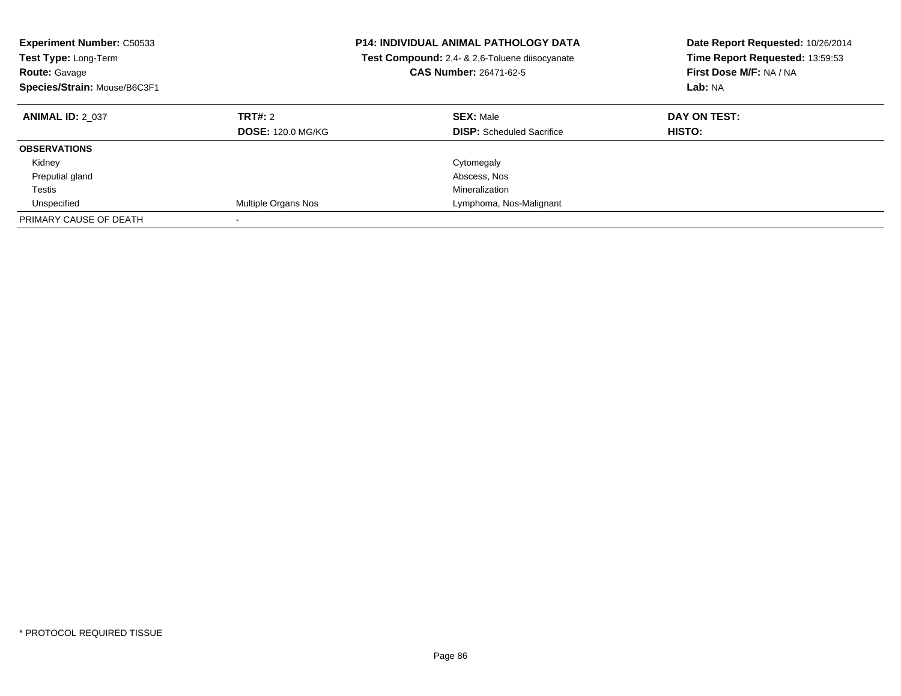| <b>Experiment Number: C50533</b><br><b>Test Type: Long-Term</b><br><b>Route: Gavage</b><br>Species/Strain: Mouse/B6C3F1 | <b>P14: INDIVIDUAL ANIMAL PATHOLOGY DATA</b><br>Test Compound: 2,4- & 2,6-Toluene diisocyanate<br><b>CAS Number: 26471-62-5</b> |                                                      | Date Report Requested: 10/26/2014<br>Time Report Requested: 13:59:53<br>First Dose M/F: NA / NA<br>Lab: NA |
|-------------------------------------------------------------------------------------------------------------------------|---------------------------------------------------------------------------------------------------------------------------------|------------------------------------------------------|------------------------------------------------------------------------------------------------------------|
| <b>ANIMAL ID: 2 037</b>                                                                                                 | TRT#: 2<br><b>DOSE: 120.0 MG/KG</b>                                                                                             | <b>SEX: Male</b><br><b>DISP:</b> Scheduled Sacrifice | DAY ON TEST:<br><b>HISTO:</b>                                                                              |
| <b>OBSERVATIONS</b>                                                                                                     |                                                                                                                                 |                                                      |                                                                                                            |
| Kidney                                                                                                                  |                                                                                                                                 | Cytomegaly                                           |                                                                                                            |
| Preputial gland                                                                                                         |                                                                                                                                 | Abscess, Nos                                         |                                                                                                            |
| Testis                                                                                                                  |                                                                                                                                 | Mineralization                                       |                                                                                                            |
| Unspecified                                                                                                             | Multiple Organs Nos                                                                                                             | Lymphoma, Nos-Malignant                              |                                                                                                            |
| PRIMARY CAUSE OF DEATH                                                                                                  |                                                                                                                                 |                                                      |                                                                                                            |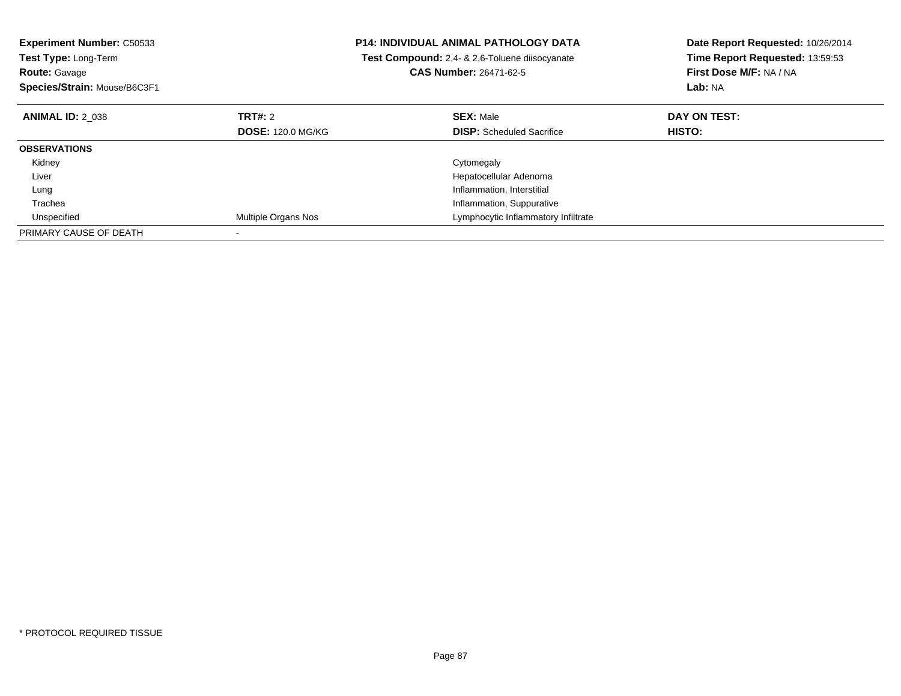| <b>Experiment Number: C50533</b><br><b>Test Type: Long-Term</b><br><b>Route: Gavage</b><br>Species/Strain: Mouse/B6C3F1 |                          | <b>P14: INDIVIDUAL ANIMAL PATHOLOGY DATA</b><br>Test Compound: 2,4- & 2,6-Toluene diisocyanate<br><b>CAS Number: 26471-62-5</b> | Date Report Requested: 10/26/2014<br>Time Report Requested: 13:59:53<br>First Dose M/F: NA / NA<br>Lab: NA |
|-------------------------------------------------------------------------------------------------------------------------|--------------------------|---------------------------------------------------------------------------------------------------------------------------------|------------------------------------------------------------------------------------------------------------|
| <b>ANIMAL ID: 2 038</b>                                                                                                 | <b>TRT#: 2</b>           | <b>SEX: Male</b>                                                                                                                | DAY ON TEST:                                                                                               |
|                                                                                                                         | <b>DOSE: 120.0 MG/KG</b> | <b>DISP:</b> Scheduled Sacrifice                                                                                                | HISTO:                                                                                                     |
| <b>OBSERVATIONS</b>                                                                                                     |                          |                                                                                                                                 |                                                                                                            |
| Kidney                                                                                                                  |                          | Cytomegaly                                                                                                                      |                                                                                                            |
| Liver                                                                                                                   |                          | Hepatocellular Adenoma                                                                                                          |                                                                                                            |
| Lung                                                                                                                    |                          | Inflammation, Interstitial                                                                                                      |                                                                                                            |
| Trachea                                                                                                                 |                          | Inflammation, Suppurative                                                                                                       |                                                                                                            |
| Unspecified                                                                                                             | Multiple Organs Nos      | Lymphocytic Inflammatory Infiltrate                                                                                             |                                                                                                            |
| PRIMARY CAUSE OF DEATH                                                                                                  |                          |                                                                                                                                 |                                                                                                            |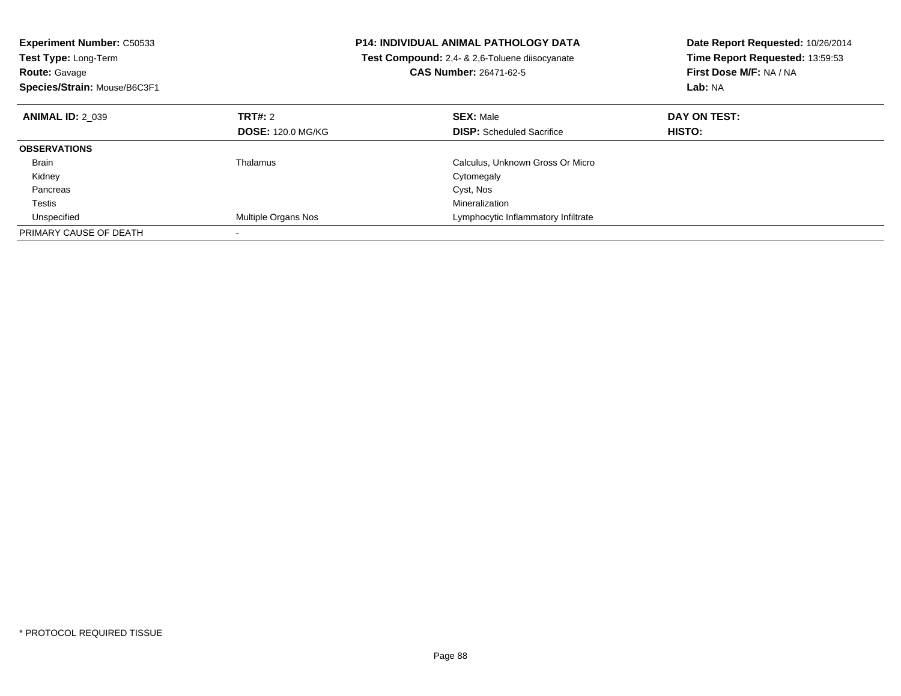| <b>Experiment Number: C50533</b><br><b>Test Type: Long-Term</b><br><b>Route: Gavage</b><br>Species/Strain: Mouse/B6C3F1 |                          | <b>P14: INDIVIDUAL ANIMAL PATHOLOGY DATA</b><br>Test Compound: 2.4- & 2.6-Toluene diisocyanate<br><b>CAS Number: 26471-62-5</b> | Date Report Requested: 10/26/2014<br>Time Report Requested: 13:59:53<br>First Dose M/F: NA / NA<br>Lab: NA |
|-------------------------------------------------------------------------------------------------------------------------|--------------------------|---------------------------------------------------------------------------------------------------------------------------------|------------------------------------------------------------------------------------------------------------|
| <b>ANIMAL ID: 2 039</b>                                                                                                 | TRT#: 2                  | <b>SEX: Male</b>                                                                                                                | DAY ON TEST:                                                                                               |
|                                                                                                                         | <b>DOSE: 120.0 MG/KG</b> | <b>DISP:</b> Scheduled Sacrifice                                                                                                | HISTO:                                                                                                     |
| <b>OBSERVATIONS</b>                                                                                                     |                          |                                                                                                                                 |                                                                                                            |
| <b>Brain</b>                                                                                                            | Thalamus                 | Calculus, Unknown Gross Or Micro                                                                                                |                                                                                                            |
| Kidney                                                                                                                  |                          | Cytomegaly                                                                                                                      |                                                                                                            |
| Pancreas                                                                                                                |                          | Cyst, Nos                                                                                                                       |                                                                                                            |
| Testis                                                                                                                  |                          | Mineralization                                                                                                                  |                                                                                                            |
| Unspecified                                                                                                             | Multiple Organs Nos      | Lymphocytic Inflammatory Infiltrate                                                                                             |                                                                                                            |
| PRIMARY CAUSE OF DEATH                                                                                                  |                          |                                                                                                                                 |                                                                                                            |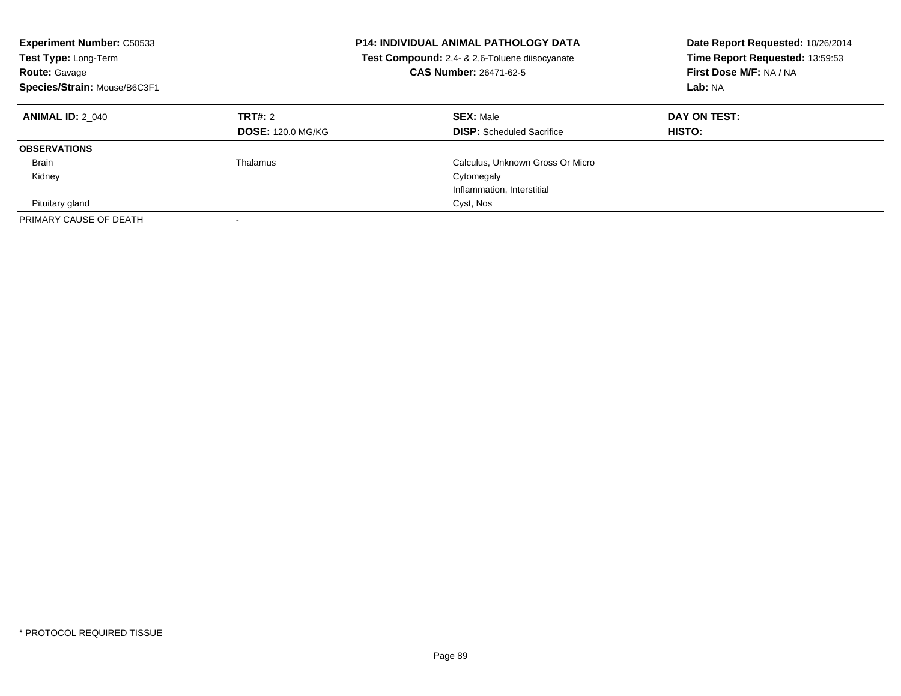| <b>Experiment Number: C50533</b><br><b>Test Type: Long-Term</b><br><b>Route: Gavage</b><br>Species/Strain: Mouse/B6C3F1 | <b>P14: INDIVIDUAL ANIMAL PATHOLOGY DATA</b><br>Test Compound: 2,4- & 2,6-Toluene diisocyanate<br><b>CAS Number: 26471-62-5</b> |                                                      | Date Report Requested: 10/26/2014<br>Time Report Requested: 13:59:53<br>First Dose M/F: NA / NA<br>Lab: NA |
|-------------------------------------------------------------------------------------------------------------------------|---------------------------------------------------------------------------------------------------------------------------------|------------------------------------------------------|------------------------------------------------------------------------------------------------------------|
| <b>ANIMAL ID: 2 040</b>                                                                                                 | TRT#: 2<br><b>DOSE: 120.0 MG/KG</b>                                                                                             | <b>SEX: Male</b><br><b>DISP:</b> Scheduled Sacrifice | DAY ON TEST:<br><b>HISTO:</b>                                                                              |
| <b>OBSERVATIONS</b>                                                                                                     |                                                                                                                                 |                                                      |                                                                                                            |
| Brain                                                                                                                   | Thalamus                                                                                                                        | Calculus, Unknown Gross Or Micro                     |                                                                                                            |
| Kidney                                                                                                                  |                                                                                                                                 | Cytomegaly                                           |                                                                                                            |
|                                                                                                                         |                                                                                                                                 | Inflammation, Interstitial                           |                                                                                                            |
| Pituitary gland                                                                                                         |                                                                                                                                 | Cyst, Nos                                            |                                                                                                            |
| PRIMARY CAUSE OF DEATH                                                                                                  | $\overline{\phantom{a}}$                                                                                                        |                                                      |                                                                                                            |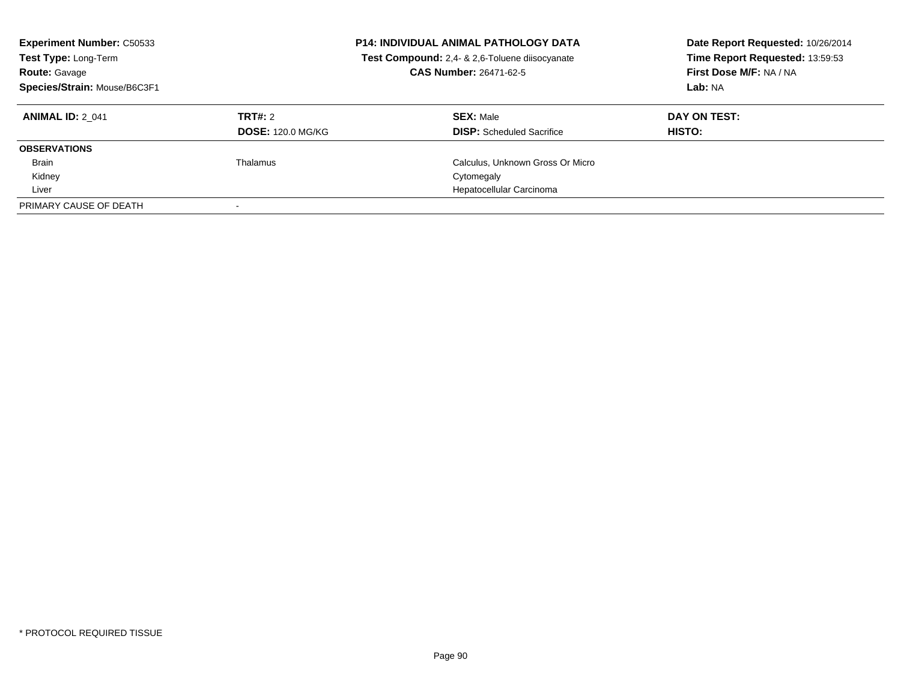| <b>Experiment Number: C50533</b><br><b>P14: INDIVIDUAL ANIMAL PATHOLOGY DATA</b><br>Test Compound: 2,4- & 2,6-Toluene diisocyanate<br>Test Type: Long-Term<br>CAS Number: 26471-62-5<br><b>Route: Gavage</b><br>Species/Strain: Mouse/B6C3F1 |                                     |                                                      | Date Report Requested: 10/26/2014<br>Time Report Requested: 13:59:53<br>First Dose M/F: NA / NA<br>Lab: NA |
|----------------------------------------------------------------------------------------------------------------------------------------------------------------------------------------------------------------------------------------------|-------------------------------------|------------------------------------------------------|------------------------------------------------------------------------------------------------------------|
| <b>ANIMAL ID: 2 041</b>                                                                                                                                                                                                                      | TRT#: 2<br><b>DOSE: 120.0 MG/KG</b> | <b>SEX: Male</b><br><b>DISP:</b> Scheduled Sacrifice | DAY ON TEST:<br><b>HISTO:</b>                                                                              |
| <b>OBSERVATIONS</b>                                                                                                                                                                                                                          |                                     |                                                      |                                                                                                            |
| <b>Brain</b>                                                                                                                                                                                                                                 | Thalamus                            | Calculus, Unknown Gross Or Micro                     |                                                                                                            |
| Kidney                                                                                                                                                                                                                                       |                                     | Cytomegaly                                           |                                                                                                            |
| Liver                                                                                                                                                                                                                                        |                                     | Hepatocellular Carcinoma                             |                                                                                                            |
| PRIMARY CAUSE OF DEATH                                                                                                                                                                                                                       |                                     |                                                      |                                                                                                            |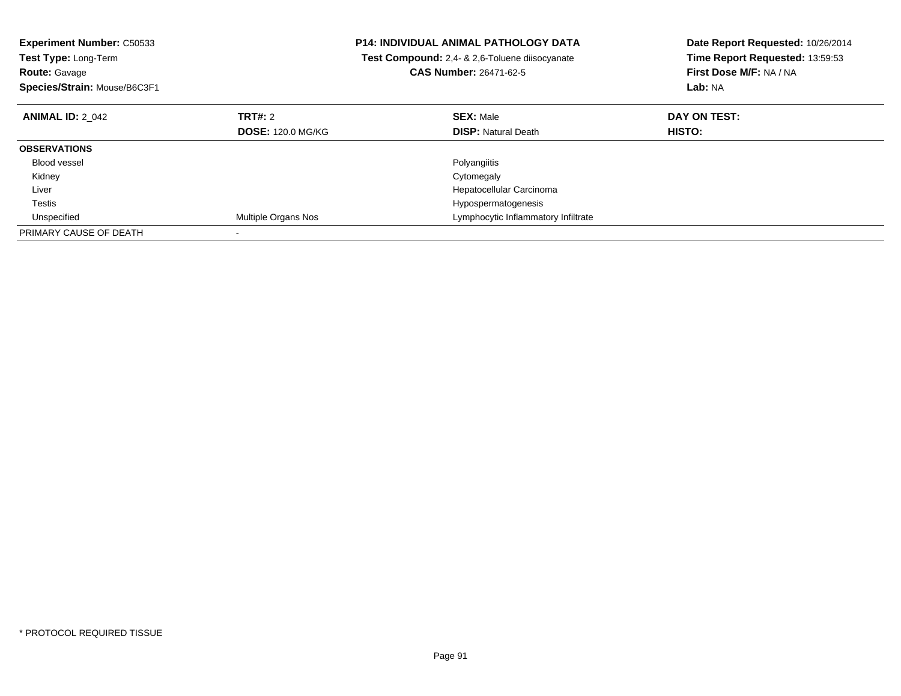| <b>Experiment Number: C50533</b><br>Test Type: Long-Term |                          | P14: INDIVIDUAL ANIMAL PATHOLOGY DATA          | Date Report Requested: 10/26/2014 |
|----------------------------------------------------------|--------------------------|------------------------------------------------|-----------------------------------|
|                                                          |                          | Test Compound: 2,4- & 2,6-Toluene diisocyanate | Time Report Requested: 13:59:53   |
| <b>Route: Gavage</b>                                     |                          | <b>CAS Number: 26471-62-5</b>                  | First Dose M/F: NA / NA           |
| Species/Strain: Mouse/B6C3F1                             |                          |                                                | Lab: NA                           |
| <b>ANIMAL ID: 2 042</b>                                  | TRT#: 2                  | <b>SEX: Male</b>                               | DAY ON TEST:                      |
|                                                          | <b>DOSE: 120.0 MG/KG</b> | <b>DISP: Natural Death</b>                     | <b>HISTO:</b>                     |
| <b>OBSERVATIONS</b>                                      |                          |                                                |                                   |
| <b>Blood vessel</b>                                      |                          | Polyangiitis                                   |                                   |
| Kidney                                                   |                          | Cytomegaly                                     |                                   |
| Liver                                                    |                          | Hepatocellular Carcinoma                       |                                   |
| Testis                                                   |                          | Hypospermatogenesis                            |                                   |
| Unspecified                                              | Multiple Organs Nos      | Lymphocytic Inflammatory Infiltrate            |                                   |
| PRIMARY CAUSE OF DEATH                                   |                          |                                                |                                   |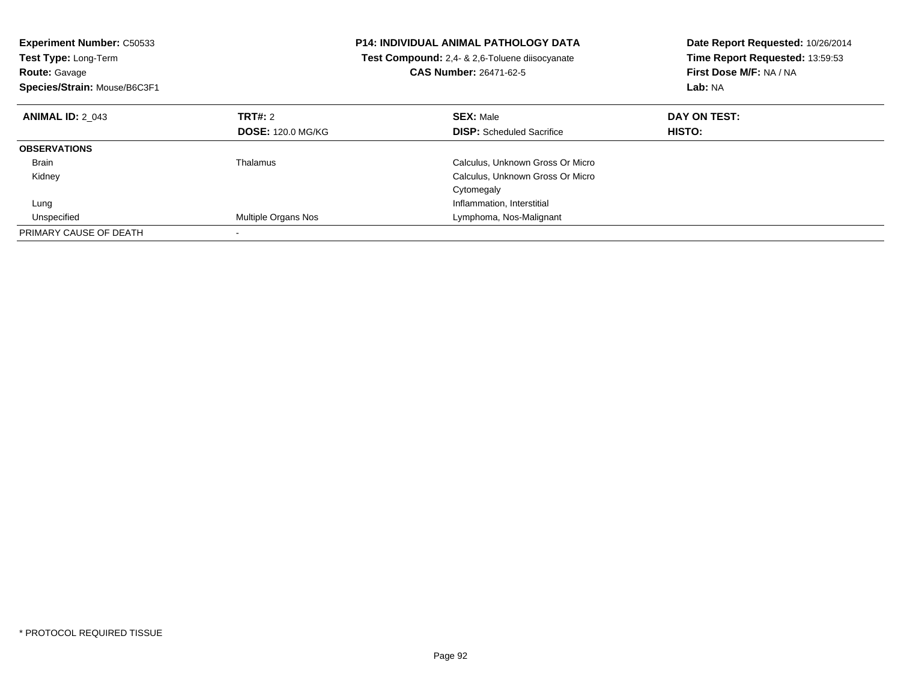| <b>Experiment Number: C50533</b><br><b>Test Type: Long-Term</b><br><b>Route: Gavage</b><br>Species/Strain: Mouse/B6C3F1 |                          | <b>P14: INDIVIDUAL ANIMAL PATHOLOGY DATA</b><br>Test Compound: 2,4- & 2,6-Toluene diisocyanate<br><b>CAS Number: 26471-62-5</b> | Date Report Requested: 10/26/2014<br>Time Report Requested: 13:59:53<br>First Dose M/F: NA / NA<br>Lab: NA |
|-------------------------------------------------------------------------------------------------------------------------|--------------------------|---------------------------------------------------------------------------------------------------------------------------------|------------------------------------------------------------------------------------------------------------|
| <b>ANIMAL ID: 2 043</b>                                                                                                 | TRT#: 2                  | <b>SEX: Male</b>                                                                                                                | DAY ON TEST:                                                                                               |
|                                                                                                                         | <b>DOSE: 120.0 MG/KG</b> | <b>DISP:</b> Scheduled Sacrifice                                                                                                | <b>HISTO:</b>                                                                                              |
| <b>OBSERVATIONS</b>                                                                                                     |                          |                                                                                                                                 |                                                                                                            |
| <b>Brain</b>                                                                                                            | Thalamus                 | Calculus, Unknown Gross Or Micro                                                                                                |                                                                                                            |
| Kidney                                                                                                                  |                          | Calculus, Unknown Gross Or Micro                                                                                                |                                                                                                            |
|                                                                                                                         |                          | Cytomegaly                                                                                                                      |                                                                                                            |
| Lung                                                                                                                    |                          | Inflammation, Interstitial                                                                                                      |                                                                                                            |
| Unspecified                                                                                                             | Multiple Organs Nos      | Lymphoma, Nos-Malignant                                                                                                         |                                                                                                            |
| PRIMARY CAUSE OF DEATH                                                                                                  |                          |                                                                                                                                 |                                                                                                            |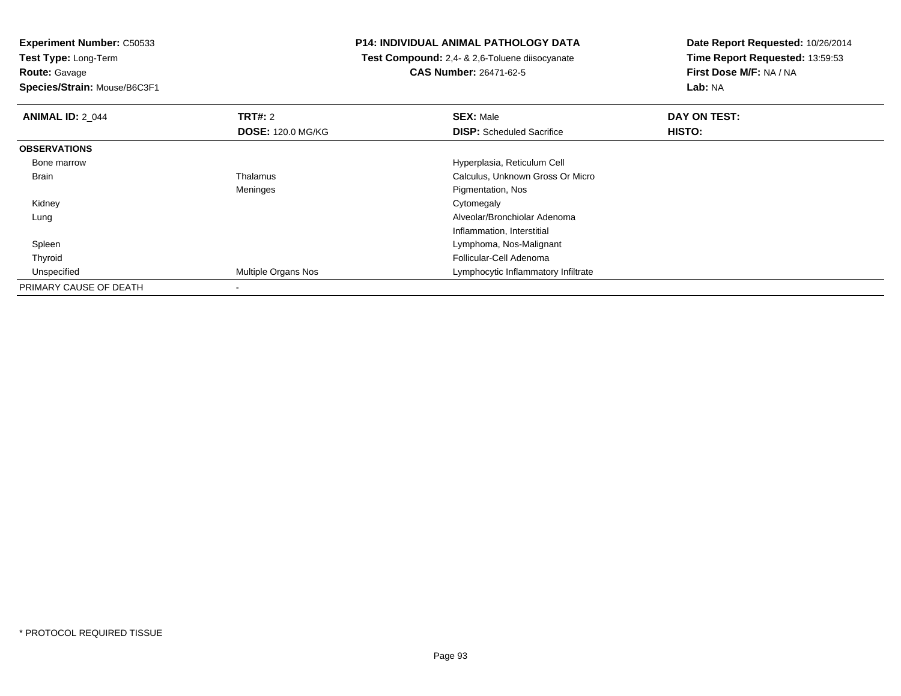**Experiment Number:** C50533

**Test Type:** Long-Term**Route:** Gavage

**Species/Strain:** Mouse/B6C3F1

## **P14: INDIVIDUAL ANIMAL PATHOLOGY DATA**

 **Test Compound:** 2,4- & 2,6-Toluene diisocyanate**CAS Number:** 26471-62-5

**Date Report Requested:** 10/26/2014**Time Report Requested:** 13:59:53**First Dose M/F:** NA / NA**Lab:** NA

| <b>ANIMAL ID: 2 044</b> | TRT#: 2                    | <b>SEX: Male</b>                    | DAY ON TEST:  |  |
|-------------------------|----------------------------|-------------------------------------|---------------|--|
|                         | <b>DOSE: 120.0 MG/KG</b>   | <b>DISP:</b> Scheduled Sacrifice    | <b>HISTO:</b> |  |
| <b>OBSERVATIONS</b>     |                            |                                     |               |  |
| Bone marrow             |                            | Hyperplasia, Reticulum Cell         |               |  |
| Brain                   | Thalamus                   | Calculus, Unknown Gross Or Micro    |               |  |
|                         | Meninges                   | Pigmentation, Nos                   |               |  |
| Kidney                  |                            | Cytomegaly                          |               |  |
| Lung                    |                            | Alveolar/Bronchiolar Adenoma        |               |  |
|                         |                            | Inflammation, Interstitial          |               |  |
| Spleen                  |                            | Lymphoma, Nos-Malignant             |               |  |
| Thyroid                 |                            | Follicular-Cell Adenoma             |               |  |
| Unspecified             | <b>Multiple Organs Nos</b> | Lymphocytic Inflammatory Infiltrate |               |  |
| PRIMARY CAUSE OF DEATH  |                            |                                     |               |  |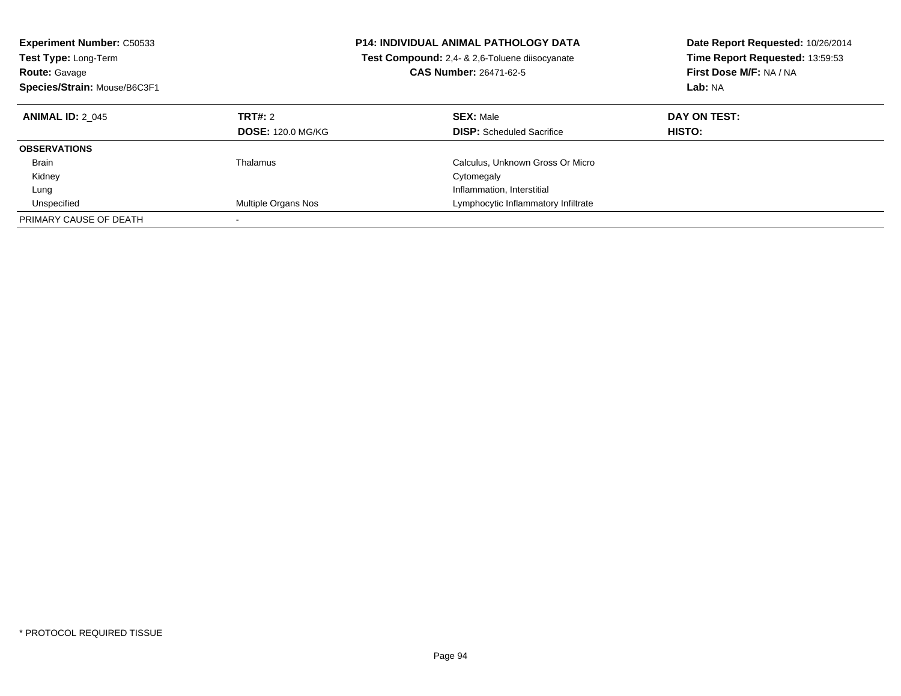| <b>Experiment Number: C50533</b><br><b>Test Type: Long-Term</b><br><b>Route: Gavage</b><br>Species/Strain: Mouse/B6C3F1 | <b>P14: INDIVIDUAL ANIMAL PATHOLOGY DATA</b><br>Test Compound: 2,4- & 2,6-Toluene diisocyanate<br><b>CAS Number: 26471-62-5</b> |                                                      | Date Report Requested: 10/26/2014<br>Time Report Requested: 13:59:53<br>First Dose M/F: NA / NA<br>Lab: NA |
|-------------------------------------------------------------------------------------------------------------------------|---------------------------------------------------------------------------------------------------------------------------------|------------------------------------------------------|------------------------------------------------------------------------------------------------------------|
| <b>ANIMAL ID: 2 045</b>                                                                                                 | TRT#: 2<br><b>DOSE: 120.0 MG/KG</b>                                                                                             | <b>SEX: Male</b><br><b>DISP:</b> Scheduled Sacrifice | DAY ON TEST:<br>HISTO:                                                                                     |
| <b>OBSERVATIONS</b>                                                                                                     |                                                                                                                                 |                                                      |                                                                                                            |
| <b>Brain</b>                                                                                                            | Thalamus                                                                                                                        | Calculus, Unknown Gross Or Micro                     |                                                                                                            |
| Kidney                                                                                                                  |                                                                                                                                 | Cytomegaly                                           |                                                                                                            |
| Lung                                                                                                                    |                                                                                                                                 | Inflammation, Interstitial                           |                                                                                                            |
| Unspecified                                                                                                             | Multiple Organs Nos                                                                                                             | Lymphocytic Inflammatory Infiltrate                  |                                                                                                            |
| PRIMARY CAUSE OF DEATH                                                                                                  |                                                                                                                                 |                                                      |                                                                                                            |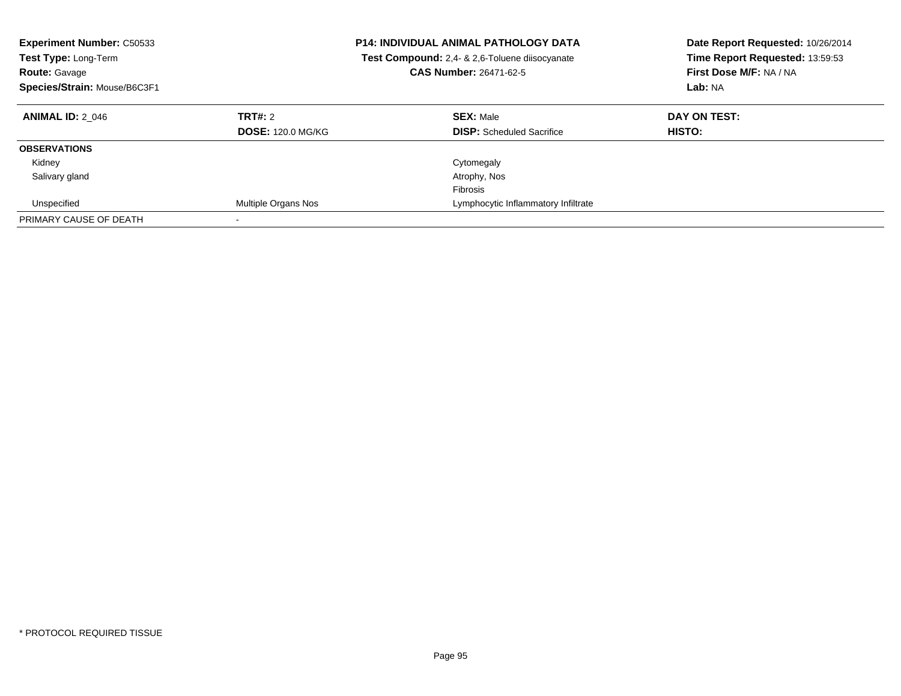| <b>Experiment Number: C50533</b><br><b>Test Type: Long-Term</b><br><b>Route: Gavage</b><br>Species/Strain: Mouse/B6C3F1 |                                     | <b>P14: INDIVIDUAL ANIMAL PATHOLOGY DATA</b><br>Test Compound: 2,4- & 2,6-Toluene diisocyanate<br><b>CAS Number: 26471-62-5</b> | Date Report Requested: 10/26/2014<br>Time Report Requested: 13:59:53<br>First Dose M/F: NA / NA<br>Lab: NA |
|-------------------------------------------------------------------------------------------------------------------------|-------------------------------------|---------------------------------------------------------------------------------------------------------------------------------|------------------------------------------------------------------------------------------------------------|
| <b>ANIMAL ID: 2 046</b>                                                                                                 | TRT#: 2<br><b>DOSE: 120.0 MG/KG</b> | <b>SEX: Male</b><br><b>DISP:</b> Scheduled Sacrifice                                                                            | DAY ON TEST:<br><b>HISTO:</b>                                                                              |
| <b>OBSERVATIONS</b>                                                                                                     |                                     |                                                                                                                                 |                                                                                                            |
| Kidney                                                                                                                  |                                     | Cytomegaly                                                                                                                      |                                                                                                            |
| Salivary gland                                                                                                          |                                     | Atrophy, Nos                                                                                                                    |                                                                                                            |
|                                                                                                                         |                                     | Fibrosis                                                                                                                        |                                                                                                            |
| Unspecified                                                                                                             | Multiple Organs Nos                 | Lymphocytic Inflammatory Infiltrate                                                                                             |                                                                                                            |
| PRIMARY CAUSE OF DEATH                                                                                                  |                                     |                                                                                                                                 |                                                                                                            |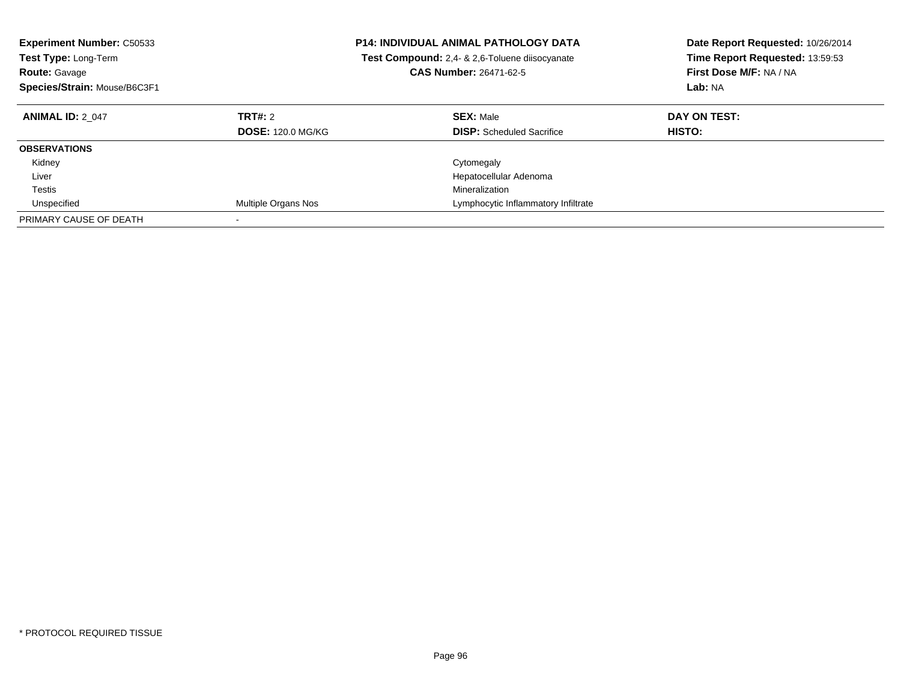| <b>Experiment Number: C50533</b><br><b>Test Type: Long-Term</b><br><b>Route: Gavage</b><br>Species/Strain: Mouse/B6C3F1 | <b>P14: INDIVIDUAL ANIMAL PATHOLOGY DATA</b><br>Test Compound: 2,4- & 2,6-Toluene diisocyanate<br><b>CAS Number: 26471-62-5</b> |                                                      | Date Report Requested: 10/26/2014<br>Time Report Requested: 13:59:53<br>First Dose M/F: NA / NA<br>Lab: NA |
|-------------------------------------------------------------------------------------------------------------------------|---------------------------------------------------------------------------------------------------------------------------------|------------------------------------------------------|------------------------------------------------------------------------------------------------------------|
| <b>ANIMAL ID: 2 047</b>                                                                                                 | TRT#: 2<br><b>DOSE: 120.0 MG/KG</b>                                                                                             | <b>SEX: Male</b><br><b>DISP:</b> Scheduled Sacrifice | DAY ON TEST:<br><b>HISTO:</b>                                                                              |
| <b>OBSERVATIONS</b>                                                                                                     |                                                                                                                                 |                                                      |                                                                                                            |
| Kidney                                                                                                                  |                                                                                                                                 | Cytomegaly                                           |                                                                                                            |
| Liver                                                                                                                   |                                                                                                                                 | Hepatocellular Adenoma                               |                                                                                                            |
| Testis                                                                                                                  |                                                                                                                                 | Mineralization                                       |                                                                                                            |
| Unspecified                                                                                                             | Multiple Organs Nos                                                                                                             | Lymphocytic Inflammatory Infiltrate                  |                                                                                                            |
| PRIMARY CAUSE OF DEATH                                                                                                  |                                                                                                                                 |                                                      |                                                                                                            |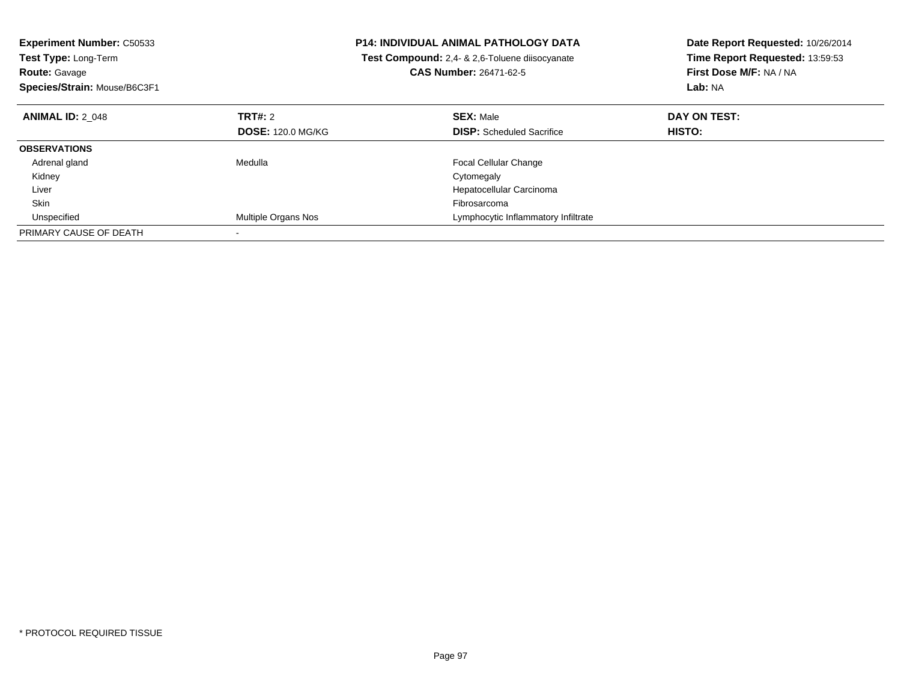| <b>Experiment Number: C50533</b><br>Test Type: Long-Term |                          | P14: INDIVIDUAL ANIMAL PATHOLOGY DATA          | Date Report Requested: 10/26/2014<br>Time Report Requested: 13:59:53 |
|----------------------------------------------------------|--------------------------|------------------------------------------------|----------------------------------------------------------------------|
|                                                          |                          | Test Compound: 2,4- & 2,6-Toluene diisocyanate |                                                                      |
| <b>Route: Gavage</b>                                     |                          | <b>CAS Number: 26471-62-5</b>                  | First Dose M/F: NA / NA                                              |
| Species/Strain: Mouse/B6C3F1                             |                          |                                                | Lab: NA                                                              |
| <b>ANIMAL ID: 2 048</b>                                  | <b>TRT#: 2</b>           | <b>SEX: Male</b>                               | DAY ON TEST:                                                         |
|                                                          | <b>DOSE: 120.0 MG/KG</b> | <b>DISP:</b> Scheduled Sacrifice               | <b>HISTO:</b>                                                        |
| <b>OBSERVATIONS</b>                                      |                          |                                                |                                                                      |
| Adrenal gland                                            | Medulla                  | <b>Focal Cellular Change</b>                   |                                                                      |
| Kidney                                                   |                          | Cytomegaly                                     |                                                                      |
| Liver                                                    |                          | Hepatocellular Carcinoma                       |                                                                      |
| Skin                                                     |                          | Fibrosarcoma                                   |                                                                      |
| Unspecified                                              | Multiple Organs Nos      | Lymphocytic Inflammatory Infiltrate            |                                                                      |
| PRIMARY CAUSE OF DEATH                                   |                          |                                                |                                                                      |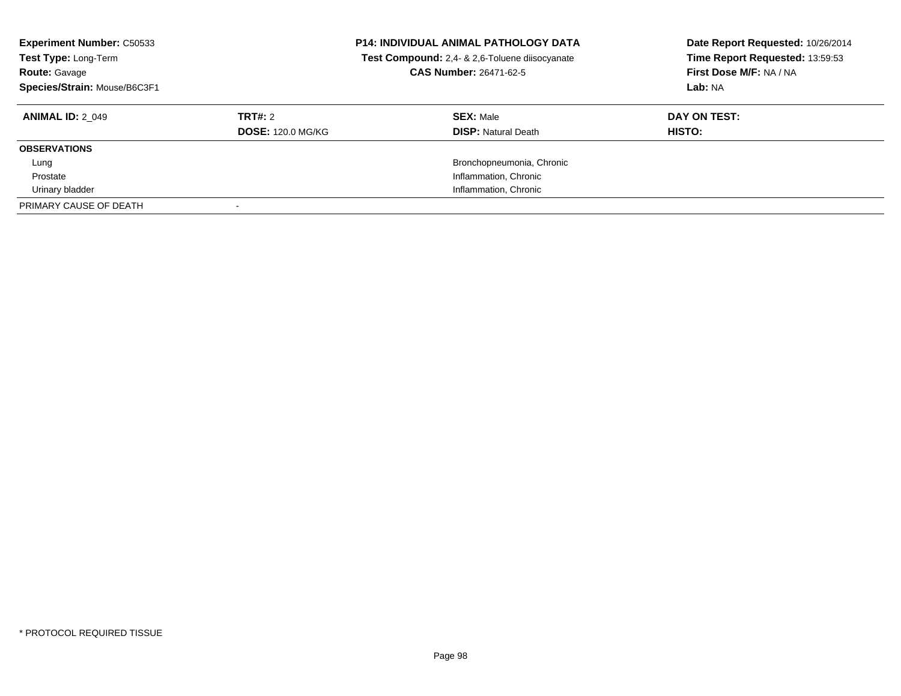| <b>Experiment Number: C50533</b><br>Test Type: Long-Term<br><b>Route: Gavage</b><br>Species/Strain: Mouse/B6C3F1 |                          | <b>P14: INDIVIDUAL ANIMAL PATHOLOGY DATA</b><br>Test Compound: 2,4- & 2,6-Toluene diisocyanate<br>CAS Number: 26471-62-5 | Date Report Requested: 10/26/2014<br>Time Report Requested: 13:59:53<br>First Dose M/F: NA / NA<br>Lab: NA |
|------------------------------------------------------------------------------------------------------------------|--------------------------|--------------------------------------------------------------------------------------------------------------------------|------------------------------------------------------------------------------------------------------------|
| <b>ANIMAL ID: 2 049</b>                                                                                          | TRT#: 2                  | <b>SEX: Male</b>                                                                                                         | DAY ON TEST:                                                                                               |
|                                                                                                                  | <b>DOSE: 120.0 MG/KG</b> | <b>DISP:</b> Natural Death                                                                                               | <b>HISTO:</b>                                                                                              |
| <b>OBSERVATIONS</b>                                                                                              |                          |                                                                                                                          |                                                                                                            |
| Lung                                                                                                             |                          | Bronchopneumonia, Chronic                                                                                                |                                                                                                            |
| Prostate                                                                                                         |                          | Inflammation, Chronic                                                                                                    |                                                                                                            |
| Urinary bladder                                                                                                  |                          | Inflammation, Chronic                                                                                                    |                                                                                                            |
| PRIMARY CAUSE OF DEATH                                                                                           |                          |                                                                                                                          |                                                                                                            |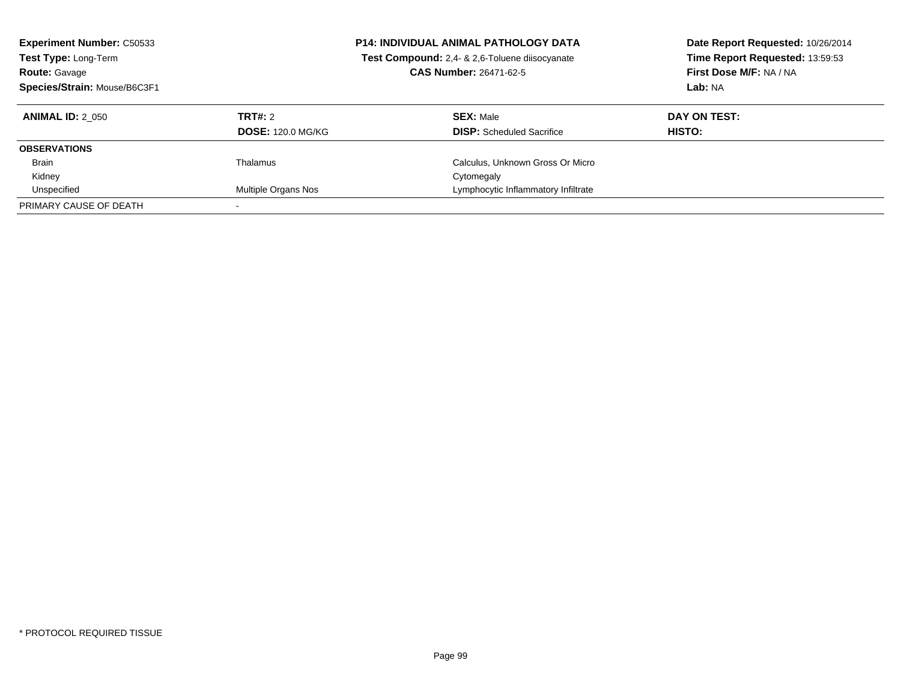| <b>Experiment Number: C50533</b><br>Test Type: Long-Term<br><b>Route: Gavage</b><br>Species/Strain: Mouse/B6C3F1 |                          | <b>P14: INDIVIDUAL ANIMAL PATHOLOGY DATA</b><br>Test Compound: 2,4- & 2,6-Toluene diisocyanate<br><b>CAS Number: 26471-62-5</b> | Date Report Requested: 10/26/2014<br>Time Report Requested: 13:59:53<br>First Dose M/F: NA / NA<br>Lab: NA |
|------------------------------------------------------------------------------------------------------------------|--------------------------|---------------------------------------------------------------------------------------------------------------------------------|------------------------------------------------------------------------------------------------------------|
| <b>ANIMAL ID: 2 050</b>                                                                                          | TRT#: 2                  | <b>SEX: Male</b>                                                                                                                | DAY ON TEST:                                                                                               |
|                                                                                                                  | <b>DOSE: 120.0 MG/KG</b> | <b>DISP:</b> Scheduled Sacrifice                                                                                                | <b>HISTO:</b>                                                                                              |
| <b>OBSERVATIONS</b>                                                                                              |                          |                                                                                                                                 |                                                                                                            |
| <b>Brain</b>                                                                                                     | Thalamus                 | Calculus, Unknown Gross Or Micro                                                                                                |                                                                                                            |
| Kidney                                                                                                           |                          | Cytomegaly                                                                                                                      |                                                                                                            |
| Unspecified                                                                                                      | Multiple Organs Nos      | Lymphocytic Inflammatory Infiltrate                                                                                             |                                                                                                            |
| PRIMARY CAUSE OF DEATH                                                                                           |                          |                                                                                                                                 |                                                                                                            |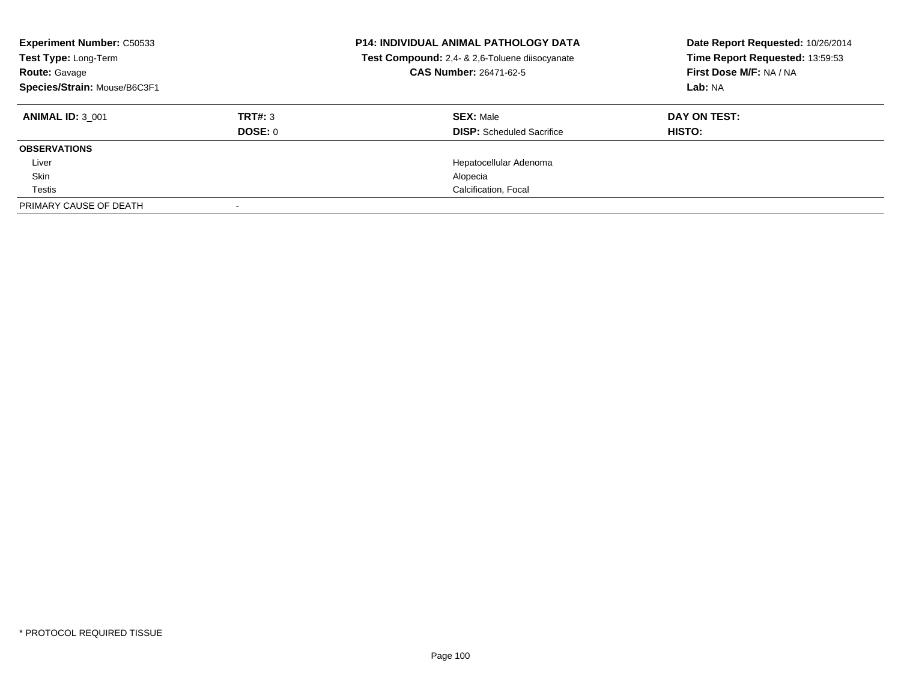| <b>Experiment Number: C50533</b><br>Test Type: Long-Term<br><b>Route: Gavage</b><br>Species/Strain: Mouse/B6C3F1 |         | <b>P14: INDIVIDUAL ANIMAL PATHOLOGY DATA</b><br>Test Compound: 2,4- & 2,6-Toluene diisocyanate<br>CAS Number: 26471-62-5 | Date Report Requested: 10/26/2014<br>Time Report Requested: 13:59:53<br>First Dose M/F: NA / NA<br>Lab: NA |
|------------------------------------------------------------------------------------------------------------------|---------|--------------------------------------------------------------------------------------------------------------------------|------------------------------------------------------------------------------------------------------------|
| <b>ANIMAL ID: 3 001</b>                                                                                          | TRT#: 3 | <b>SEX: Male</b>                                                                                                         | DAY ON TEST:                                                                                               |
|                                                                                                                  | DOSE: 0 | <b>DISP:</b> Scheduled Sacrifice                                                                                         | HISTO:                                                                                                     |
| <b>OBSERVATIONS</b>                                                                                              |         |                                                                                                                          |                                                                                                            |
| Liver                                                                                                            |         | Hepatocellular Adenoma                                                                                                   |                                                                                                            |
| Skin                                                                                                             |         | Alopecia                                                                                                                 |                                                                                                            |
| Testis                                                                                                           |         | Calcification, Focal                                                                                                     |                                                                                                            |
| PRIMARY CAUSE OF DEATH                                                                                           |         |                                                                                                                          |                                                                                                            |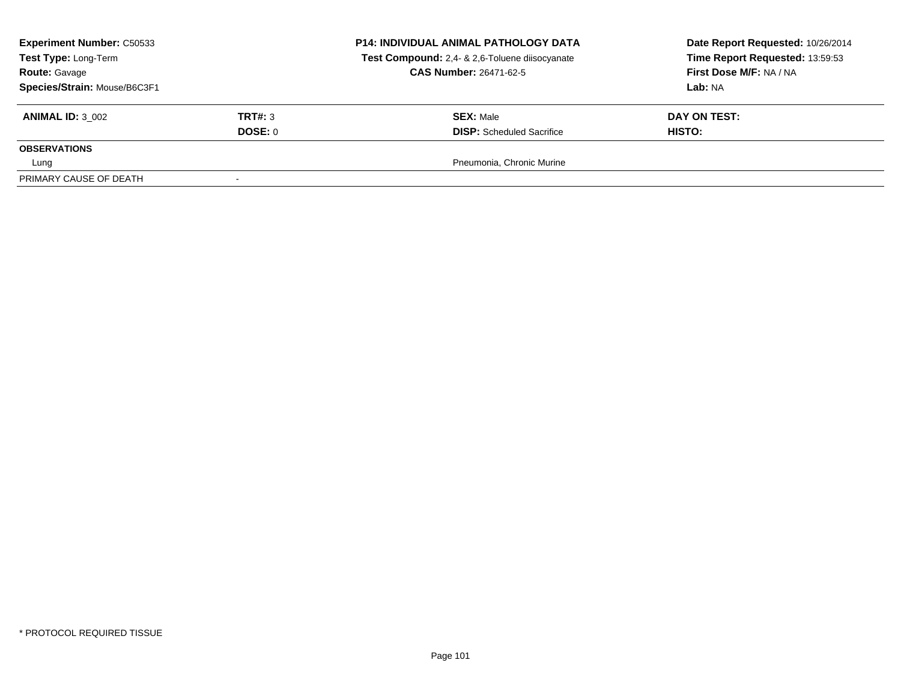| <b>Experiment Number: C50533</b><br>Test Type: Long-Term<br><b>Route: Gavage</b><br>Species/Strain: Mouse/B6C3F1 |                    | <b>P14: INDIVIDUAL ANIMAL PATHOLOGY DATA</b><br>Test Compound: 2,4- & 2,6-Toluene diisocyanate<br><b>CAS Number: 26471-62-5</b> | Date Report Requested: 10/26/2014<br>Time Report Requested: 13:59:53<br>First Dose M/F: NA / NA<br>Lab: NA |
|------------------------------------------------------------------------------------------------------------------|--------------------|---------------------------------------------------------------------------------------------------------------------------------|------------------------------------------------------------------------------------------------------------|
| <b>ANIMAL ID: 3 002</b>                                                                                          | TRT#: 3<br>DOSE: 0 | <b>SEX: Male</b><br><b>DISP:</b> Scheduled Sacrifice                                                                            | DAY ON TEST:<br><b>HISTO:</b>                                                                              |
| <b>OBSERVATIONS</b><br>Lung                                                                                      |                    | Pneumonia, Chronic Murine                                                                                                       |                                                                                                            |
| PRIMARY CAUSE OF DEATH                                                                                           |                    |                                                                                                                                 |                                                                                                            |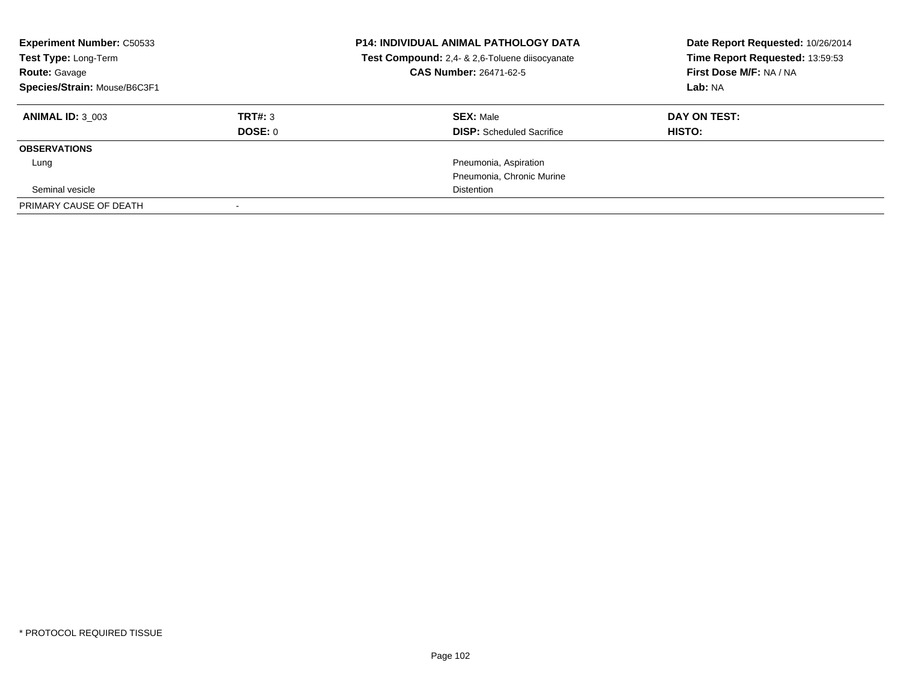| <b>Experiment Number: C50533</b><br>Test Type: Long-Term<br><b>Route: Gavage</b><br>Species/Strain: Mouse/B6C3F1 |         | <b>P14: INDIVIDUAL ANIMAL PATHOLOGY DATA</b><br>Test Compound: 2,4- & 2,6-Toluene diisocyanate<br><b>CAS Number: 26471-62-5</b> | Date Report Requested: 10/26/2014<br>Time Report Requested: 13:59:53<br>First Dose M/F: NA / NA<br>Lab: NA |
|------------------------------------------------------------------------------------------------------------------|---------|---------------------------------------------------------------------------------------------------------------------------------|------------------------------------------------------------------------------------------------------------|
| <b>ANIMAL ID: 3 003</b>                                                                                          | TRT#: 3 | <b>SEX: Male</b>                                                                                                                | DAY ON TEST:                                                                                               |
|                                                                                                                  | DOSE: 0 | <b>DISP:</b> Scheduled Sacrifice                                                                                                | <b>HISTO:</b>                                                                                              |
| <b>OBSERVATIONS</b>                                                                                              |         |                                                                                                                                 |                                                                                                            |
| Lung                                                                                                             |         | Pneumonia, Aspiration                                                                                                           |                                                                                                            |
|                                                                                                                  |         | Pneumonia, Chronic Murine                                                                                                       |                                                                                                            |
| Seminal vesicle                                                                                                  |         | <b>Distention</b>                                                                                                               |                                                                                                            |
| PRIMARY CAUSE OF DEATH                                                                                           |         |                                                                                                                                 |                                                                                                            |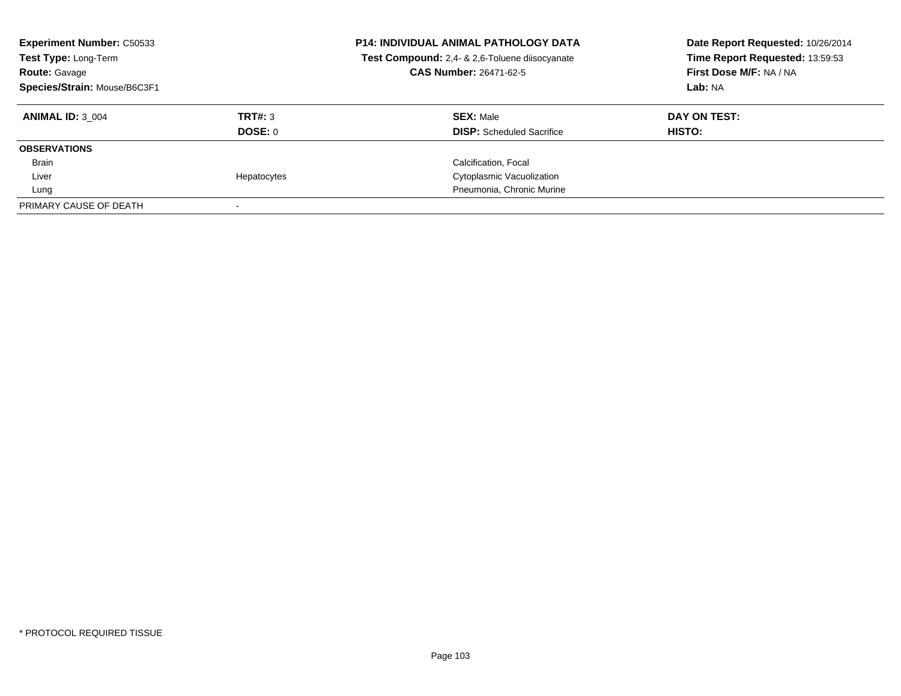| <b>Experiment Number: C50533</b><br>Test Type: Long-Term<br><b>Route: Gavage</b><br>Species/Strain: Mouse/B6C3F1 |             | <b>P14: INDIVIDUAL ANIMAL PATHOLOGY DATA</b><br>Test Compound: 2,4- & 2,6-Toluene diisocyanate<br><b>CAS Number: 26471-62-5</b> | Date Report Requested: 10/26/2014<br>Time Report Requested: 13:59:53<br>First Dose M/F: NA / NA<br>Lab: NA |
|------------------------------------------------------------------------------------------------------------------|-------------|---------------------------------------------------------------------------------------------------------------------------------|------------------------------------------------------------------------------------------------------------|
| <b>ANIMAL ID: 3 004</b>                                                                                          | TRT#: 3     | <b>SEX: Male</b>                                                                                                                | DAY ON TEST:                                                                                               |
|                                                                                                                  | DOSE: 0     | <b>DISP:</b> Scheduled Sacrifice                                                                                                | HISTO:                                                                                                     |
| <b>OBSERVATIONS</b>                                                                                              |             |                                                                                                                                 |                                                                                                            |
| Brain                                                                                                            |             | Calcification, Focal                                                                                                            |                                                                                                            |
| Liver                                                                                                            | Hepatocytes | Cytoplasmic Vacuolization                                                                                                       |                                                                                                            |
| Lung                                                                                                             |             | Pneumonia, Chronic Murine                                                                                                       |                                                                                                            |
| PRIMARY CAUSE OF DEATH                                                                                           |             |                                                                                                                                 |                                                                                                            |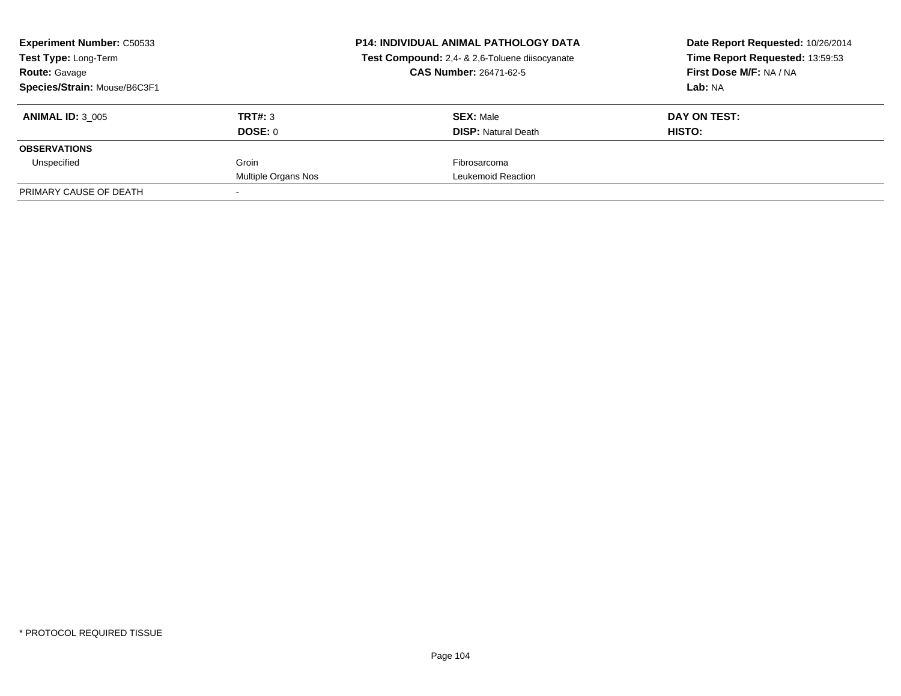| <b>Experiment Number: C50533</b><br>Test Type: Long-Term |                     | <b>P14: INDIVIDUAL ANIMAL PATHOLOGY DATA</b><br>Test Compound: 2,4- & 2,6-Toluene diisocyanate | Date Report Requested: 10/26/2014<br>Time Report Requested: 13:59:53 |
|----------------------------------------------------------|---------------------|------------------------------------------------------------------------------------------------|----------------------------------------------------------------------|
| <b>Route: Gavage</b>                                     |                     | <b>CAS Number: 26471-62-5</b>                                                                  | First Dose M/F: NA / NA                                              |
| Species/Strain: Mouse/B6C3F1                             |                     |                                                                                                | Lab: NA                                                              |
| <b>ANIMAL ID: 3 005</b>                                  | TRT#: 3             | <b>SEX: Male</b>                                                                               | DAY ON TEST:                                                         |
|                                                          | DOSE: 0             | <b>DISP:</b> Natural Death                                                                     | <b>HISTO:</b>                                                        |
| <b>OBSERVATIONS</b>                                      |                     |                                                                                                |                                                                      |
| Unspecified                                              | Groin               | Fibrosarcoma                                                                                   |                                                                      |
|                                                          | Multiple Organs Nos | Leukemoid Reaction                                                                             |                                                                      |
| PRIMARY CAUSE OF DEATH                                   |                     |                                                                                                |                                                                      |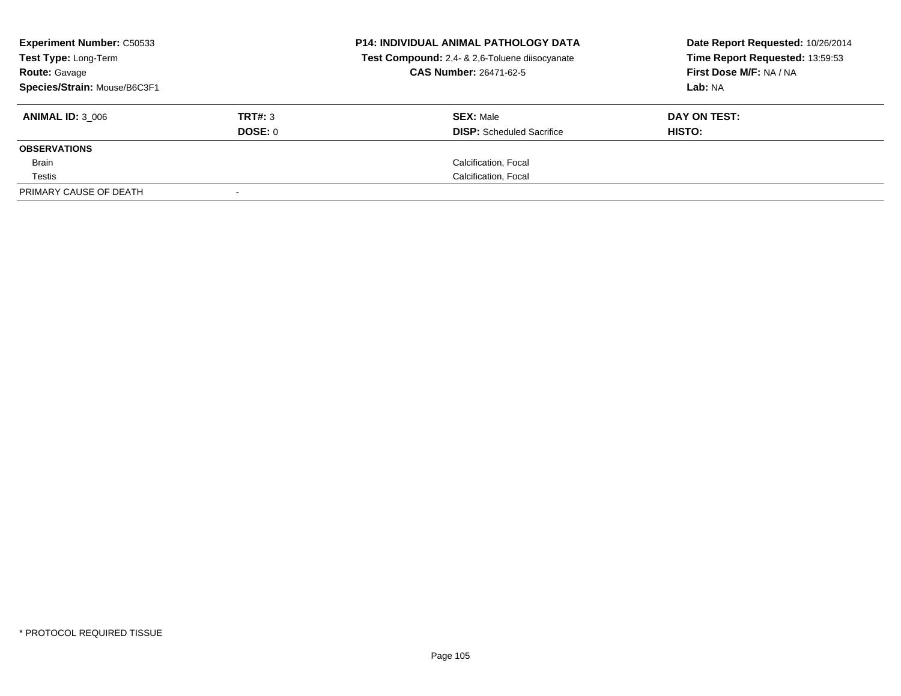| <b>Experiment Number: C50533</b><br><b>Test Type: Long-Term</b><br><b>Route: Gavage</b> |                | <b>P14: INDIVIDUAL ANIMAL PATHOLOGY DATA</b><br>Test Compound: 2,4- & 2,6-Toluene diisocyanate<br><b>CAS Number: 26471-62-5</b> | Date Report Requested: 10/26/2014<br>Time Report Requested: 13:59:53<br>First Dose M/F: NA / NA |
|-----------------------------------------------------------------------------------------|----------------|---------------------------------------------------------------------------------------------------------------------------------|-------------------------------------------------------------------------------------------------|
| Species/Strain: Mouse/B6C3F1                                                            |                |                                                                                                                                 | Lab: NA                                                                                         |
| <b>ANIMAL ID: 3 006</b>                                                                 | TRT#: 3        | <b>SEX: Male</b>                                                                                                                | DAY ON TEST:                                                                                    |
|                                                                                         | <b>DOSE: 0</b> | <b>DISP:</b> Scheduled Sacrifice                                                                                                | HISTO:                                                                                          |
| <b>OBSERVATIONS</b>                                                                     |                |                                                                                                                                 |                                                                                                 |
| Brain                                                                                   |                | Calcification, Focal                                                                                                            |                                                                                                 |
| Testis                                                                                  |                | Calcification, Focal                                                                                                            |                                                                                                 |
| PRIMARY CAUSE OF DEATH                                                                  |                |                                                                                                                                 |                                                                                                 |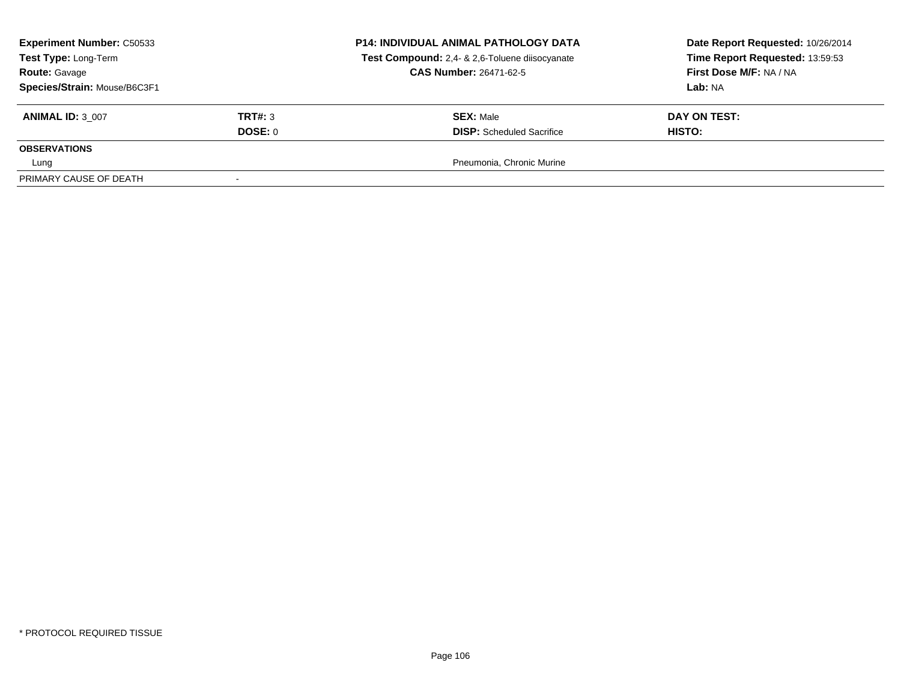| <b>Experiment Number: C50533</b><br>Test Type: Long-Term<br><b>Route: Gavage</b> |         | <b>P14: INDIVIDUAL ANIMAL PATHOLOGY DATA</b><br>Test Compound: 2,4- & 2,6-Toluene diisocyanate<br><b>CAS Number: 26471-62-5</b> | Date Report Requested: 10/26/2014<br>Time Report Requested: 13:59:53<br>First Dose M/F: NA / NA |
|----------------------------------------------------------------------------------|---------|---------------------------------------------------------------------------------------------------------------------------------|-------------------------------------------------------------------------------------------------|
| Species/Strain: Mouse/B6C3F1                                                     |         |                                                                                                                                 | Lab: NA                                                                                         |
| <b>ANIMAL ID: 3 007</b>                                                          | TRT#: 3 | <b>SEX: Male</b>                                                                                                                | DAY ON TEST:                                                                                    |
|                                                                                  | DOSE: 0 | <b>DISP:</b> Scheduled Sacrifice                                                                                                | <b>HISTO:</b>                                                                                   |
| <b>OBSERVATIONS</b>                                                              |         |                                                                                                                                 |                                                                                                 |
| Lung                                                                             |         | Pneumonia, Chronic Murine                                                                                                       |                                                                                                 |
| PRIMARY CAUSE OF DEATH                                                           |         |                                                                                                                                 |                                                                                                 |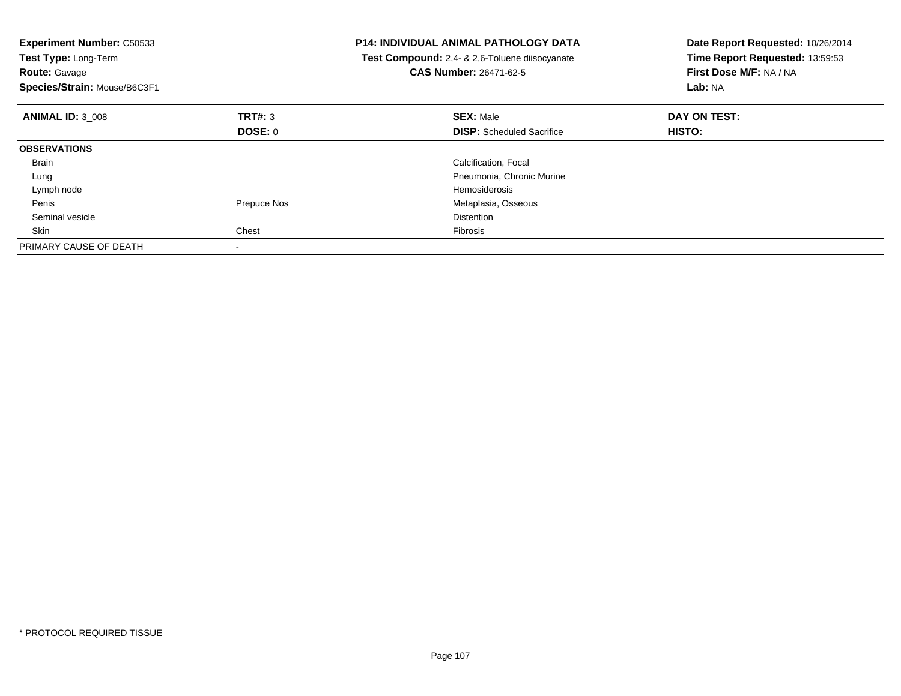| <b>Experiment Number: C50533</b><br>Test Type: Long-Term<br><b>Route: Gavage</b><br>Species/Strain: Mouse/B6C3F1 |             | <b>P14: INDIVIDUAL ANIMAL PATHOLOGY DATA</b><br>Test Compound: 2,4- & 2,6-Toluene diisocyanate<br><b>CAS Number: 26471-62-5</b> | Date Report Requested: 10/26/2014<br>Time Report Requested: 13:59:53<br>First Dose M/F: NA / NA<br>Lab: NA |
|------------------------------------------------------------------------------------------------------------------|-------------|---------------------------------------------------------------------------------------------------------------------------------|------------------------------------------------------------------------------------------------------------|
| <b>ANIMAL ID: 3 008</b>                                                                                          | TRT#: 3     | <b>SEX: Male</b>                                                                                                                | DAY ON TEST:                                                                                               |
|                                                                                                                  | DOSE: 0     | <b>DISP:</b> Scheduled Sacrifice                                                                                                | HISTO:                                                                                                     |
| <b>OBSERVATIONS</b>                                                                                              |             |                                                                                                                                 |                                                                                                            |
| Brain                                                                                                            |             | Calcification, Focal                                                                                                            |                                                                                                            |
| Lung                                                                                                             |             | Pneumonia, Chronic Murine                                                                                                       |                                                                                                            |
| Lymph node                                                                                                       |             | Hemosiderosis                                                                                                                   |                                                                                                            |
| Penis                                                                                                            | Prepuce Nos | Metaplasia, Osseous                                                                                                             |                                                                                                            |
| Seminal vesicle                                                                                                  |             | <b>Distention</b>                                                                                                               |                                                                                                            |
| Skin                                                                                                             | Chest       | Fibrosis                                                                                                                        |                                                                                                            |
| PRIMARY CAUSE OF DEATH                                                                                           |             |                                                                                                                                 |                                                                                                            |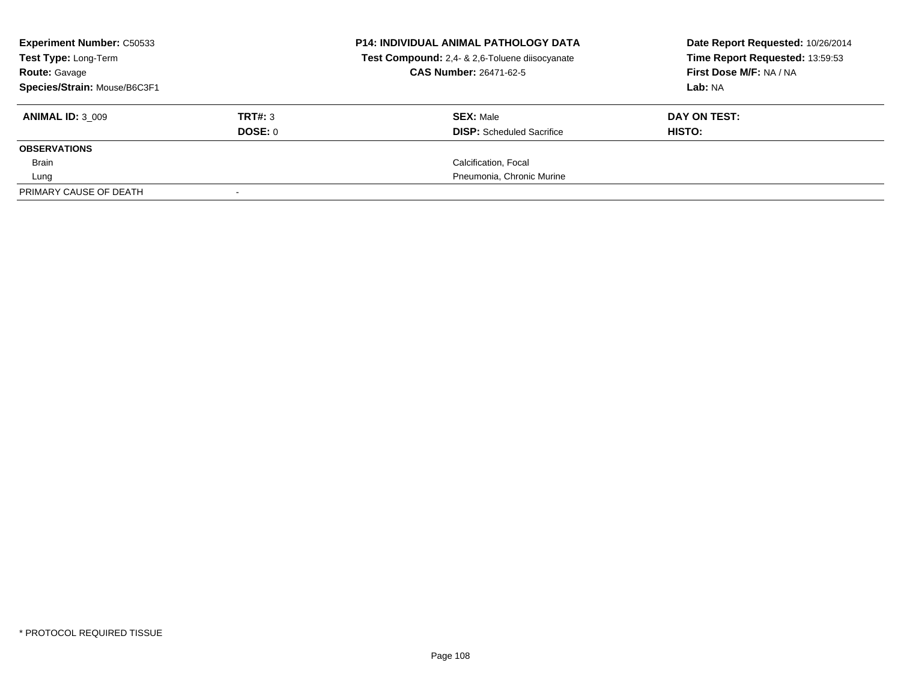| <b>Experiment Number: C50533</b><br>Test Type: Long-Term<br><b>Route: Gavage</b><br>Species/Strain: Mouse/B6C3F1 |                           | <b>P14: INDIVIDUAL ANIMAL PATHOLOGY DATA</b><br>Test Compound: 2,4- & 2,6-Toluene diisocyanate<br><b>CAS Number: 26471-62-5</b> | Date Report Requested: 10/26/2014<br>Time Report Requested: 13:59:53<br>First Dose M/F: NA / NA<br>Lab: NA |
|------------------------------------------------------------------------------------------------------------------|---------------------------|---------------------------------------------------------------------------------------------------------------------------------|------------------------------------------------------------------------------------------------------------|
| <b>ANIMAL ID: 3 009</b>                                                                                          | TRT#: 3<br><b>DOSE: 0</b> | <b>SEX: Male</b><br><b>DISP:</b> Scheduled Sacrifice                                                                            | DAY ON TEST:<br>HISTO:                                                                                     |
| <b>OBSERVATIONS</b>                                                                                              |                           |                                                                                                                                 |                                                                                                            |
| Brain                                                                                                            |                           | Calcification, Focal                                                                                                            |                                                                                                            |
| Lung                                                                                                             |                           | Pneumonia, Chronic Murine                                                                                                       |                                                                                                            |
| PRIMARY CAUSE OF DEATH                                                                                           |                           |                                                                                                                                 |                                                                                                            |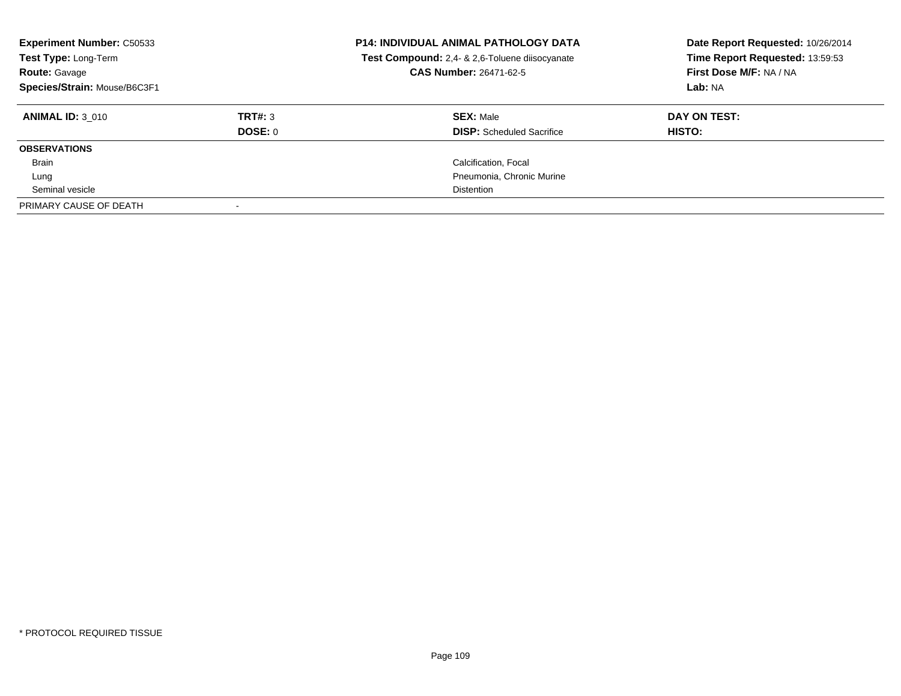| <b>Experiment Number: C50533</b><br>Test Type: Long-Term<br><b>Route: Gavage</b><br>Species/Strain: Mouse/B6C3F1 |         | <b>P14: INDIVIDUAL ANIMAL PATHOLOGY DATA</b><br>Test Compound: 2,4- & 2,6-Toluene diisocyanate<br>CAS Number: 26471-62-5 | Date Report Requested: 10/26/2014<br>Time Report Requested: 13:59:53<br>First Dose M/F: NA / NA<br>Lab: NA |
|------------------------------------------------------------------------------------------------------------------|---------|--------------------------------------------------------------------------------------------------------------------------|------------------------------------------------------------------------------------------------------------|
| <b>ANIMAL ID: 3 010</b>                                                                                          | TRT#: 3 | <b>SEX: Male</b>                                                                                                         | DAY ON TEST:                                                                                               |
|                                                                                                                  | DOSE: 0 | <b>DISP:</b> Scheduled Sacrifice                                                                                         | HISTO:                                                                                                     |
| <b>OBSERVATIONS</b>                                                                                              |         |                                                                                                                          |                                                                                                            |
| Brain                                                                                                            |         | Calcification, Focal                                                                                                     |                                                                                                            |
| Lung                                                                                                             |         | Pneumonia, Chronic Murine                                                                                                |                                                                                                            |
| Seminal vesicle                                                                                                  |         | <b>Distention</b>                                                                                                        |                                                                                                            |
| PRIMARY CAUSE OF DEATH                                                                                           |         |                                                                                                                          |                                                                                                            |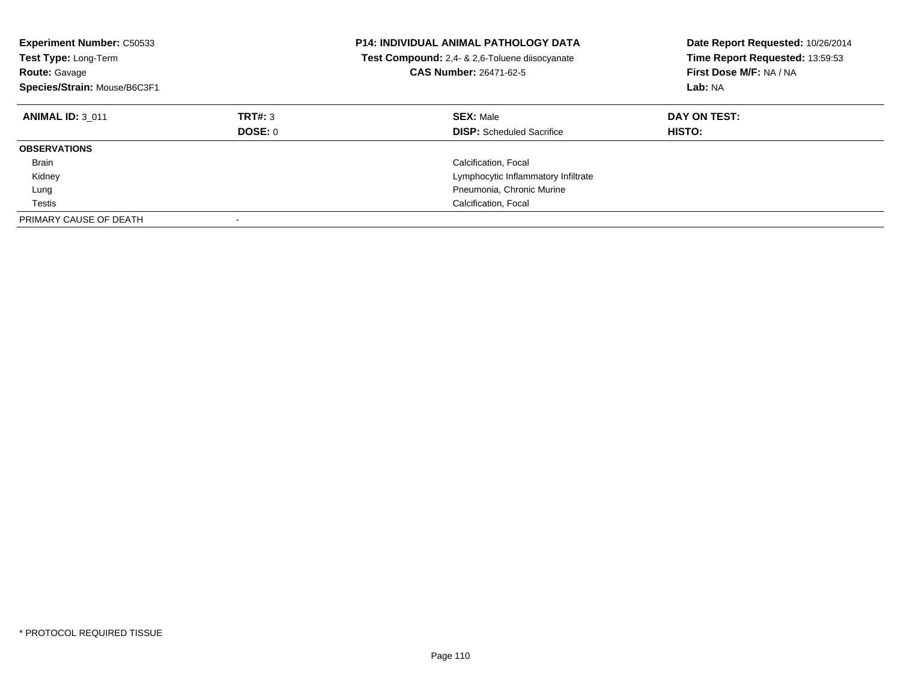| <b>Experiment Number: C50533</b><br>Test Type: Long-Term<br><b>Route: Gavage</b><br>Species/Strain: Mouse/B6C3F1 |                    | <b>P14: INDIVIDUAL ANIMAL PATHOLOGY DATA</b><br>Test Compound: 2,4- & 2,6-Toluene diisocyanate<br><b>CAS Number: 26471-62-5</b> | Date Report Requested: 10/26/2014<br>Time Report Requested: 13:59:53<br>First Dose M/F: NA / NA<br>Lab: NA |
|------------------------------------------------------------------------------------------------------------------|--------------------|---------------------------------------------------------------------------------------------------------------------------------|------------------------------------------------------------------------------------------------------------|
| <b>ANIMAL ID: 3 011</b>                                                                                          | TRT#: 3<br>DOSE: 0 | <b>SEX: Male</b><br><b>DISP:</b> Scheduled Sacrifice                                                                            | DAY ON TEST:<br>HISTO:                                                                                     |
| <b>OBSERVATIONS</b>                                                                                              |                    |                                                                                                                                 |                                                                                                            |
| Brain                                                                                                            |                    | Calcification, Focal                                                                                                            |                                                                                                            |
| Kidney                                                                                                           |                    | Lymphocytic Inflammatory Infiltrate                                                                                             |                                                                                                            |
| Lung                                                                                                             |                    | Pneumonia, Chronic Murine                                                                                                       |                                                                                                            |
| Testis                                                                                                           |                    | Calcification, Focal                                                                                                            |                                                                                                            |
| PRIMARY CAUSE OF DEATH                                                                                           |                    |                                                                                                                                 |                                                                                                            |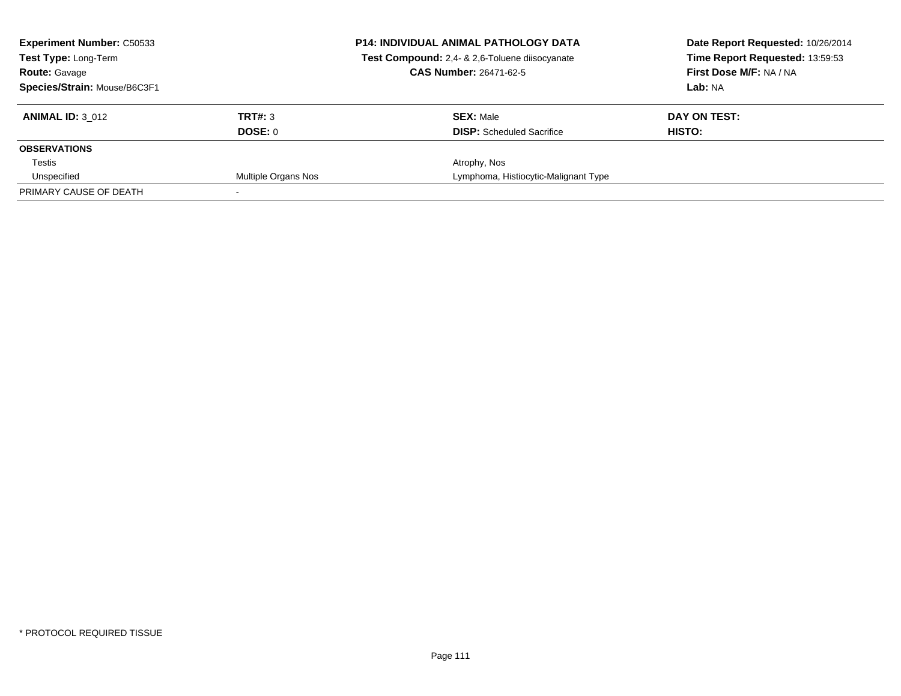| <b>Experiment Number: C50533</b><br><b>Test Type: Long-Term</b> |                     | <b>P14: INDIVIDUAL ANIMAL PATHOLOGY DATA</b><br>Test Compound: 2,4- & 2,6-Toluene diisocyanate | Date Report Requested: 10/26/2014<br>Time Report Requested: 13:59:53 |
|-----------------------------------------------------------------|---------------------|------------------------------------------------------------------------------------------------|----------------------------------------------------------------------|
| <b>Route: Gavage</b>                                            |                     | <b>CAS Number: 26471-62-5</b>                                                                  | First Dose M/F: NA / NA                                              |
| Species/Strain: Mouse/B6C3F1                                    |                     |                                                                                                | Lab: NA                                                              |
| <b>ANIMAL ID: 3 012</b>                                         | TRT#: 3             | <b>SEX: Male</b>                                                                               | DAY ON TEST:                                                         |
|                                                                 | DOSE: 0             | <b>DISP:</b> Scheduled Sacrifice                                                               | HISTO:                                                               |
| <b>OBSERVATIONS</b>                                             |                     |                                                                                                |                                                                      |
| Testis                                                          |                     | Atrophy, Nos                                                                                   |                                                                      |
| Unspecified                                                     | Multiple Organs Nos | Lymphoma, Histiocytic-Malignant Type                                                           |                                                                      |
| PRIMARY CAUSE OF DEATH                                          |                     |                                                                                                |                                                                      |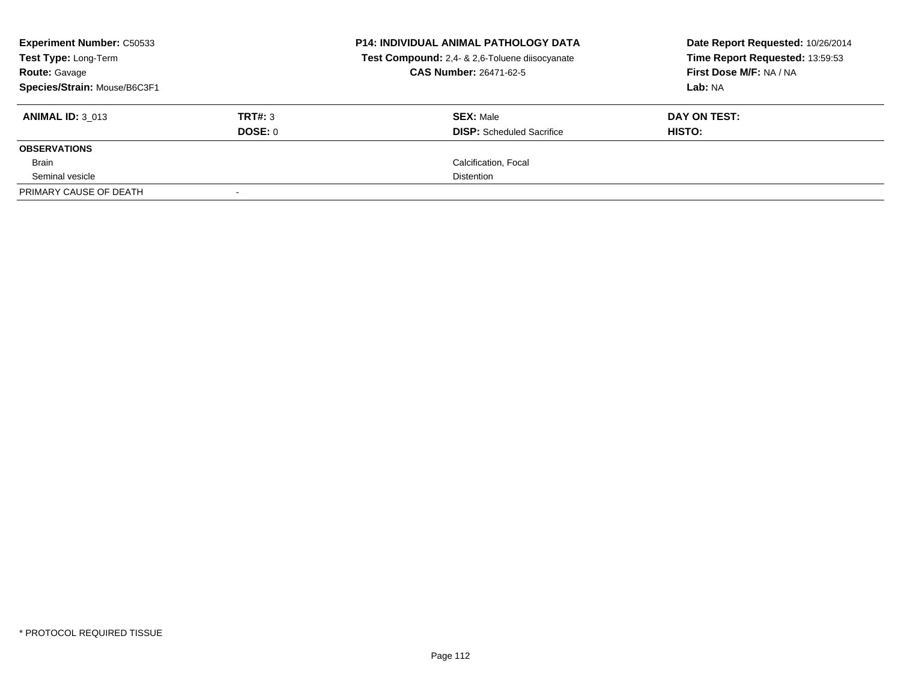| <b>Experiment Number: C50533</b><br><b>Test Type: Long-Term</b><br><b>Route: Gavage</b> |         | <b>P14: INDIVIDUAL ANIMAL PATHOLOGY DATA</b><br>Test Compound: 2,4- & 2,6-Toluene diisocyanate<br><b>CAS Number: 26471-62-5</b> | Date Report Requested: 10/26/2014<br>Time Report Requested: 13:59:53<br>First Dose M/F: NA / NA |
|-----------------------------------------------------------------------------------------|---------|---------------------------------------------------------------------------------------------------------------------------------|-------------------------------------------------------------------------------------------------|
| Species/Strain: Mouse/B6C3F1                                                            |         |                                                                                                                                 | Lab: NA                                                                                         |
| <b>ANIMAL ID: 3 013</b>                                                                 | TRT#: 3 | <b>SEX: Male</b>                                                                                                                | DAY ON TEST:                                                                                    |
|                                                                                         | DOSE: 0 | <b>DISP:</b> Scheduled Sacrifice                                                                                                | HISTO:                                                                                          |
| <b>OBSERVATIONS</b>                                                                     |         |                                                                                                                                 |                                                                                                 |
| Brain                                                                                   |         | Calcification, Focal                                                                                                            |                                                                                                 |
| Seminal vesicle                                                                         |         | <b>Distention</b>                                                                                                               |                                                                                                 |
| PRIMARY CAUSE OF DEATH                                                                  |         |                                                                                                                                 |                                                                                                 |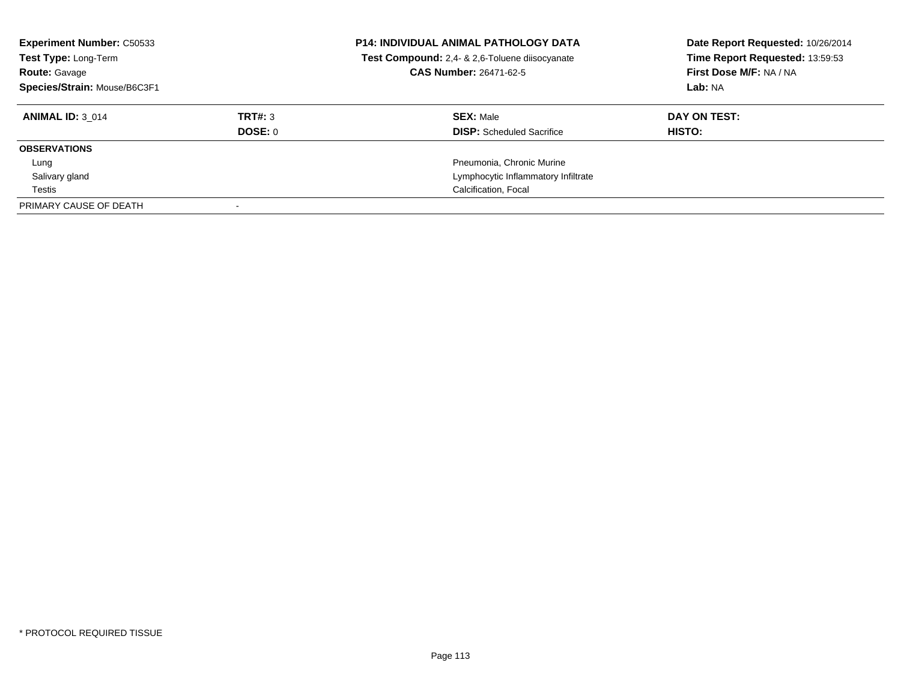| <b>Experiment Number: C50533</b><br>Test Type: Long-Term<br><b>Route: Gavage</b><br>Species/Strain: Mouse/B6C3F1 |         | <b>P14: INDIVIDUAL ANIMAL PATHOLOGY DATA</b><br>Test Compound: 2,4- & 2,6-Toluene diisocyanate<br><b>CAS Number: 26471-62-5</b> | Date Report Requested: 10/26/2014<br>Time Report Requested: 13:59:53<br>First Dose M/F: NA / NA<br>Lab: NA |
|------------------------------------------------------------------------------------------------------------------|---------|---------------------------------------------------------------------------------------------------------------------------------|------------------------------------------------------------------------------------------------------------|
| <b>ANIMAL ID: 3 014</b>                                                                                          | TRT#: 3 | <b>SEX: Male</b>                                                                                                                | DAY ON TEST:                                                                                               |
|                                                                                                                  | DOSE: 0 | <b>DISP:</b> Scheduled Sacrifice                                                                                                | HISTO:                                                                                                     |
| <b>OBSERVATIONS</b>                                                                                              |         |                                                                                                                                 |                                                                                                            |
| Lung                                                                                                             |         | Pneumonia, Chronic Murine                                                                                                       |                                                                                                            |
| Salivary gland                                                                                                   |         | Lymphocytic Inflammatory Infiltrate                                                                                             |                                                                                                            |
| Testis                                                                                                           |         | Calcification, Focal                                                                                                            |                                                                                                            |
| PRIMARY CAUSE OF DEATH                                                                                           |         |                                                                                                                                 |                                                                                                            |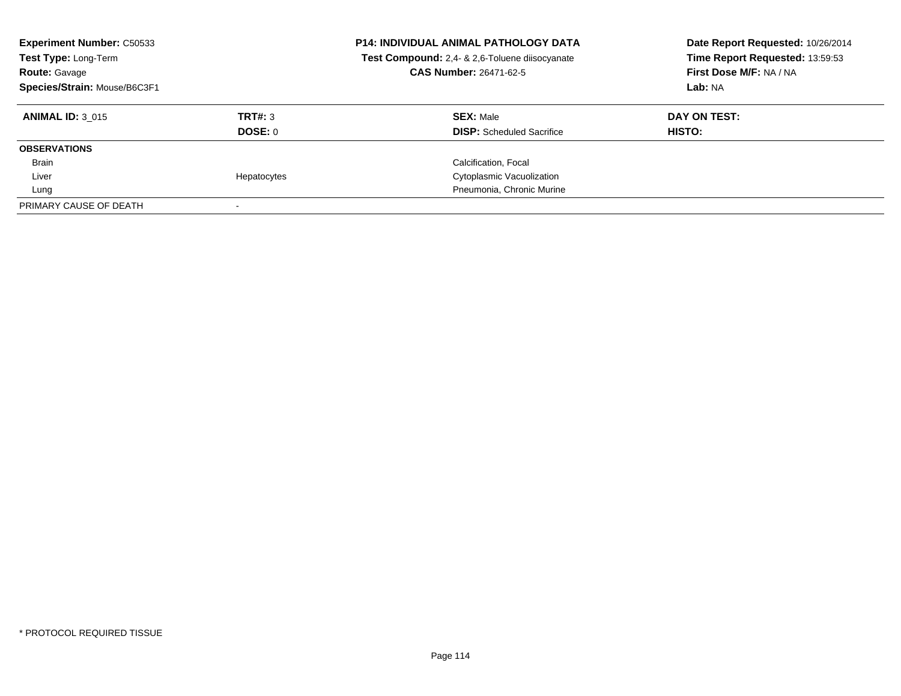| <b>Experiment Number: C50533</b><br>Test Type: Long-Term<br><b>Route: Gavage</b><br>Species/Strain: Mouse/B6C3F1 |                           | P14: INDIVIDUAL ANIMAL PATHOLOGY DATA<br>Test Compound: 2,4- & 2,6-Toluene diisocyanate<br><b>CAS Number: 26471-62-5</b> | Date Report Requested: 10/26/2014<br>Time Report Requested: 13:59:53<br>First Dose M/F: NA / NA<br>Lab: NA |
|------------------------------------------------------------------------------------------------------------------|---------------------------|--------------------------------------------------------------------------------------------------------------------------|------------------------------------------------------------------------------------------------------------|
| <b>ANIMAL ID: 3 015</b>                                                                                          | TRT#: 3<br><b>DOSE: 0</b> | <b>SEX: Male</b><br><b>DISP:</b> Scheduled Sacrifice                                                                     | DAY ON TEST:<br><b>HISTO:</b>                                                                              |
| <b>OBSERVATIONS</b>                                                                                              |                           |                                                                                                                          |                                                                                                            |
| Brain                                                                                                            |                           | Calcification, Focal                                                                                                     |                                                                                                            |
| Liver                                                                                                            | Hepatocytes               | Cytoplasmic Vacuolization                                                                                                |                                                                                                            |
| Lung                                                                                                             |                           | Pneumonia, Chronic Murine                                                                                                |                                                                                                            |
| PRIMARY CAUSE OF DEATH                                                                                           |                           |                                                                                                                          |                                                                                                            |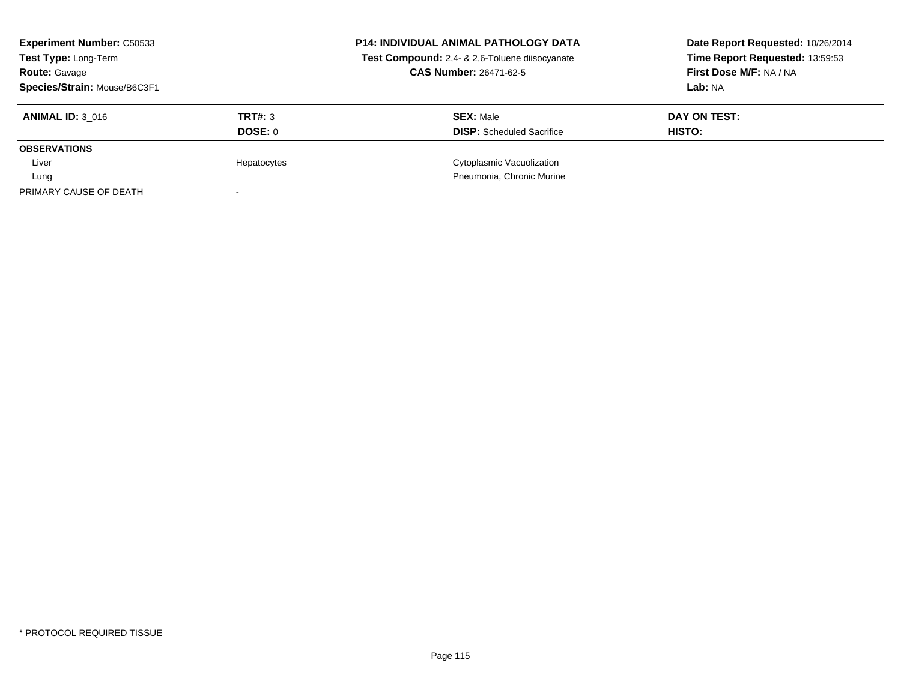| <b>Experiment Number: C50533</b><br><b>Test Type: Long-Term</b><br><b>Route: Gavage</b> |             | <b>P14: INDIVIDUAL ANIMAL PATHOLOGY DATA</b><br>Test Compound: 2,4- & 2,6-Toluene diisocyanate<br><b>CAS Number: 26471-62-5</b> | Date Report Requested: 10/26/2014<br>Time Report Requested: 13:59:53<br>First Dose M/F: NA / NA |
|-----------------------------------------------------------------------------------------|-------------|---------------------------------------------------------------------------------------------------------------------------------|-------------------------------------------------------------------------------------------------|
| Species/Strain: Mouse/B6C3F1                                                            |             |                                                                                                                                 | Lab: NA                                                                                         |
| <b>ANIMAL ID: 3 016</b>                                                                 | TRT#: 3     | <b>SEX: Male</b>                                                                                                                | DAY ON TEST:                                                                                    |
|                                                                                         | DOSE: 0     | <b>DISP:</b> Scheduled Sacrifice                                                                                                | HISTO:                                                                                          |
| <b>OBSERVATIONS</b>                                                                     |             |                                                                                                                                 |                                                                                                 |
| Liver                                                                                   | Hepatocytes | Cytoplasmic Vacuolization                                                                                                       |                                                                                                 |
| Lung                                                                                    |             | Pneumonia, Chronic Murine                                                                                                       |                                                                                                 |
| PRIMARY CAUSE OF DEATH                                                                  |             |                                                                                                                                 |                                                                                                 |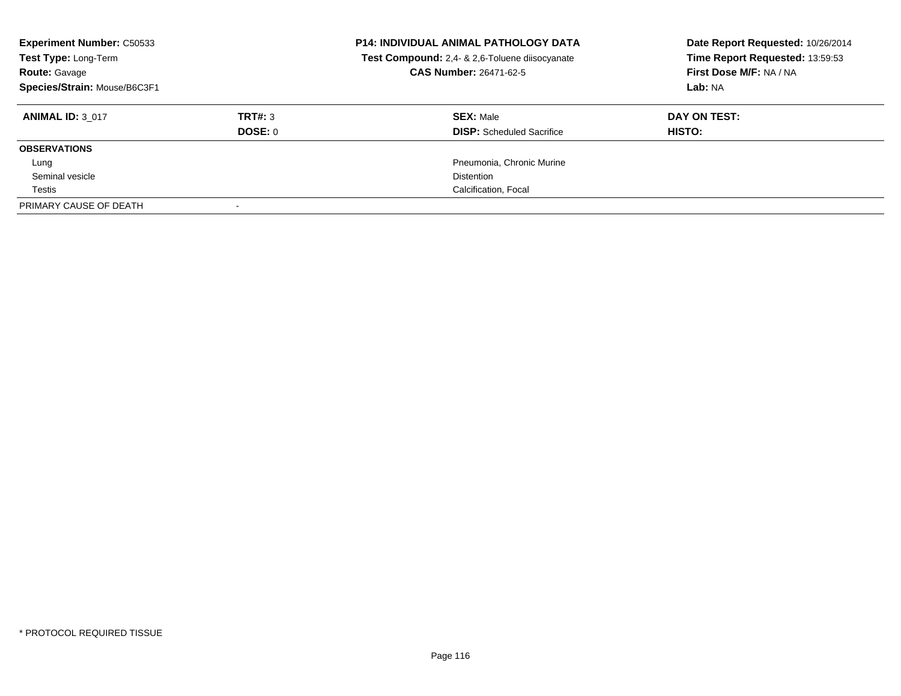| <b>Experiment Number: C50533</b><br>Test Type: Long-Term<br><b>Route: Gavage</b><br>Species/Strain: Mouse/B6C3F1 |                           | <b>P14: INDIVIDUAL ANIMAL PATHOLOGY DATA</b><br>Test Compound: 2,4- & 2,6-Toluene diisocyanate<br><b>CAS Number: 26471-62-5</b> | Date Report Requested: 10/26/2014<br>Time Report Requested: 13:59:53<br>First Dose M/F: NA / NA<br>Lab: NA |
|------------------------------------------------------------------------------------------------------------------|---------------------------|---------------------------------------------------------------------------------------------------------------------------------|------------------------------------------------------------------------------------------------------------|
| <b>ANIMAL ID: 3 017</b>                                                                                          | TRT#: 3<br><b>DOSE: 0</b> | <b>SEX: Male</b><br><b>DISP:</b> Scheduled Sacrifice                                                                            | DAY ON TEST:<br>HISTO:                                                                                     |
| <b>OBSERVATIONS</b>                                                                                              |                           |                                                                                                                                 |                                                                                                            |
| Lung                                                                                                             |                           | Pneumonia, Chronic Murine                                                                                                       |                                                                                                            |
| Seminal vesicle                                                                                                  |                           | <b>Distention</b>                                                                                                               |                                                                                                            |
| Testis                                                                                                           |                           | Calcification, Focal                                                                                                            |                                                                                                            |
| PRIMARY CAUSE OF DEATH                                                                                           |                           |                                                                                                                                 |                                                                                                            |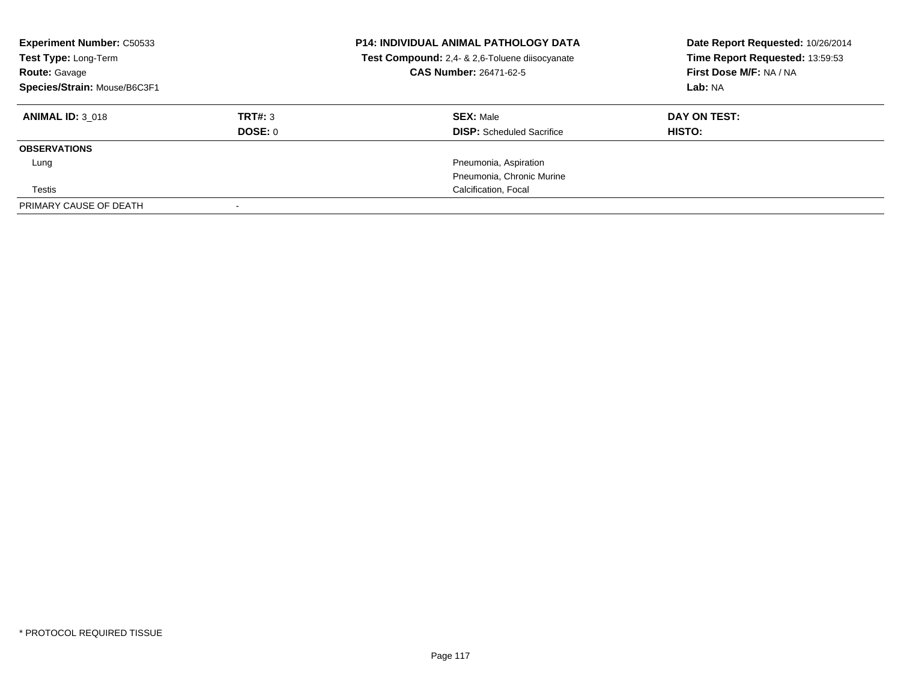| <b>Experiment Number: C50533</b><br>Test Type: Long-Term<br><b>Route: Gavage</b><br>Species/Strain: Mouse/B6C3F1 |         | <b>P14: INDIVIDUAL ANIMAL PATHOLOGY DATA</b><br>Test Compound: 2,4- & 2,6-Toluene diisocyanate<br>CAS Number: 26471-62-5 | Date Report Requested: 10/26/2014<br>Time Report Requested: 13:59:53<br>First Dose M/F: NA / NA<br>Lab: NA |
|------------------------------------------------------------------------------------------------------------------|---------|--------------------------------------------------------------------------------------------------------------------------|------------------------------------------------------------------------------------------------------------|
| <b>ANIMAL ID: 3 018</b>                                                                                          | TRT#: 3 | <b>SEX: Male</b>                                                                                                         | DAY ON TEST:                                                                                               |
|                                                                                                                  | DOSE: 0 | <b>DISP:</b> Scheduled Sacrifice                                                                                         | <b>HISTO:</b>                                                                                              |
| <b>OBSERVATIONS</b>                                                                                              |         |                                                                                                                          |                                                                                                            |
| Lung                                                                                                             |         | Pneumonia, Aspiration                                                                                                    |                                                                                                            |
|                                                                                                                  |         | Pneumonia, Chronic Murine                                                                                                |                                                                                                            |
| Testis                                                                                                           |         | Calcification, Focal                                                                                                     |                                                                                                            |
| PRIMARY CAUSE OF DEATH                                                                                           |         |                                                                                                                          |                                                                                                            |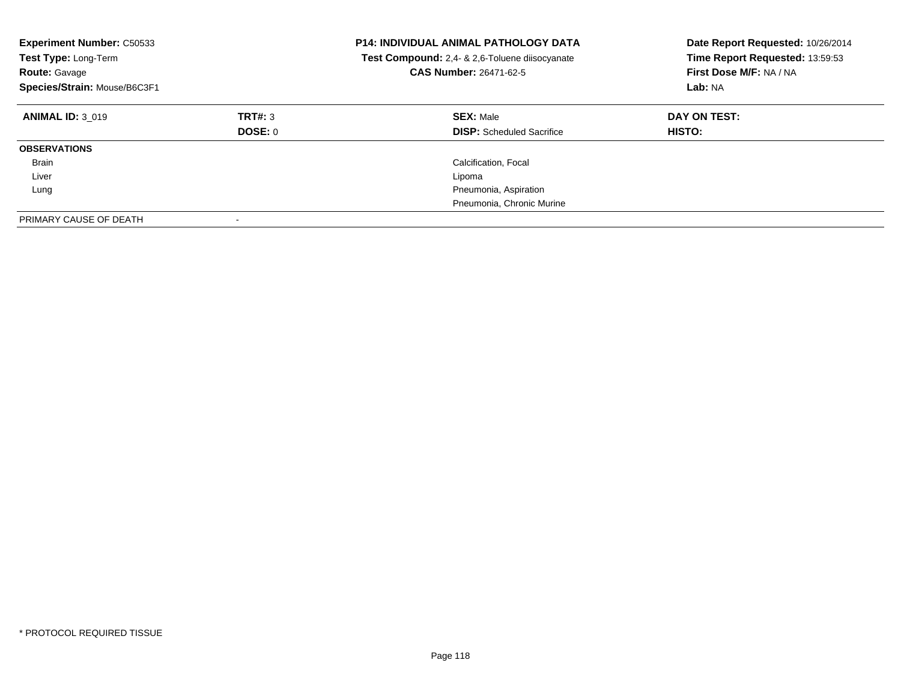| <b>Experiment Number: C50533</b><br>Test Type: Long-Term<br><b>Route: Gavage</b><br>Species/Strain: Mouse/B6C3F1 |                    | <b>P14: INDIVIDUAL ANIMAL PATHOLOGY DATA</b><br>Test Compound: 2,4- & 2,6-Toluene diisocyanate<br>CAS Number: 26471-62-5 | Date Report Requested: 10/26/2014<br>Time Report Requested: 13:59:53<br>First Dose M/F: NA / NA<br>Lab: NA |
|------------------------------------------------------------------------------------------------------------------|--------------------|--------------------------------------------------------------------------------------------------------------------------|------------------------------------------------------------------------------------------------------------|
| <b>ANIMAL ID: 3 019</b>                                                                                          | TRT#: 3<br>DOSE: 0 | <b>SEX: Male</b><br><b>DISP:</b> Scheduled Sacrifice                                                                     | DAY ON TEST:<br>HISTO:                                                                                     |
| <b>OBSERVATIONS</b>                                                                                              |                    |                                                                                                                          |                                                                                                            |
| Brain                                                                                                            |                    | Calcification, Focal                                                                                                     |                                                                                                            |
| Liver                                                                                                            |                    | Lipoma                                                                                                                   |                                                                                                            |
| Lung                                                                                                             |                    | Pneumonia, Aspiration                                                                                                    |                                                                                                            |
|                                                                                                                  |                    | Pneumonia, Chronic Murine                                                                                                |                                                                                                            |
| PRIMARY CAUSE OF DEATH                                                                                           |                    |                                                                                                                          |                                                                                                            |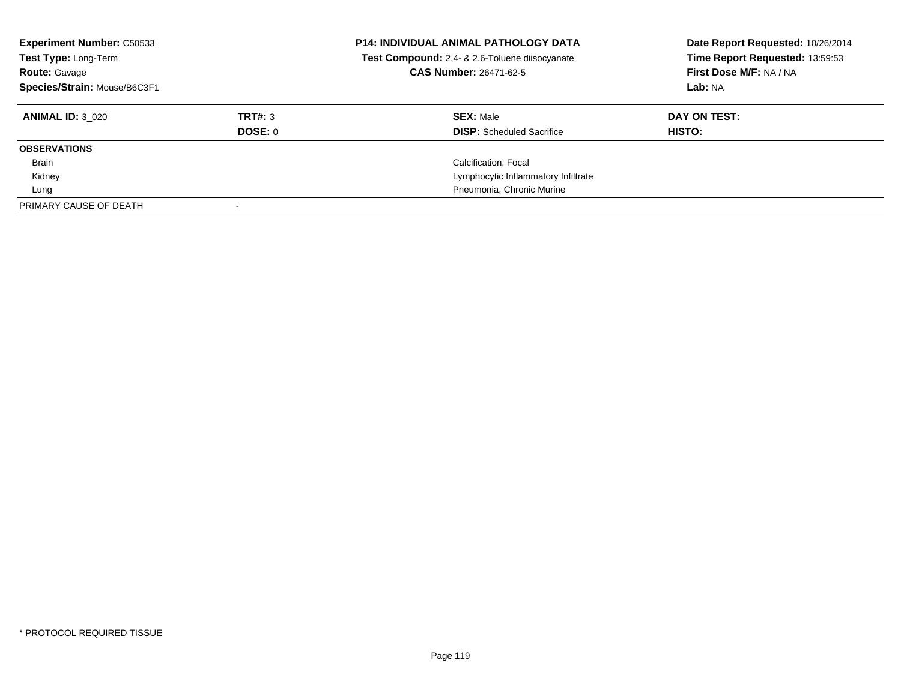| <b>Experiment Number: C50533</b><br>Test Type: Long-Term<br><b>Route: Gavage</b><br>Species/Strain: Mouse/B6C3F1 |                | <b>P14: INDIVIDUAL ANIMAL PATHOLOGY DATA</b><br>Test Compound: 2,4- & 2,6-Toluene diisocyanate<br><b>CAS Number: 26471-62-5</b> | Date Report Requested: 10/26/2014<br>Time Report Requested: 13:59:53<br>First Dose M/F: NA / NA<br>Lab: NA |
|------------------------------------------------------------------------------------------------------------------|----------------|---------------------------------------------------------------------------------------------------------------------------------|------------------------------------------------------------------------------------------------------------|
| <b>ANIMAL ID: 3 020</b>                                                                                          | TRT#: 3        | <b>SEX: Male</b>                                                                                                                | DAY ON TEST:                                                                                               |
|                                                                                                                  | <b>DOSE: 0</b> | <b>DISP:</b> Scheduled Sacrifice                                                                                                | HISTO:                                                                                                     |
| <b>OBSERVATIONS</b>                                                                                              |                |                                                                                                                                 |                                                                                                            |
| Brain                                                                                                            |                | Calcification, Focal                                                                                                            |                                                                                                            |
| Kidney                                                                                                           |                | Lymphocytic Inflammatory Infiltrate                                                                                             |                                                                                                            |
| Lung                                                                                                             |                | Pneumonia, Chronic Murine                                                                                                       |                                                                                                            |
| PRIMARY CAUSE OF DEATH                                                                                           |                |                                                                                                                                 |                                                                                                            |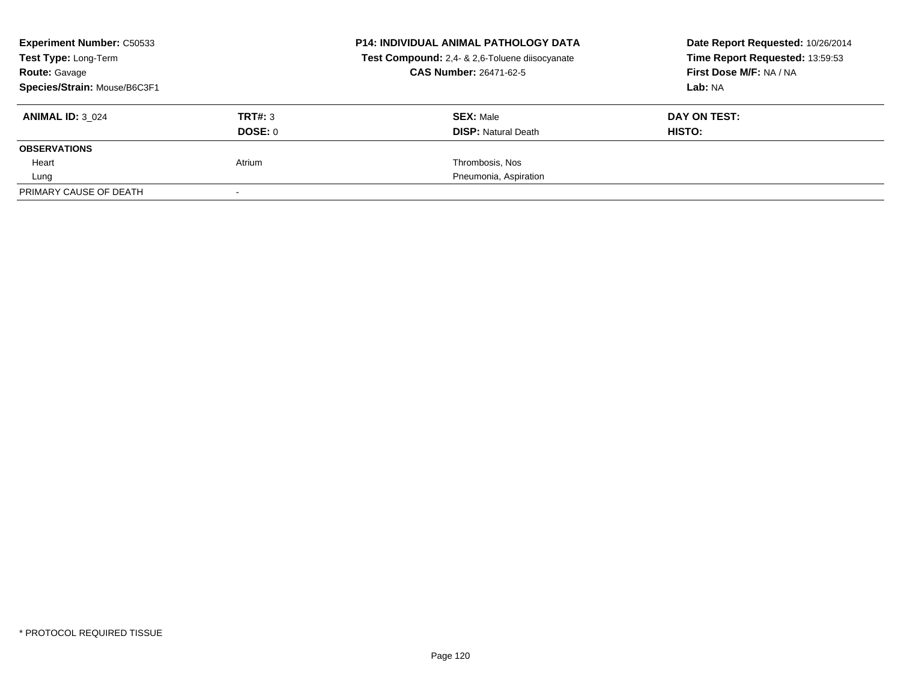| <b>Experiment Number: C50533</b><br>Test Type: Long-Term<br><b>Route: Gavage</b> |         | <b>P14: INDIVIDUAL ANIMAL PATHOLOGY DATA</b><br>Test Compound: 2,4- & 2,6-Toluene diisocyanate<br>CAS Number: 26471-62-5 | Date Report Requested: 10/26/2014<br>Time Report Requested: 13:59:53<br>First Dose M/F: NA / NA |
|----------------------------------------------------------------------------------|---------|--------------------------------------------------------------------------------------------------------------------------|-------------------------------------------------------------------------------------------------|
| Species/Strain: Mouse/B6C3F1                                                     |         |                                                                                                                          | Lab: NA                                                                                         |
| <b>ANIMAL ID: 3 024</b>                                                          | TRT#: 3 | <b>SEX: Male</b>                                                                                                         | DAY ON TEST:                                                                                    |
|                                                                                  | DOSE: 0 | <b>DISP:</b> Natural Death                                                                                               | HISTO:                                                                                          |
| <b>OBSERVATIONS</b>                                                              |         |                                                                                                                          |                                                                                                 |
| Heart                                                                            | Atrium  | Thrombosis, Nos                                                                                                          |                                                                                                 |
| Lung                                                                             |         | Pneumonia, Aspiration                                                                                                    |                                                                                                 |
| PRIMARY CAUSE OF DEATH                                                           |         |                                                                                                                          |                                                                                                 |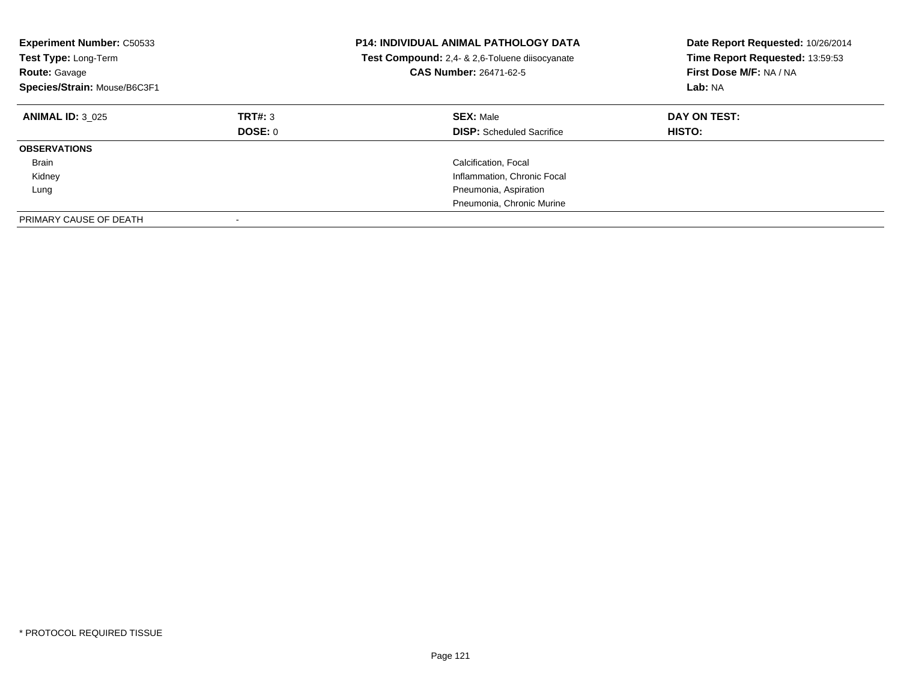| <b>Experiment Number: C50533</b><br>Test Type: Long-Term<br><b>Route: Gavage</b><br>Species/Strain: Mouse/B6C3F1 |                    | <b>P14: INDIVIDUAL ANIMAL PATHOLOGY DATA</b><br>Test Compound: 2,4- & 2,6-Toluene diisocyanate<br><b>CAS Number: 26471-62-5</b> | Date Report Requested: 10/26/2014<br>Time Report Requested: 13:59:53<br>First Dose M/F: NA / NA<br>Lab: NA |
|------------------------------------------------------------------------------------------------------------------|--------------------|---------------------------------------------------------------------------------------------------------------------------------|------------------------------------------------------------------------------------------------------------|
| <b>ANIMAL ID: 3 025</b>                                                                                          | TRT#: 3<br>DOSE: 0 | <b>SEX: Male</b><br><b>DISP:</b> Scheduled Sacrifice                                                                            | DAY ON TEST:<br>HISTO:                                                                                     |
| <b>OBSERVATIONS</b>                                                                                              |                    |                                                                                                                                 |                                                                                                            |
| Brain                                                                                                            |                    | Calcification, Focal                                                                                                            |                                                                                                            |
| Kidney                                                                                                           |                    | Inflammation, Chronic Focal                                                                                                     |                                                                                                            |
| Lung                                                                                                             |                    | Pneumonia, Aspiration                                                                                                           |                                                                                                            |
|                                                                                                                  |                    | Pneumonia, Chronic Murine                                                                                                       |                                                                                                            |
| PRIMARY CAUSE OF DEATH                                                                                           |                    |                                                                                                                                 |                                                                                                            |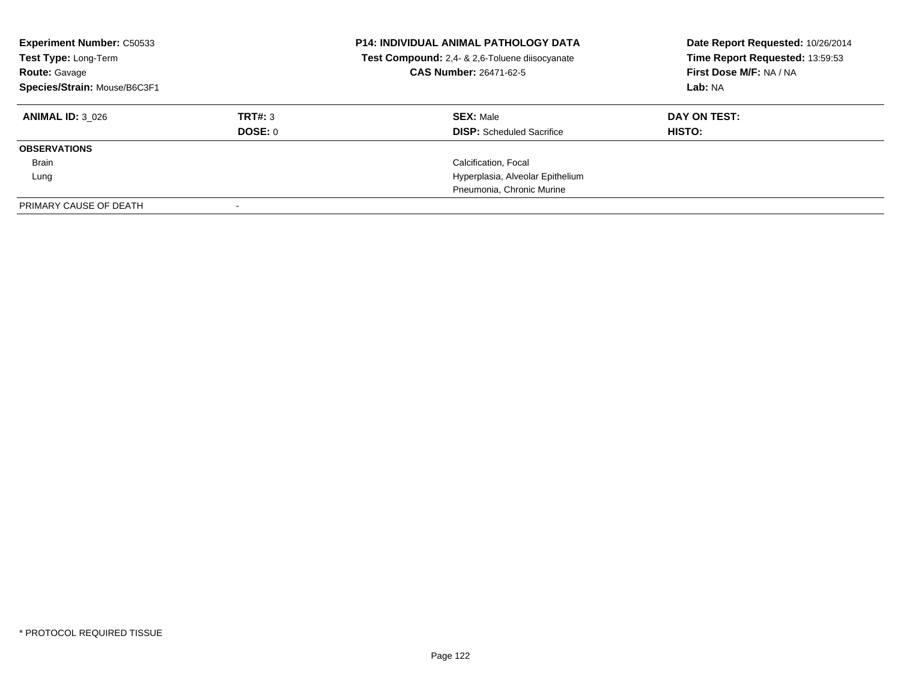| <b>Experiment Number: C50533</b><br>Test Type: Long-Term<br><b>Route: Gavage</b><br>Species/Strain: Mouse/B6C3F1 |                    | <b>P14: INDIVIDUAL ANIMAL PATHOLOGY DATA</b><br>Test Compound: 2,4- & 2,6-Toluene diisocyanate<br><b>CAS Number: 26471-62-5</b> | Date Report Requested: 10/26/2014<br>Time Report Requested: 13:59:53<br>First Dose M/F: NA / NA<br>Lab: NA |
|------------------------------------------------------------------------------------------------------------------|--------------------|---------------------------------------------------------------------------------------------------------------------------------|------------------------------------------------------------------------------------------------------------|
| <b>ANIMAL ID: 3 026</b>                                                                                          | TRT#: 3<br>DOSE: 0 | <b>SEX: Male</b><br><b>DISP:</b> Scheduled Sacrifice                                                                            | DAY ON TEST:<br>HISTO:                                                                                     |
| <b>OBSERVATIONS</b>                                                                                              |                    |                                                                                                                                 |                                                                                                            |
| Brain                                                                                                            |                    | Calcification, Focal                                                                                                            |                                                                                                            |
| Lung                                                                                                             |                    | Hyperplasia, Alveolar Epithelium                                                                                                |                                                                                                            |
|                                                                                                                  |                    | Pneumonia, Chronic Murine                                                                                                       |                                                                                                            |
| PRIMARY CAUSE OF DEATH                                                                                           |                    |                                                                                                                                 |                                                                                                            |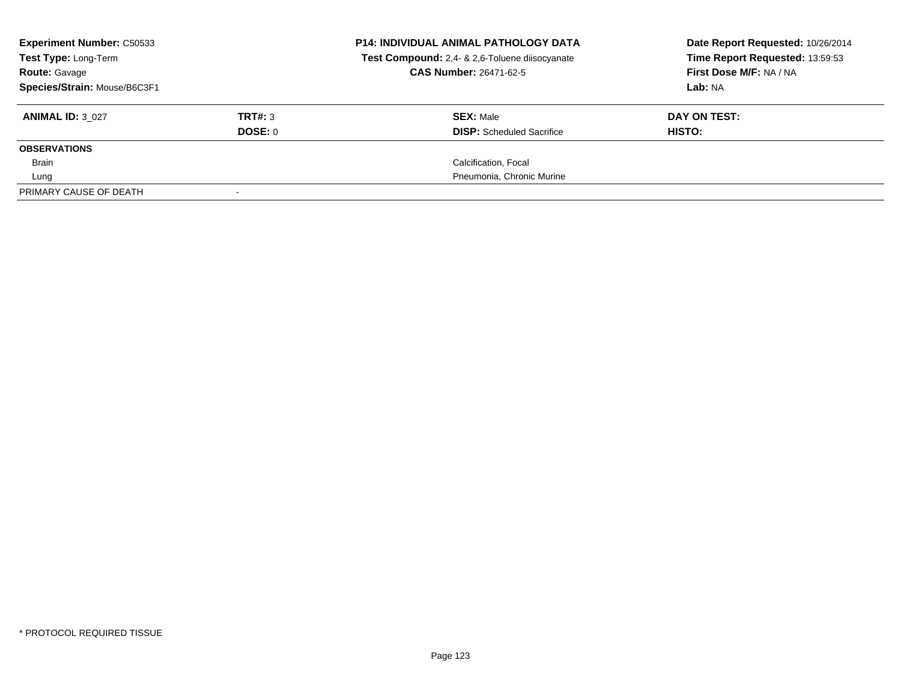| <b>Experiment Number: C50533</b><br>Test Type: Long-Term<br><b>Route: Gavage</b> |         | <b>P14: INDIVIDUAL ANIMAL PATHOLOGY DATA</b><br>Test Compound: 2,4- & 2,6-Toluene diisocyanate<br><b>CAS Number: 26471-62-5</b> | Date Report Requested: 10/26/2014<br>Time Report Requested: 13:59:53<br>First Dose M/F: NA / NA |
|----------------------------------------------------------------------------------|---------|---------------------------------------------------------------------------------------------------------------------------------|-------------------------------------------------------------------------------------------------|
| Species/Strain: Mouse/B6C3F1                                                     |         |                                                                                                                                 | Lab: NA                                                                                         |
| <b>ANIMAL ID: 3 027</b>                                                          | TRT#: 3 | <b>SEX: Male</b>                                                                                                                | DAY ON TEST:                                                                                    |
|                                                                                  | DOSE: 0 | <b>DISP:</b> Scheduled Sacrifice                                                                                                | HISTO:                                                                                          |
| <b>OBSERVATIONS</b>                                                              |         |                                                                                                                                 |                                                                                                 |
| Brain                                                                            |         | Calcification, Focal                                                                                                            |                                                                                                 |
| Lung                                                                             |         | Pneumonia, Chronic Murine                                                                                                       |                                                                                                 |
| PRIMARY CAUSE OF DEATH                                                           |         |                                                                                                                                 |                                                                                                 |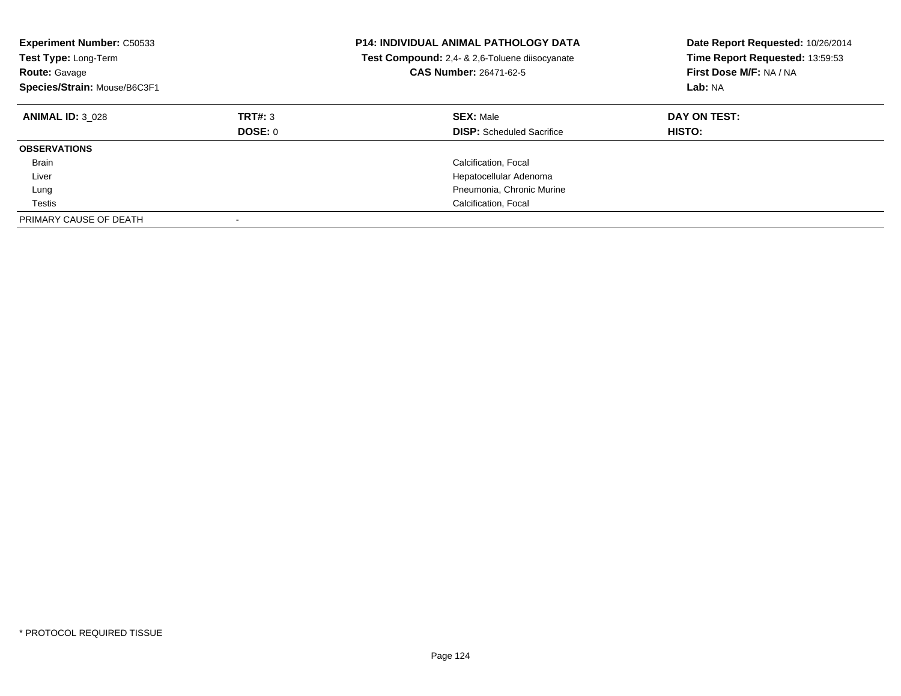| <b>Experiment Number: C50533</b><br>Test Type: Long-Term<br><b>Route: Gavage</b><br>Species/Strain: Mouse/B6C3F1 |                    | <b>P14: INDIVIDUAL ANIMAL PATHOLOGY DATA</b><br>Test Compound: 2,4- & 2,6-Toluene diisocyanate<br><b>CAS Number: 26471-62-5</b> | Date Report Requested: 10/26/2014<br>Time Report Requested: 13:59:53<br>First Dose M/F: NA / NA<br>Lab: NA |
|------------------------------------------------------------------------------------------------------------------|--------------------|---------------------------------------------------------------------------------------------------------------------------------|------------------------------------------------------------------------------------------------------------|
| <b>ANIMAL ID: 3 028</b>                                                                                          | TRT#: 3<br>DOSE: 0 | <b>SEX: Male</b><br><b>DISP:</b> Scheduled Sacrifice                                                                            | DAY ON TEST:<br><b>HISTO:</b>                                                                              |
| <b>OBSERVATIONS</b>                                                                                              |                    |                                                                                                                                 |                                                                                                            |
| <b>Brain</b>                                                                                                     |                    | Calcification, Focal                                                                                                            |                                                                                                            |
| Liver                                                                                                            |                    | Hepatocellular Adenoma                                                                                                          |                                                                                                            |
| Lung                                                                                                             |                    | Pneumonia, Chronic Murine                                                                                                       |                                                                                                            |
| Testis                                                                                                           |                    | Calcification, Focal                                                                                                            |                                                                                                            |
| PRIMARY CAUSE OF DEATH                                                                                           |                    |                                                                                                                                 |                                                                                                            |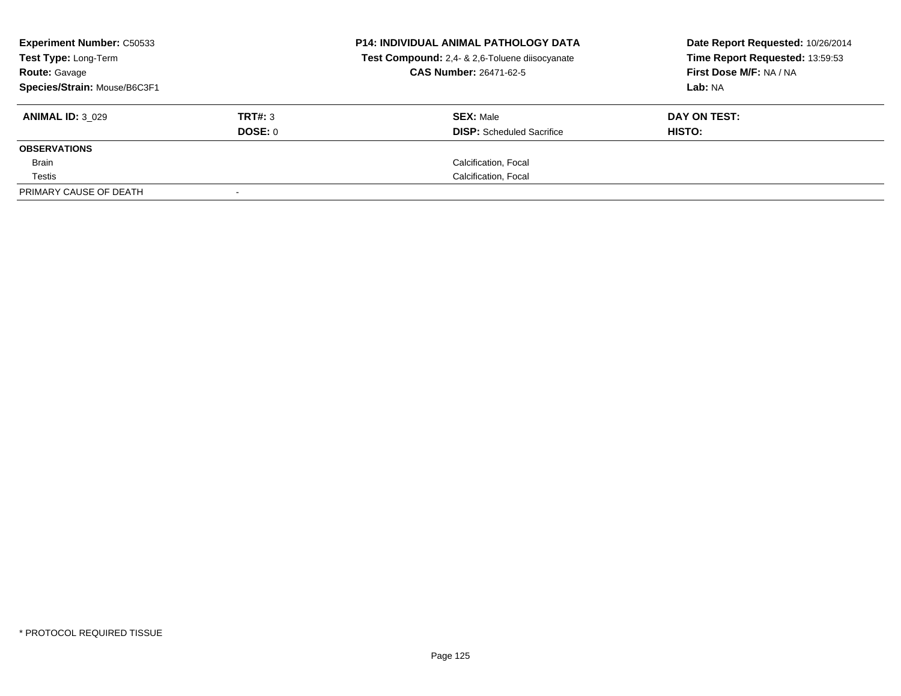| <b>Experiment Number: C50533</b><br>Test Type: Long-Term<br><b>Route: Gavage</b> |         | <b>P14: INDIVIDUAL ANIMAL PATHOLOGY DATA</b><br>Test Compound: 2,4- & 2,6-Toluene diisocyanate<br><b>CAS Number: 26471-62-5</b> | Date Report Requested: 10/26/2014<br>Time Report Requested: 13:59:53<br>First Dose M/F: NA / NA |
|----------------------------------------------------------------------------------|---------|---------------------------------------------------------------------------------------------------------------------------------|-------------------------------------------------------------------------------------------------|
| Species/Strain: Mouse/B6C3F1                                                     |         |                                                                                                                                 | Lab: NA                                                                                         |
| <b>ANIMAL ID: 3 029</b>                                                          | TRT#: 3 | <b>SEX: Male</b>                                                                                                                | DAY ON TEST:                                                                                    |
|                                                                                  | DOSE: 0 | <b>DISP:</b> Scheduled Sacrifice                                                                                                | HISTO:                                                                                          |
| <b>OBSERVATIONS</b>                                                              |         |                                                                                                                                 |                                                                                                 |
| Brain                                                                            |         | Calcification, Focal                                                                                                            |                                                                                                 |
| Testis                                                                           |         | Calcification, Focal                                                                                                            |                                                                                                 |
| PRIMARY CAUSE OF DEATH                                                           |         |                                                                                                                                 |                                                                                                 |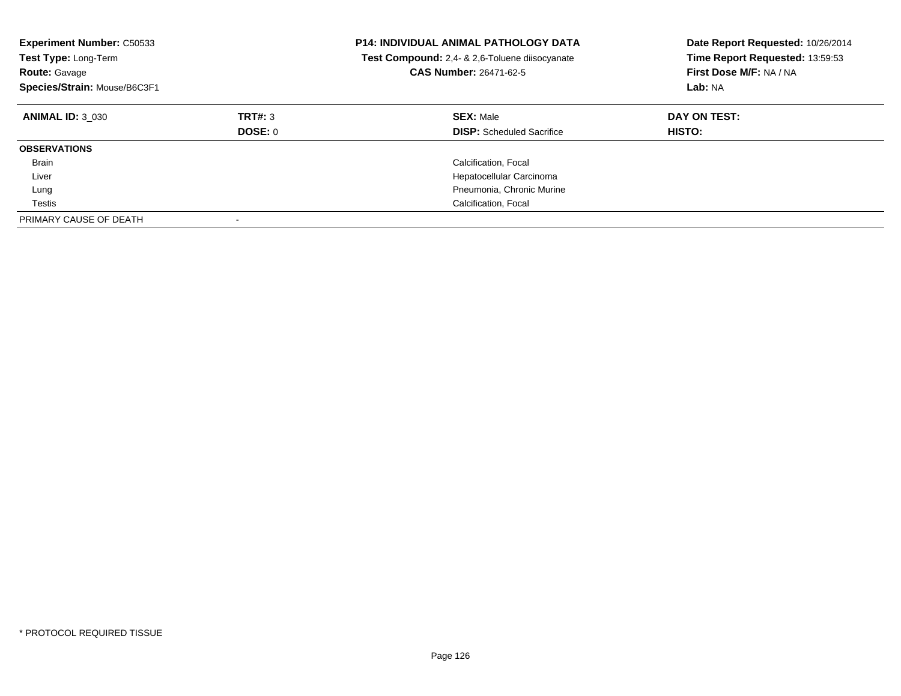| <b>Experiment Number: C50533</b><br>Test Type: Long-Term<br><b>Route: Gavage</b><br>Species/Strain: Mouse/B6C3F1 |                    | <b>P14: INDIVIDUAL ANIMAL PATHOLOGY DATA</b><br>Test Compound: 2,4- & 2,6-Toluene diisocyanate<br>CAS Number: 26471-62-5 | Date Report Requested: 10/26/2014<br>Time Report Requested: 13:59:53<br>First Dose M/F: NA / NA<br>Lab: NA |
|------------------------------------------------------------------------------------------------------------------|--------------------|--------------------------------------------------------------------------------------------------------------------------|------------------------------------------------------------------------------------------------------------|
| <b>ANIMAL ID: 3 030</b>                                                                                          | TRT#: 3<br>DOSE: 0 | <b>SEX: Male</b><br><b>DISP:</b> Scheduled Sacrifice                                                                     | DAY ON TEST:<br>HISTO:                                                                                     |
| <b>OBSERVATIONS</b>                                                                                              |                    |                                                                                                                          |                                                                                                            |
| <b>Brain</b>                                                                                                     |                    | Calcification, Focal                                                                                                     |                                                                                                            |
| Liver                                                                                                            |                    | Hepatocellular Carcinoma                                                                                                 |                                                                                                            |
| Lung                                                                                                             |                    | Pneumonia, Chronic Murine                                                                                                |                                                                                                            |
| Testis                                                                                                           |                    | Calcification, Focal                                                                                                     |                                                                                                            |
| PRIMARY CAUSE OF DEATH                                                                                           |                    |                                                                                                                          |                                                                                                            |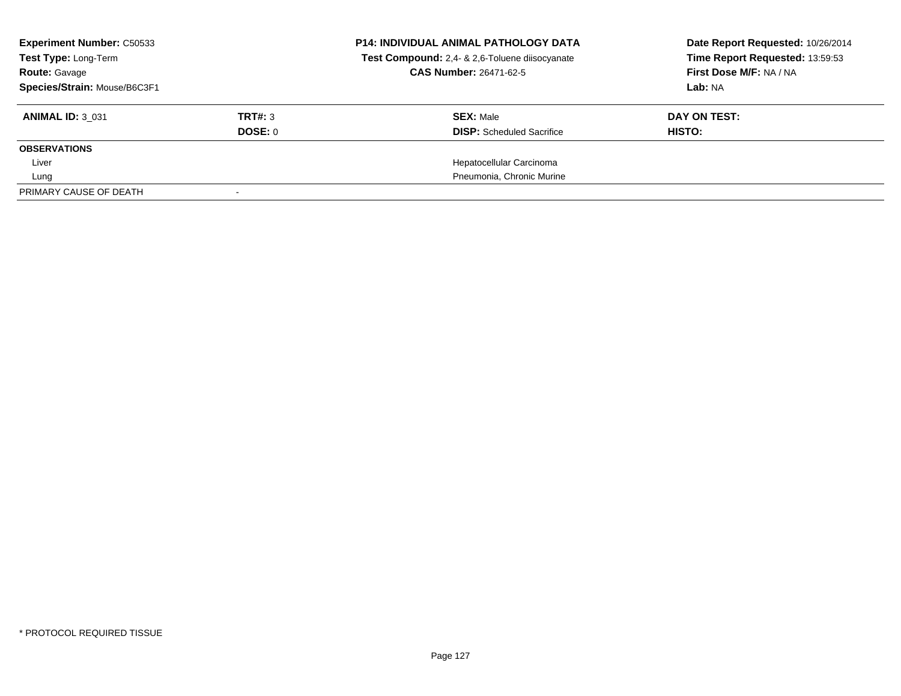| <b>Experiment Number: C50533</b><br>Test Type: Long-Term<br><b>Route: Gavage</b><br>Species/Strain: Mouse/B6C3F1 |                    | <b>P14: INDIVIDUAL ANIMAL PATHOLOGY DATA</b><br>Test Compound: 2,4- & 2,6-Toluene diisocyanate<br><b>CAS Number: 26471-62-5</b> | Date Report Requested: 10/26/2014<br>Time Report Requested: 13:59:53<br>First Dose M/F: NA / NA<br>Lab: NA |
|------------------------------------------------------------------------------------------------------------------|--------------------|---------------------------------------------------------------------------------------------------------------------------------|------------------------------------------------------------------------------------------------------------|
| <b>ANIMAL ID: 3 031</b>                                                                                          | TRT#: 3<br>DOSE: 0 | <b>SEX: Male</b><br><b>DISP:</b> Scheduled Sacrifice                                                                            | DAY ON TEST:<br>HISTO:                                                                                     |
| <b>OBSERVATIONS</b>                                                                                              |                    |                                                                                                                                 |                                                                                                            |
| Liver                                                                                                            |                    | Hepatocellular Carcinoma                                                                                                        |                                                                                                            |
| Lung                                                                                                             |                    | Pneumonia, Chronic Murine                                                                                                       |                                                                                                            |
| PRIMARY CAUSE OF DEATH                                                                                           |                    |                                                                                                                                 |                                                                                                            |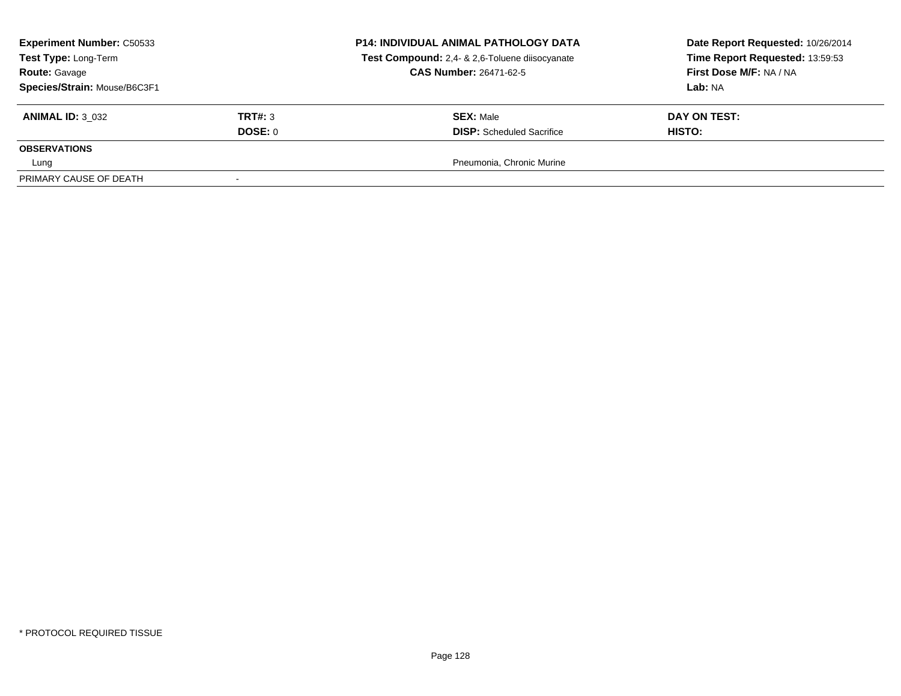| <b>Experiment Number: C50533</b><br>Test Type: Long-Term<br><b>Route: Gavage</b><br>Species/Strain: Mouse/B6C3F1 |                    | <b>P14: INDIVIDUAL ANIMAL PATHOLOGY DATA</b><br>Test Compound: 2,4- & 2,6-Toluene diisocyanate<br><b>CAS Number: 26471-62-5</b> | Date Report Requested: 10/26/2014<br>Time Report Requested: 13:59:53<br>First Dose M/F: NA / NA<br>Lab: NA |
|------------------------------------------------------------------------------------------------------------------|--------------------|---------------------------------------------------------------------------------------------------------------------------------|------------------------------------------------------------------------------------------------------------|
| <b>ANIMAL ID: 3 032</b>                                                                                          | TRT#: 3<br>DOSE: 0 | <b>SEX: Male</b><br><b>DISP:</b> Scheduled Sacrifice                                                                            | DAY ON TEST:<br><b>HISTO:</b>                                                                              |
| <b>OBSERVATIONS</b><br>Lung                                                                                      |                    | Pneumonia, Chronic Murine                                                                                                       |                                                                                                            |
| PRIMARY CAUSE OF DEATH                                                                                           |                    |                                                                                                                                 |                                                                                                            |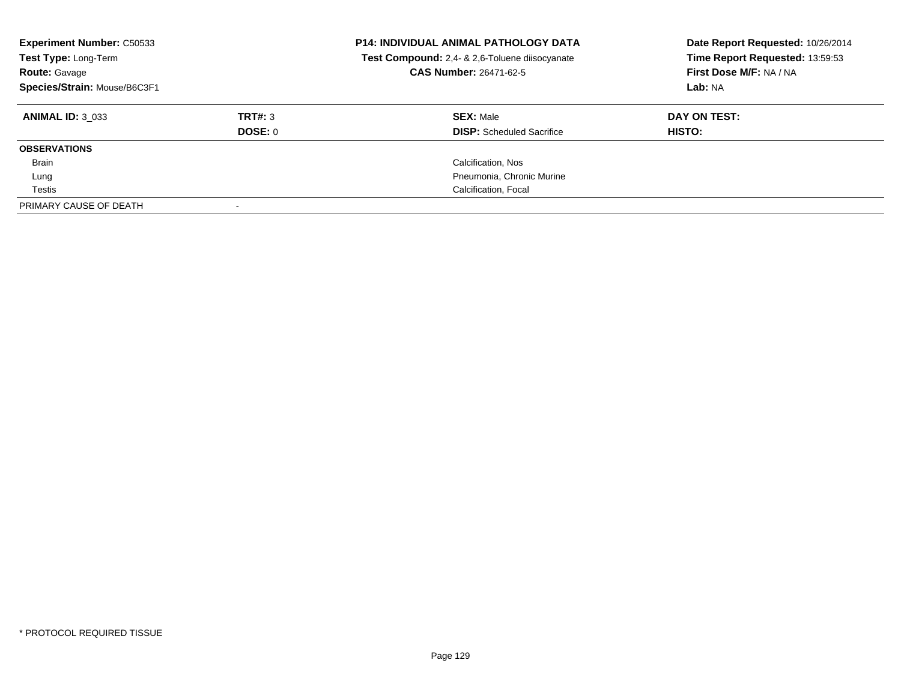| <b>Experiment Number: C50533</b><br>Test Type: Long-Term<br><b>Route: Gavage</b><br>Species/Strain: Mouse/B6C3F1 |                | <b>P14: INDIVIDUAL ANIMAL PATHOLOGY DATA</b><br>Test Compound: 2,4- & 2,6-Toluene diisocyanate<br><b>CAS Number: 26471-62-5</b> | Date Report Requested: 10/26/2014<br>Time Report Requested: 13:59:53<br>First Dose M/F: NA / NA<br>Lab: NA |
|------------------------------------------------------------------------------------------------------------------|----------------|---------------------------------------------------------------------------------------------------------------------------------|------------------------------------------------------------------------------------------------------------|
| <b>ANIMAL ID: 3 033</b>                                                                                          | TRT#: 3        | <b>SEX: Male</b>                                                                                                                | DAY ON TEST:                                                                                               |
|                                                                                                                  | <b>DOSE: 0</b> | <b>DISP:</b> Scheduled Sacrifice                                                                                                | HISTO:                                                                                                     |
| <b>OBSERVATIONS</b>                                                                                              |                |                                                                                                                                 |                                                                                                            |
| Brain                                                                                                            |                | Calcification, Nos                                                                                                              |                                                                                                            |
| Lung                                                                                                             |                | Pneumonia, Chronic Murine                                                                                                       |                                                                                                            |
| Testis                                                                                                           |                | Calcification, Focal                                                                                                            |                                                                                                            |
| PRIMARY CAUSE OF DEATH                                                                                           |                |                                                                                                                                 |                                                                                                            |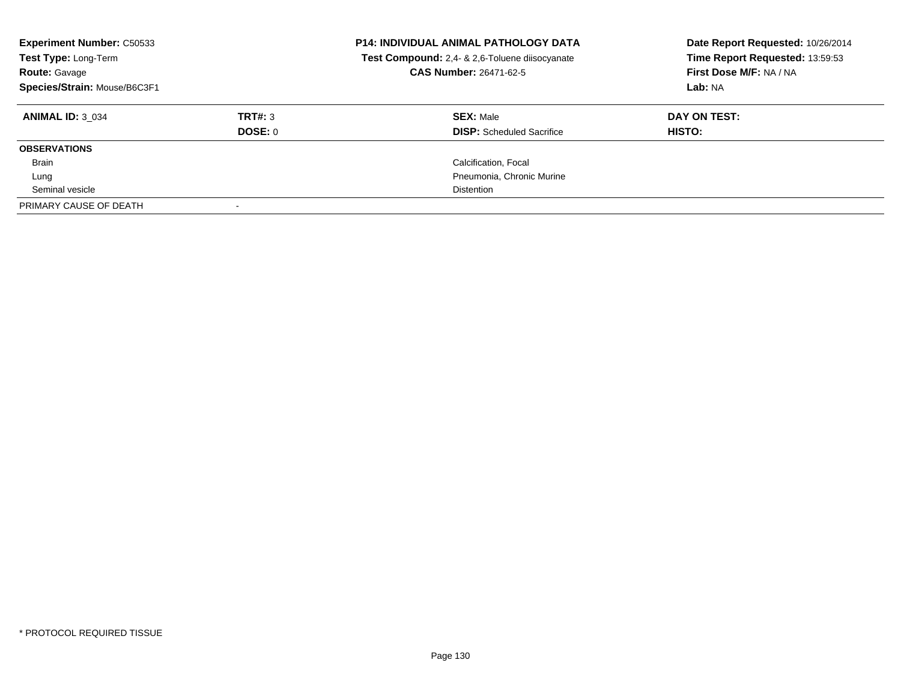| <b>Experiment Number: C50533</b><br>Test Type: Long-Term<br><b>Route: Gavage</b><br>Species/Strain: Mouse/B6C3F1 |         | <b>P14: INDIVIDUAL ANIMAL PATHOLOGY DATA</b><br>Test Compound: 2,4- & 2,6-Toluene diisocyanate<br>CAS Number: 26471-62-5 | Date Report Requested: 10/26/2014<br>Time Report Requested: 13:59:53<br>First Dose M/F: NA / NA<br>Lab: NA |
|------------------------------------------------------------------------------------------------------------------|---------|--------------------------------------------------------------------------------------------------------------------------|------------------------------------------------------------------------------------------------------------|
| <b>ANIMAL ID: 3 034</b>                                                                                          | TRT#: 3 | <b>SEX: Male</b>                                                                                                         | DAY ON TEST:                                                                                               |
|                                                                                                                  | DOSE: 0 | <b>DISP:</b> Scheduled Sacrifice                                                                                         | HISTO:                                                                                                     |
| <b>OBSERVATIONS</b>                                                                                              |         |                                                                                                                          |                                                                                                            |
| Brain                                                                                                            |         | Calcification, Focal                                                                                                     |                                                                                                            |
| Lung                                                                                                             |         | Pneumonia, Chronic Murine                                                                                                |                                                                                                            |
| Seminal vesicle                                                                                                  |         | <b>Distention</b>                                                                                                        |                                                                                                            |
| PRIMARY CAUSE OF DEATH                                                                                           |         |                                                                                                                          |                                                                                                            |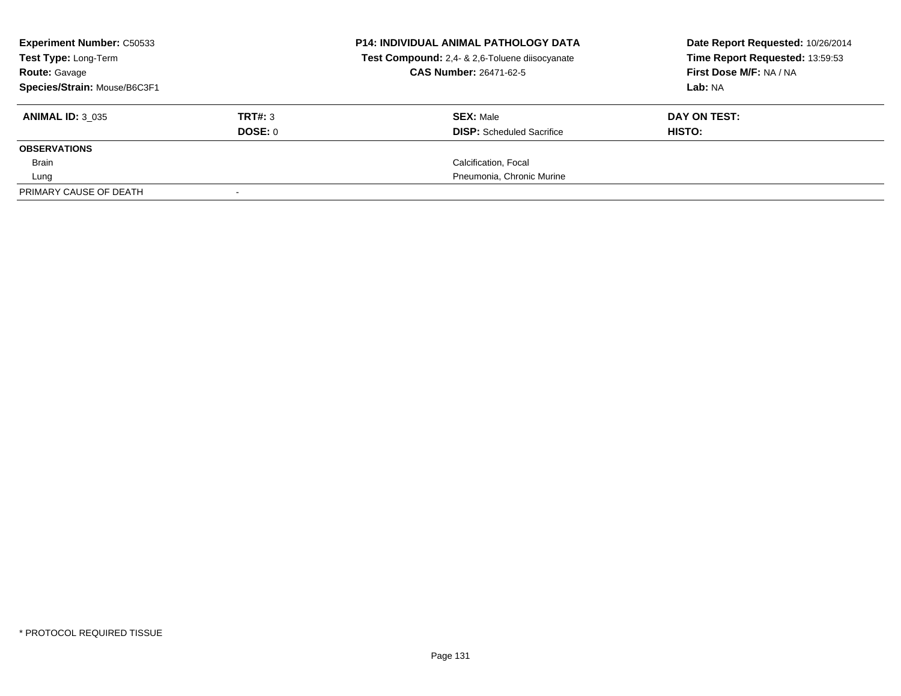| <b>Experiment Number: C50533</b><br>Test Type: Long-Term |         | <b>P14: INDIVIDUAL ANIMAL PATHOLOGY DATA</b><br>Test Compound: 2,4- & 2,6-Toluene diisocyanate<br><b>CAS Number: 26471-62-5</b> | Date Report Requested: 10/26/2014<br>Time Report Requested: 13:59:53<br>First Dose M/F: NA / NA |
|----------------------------------------------------------|---------|---------------------------------------------------------------------------------------------------------------------------------|-------------------------------------------------------------------------------------------------|
| <b>Route: Gavage</b><br>Species/Strain: Mouse/B6C3F1     |         |                                                                                                                                 | Lab: NA                                                                                         |
| <b>ANIMAL ID: 3 035</b>                                  | TRT#: 3 | <b>SEX: Male</b>                                                                                                                | DAY ON TEST:                                                                                    |
|                                                          | DOSE: 0 | <b>DISP:</b> Scheduled Sacrifice                                                                                                | HISTO:                                                                                          |
| <b>OBSERVATIONS</b>                                      |         |                                                                                                                                 |                                                                                                 |
| Brain                                                    |         | Calcification, Focal                                                                                                            |                                                                                                 |
| Lung                                                     |         | Pneumonia, Chronic Murine                                                                                                       |                                                                                                 |
| PRIMARY CAUSE OF DEATH                                   |         |                                                                                                                                 |                                                                                                 |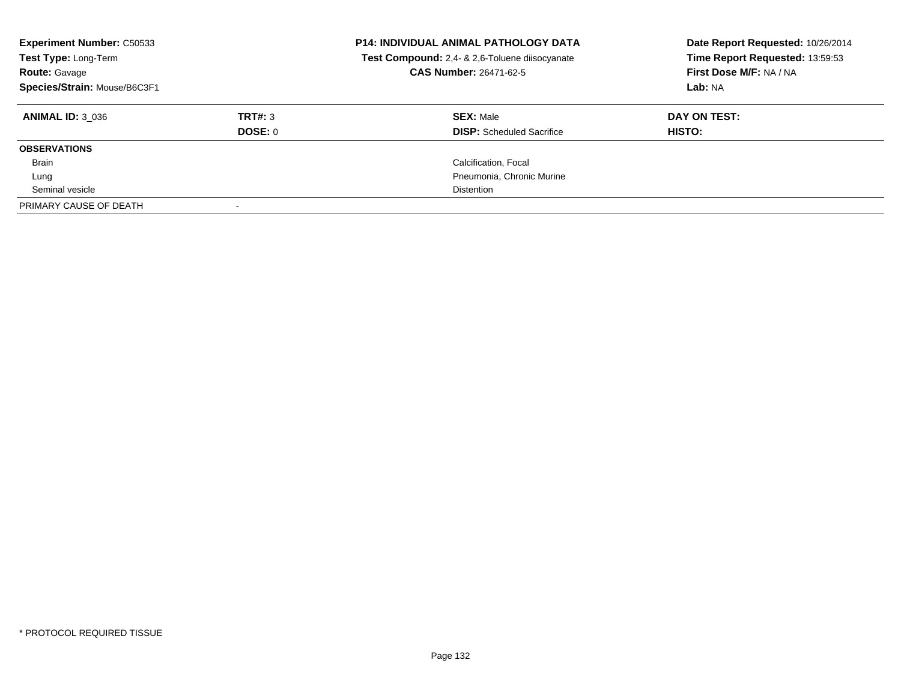| <b>Experiment Number: C50533</b><br>Test Type: Long-Term<br><b>Route: Gavage</b><br>Species/Strain: Mouse/B6C3F1 |                | <b>P14: INDIVIDUAL ANIMAL PATHOLOGY DATA</b><br>Test Compound: 2,4- & 2,6-Toluene diisocyanate<br><b>CAS Number: 26471-62-5</b> | Date Report Requested: 10/26/2014<br>Time Report Requested: 13:59:53<br>First Dose M/F: NA / NA<br>Lab: NA |
|------------------------------------------------------------------------------------------------------------------|----------------|---------------------------------------------------------------------------------------------------------------------------------|------------------------------------------------------------------------------------------------------------|
| <b>ANIMAL ID: 3 036</b>                                                                                          | TRT#: 3        | <b>SEX: Male</b>                                                                                                                | DAY ON TEST:                                                                                               |
|                                                                                                                  | <b>DOSE: 0</b> | <b>DISP:</b> Scheduled Sacrifice                                                                                                | HISTO:                                                                                                     |
| <b>OBSERVATIONS</b>                                                                                              |                |                                                                                                                                 |                                                                                                            |
| Brain                                                                                                            |                | Calcification, Focal                                                                                                            |                                                                                                            |
| Lung                                                                                                             |                | Pneumonia, Chronic Murine                                                                                                       |                                                                                                            |
| Seminal vesicle                                                                                                  |                | <b>Distention</b>                                                                                                               |                                                                                                            |
| PRIMARY CAUSE OF DEATH                                                                                           |                |                                                                                                                                 |                                                                                                            |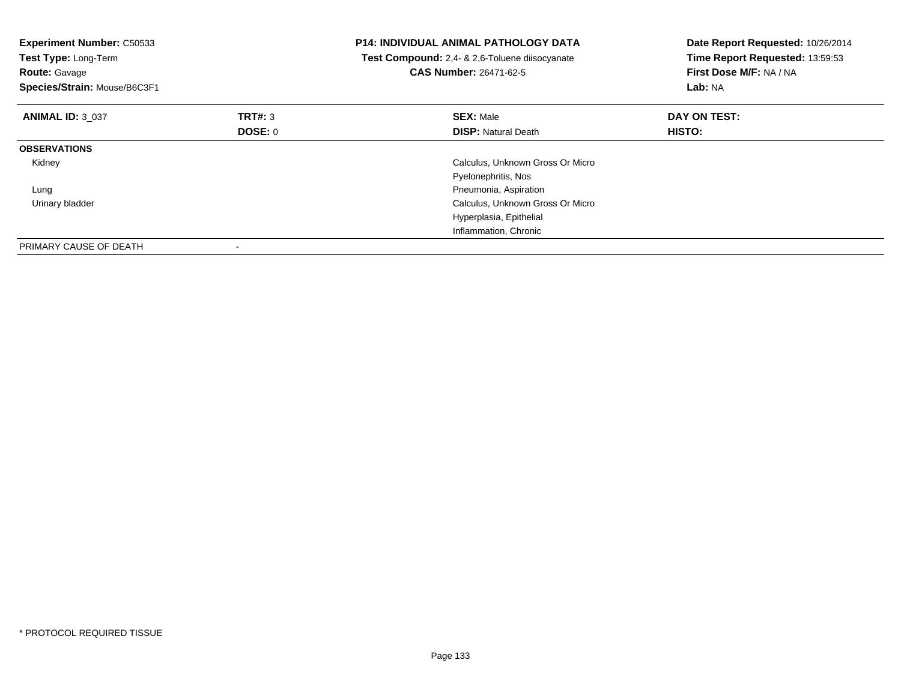| <b>Experiment Number: C50533</b><br>Test Type: Long-Term<br><b>Route: Gavage</b><br>Species/Strain: Mouse/B6C3F1 |         | <b>P14: INDIVIDUAL ANIMAL PATHOLOGY DATA</b><br>Test Compound: 2,4- & 2,6-Toluene diisocyanate<br><b>CAS Number: 26471-62-5</b> | Date Report Requested: 10/26/2014<br>Time Report Requested: 13:59:53<br>First Dose M/F: NA / NA<br>Lab: NA |
|------------------------------------------------------------------------------------------------------------------|---------|---------------------------------------------------------------------------------------------------------------------------------|------------------------------------------------------------------------------------------------------------|
| <b>ANIMAL ID: 3 037</b>                                                                                          | TRT#: 3 | <b>SEX: Male</b>                                                                                                                | DAY ON TEST:                                                                                               |
|                                                                                                                  | DOSE: 0 | <b>DISP:</b> Natural Death                                                                                                      | <b>HISTO:</b>                                                                                              |
| <b>OBSERVATIONS</b>                                                                                              |         |                                                                                                                                 |                                                                                                            |
| Kidney                                                                                                           |         | Calculus, Unknown Gross Or Micro                                                                                                |                                                                                                            |
|                                                                                                                  |         | Pyelonephritis, Nos                                                                                                             |                                                                                                            |
| Lung                                                                                                             |         | Pneumonia, Aspiration                                                                                                           |                                                                                                            |
| Urinary bladder                                                                                                  |         | Calculus, Unknown Gross Or Micro                                                                                                |                                                                                                            |
|                                                                                                                  |         | Hyperplasia, Epithelial                                                                                                         |                                                                                                            |
|                                                                                                                  |         | Inflammation, Chronic                                                                                                           |                                                                                                            |
| PRIMARY CAUSE OF DEATH                                                                                           |         |                                                                                                                                 |                                                                                                            |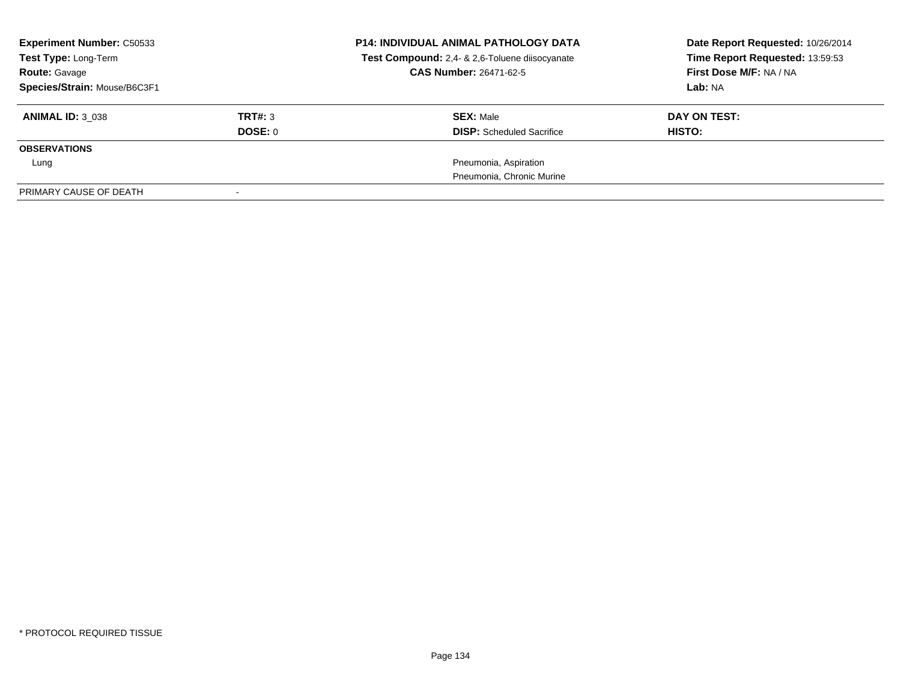| <b>Experiment Number: C50533</b><br>Test Type: Long-Term<br><b>Route: Gavage</b><br>Species/Strain: Mouse/B6C3F1 |         | <b>P14: INDIVIDUAL ANIMAL PATHOLOGY DATA</b><br>Test Compound: 2,4- & 2,6-Toluene diisocyanate<br><b>CAS Number: 26471-62-5</b> | Date Report Requested: 10/26/2014<br>Time Report Requested: 13:59:53<br>First Dose M/F: NA / NA<br>Lab: NA |
|------------------------------------------------------------------------------------------------------------------|---------|---------------------------------------------------------------------------------------------------------------------------------|------------------------------------------------------------------------------------------------------------|
| <b>ANIMAL ID: 3 038</b>                                                                                          | TRT#: 3 | <b>SEX: Male</b>                                                                                                                | DAY ON TEST:                                                                                               |
|                                                                                                                  | DOSE: 0 | <b>DISP:</b> Scheduled Sacrifice                                                                                                | HISTO:                                                                                                     |
| <b>OBSERVATIONS</b>                                                                                              |         |                                                                                                                                 |                                                                                                            |
| Lung                                                                                                             |         | Pneumonia, Aspiration                                                                                                           |                                                                                                            |
|                                                                                                                  |         | Pneumonia, Chronic Murine                                                                                                       |                                                                                                            |
| PRIMARY CAUSE OF DEATH                                                                                           |         |                                                                                                                                 |                                                                                                            |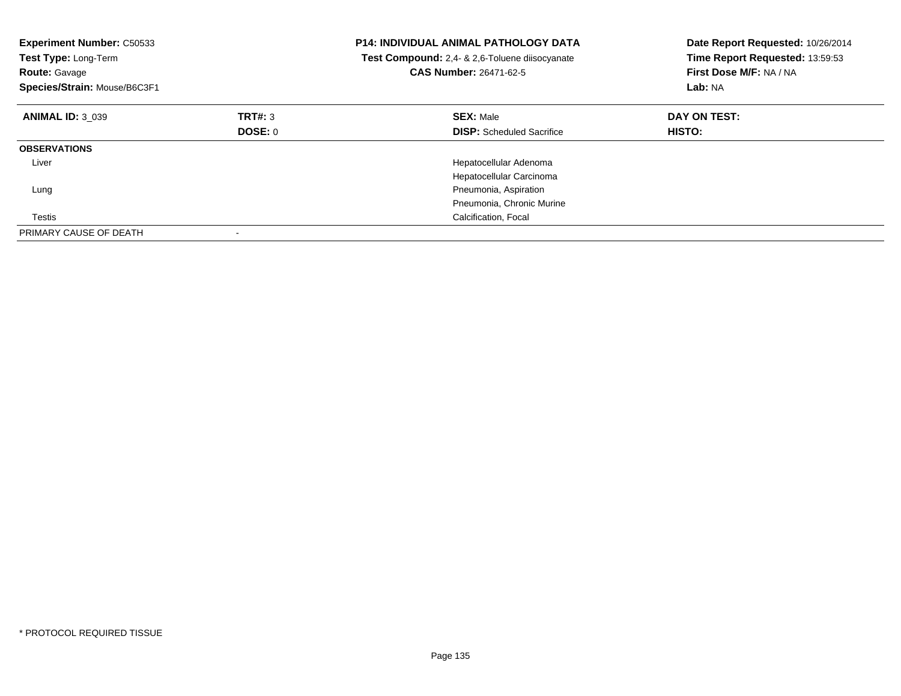| <b>Experiment Number: C50533</b><br>Test Type: Long-Term<br><b>Route: Gavage</b><br>Species/Strain: Mouse/B6C3F1 |                | <b>P14: INDIVIDUAL ANIMAL PATHOLOGY DATA</b><br>Test Compound: 2,4- & 2,6-Toluene diisocyanate<br>CAS Number: 26471-62-5 | Date Report Requested: 10/26/2014<br>Time Report Requested: 13:59:53<br>First Dose M/F: NA / NA<br>Lab: NA |
|------------------------------------------------------------------------------------------------------------------|----------------|--------------------------------------------------------------------------------------------------------------------------|------------------------------------------------------------------------------------------------------------|
| <b>ANIMAL ID: 3 039</b>                                                                                          | TRT#: 3        | <b>SEX: Male</b>                                                                                                         | DAY ON TEST:                                                                                               |
|                                                                                                                  | <b>DOSE: 0</b> | <b>DISP:</b> Scheduled Sacrifice                                                                                         | HISTO:                                                                                                     |
| <b>OBSERVATIONS</b>                                                                                              |                |                                                                                                                          |                                                                                                            |
| Liver                                                                                                            |                | Hepatocellular Adenoma                                                                                                   |                                                                                                            |
|                                                                                                                  |                | Hepatocellular Carcinoma                                                                                                 |                                                                                                            |
| Lung                                                                                                             |                | Pneumonia, Aspiration                                                                                                    |                                                                                                            |
|                                                                                                                  |                | Pneumonia, Chronic Murine                                                                                                |                                                                                                            |
| Testis                                                                                                           |                | Calcification, Focal                                                                                                     |                                                                                                            |
| PRIMARY CAUSE OF DEATH                                                                                           |                |                                                                                                                          |                                                                                                            |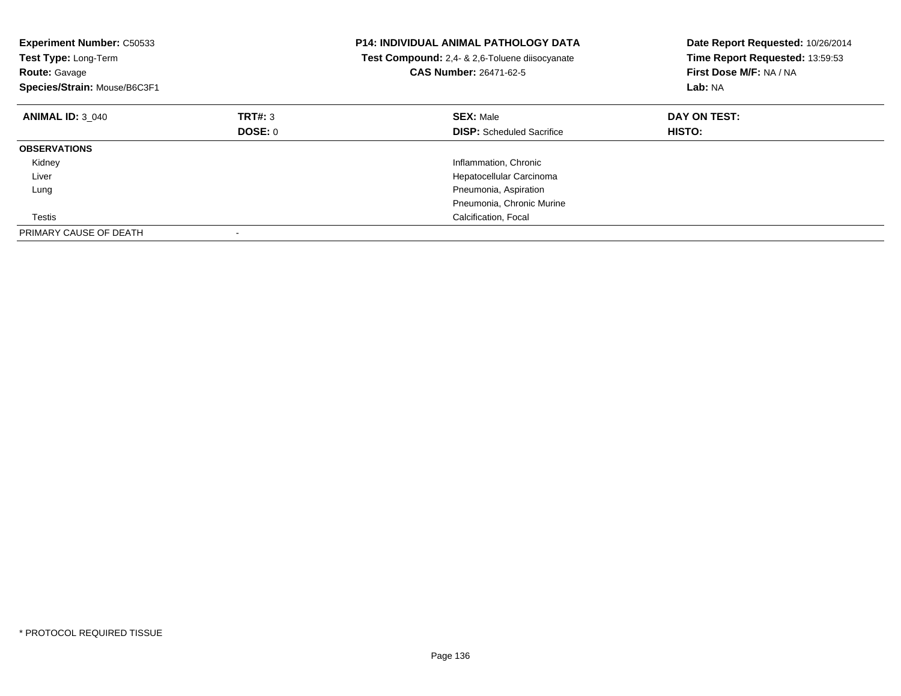| <b>Experiment Number: C50533</b><br>Test Type: Long-Term<br><b>Route: Gavage</b><br>Species/Strain: Mouse/B6C3F1 |         | <b>P14: INDIVIDUAL ANIMAL PATHOLOGY DATA</b><br>Test Compound: 2,4- & 2,6-Toluene diisocyanate<br><b>CAS Number: 26471-62-5</b> | Date Report Requested: 10/26/2014<br>Time Report Requested: 13:59:53<br>First Dose M/F: NA / NA<br>Lab: NA |
|------------------------------------------------------------------------------------------------------------------|---------|---------------------------------------------------------------------------------------------------------------------------------|------------------------------------------------------------------------------------------------------------|
| <b>ANIMAL ID: 3 040</b>                                                                                          | TRT#: 3 | <b>SEX: Male</b>                                                                                                                | DAY ON TEST:                                                                                               |
|                                                                                                                  | DOSE: 0 | <b>DISP:</b> Scheduled Sacrifice                                                                                                | <b>HISTO:</b>                                                                                              |
| <b>OBSERVATIONS</b>                                                                                              |         |                                                                                                                                 |                                                                                                            |
| Kidney                                                                                                           |         | Inflammation, Chronic                                                                                                           |                                                                                                            |
| Liver                                                                                                            |         | Hepatocellular Carcinoma                                                                                                        |                                                                                                            |
| Lung                                                                                                             |         | Pneumonia, Aspiration                                                                                                           |                                                                                                            |
|                                                                                                                  |         | Pneumonia, Chronic Murine                                                                                                       |                                                                                                            |
| Testis                                                                                                           |         | Calcification, Focal                                                                                                            |                                                                                                            |
| PRIMARY CAUSE OF DEATH                                                                                           |         |                                                                                                                                 |                                                                                                            |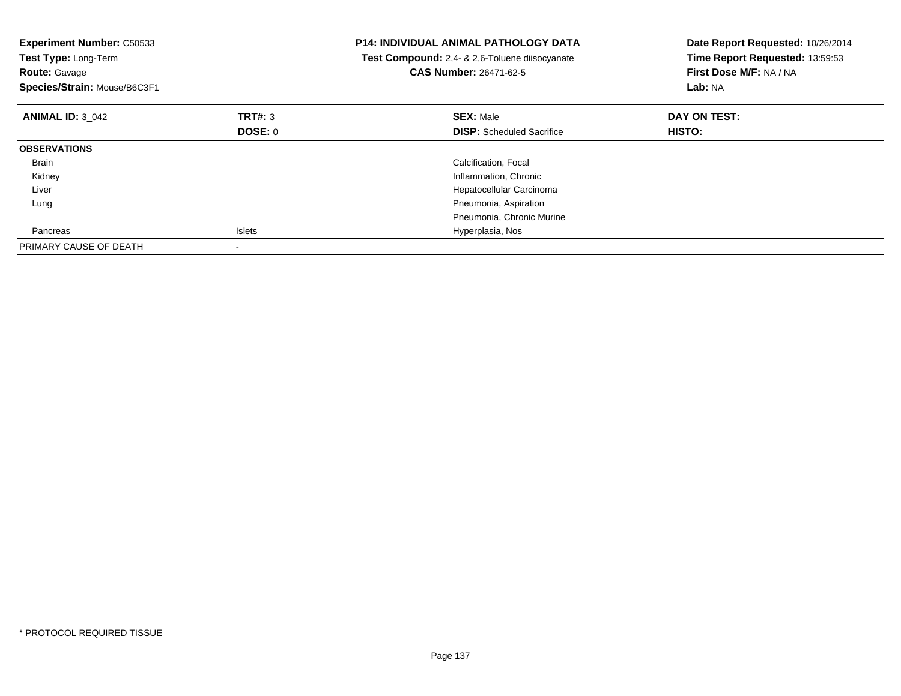| <b>Experiment Number: C50533</b><br>Test Type: Long-Term<br><b>Route: Gavage</b><br>Species/Strain: Mouse/B6C3F1 |                | <b>P14: INDIVIDUAL ANIMAL PATHOLOGY DATA</b><br>Test Compound: 2,4- & 2,6-Toluene diisocyanate<br>CAS Number: 26471-62-5 | Date Report Requested: 10/26/2014<br>Time Report Requested: 13:59:53<br>First Dose M/F: NA / NA<br>Lab: NA |
|------------------------------------------------------------------------------------------------------------------|----------------|--------------------------------------------------------------------------------------------------------------------------|------------------------------------------------------------------------------------------------------------|
| <b>ANIMAL ID: 3 042</b>                                                                                          | TRT#: 3        | <b>SEX: Male</b>                                                                                                         | DAY ON TEST:                                                                                               |
|                                                                                                                  | <b>DOSE: 0</b> | <b>DISP:</b> Scheduled Sacrifice                                                                                         | <b>HISTO:</b>                                                                                              |
| <b>OBSERVATIONS</b>                                                                                              |                |                                                                                                                          |                                                                                                            |
| Brain                                                                                                            |                | Calcification, Focal                                                                                                     |                                                                                                            |
| Kidney                                                                                                           |                | Inflammation, Chronic                                                                                                    |                                                                                                            |
| Liver                                                                                                            |                | Hepatocellular Carcinoma                                                                                                 |                                                                                                            |
| Lung                                                                                                             |                | Pneumonia, Aspiration                                                                                                    |                                                                                                            |
|                                                                                                                  |                | Pneumonia, Chronic Murine                                                                                                |                                                                                                            |
| Pancreas                                                                                                         | <b>Islets</b>  | Hyperplasia, Nos                                                                                                         |                                                                                                            |
| PRIMARY CAUSE OF DEATH                                                                                           |                |                                                                                                                          |                                                                                                            |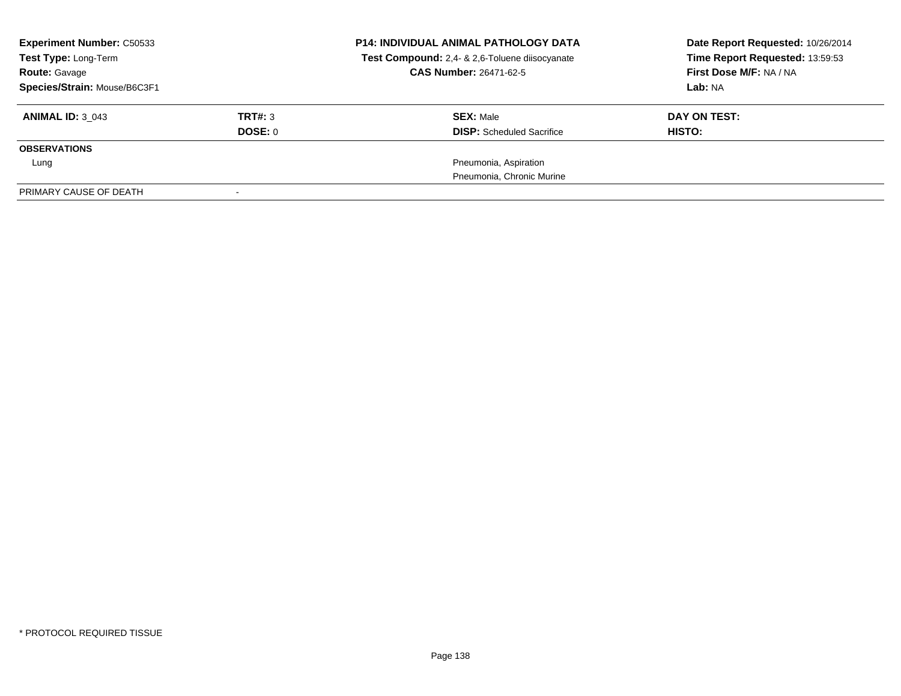| <b>Experiment Number: C50533</b><br>Test Type: Long-Term<br><b>Route: Gavage</b><br>Species/Strain: Mouse/B6C3F1 |                    | <b>P14: INDIVIDUAL ANIMAL PATHOLOGY DATA</b><br>Test Compound: 2,4- & 2,6-Toluene diisocyanate<br><b>CAS Number: 26471-62-5</b> | Date Report Requested: 10/26/2014<br>Time Report Requested: 13:59:53<br>First Dose M/F: NA / NA<br>Lab: NA |
|------------------------------------------------------------------------------------------------------------------|--------------------|---------------------------------------------------------------------------------------------------------------------------------|------------------------------------------------------------------------------------------------------------|
| <b>ANIMAL ID: 3 043</b>                                                                                          | TRT#: 3<br>DOSE: 0 | <b>SEX: Male</b><br><b>DISP:</b> Scheduled Sacrifice                                                                            | DAY ON TEST:<br>HISTO:                                                                                     |
| <b>OBSERVATIONS</b>                                                                                              |                    |                                                                                                                                 |                                                                                                            |
| Lung                                                                                                             |                    | Pneumonia, Aspiration                                                                                                           |                                                                                                            |
|                                                                                                                  |                    | Pneumonia, Chronic Murine                                                                                                       |                                                                                                            |
| PRIMARY CAUSE OF DEATH                                                                                           |                    |                                                                                                                                 |                                                                                                            |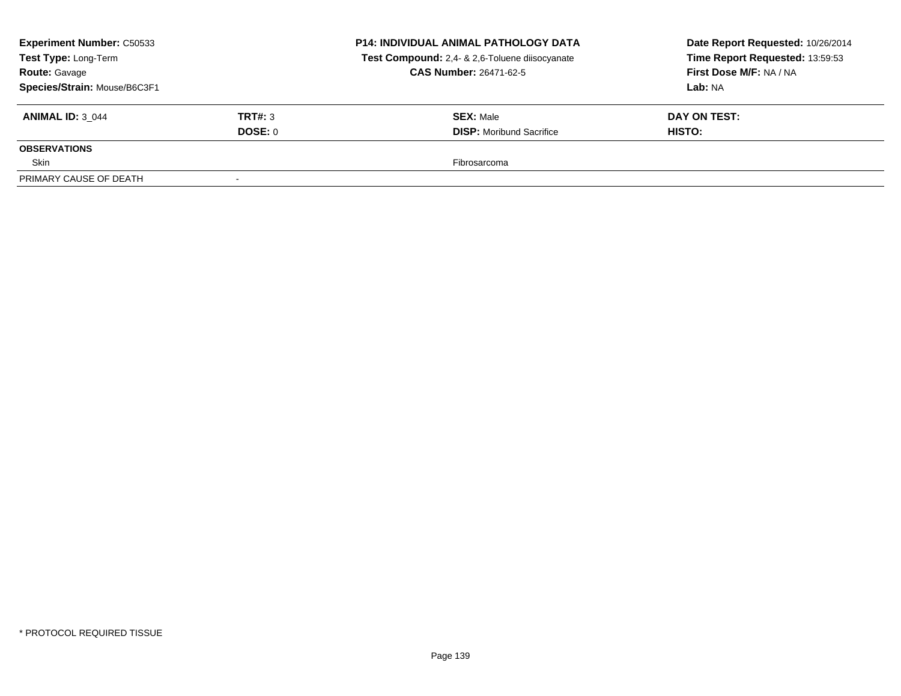| <b>Experiment Number: C50533</b><br>Test Type: Long-Term |         | <b>P14: INDIVIDUAL ANIMAL PATHOLOGY DATA</b><br>Test Compound: 2,4- & 2,6-Toluene diisocyanate | Date Report Requested: 10/26/2014<br>Time Report Requested: 13:59:53 |  |
|----------------------------------------------------------|---------|------------------------------------------------------------------------------------------------|----------------------------------------------------------------------|--|
| <b>Route: Gavage</b>                                     |         | CAS Number: 26471-62-5                                                                         | First Dose M/F: NA / NA                                              |  |
| Species/Strain: Mouse/B6C3F1                             |         |                                                                                                | <b>Lab: NA</b>                                                       |  |
| <b>ANIMAL ID: 3 044</b>                                  | TRT#: 3 | <b>SEX: Male</b>                                                                               | DAY ON TEST:                                                         |  |
|                                                          | DOSE: 0 | <b>DISP:</b> Moribund Sacrifice                                                                | <b>HISTO:</b>                                                        |  |
| <b>OBSERVATIONS</b>                                      |         |                                                                                                |                                                                      |  |
| Skin                                                     |         | Fibrosarcoma                                                                                   |                                                                      |  |
| PRIMARY CAUSE OF DEATH                                   | $\sim$  |                                                                                                |                                                                      |  |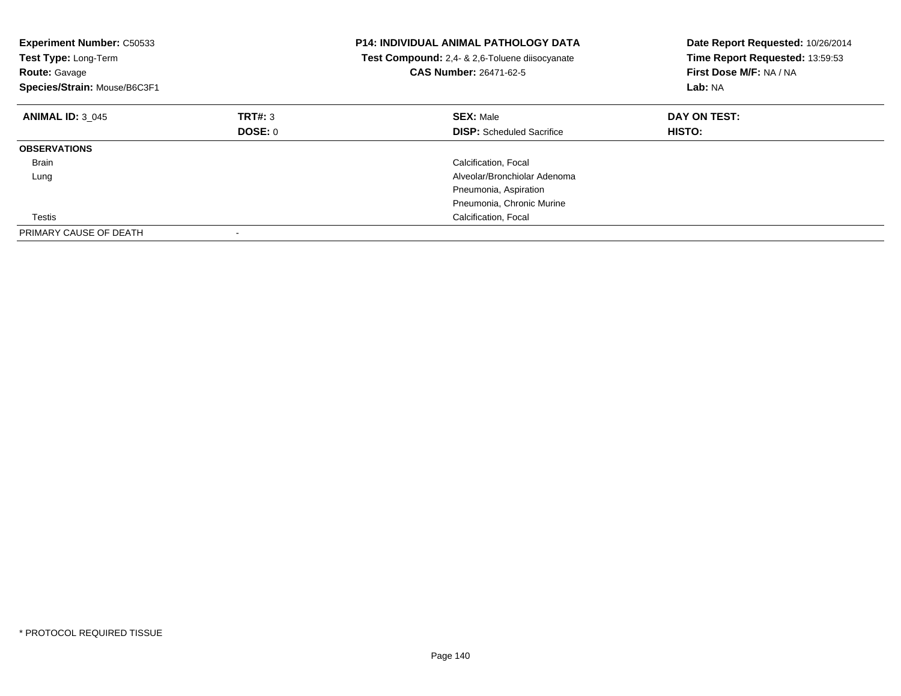| <b>Experiment Number: C50533</b><br>Test Type: Long-Term<br><b>Route: Gavage</b><br>Species/Strain: Mouse/B6C3F1 |         | <b>P14: INDIVIDUAL ANIMAL PATHOLOGY DATA</b><br>Test Compound: 2,4- & 2,6-Toluene diisocyanate<br>CAS Number: 26471-62-5 | Date Report Requested: 10/26/2014<br>Time Report Requested: 13:59:53<br>First Dose M/F: NA / NA<br>Lab: NA |
|------------------------------------------------------------------------------------------------------------------|---------|--------------------------------------------------------------------------------------------------------------------------|------------------------------------------------------------------------------------------------------------|
| <b>ANIMAL ID: 3 045</b>                                                                                          | TRT#: 3 | <b>SEX: Male</b>                                                                                                         | DAY ON TEST:                                                                                               |
|                                                                                                                  | DOSE: 0 | <b>DISP:</b> Scheduled Sacrifice                                                                                         | <b>HISTO:</b>                                                                                              |
| <b>OBSERVATIONS</b>                                                                                              |         |                                                                                                                          |                                                                                                            |
| Brain                                                                                                            |         | Calcification, Focal                                                                                                     |                                                                                                            |
| Lung                                                                                                             |         | Alveolar/Bronchiolar Adenoma                                                                                             |                                                                                                            |
|                                                                                                                  |         | Pneumonia, Aspiration                                                                                                    |                                                                                                            |
|                                                                                                                  |         | Pneumonia, Chronic Murine                                                                                                |                                                                                                            |
| Testis                                                                                                           |         | Calcification, Focal                                                                                                     |                                                                                                            |
| PRIMARY CAUSE OF DEATH                                                                                           |         |                                                                                                                          |                                                                                                            |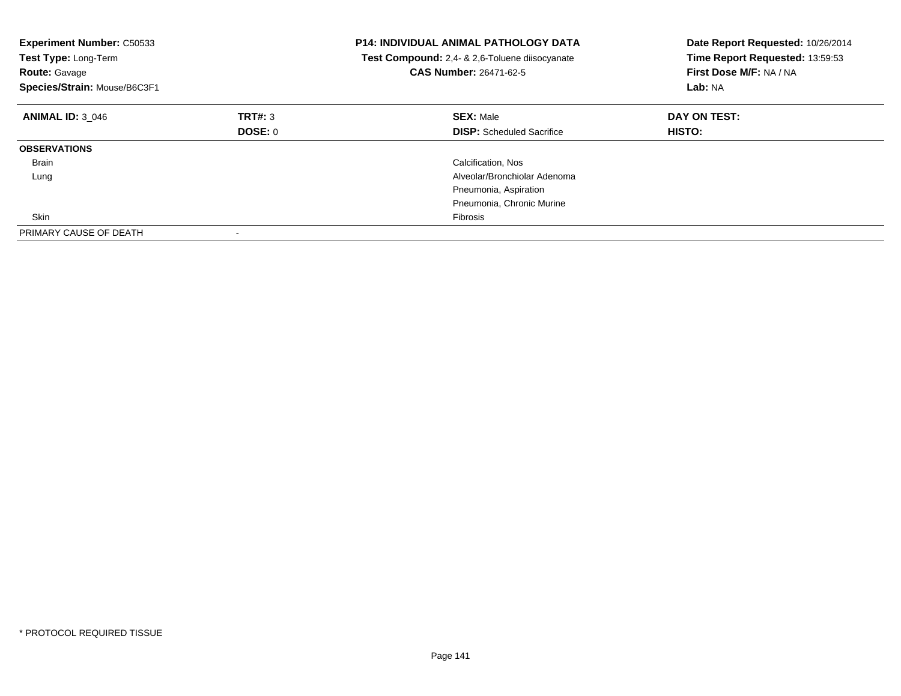| <b>Experiment Number: C50533</b><br>Test Type: Long-Term<br><b>Route: Gavage</b><br>Species/Strain: Mouse/B6C3F1 |         | <b>P14: INDIVIDUAL ANIMAL PATHOLOGY DATA</b><br>Test Compound: 2,4- & 2,6-Toluene diisocyanate<br>CAS Number: 26471-62-5 | Date Report Requested: 10/26/2014<br>Time Report Requested: 13:59:53<br>First Dose M/F: NA / NA<br>Lab: NA |
|------------------------------------------------------------------------------------------------------------------|---------|--------------------------------------------------------------------------------------------------------------------------|------------------------------------------------------------------------------------------------------------|
| <b>ANIMAL ID: 3 046</b>                                                                                          | TRT#: 3 | <b>SEX: Male</b>                                                                                                         | DAY ON TEST:                                                                                               |
|                                                                                                                  | DOSE: 0 | <b>DISP:</b> Scheduled Sacrifice                                                                                         | <b>HISTO:</b>                                                                                              |
| <b>OBSERVATIONS</b>                                                                                              |         |                                                                                                                          |                                                                                                            |
| Brain                                                                                                            |         | Calcification, Nos                                                                                                       |                                                                                                            |
| Lung                                                                                                             |         | Alveolar/Bronchiolar Adenoma                                                                                             |                                                                                                            |
|                                                                                                                  |         | Pneumonia, Aspiration                                                                                                    |                                                                                                            |
|                                                                                                                  |         | Pneumonia, Chronic Murine                                                                                                |                                                                                                            |
| Skin                                                                                                             |         | Fibrosis                                                                                                                 |                                                                                                            |
| PRIMARY CAUSE OF DEATH                                                                                           |         |                                                                                                                          |                                                                                                            |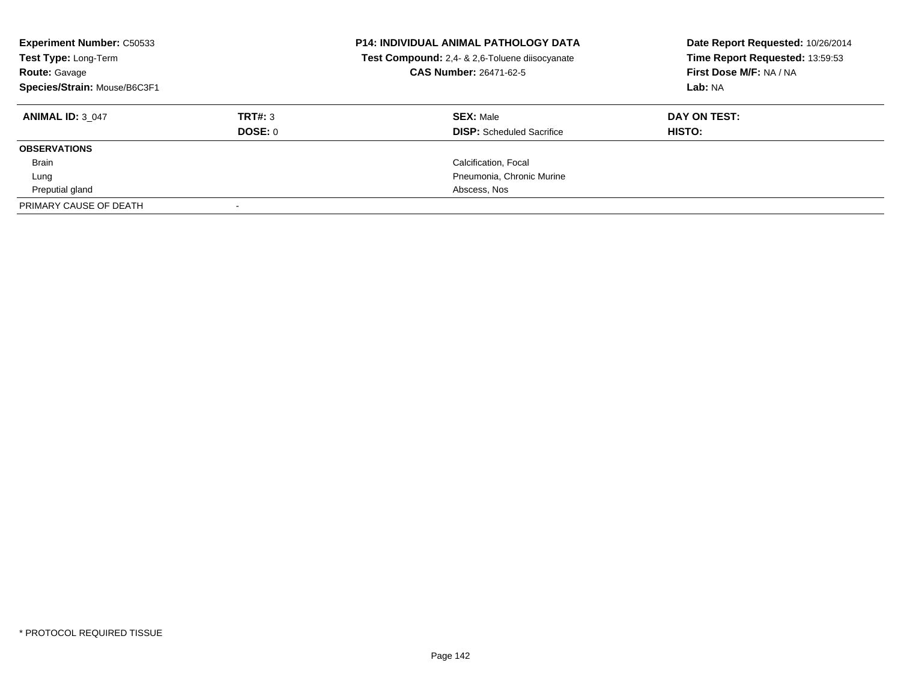| <b>Experiment Number: C50533</b><br>Test Type: Long-Term<br><b>Route: Gavage</b><br>Species/Strain: Mouse/B6C3F1 |         | <b>P14: INDIVIDUAL ANIMAL PATHOLOGY DATA</b><br>Test Compound: 2,4- & 2,6-Toluene diisocyanate<br><b>CAS Number: 26471-62-5</b> | Date Report Requested: 10/26/2014<br>Time Report Requested: 13:59:53<br>First Dose M/F: NA / NA<br>Lab: NA |
|------------------------------------------------------------------------------------------------------------------|---------|---------------------------------------------------------------------------------------------------------------------------------|------------------------------------------------------------------------------------------------------------|
| <b>ANIMAL ID: 3 047</b>                                                                                          | TRT#: 3 | <b>SEX: Male</b>                                                                                                                | DAY ON TEST:                                                                                               |
|                                                                                                                  | DOSE: 0 | <b>DISP:</b> Scheduled Sacrifice                                                                                                | HISTO:                                                                                                     |
| <b>OBSERVATIONS</b>                                                                                              |         |                                                                                                                                 |                                                                                                            |
| Brain                                                                                                            |         | Calcification, Focal                                                                                                            |                                                                                                            |
| Lung                                                                                                             |         | Pneumonia, Chronic Murine                                                                                                       |                                                                                                            |
| Preputial gland                                                                                                  |         | Abscess, Nos                                                                                                                    |                                                                                                            |
| PRIMARY CAUSE OF DEATH                                                                                           |         |                                                                                                                                 |                                                                                                            |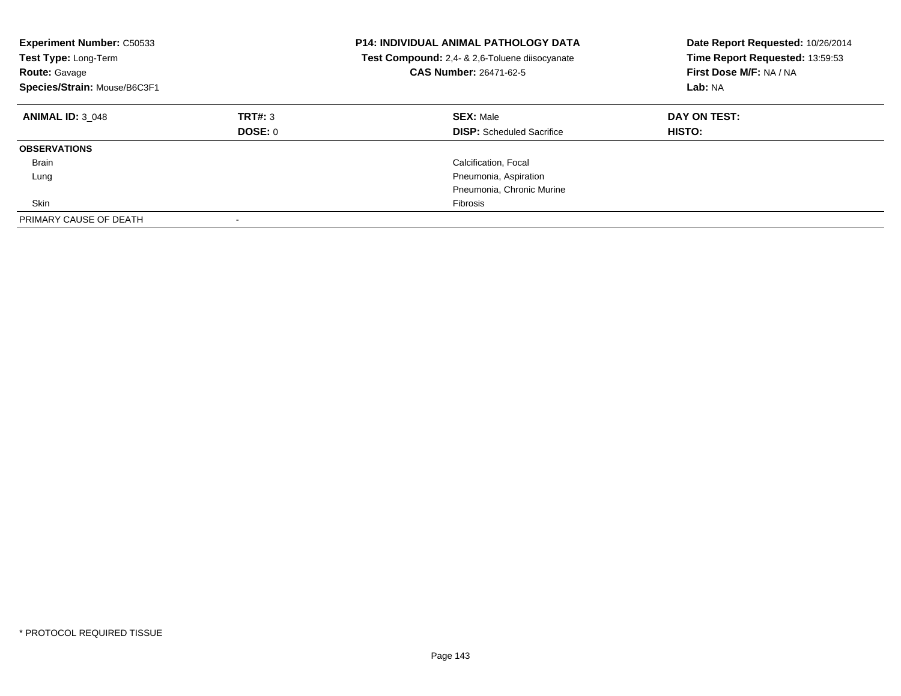| <b>Experiment Number: C50533</b><br>Test Type: Long-Term<br><b>Route: Gavage</b><br>Species/Strain: Mouse/B6C3F1 |                    | <b>P14: INDIVIDUAL ANIMAL PATHOLOGY DATA</b><br>Test Compound: 2,4- & 2,6-Toluene diisocyanate<br>CAS Number: 26471-62-5 | Date Report Requested: 10/26/2014<br>Time Report Requested: 13:59:53<br>First Dose M/F: NA / NA<br>Lab: NA |
|------------------------------------------------------------------------------------------------------------------|--------------------|--------------------------------------------------------------------------------------------------------------------------|------------------------------------------------------------------------------------------------------------|
| <b>ANIMAL ID: 3 048</b>                                                                                          | TRT#: 3<br>DOSE: 0 | <b>SEX: Male</b><br><b>DISP:</b> Scheduled Sacrifice                                                                     | DAY ON TEST:<br>HISTO:                                                                                     |
| <b>OBSERVATIONS</b>                                                                                              |                    |                                                                                                                          |                                                                                                            |
| Brain                                                                                                            |                    | Calcification, Focal                                                                                                     |                                                                                                            |
| Lung                                                                                                             |                    | Pneumonia, Aspiration                                                                                                    |                                                                                                            |
|                                                                                                                  |                    | Pneumonia, Chronic Murine                                                                                                |                                                                                                            |
| Skin                                                                                                             |                    | Fibrosis                                                                                                                 |                                                                                                            |
| PRIMARY CAUSE OF DEATH                                                                                           |                    |                                                                                                                          |                                                                                                            |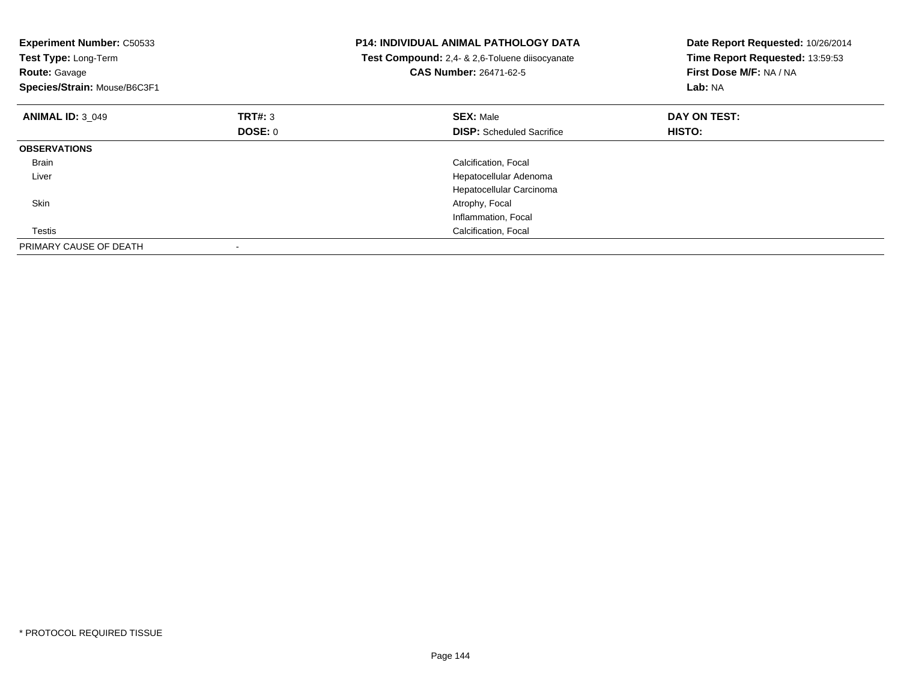| <b>Experiment Number: C50533</b><br>Test Type: Long-Term<br><b>Route: Gavage</b><br>Species/Strain: Mouse/B6C3F1 |         | <b>P14: INDIVIDUAL ANIMAL PATHOLOGY DATA</b><br>Test Compound: 2,4- & 2,6-Toluene diisocyanate<br>CAS Number: 26471-62-5 | Date Report Requested: 10/26/2014<br>Time Report Requested: 13:59:53<br>First Dose M/F: NA / NA<br>Lab: NA |
|------------------------------------------------------------------------------------------------------------------|---------|--------------------------------------------------------------------------------------------------------------------------|------------------------------------------------------------------------------------------------------------|
| <b>ANIMAL ID: 3 049</b>                                                                                          | TRT#: 3 | <b>SEX: Male</b>                                                                                                         | DAY ON TEST:                                                                                               |
|                                                                                                                  | DOSE: 0 | <b>DISP:</b> Scheduled Sacrifice                                                                                         | <b>HISTO:</b>                                                                                              |
| <b>OBSERVATIONS</b>                                                                                              |         |                                                                                                                          |                                                                                                            |
| <b>Brain</b>                                                                                                     |         | Calcification, Focal                                                                                                     |                                                                                                            |
| Liver                                                                                                            |         | Hepatocellular Adenoma                                                                                                   |                                                                                                            |
|                                                                                                                  |         | Hepatocellular Carcinoma                                                                                                 |                                                                                                            |
| Skin                                                                                                             |         | Atrophy, Focal                                                                                                           |                                                                                                            |
|                                                                                                                  |         | Inflammation, Focal                                                                                                      |                                                                                                            |
| Testis                                                                                                           |         | Calcification, Focal                                                                                                     |                                                                                                            |
| PRIMARY CAUSE OF DEATH                                                                                           |         |                                                                                                                          |                                                                                                            |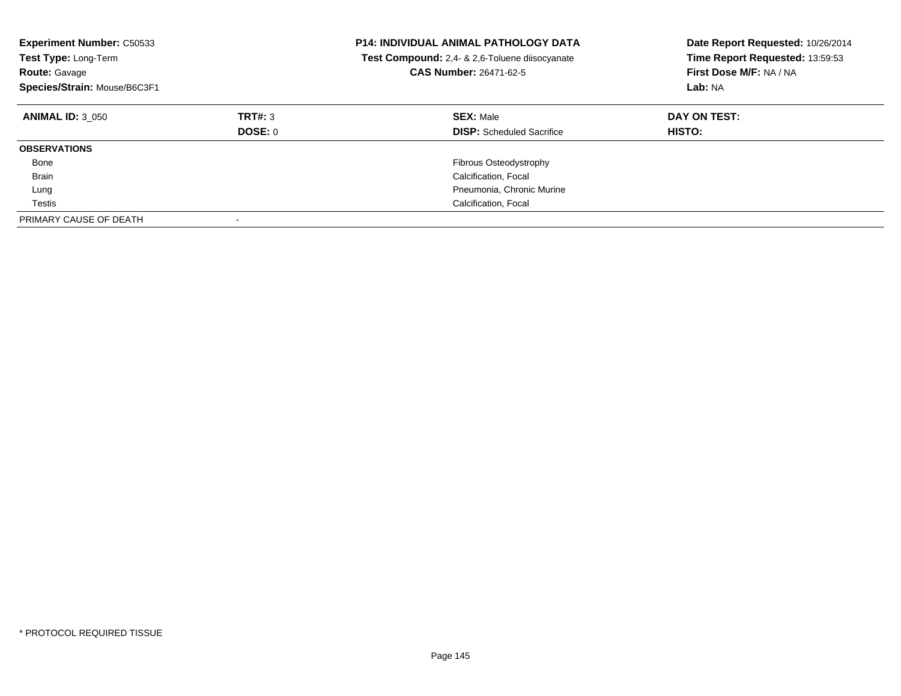| <b>Experiment Number: C50533</b><br>Test Type: Long-Term<br><b>Route: Gavage</b><br>Species/Strain: Mouse/B6C3F1 |                    | <b>P14: INDIVIDUAL ANIMAL PATHOLOGY DATA</b><br>Test Compound: 2,4- & 2,6-Toluene diisocyanate<br><b>CAS Number: 26471-62-5</b> | Date Report Requested: 10/26/2014<br>Time Report Requested: 13:59:53<br>First Dose M/F: NA / NA<br>Lab: NA |
|------------------------------------------------------------------------------------------------------------------|--------------------|---------------------------------------------------------------------------------------------------------------------------------|------------------------------------------------------------------------------------------------------------|
| <b>ANIMAL ID: 3 050</b>                                                                                          | TRT#: 3<br>DOSE: 0 | <b>SEX: Male</b><br><b>DISP:</b> Scheduled Sacrifice                                                                            | DAY ON TEST:<br><b>HISTO:</b>                                                                              |
| <b>OBSERVATIONS</b>                                                                                              |                    |                                                                                                                                 |                                                                                                            |
| Bone                                                                                                             |                    | <b>Fibrous Osteodystrophy</b>                                                                                                   |                                                                                                            |
| <b>Brain</b>                                                                                                     |                    | Calcification, Focal                                                                                                            |                                                                                                            |
| Lung                                                                                                             |                    | Pneumonia, Chronic Murine                                                                                                       |                                                                                                            |
| Testis                                                                                                           |                    | Calcification, Focal                                                                                                            |                                                                                                            |
| PRIMARY CAUSE OF DEATH                                                                                           |                    |                                                                                                                                 |                                                                                                            |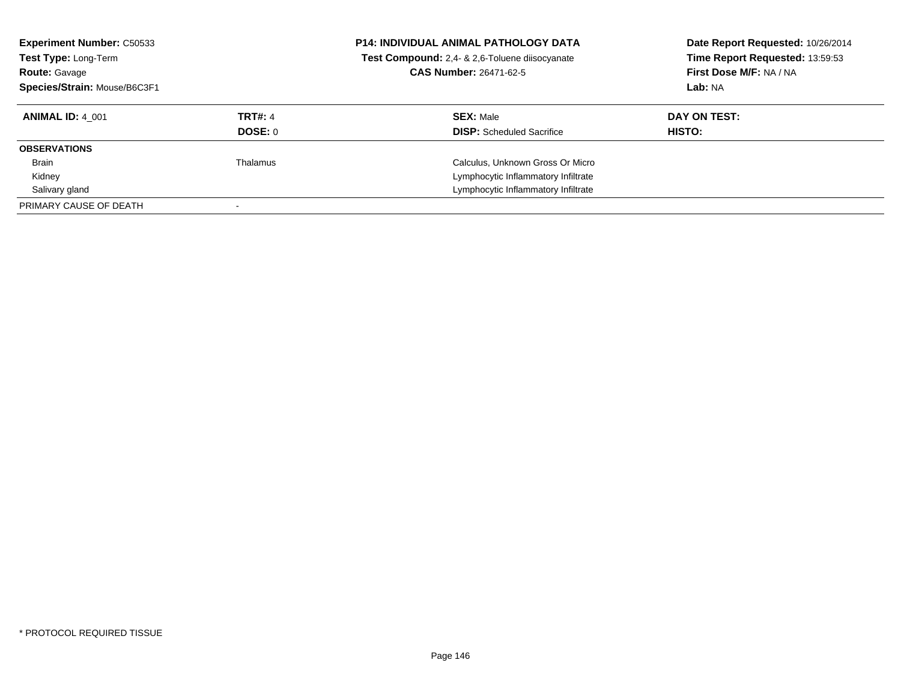| <b>Experiment Number: C50533</b><br>Test Type: Long-Term<br><b>Route: Gavage</b><br>Species/Strain: Mouse/B6C3F1 |                           | <b>P14: INDIVIDUAL ANIMAL PATHOLOGY DATA</b><br>Test Compound: 2,4- & 2,6-Toluene diisocyanate<br><b>CAS Number: 26471-62-5</b> | Date Report Requested: 10/26/2014<br>Time Report Requested: 13:59:53<br>First Dose M/F: NA / NA<br>Lab: NA |
|------------------------------------------------------------------------------------------------------------------|---------------------------|---------------------------------------------------------------------------------------------------------------------------------|------------------------------------------------------------------------------------------------------------|
| <b>ANIMAL ID: 4 001</b>                                                                                          | <b>TRT#: 4</b><br>DOSE: 0 | <b>SEX: Male</b><br><b>DISP:</b> Scheduled Sacrifice                                                                            | DAY ON TEST:<br>HISTO:                                                                                     |
| <b>OBSERVATIONS</b>                                                                                              |                           |                                                                                                                                 |                                                                                                            |
| <b>Brain</b>                                                                                                     | Thalamus                  | Calculus, Unknown Gross Or Micro                                                                                                |                                                                                                            |
| Kidney                                                                                                           |                           | Lymphocytic Inflammatory Infiltrate                                                                                             |                                                                                                            |
| Salivary gland                                                                                                   |                           | Lymphocytic Inflammatory Infiltrate                                                                                             |                                                                                                            |
| PRIMARY CAUSE OF DEATH                                                                                           |                           |                                                                                                                                 |                                                                                                            |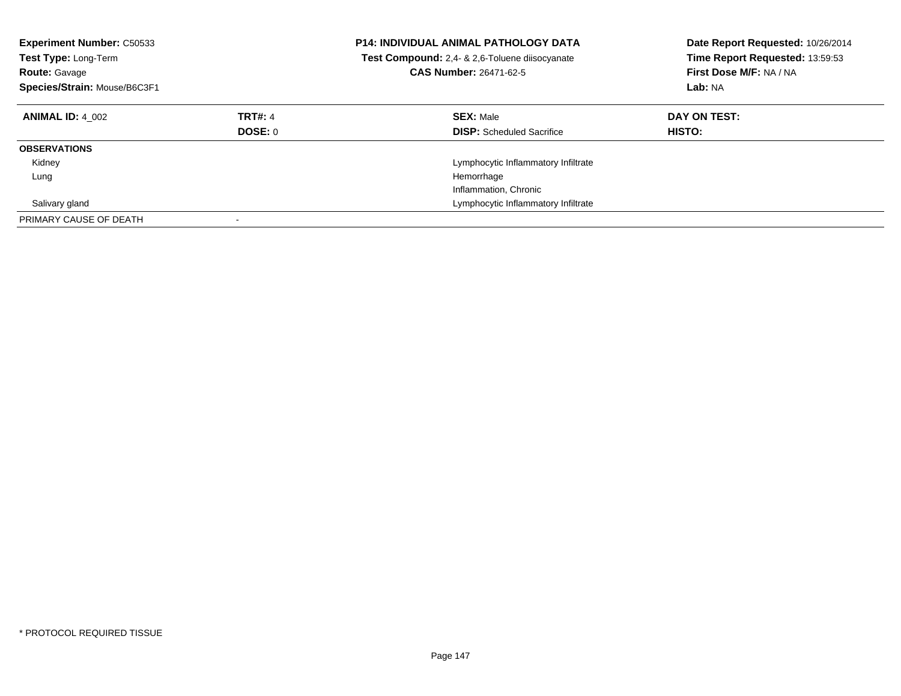| <b>Experiment Number: C50533</b><br>Test Type: Long-Term<br><b>Route: Gavage</b><br>Species/Strain: Mouse/B6C3F1 |                           | <b>P14: INDIVIDUAL ANIMAL PATHOLOGY DATA</b><br>Test Compound: 2,4- & 2,6-Toluene diisocyanate<br><b>CAS Number: 26471-62-5</b> | Date Report Requested: 10/26/2014<br>Time Report Requested: 13:59:53<br>First Dose M/F: NA / NA<br>Lab: NA |
|------------------------------------------------------------------------------------------------------------------|---------------------------|---------------------------------------------------------------------------------------------------------------------------------|------------------------------------------------------------------------------------------------------------|
| <b>ANIMAL ID: 4 002</b>                                                                                          | <b>TRT#: 4</b><br>DOSE: 0 | <b>SEX: Male</b><br><b>DISP:</b> Scheduled Sacrifice                                                                            | DAY ON TEST:<br>HISTO:                                                                                     |
| <b>OBSERVATIONS</b>                                                                                              |                           |                                                                                                                                 |                                                                                                            |
| Kidney                                                                                                           |                           | Lymphocytic Inflammatory Infiltrate                                                                                             |                                                                                                            |
| Lung                                                                                                             |                           | Hemorrhage                                                                                                                      |                                                                                                            |
|                                                                                                                  |                           | Inflammation, Chronic                                                                                                           |                                                                                                            |
| Salivary gland                                                                                                   |                           | Lymphocytic Inflammatory Infiltrate                                                                                             |                                                                                                            |
| PRIMARY CAUSE OF DEATH                                                                                           |                           |                                                                                                                                 |                                                                                                            |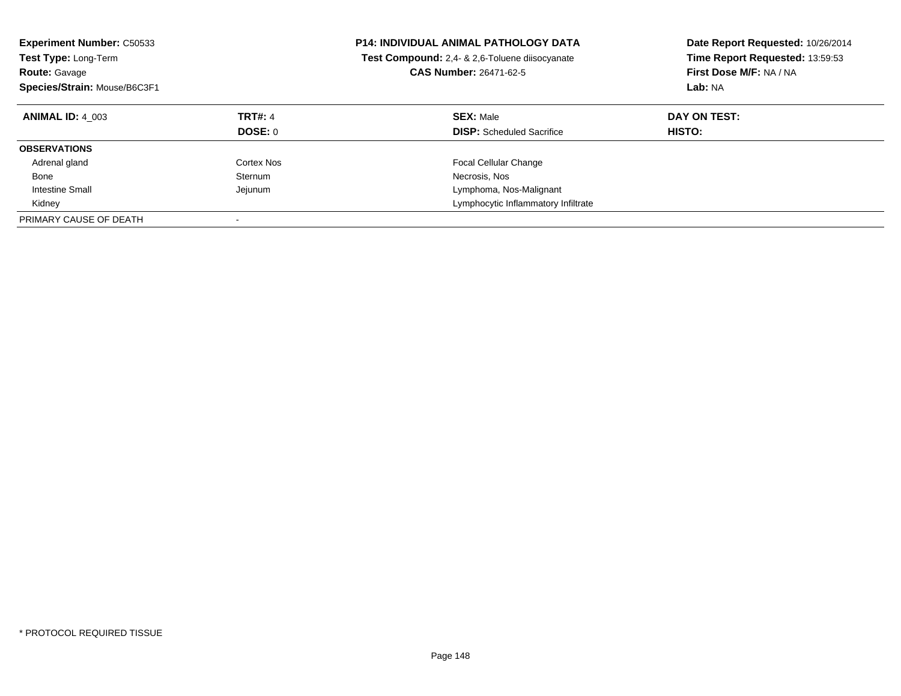| <b>Experiment Number: C50533</b><br><b>Test Type: Long-Term</b><br><b>Route: Gavage</b><br>Species/Strain: Mouse/B6C3F1 |                                  | <b>P14: INDIVIDUAL ANIMAL PATHOLOGY DATA</b><br>Test Compound: 2,4- & 2,6-Toluene diisocyanate<br><b>CAS Number: 26471-62-5</b> | Date Report Requested: 10/26/2014<br>Time Report Requested: 13:59:53<br>First Dose M/F: NA / NA<br>Lab: NA |
|-------------------------------------------------------------------------------------------------------------------------|----------------------------------|---------------------------------------------------------------------------------------------------------------------------------|------------------------------------------------------------------------------------------------------------|
| <b>ANIMAL ID: 4 003</b>                                                                                                 | <b>TRT#: 4</b><br><b>DOSE: 0</b> | <b>SEX: Male</b><br><b>DISP:</b> Scheduled Sacrifice                                                                            | DAY ON TEST:<br>HISTO:                                                                                     |
| <b>OBSERVATIONS</b>                                                                                                     |                                  |                                                                                                                                 |                                                                                                            |
| Adrenal gland                                                                                                           | Cortex Nos                       | <b>Focal Cellular Change</b>                                                                                                    |                                                                                                            |
| Bone                                                                                                                    | <b>Sternum</b>                   | Necrosis, Nos                                                                                                                   |                                                                                                            |
| Intestine Small                                                                                                         | Jejunum                          | Lymphoma, Nos-Malignant                                                                                                         |                                                                                                            |
| Kidney                                                                                                                  |                                  | Lymphocytic Inflammatory Infiltrate                                                                                             |                                                                                                            |
| PRIMARY CAUSE OF DEATH                                                                                                  |                                  |                                                                                                                                 |                                                                                                            |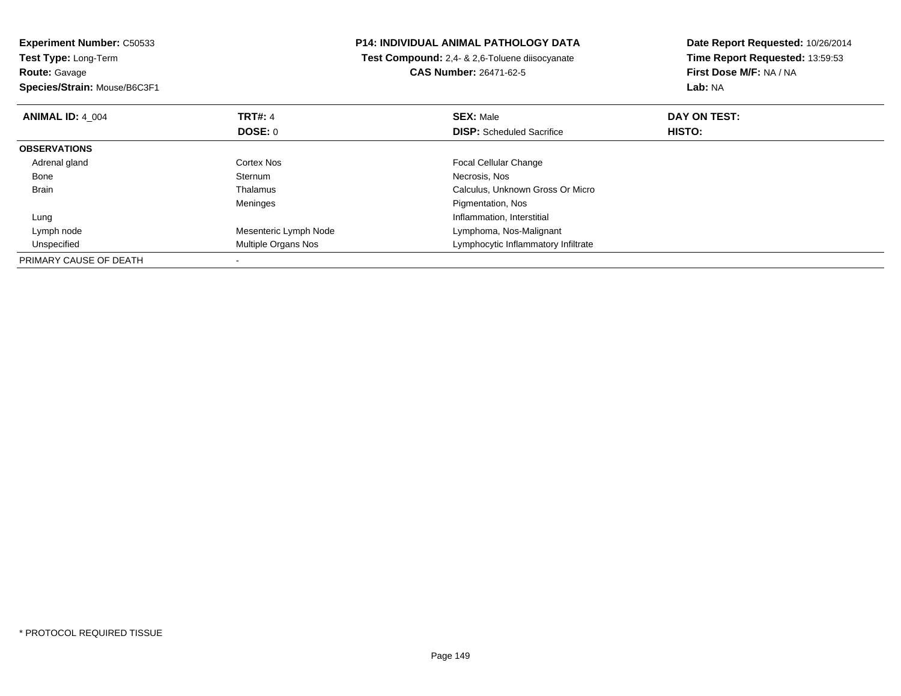**Experiment Number:** C50533**Test Type:** Long-Term**Route:** Gavage **Species/Strain:** Mouse/B6C3F1**P14: INDIVIDUAL ANIMAL PATHOLOGY DATA Test Compound:** 2,4- & 2,6-Toluene diisocyanate**CAS Number:** 26471-62-5**Date Report Requested:** 10/26/2014**Time Report Requested:** 13:59:53**First Dose M/F:** NA / NA**Lab:** NA**ANIMAL ID:** 4\_004**TRT#:** 4 **SEX:** Male **DAY ON TEST: DOSE:** 0**DISP:** Scheduled Sacrifice **HISTO: OBSERVATIONS** Adrenal gland Cortex Nos Focal Cellular Change Bonee Sternum Necrosis, Nos BrainCalculus, Unknown Gross Or Micro Meninges Pigmentation, Nos LungInflammation, Interstitial<br>Mesenteric Lymph Node **Alta Lymphoma, Nos-Maligna**  Lymph nodeMesenteric Lymph Node Lymphoma, Nos-Malignant<br>
Multiple Organs Nos Christian Lymphocytic Inflammatory I UnspecifiedLymphocytic Inflammatory Infiltrate PRIMARY CAUSE OF DEATH-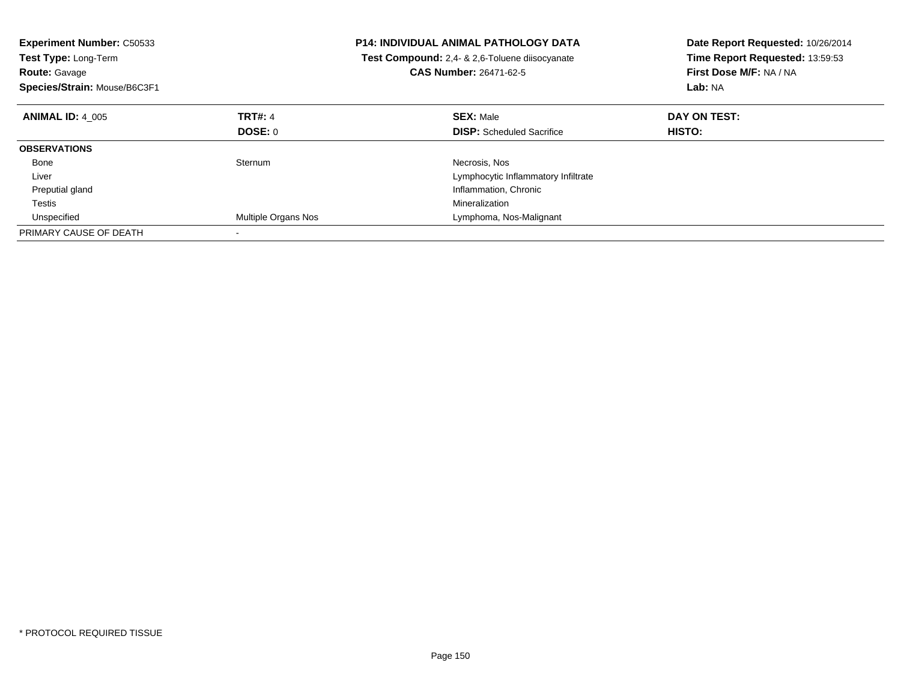| <b>Experiment Number: C50533</b><br><b>Test Type: Long-Term</b><br><b>Route: Gavage</b><br>Species/Strain: Mouse/B6C3F1 |                     | <b>P14: INDIVIDUAL ANIMAL PATHOLOGY DATA</b><br>Test Compound: 2,4- & 2,6-Toluene diisocyanate<br><b>CAS Number: 26471-62-5</b> | Date Report Requested: 10/26/2014<br>Time Report Requested: 13:59:53<br>First Dose M/F: NA / NA<br>Lab: NA |
|-------------------------------------------------------------------------------------------------------------------------|---------------------|---------------------------------------------------------------------------------------------------------------------------------|------------------------------------------------------------------------------------------------------------|
| <b>ANIMAL ID: 4 005</b>                                                                                                 | <b>TRT#: 4</b>      | <b>SEX: Male</b>                                                                                                                | DAY ON TEST:                                                                                               |
|                                                                                                                         | DOSE: 0             | <b>DISP:</b> Scheduled Sacrifice                                                                                                | <b>HISTO:</b>                                                                                              |
| <b>OBSERVATIONS</b>                                                                                                     |                     |                                                                                                                                 |                                                                                                            |
| Bone                                                                                                                    | Sternum             | Necrosis, Nos                                                                                                                   |                                                                                                            |
| Liver                                                                                                                   |                     | Lymphocytic Inflammatory Infiltrate                                                                                             |                                                                                                            |
| Preputial gland                                                                                                         |                     | Inflammation, Chronic                                                                                                           |                                                                                                            |
| Testis                                                                                                                  |                     | Mineralization                                                                                                                  |                                                                                                            |
| Unspecified                                                                                                             | Multiple Organs Nos | Lymphoma, Nos-Malignant                                                                                                         |                                                                                                            |
| PRIMARY CAUSE OF DEATH                                                                                                  |                     |                                                                                                                                 |                                                                                                            |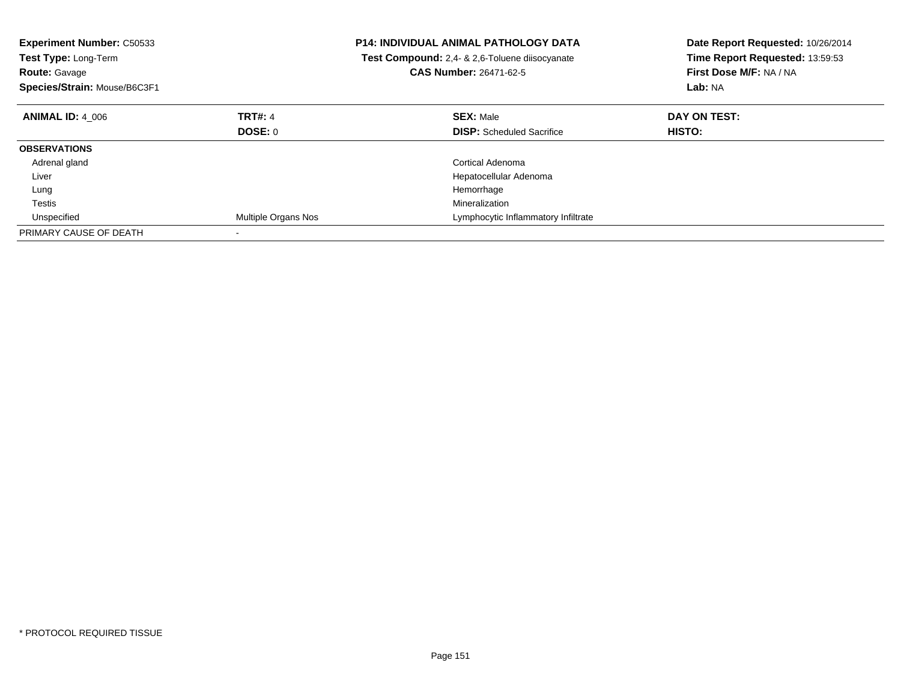| <b>Experiment Number: C50533</b><br>Test Type: Long-Term<br><b>Route: Gavage</b><br>Species/Strain: Mouse/B6C3F1 |                     | <b>P14: INDIVIDUAL ANIMAL PATHOLOGY DATA</b><br><b>Test Compound:</b> 2,4- & 2,6-Toluene diisocyanate<br><b>CAS Number: 26471-62-5</b> | Date Report Requested: 10/26/2014<br>Time Report Requested: 13:59:53<br>First Dose M/F: NA / NA<br>Lab: NA |
|------------------------------------------------------------------------------------------------------------------|---------------------|----------------------------------------------------------------------------------------------------------------------------------------|------------------------------------------------------------------------------------------------------------|
| <b>ANIMAL ID: 4 006</b>                                                                                          | <b>TRT#: 4</b>      | <b>SEX: Male</b>                                                                                                                       | DAY ON TEST:                                                                                               |
|                                                                                                                  | <b>DOSE: 0</b>      | <b>DISP:</b> Scheduled Sacrifice                                                                                                       | HISTO:                                                                                                     |
| <b>OBSERVATIONS</b>                                                                                              |                     |                                                                                                                                        |                                                                                                            |
| Adrenal gland                                                                                                    |                     | Cortical Adenoma                                                                                                                       |                                                                                                            |
| Liver                                                                                                            |                     | Hepatocellular Adenoma                                                                                                                 |                                                                                                            |
| Lung                                                                                                             |                     | Hemorrhage                                                                                                                             |                                                                                                            |
| Testis                                                                                                           |                     | Mineralization                                                                                                                         |                                                                                                            |
| Unspecified                                                                                                      | Multiple Organs Nos | Lymphocytic Inflammatory Infiltrate                                                                                                    |                                                                                                            |
| PRIMARY CAUSE OF DEATH                                                                                           |                     |                                                                                                                                        |                                                                                                            |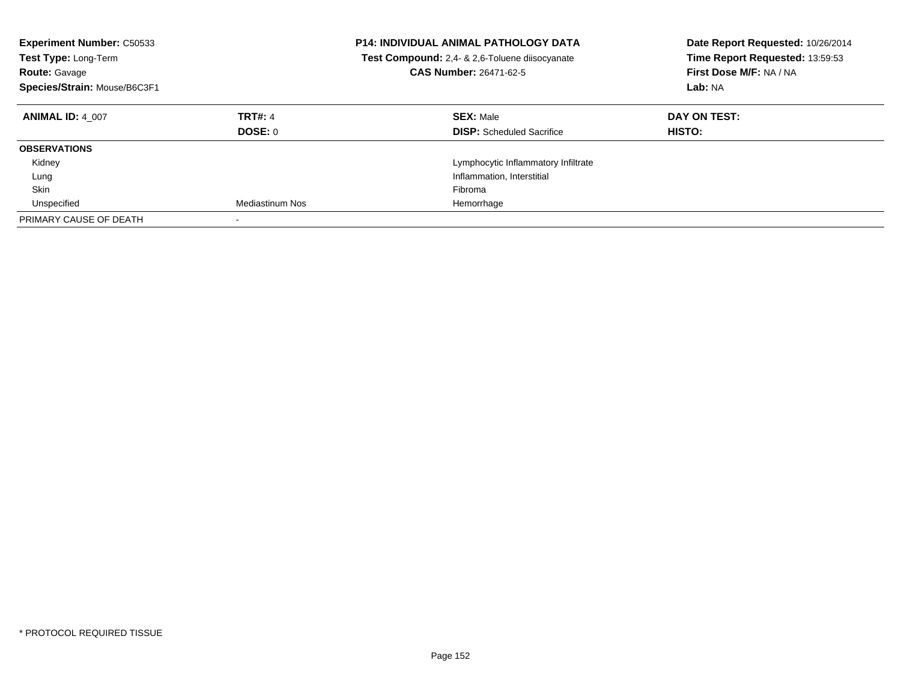| <b>Experiment Number: C50533</b><br><b>Test Type: Long-Term</b><br><b>Route: Gavage</b><br>Species/Strain: Mouse/B6C3F1 |                           | <b>P14: INDIVIDUAL ANIMAL PATHOLOGY DATA</b><br>Test Compound: 2,4- & 2,6-Toluene diisocyanate<br><b>CAS Number: 26471-62-5</b> | Date Report Requested: 10/26/2014<br>Time Report Requested: 13:59:53<br>First Dose M/F: NA / NA<br>Lab: NA |
|-------------------------------------------------------------------------------------------------------------------------|---------------------------|---------------------------------------------------------------------------------------------------------------------------------|------------------------------------------------------------------------------------------------------------|
| <b>ANIMAL ID: 4 007</b>                                                                                                 | <b>TRT#: 4</b><br>DOSE: 0 | <b>SEX: Male</b><br><b>DISP:</b> Scheduled Sacrifice                                                                            | DAY ON TEST:<br><b>HISTO:</b>                                                                              |
| <b>OBSERVATIONS</b>                                                                                                     |                           |                                                                                                                                 |                                                                                                            |
| Kidney                                                                                                                  |                           | Lymphocytic Inflammatory Infiltrate                                                                                             |                                                                                                            |
| Lung                                                                                                                    |                           | Inflammation, Interstitial                                                                                                      |                                                                                                            |
| Skin                                                                                                                    |                           | Fibroma                                                                                                                         |                                                                                                            |
| Unspecified                                                                                                             | Mediastinum Nos           | Hemorrhage                                                                                                                      |                                                                                                            |
| PRIMARY CAUSE OF DEATH                                                                                                  |                           |                                                                                                                                 |                                                                                                            |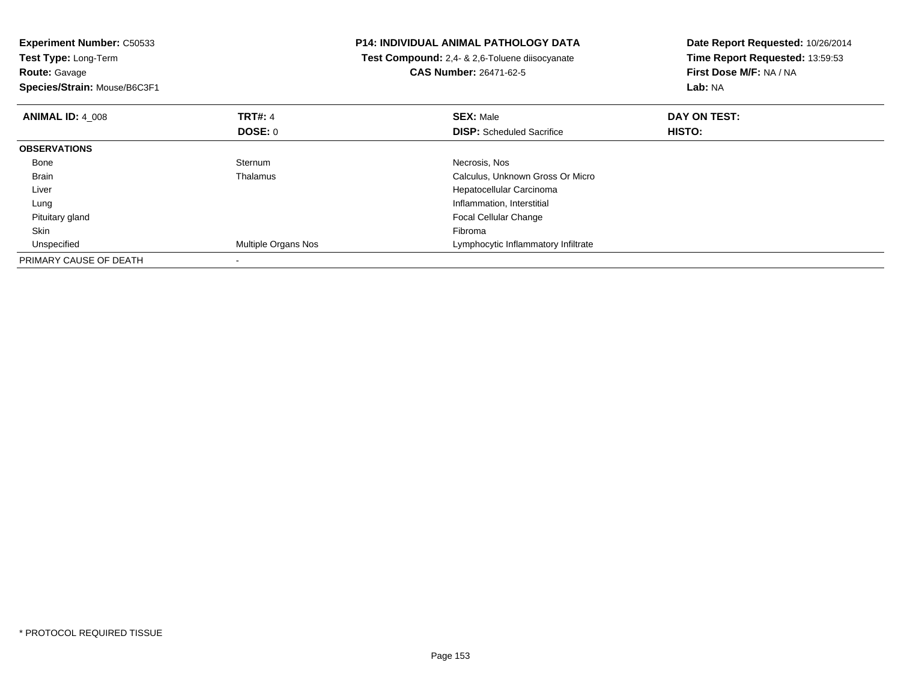| <b>Experiment Number: C50533</b><br>Test Type: Long-Term<br><b>Route: Gavage</b><br>Species/Strain: Mouse/B6C3F1 |                     | <b>P14: INDIVIDUAL ANIMAL PATHOLOGY DATA</b><br>Test Compound: 2,4- & 2,6-Toluene diisocyanate<br><b>CAS Number: 26471-62-5</b> | Date Report Requested: 10/26/2014<br>Time Report Requested: 13:59:53<br>First Dose M/F: NA / NA<br>Lab: NA |
|------------------------------------------------------------------------------------------------------------------|---------------------|---------------------------------------------------------------------------------------------------------------------------------|------------------------------------------------------------------------------------------------------------|
|                                                                                                                  |                     |                                                                                                                                 |                                                                                                            |
| <b>ANIMAL ID: 4 008</b>                                                                                          | <b>TRT#: 4</b>      | <b>SEX: Male</b>                                                                                                                | DAY ON TEST:                                                                                               |
|                                                                                                                  | <b>DOSE: 0</b>      | <b>DISP:</b> Scheduled Sacrifice                                                                                                | HISTO:                                                                                                     |
| <b>OBSERVATIONS</b>                                                                                              |                     |                                                                                                                                 |                                                                                                            |
| Bone                                                                                                             | Sternum             | Necrosis, Nos                                                                                                                   |                                                                                                            |
| Brain                                                                                                            | Thalamus            | Calculus, Unknown Gross Or Micro                                                                                                |                                                                                                            |
| Liver                                                                                                            |                     | Hepatocellular Carcinoma                                                                                                        |                                                                                                            |
| Lung                                                                                                             |                     | Inflammation, Interstitial                                                                                                      |                                                                                                            |
| Pituitary gland                                                                                                  |                     | <b>Focal Cellular Change</b>                                                                                                    |                                                                                                            |
| Skin                                                                                                             |                     | Fibroma                                                                                                                         |                                                                                                            |
| Unspecified                                                                                                      | Multiple Organs Nos | Lymphocytic Inflammatory Infiltrate                                                                                             |                                                                                                            |
| PRIMARY CAUSE OF DEATH                                                                                           |                     |                                                                                                                                 |                                                                                                            |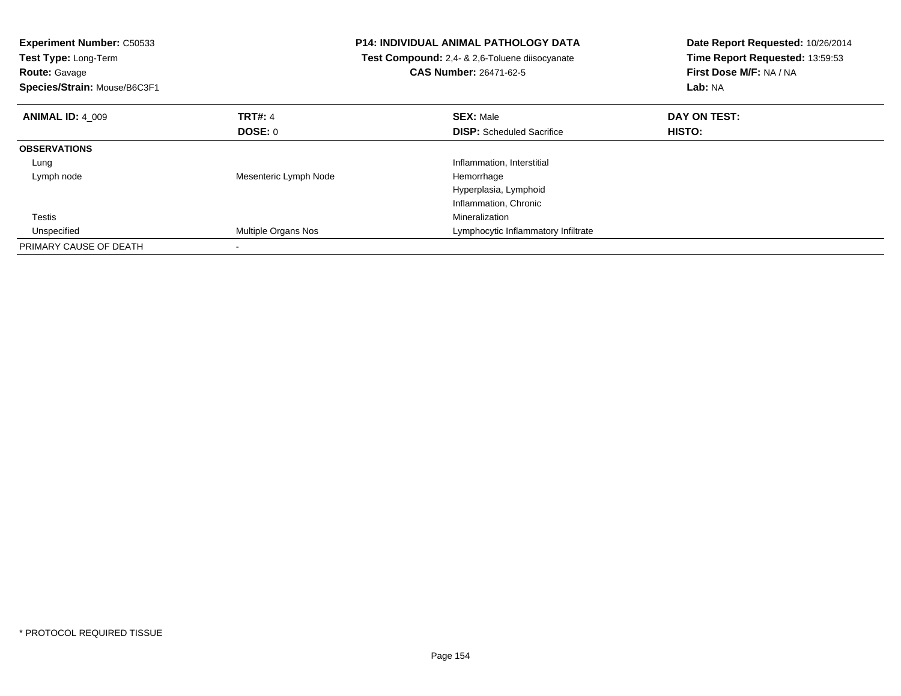| <b>Experiment Number: C50533</b><br><b>Test Type: Long-Term</b><br><b>Route: Gavage</b><br>Species/Strain: Mouse/B6C3F1 |                       | <b>P14: INDIVIDUAL ANIMAL PATHOLOGY DATA</b><br>Test Compound: 2,4- & 2,6-Toluene diisocyanate<br><b>CAS Number: 26471-62-5</b> | Date Report Requested: 10/26/2014<br>Time Report Requested: 13:59:53<br>First Dose M/F: NA / NA<br>Lab: NA |
|-------------------------------------------------------------------------------------------------------------------------|-----------------------|---------------------------------------------------------------------------------------------------------------------------------|------------------------------------------------------------------------------------------------------------|
| <b>ANIMAL ID: 4 009</b>                                                                                                 | <b>TRT#: 4</b>        | <b>SEX: Male</b>                                                                                                                | DAY ON TEST:                                                                                               |
|                                                                                                                         | DOSE: 0               | <b>DISP:</b> Scheduled Sacrifice                                                                                                | <b>HISTO:</b>                                                                                              |
| <b>OBSERVATIONS</b>                                                                                                     |                       |                                                                                                                                 |                                                                                                            |
| Lung                                                                                                                    |                       | Inflammation, Interstitial                                                                                                      |                                                                                                            |
| Lymph node                                                                                                              | Mesenteric Lymph Node | Hemorrhage                                                                                                                      |                                                                                                            |
|                                                                                                                         |                       | Hyperplasia, Lymphoid                                                                                                           |                                                                                                            |
|                                                                                                                         |                       | Inflammation, Chronic                                                                                                           |                                                                                                            |
| Testis                                                                                                                  |                       | Mineralization                                                                                                                  |                                                                                                            |
| Unspecified                                                                                                             | Multiple Organs Nos   | Lymphocytic Inflammatory Infiltrate                                                                                             |                                                                                                            |
| PRIMARY CAUSE OF DEATH                                                                                                  |                       |                                                                                                                                 |                                                                                                            |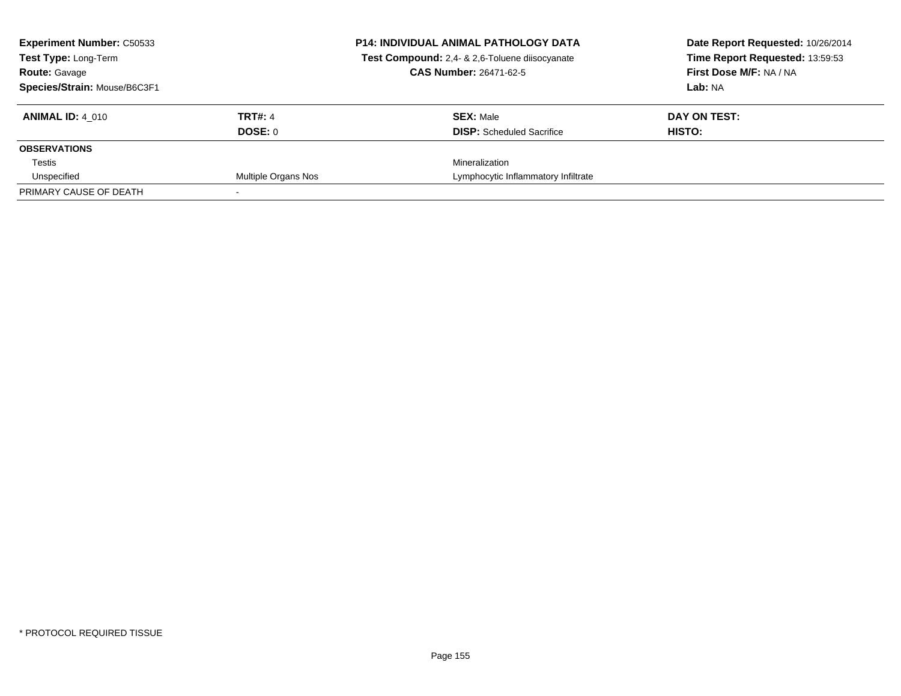| <b>Experiment Number: C50533</b><br><b>Test Type: Long-Term</b><br><b>Route: Gavage</b><br>Species/Strain: Mouse/B6C3F1 |                           | <b>P14: INDIVIDUAL ANIMAL PATHOLOGY DATA</b><br>Test Compound: 2,4- & 2,6-Toluene diisocyanate<br><b>CAS Number: 26471-62-5</b> | Date Report Requested: 10/26/2014<br>Time Report Requested: 13:59:53<br>First Dose M/F: NA / NA<br>Lab: NA |
|-------------------------------------------------------------------------------------------------------------------------|---------------------------|---------------------------------------------------------------------------------------------------------------------------------|------------------------------------------------------------------------------------------------------------|
| <b>ANIMAL ID: 4 010</b>                                                                                                 | <b>TRT#: 4</b><br>DOSE: 0 | <b>SEX: Male</b><br><b>DISP:</b> Scheduled Sacrifice                                                                            | DAY ON TEST:<br>HISTO:                                                                                     |
| <b>OBSERVATIONS</b>                                                                                                     |                           |                                                                                                                                 |                                                                                                            |
| Testis                                                                                                                  |                           | Mineralization                                                                                                                  |                                                                                                            |
| Unspecified                                                                                                             | Multiple Organs Nos       | Lymphocytic Inflammatory Infiltrate                                                                                             |                                                                                                            |
| PRIMARY CAUSE OF DEATH                                                                                                  |                           |                                                                                                                                 |                                                                                                            |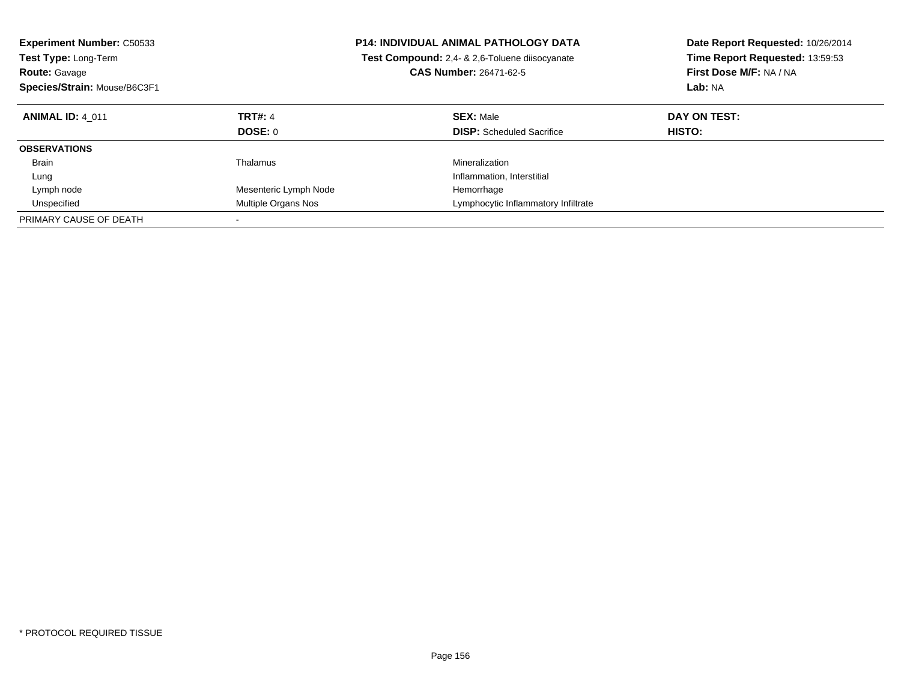| <b>Experiment Number: C50533</b><br><b>Test Type: Long-Term</b><br><b>Route: Gavage</b><br>Species/Strain: Mouse/B6C3F1 |                       | <b>P14: INDIVIDUAL ANIMAL PATHOLOGY DATA</b><br>Test Compound: 2,4- & 2,6-Toluene diisocyanate<br><b>CAS Number: 26471-62-5</b> | Date Report Requested: 10/26/2014<br>Time Report Requested: 13:59:53<br>First Dose M/F: NA / NA<br><b>Lab: NA</b> |
|-------------------------------------------------------------------------------------------------------------------------|-----------------------|---------------------------------------------------------------------------------------------------------------------------------|-------------------------------------------------------------------------------------------------------------------|
| <b>ANIMAL ID: 4 011</b>                                                                                                 | <b>TRT#: 4</b>        | <b>SEX: Male</b>                                                                                                                | DAY ON TEST:                                                                                                      |
|                                                                                                                         | <b>DOSE: 0</b>        | <b>DISP:</b> Scheduled Sacrifice                                                                                                | <b>HISTO:</b>                                                                                                     |
| <b>OBSERVATIONS</b>                                                                                                     |                       |                                                                                                                                 |                                                                                                                   |
| Brain                                                                                                                   | Thalamus              | Mineralization                                                                                                                  |                                                                                                                   |
| Lung                                                                                                                    |                       | Inflammation, Interstitial                                                                                                      |                                                                                                                   |
| Lymph node                                                                                                              | Mesenteric Lymph Node | Hemorrhage                                                                                                                      |                                                                                                                   |
| Unspecified                                                                                                             | Multiple Organs Nos   | Lymphocytic Inflammatory Infiltrate                                                                                             |                                                                                                                   |
| PRIMARY CAUSE OF DEATH                                                                                                  |                       |                                                                                                                                 |                                                                                                                   |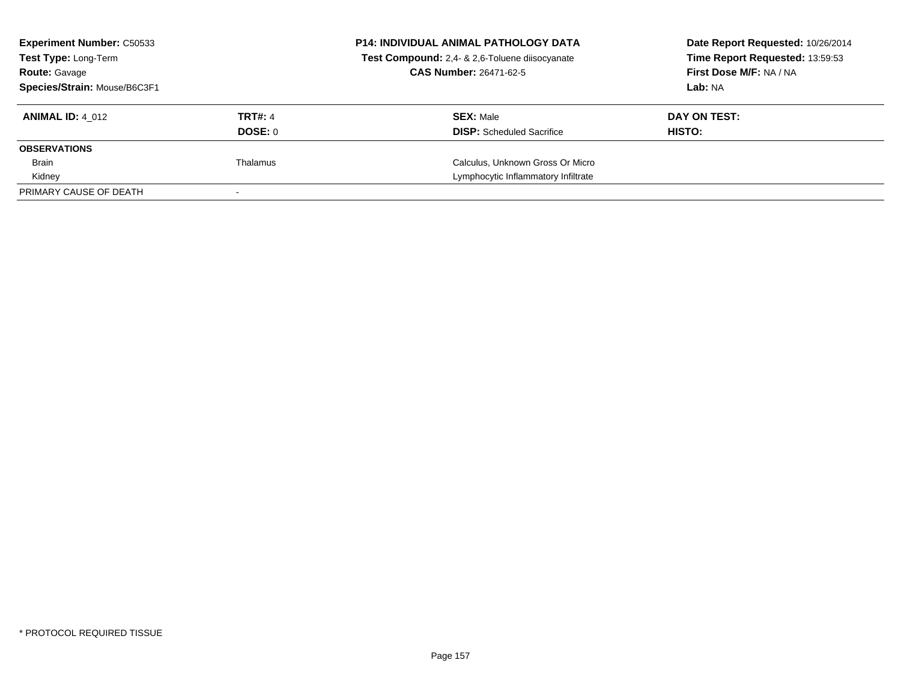| <b>Experiment Number: C50533</b><br><b>Test Type: Long-Term</b><br><b>Route: Gavage</b> |                | <b>P14: INDIVIDUAL ANIMAL PATHOLOGY DATA</b><br>Test Compound: 2,4- & 2,6-Toluene diisocyanate<br><b>CAS Number: 26471-62-5</b> | Date Report Requested: 10/26/2014<br>Time Report Requested: 13:59:53<br>First Dose M/F: NA / NA |
|-----------------------------------------------------------------------------------------|----------------|---------------------------------------------------------------------------------------------------------------------------------|-------------------------------------------------------------------------------------------------|
| Species/Strain: Mouse/B6C3F1                                                            |                |                                                                                                                                 | Lab: NA                                                                                         |
| <b>ANIMAL ID: 4 012</b>                                                                 | <b>TRT#: 4</b> | <b>SEX: Male</b>                                                                                                                | DAY ON TEST:                                                                                    |
|                                                                                         | DOSE: 0        | <b>DISP:</b> Scheduled Sacrifice                                                                                                | HISTO:                                                                                          |
| <b>OBSERVATIONS</b>                                                                     |                |                                                                                                                                 |                                                                                                 |
| Brain                                                                                   | Thalamus       | Calculus, Unknown Gross Or Micro                                                                                                |                                                                                                 |
| Kidney                                                                                  |                | Lymphocytic Inflammatory Infiltrate                                                                                             |                                                                                                 |
| PRIMARY CAUSE OF DEATH                                                                  |                |                                                                                                                                 |                                                                                                 |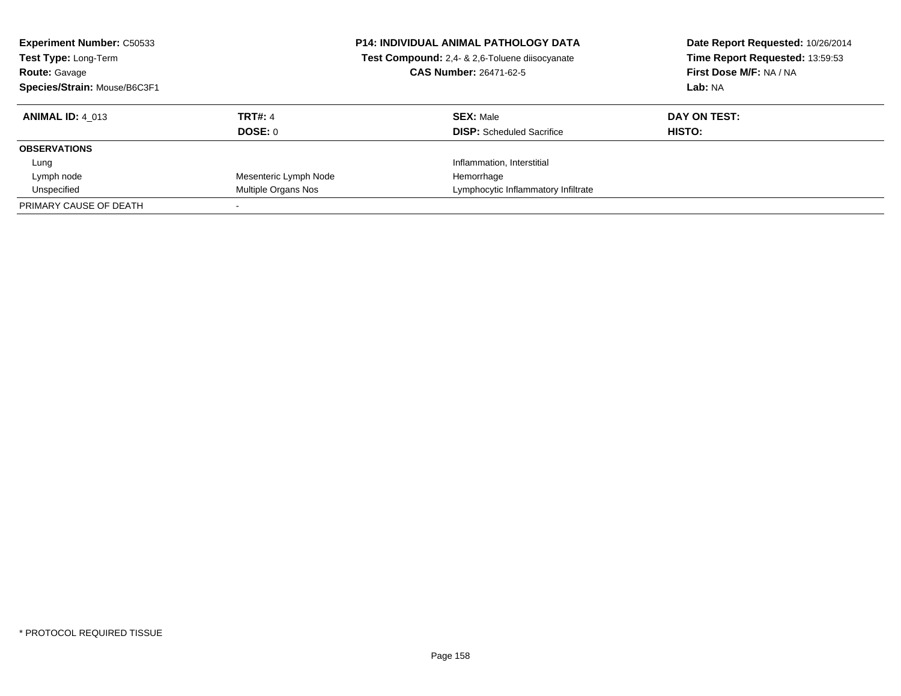| <b>Experiment Number: C50533</b><br>Test Type: Long-Term<br><b>Route: Gavage</b><br>Species/Strain: Mouse/B6C3F1 |                       | <b>P14: INDIVIDUAL ANIMAL PATHOLOGY DATA</b><br>Test Compound: 2,4- & 2,6-Toluene diisocyanate<br><b>CAS Number: 26471-62-5</b> | Date Report Requested: 10/26/2014<br>Time Report Requested: 13:59:53<br>First Dose M/F: NA / NA<br>Lab: NA |
|------------------------------------------------------------------------------------------------------------------|-----------------------|---------------------------------------------------------------------------------------------------------------------------------|------------------------------------------------------------------------------------------------------------|
| <b>ANIMAL ID: 4 013</b>                                                                                          | <b>TRT#: 4</b>        | <b>SEX: Male</b>                                                                                                                | DAY ON TEST:                                                                                               |
|                                                                                                                  | <b>DOSE: 0</b>        | <b>DISP:</b> Scheduled Sacrifice                                                                                                | HISTO:                                                                                                     |
| <b>OBSERVATIONS</b>                                                                                              |                       |                                                                                                                                 |                                                                                                            |
| Lung                                                                                                             |                       | Inflammation, Interstitial                                                                                                      |                                                                                                            |
| Lymph node                                                                                                       | Mesenteric Lymph Node | Hemorrhage                                                                                                                      |                                                                                                            |
| Unspecified                                                                                                      | Multiple Organs Nos   | Lymphocytic Inflammatory Infiltrate                                                                                             |                                                                                                            |
| PRIMARY CAUSE OF DEATH                                                                                           |                       |                                                                                                                                 |                                                                                                            |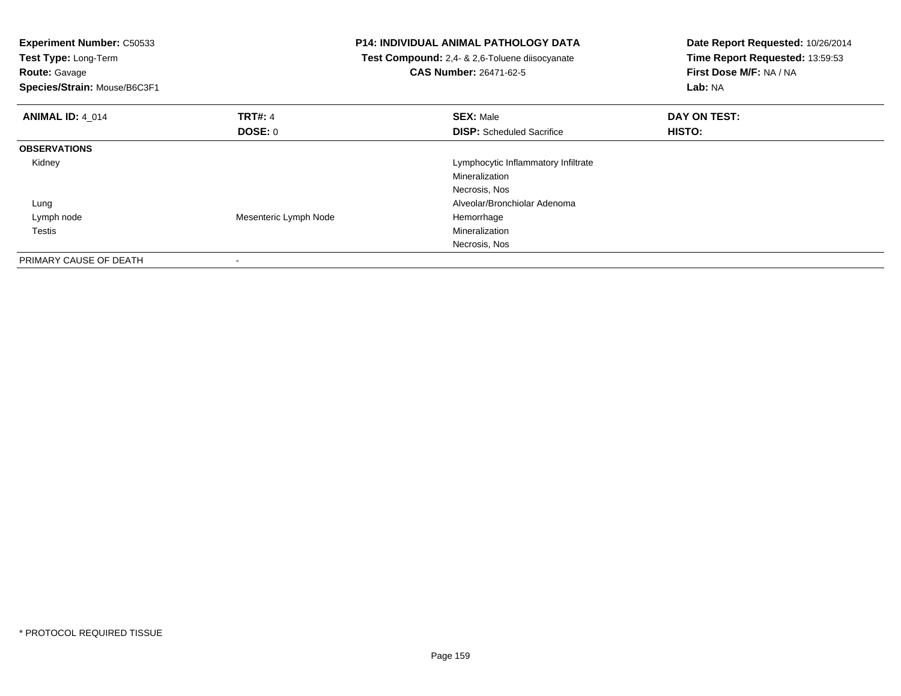| <b>Experiment Number: C50533</b><br>Test Type: Long-Term<br>Route: Gavage<br>Species/Strain: Mouse/B6C3F1 |                       | <b>P14: INDIVIDUAL ANIMAL PATHOLOGY DATA</b><br>Test Compound: 2,4- & 2,6-Toluene diisocyanate<br><b>CAS Number: 26471-62-5</b> | Date Report Requested: 10/26/2014<br>Time Report Requested: 13:59:53<br>First Dose M/F: NA / NA<br>Lab: NA |
|-----------------------------------------------------------------------------------------------------------|-----------------------|---------------------------------------------------------------------------------------------------------------------------------|------------------------------------------------------------------------------------------------------------|
| <b>ANIMAL ID: 4 014</b>                                                                                   | <b>TRT#: 4</b>        | <b>SEX: Male</b>                                                                                                                | DAY ON TEST:                                                                                               |
|                                                                                                           | DOSE: 0               | <b>DISP:</b> Scheduled Sacrifice                                                                                                | HISTO:                                                                                                     |
| <b>OBSERVATIONS</b>                                                                                       |                       |                                                                                                                                 |                                                                                                            |
| Kidney                                                                                                    |                       | Lymphocytic Inflammatory Infiltrate                                                                                             |                                                                                                            |
|                                                                                                           |                       | Mineralization                                                                                                                  |                                                                                                            |
|                                                                                                           |                       | Necrosis, Nos                                                                                                                   |                                                                                                            |
| Lung                                                                                                      |                       | Alveolar/Bronchiolar Adenoma                                                                                                    |                                                                                                            |
| Lymph node                                                                                                | Mesenteric Lymph Node | Hemorrhage                                                                                                                      |                                                                                                            |
| Testis                                                                                                    |                       | Mineralization                                                                                                                  |                                                                                                            |
|                                                                                                           |                       | Necrosis, Nos                                                                                                                   |                                                                                                            |
| PRIMARY CAUSE OF DEATH                                                                                    |                       |                                                                                                                                 |                                                                                                            |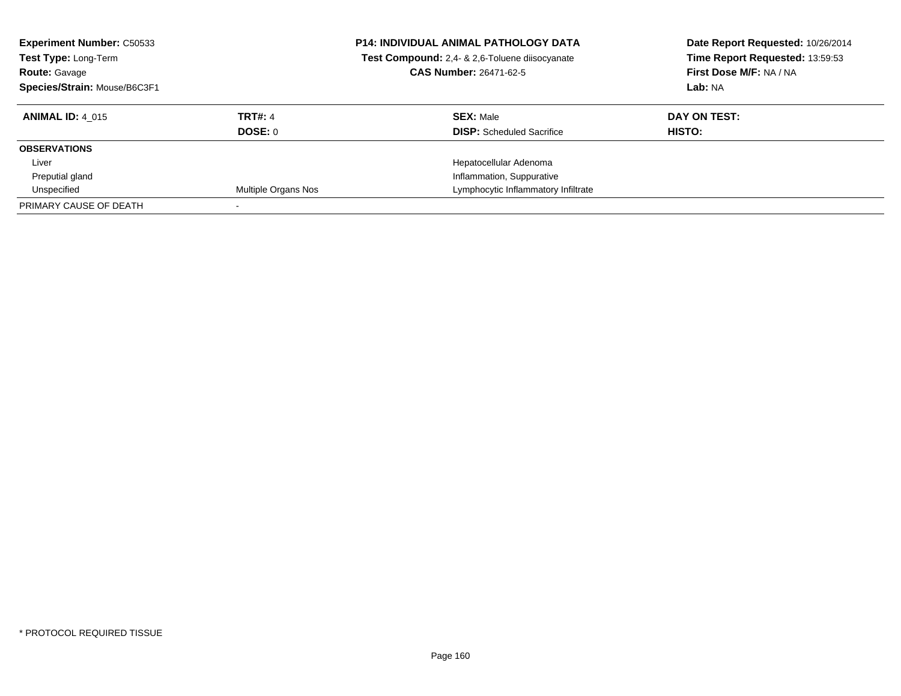| <b>Experiment Number: C50533</b><br>Test Type: Long-Term<br><b>Route: Gavage</b><br>Species/Strain: Mouse/B6C3F1 |                            | <b>P14: INDIVIDUAL ANIMAL PATHOLOGY DATA</b><br>Test Compound: 2,4- & 2,6-Toluene diisocyanate<br><b>CAS Number: 26471-62-5</b> | Date Report Requested: 10/26/2014<br>Time Report Requested: 13:59:53<br>First Dose M/F: NA / NA<br>Lab: NA |
|------------------------------------------------------------------------------------------------------------------|----------------------------|---------------------------------------------------------------------------------------------------------------------------------|------------------------------------------------------------------------------------------------------------|
| <b>ANIMAL ID: 4 015</b>                                                                                          | <b>TRT#: 4</b>             | <b>SEX: Male</b>                                                                                                                | DAY ON TEST:                                                                                               |
|                                                                                                                  | DOSE: 0                    | <b>DISP:</b> Scheduled Sacrifice                                                                                                | HISTO:                                                                                                     |
| <b>OBSERVATIONS</b>                                                                                              |                            |                                                                                                                                 |                                                                                                            |
| Liver                                                                                                            |                            | Hepatocellular Adenoma                                                                                                          |                                                                                                            |
| Preputial gland                                                                                                  |                            | Inflammation, Suppurative                                                                                                       |                                                                                                            |
| Unspecified                                                                                                      | <b>Multiple Organs Nos</b> | Lymphocytic Inflammatory Infiltrate                                                                                             |                                                                                                            |
| PRIMARY CAUSE OF DEATH                                                                                           |                            |                                                                                                                                 |                                                                                                            |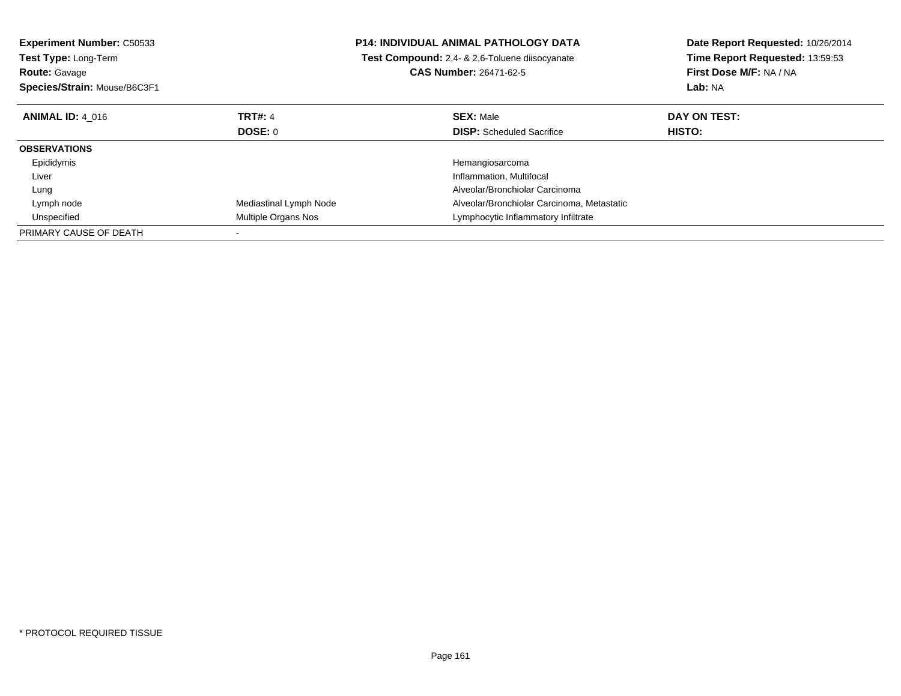| <b>Experiment Number: C50533</b> | P14: INDIVIDUAL ANIMAL PATHOLOGY DATA |                                                | Date Report Requested: 10/26/2014 |  |
|----------------------------------|---------------------------------------|------------------------------------------------|-----------------------------------|--|
| <b>Test Type: Long-Term</b>      |                                       | Test Compound: 2.4- & 2.6-Toluene diisocyanate | Time Report Requested: 13:59:53   |  |
| <b>Route: Gavage</b>             |                                       | <b>CAS Number: 26471-62-5</b>                  | First Dose M/F: NA / NA           |  |
| Species/Strain: Mouse/B6C3F1     |                                       |                                                | Lab: NA                           |  |
| <b>ANIMAL ID: 4 016</b>          | <b>TRT#: 4</b>                        | <b>SEX: Male</b>                               | DAY ON TEST:                      |  |
|                                  | DOSE: 0                               | <b>DISP:</b> Scheduled Sacrifice               | <b>HISTO:</b>                     |  |
| <b>OBSERVATIONS</b>              |                                       |                                                |                                   |  |
| Epididymis                       |                                       | Hemangiosarcoma                                |                                   |  |
| Liver                            |                                       | Inflammation, Multifocal                       |                                   |  |
| Lung                             |                                       | Alveolar/Bronchiolar Carcinoma                 |                                   |  |
| Lymph node                       | Mediastinal Lymph Node                | Alveolar/Bronchiolar Carcinoma, Metastatic     |                                   |  |
| Unspecified                      | Multiple Organs Nos                   | Lymphocytic Inflammatory Infiltrate            |                                   |  |
| PRIMARY CAUSE OF DEATH           |                                       |                                                |                                   |  |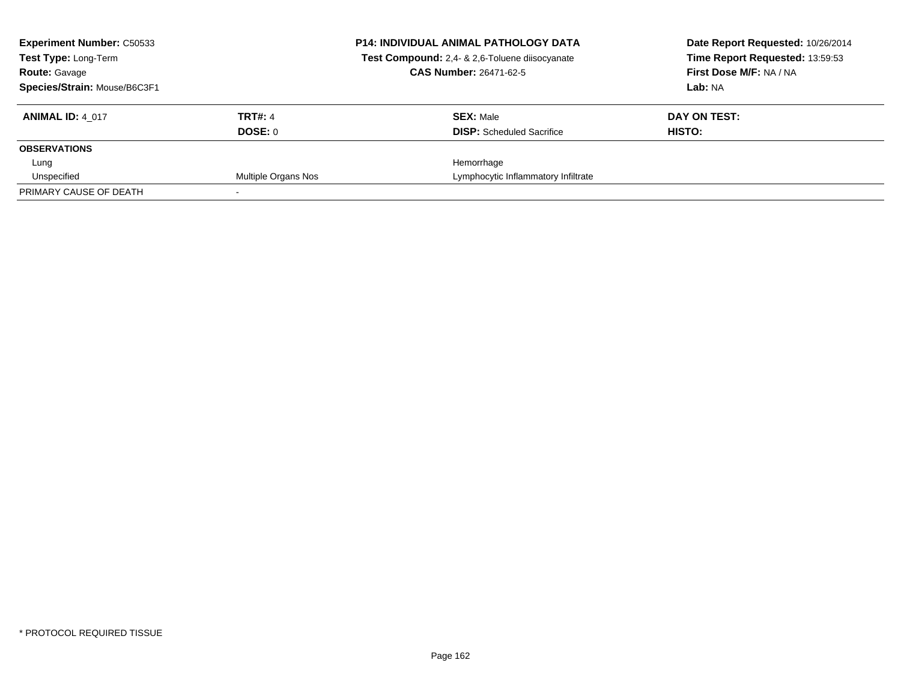| <b>Experiment Number: C50533</b><br><b>Test Type: Long-Term</b><br><b>Route: Gavage</b><br>Species/Strain: Mouse/B6C3F1 |                           | <b>P14: INDIVIDUAL ANIMAL PATHOLOGY DATA</b><br>Test Compound: 2,4- & 2,6-Toluene diisocyanate<br><b>CAS Number: 26471-62-5</b> | Date Report Requested: 10/26/2014<br>Time Report Requested: 13:59:53<br>First Dose M/F: NA / NA<br>Lab: NA |
|-------------------------------------------------------------------------------------------------------------------------|---------------------------|---------------------------------------------------------------------------------------------------------------------------------|------------------------------------------------------------------------------------------------------------|
| <b>ANIMAL ID: 4 017</b>                                                                                                 | <b>TRT#: 4</b><br>DOSE: 0 | <b>SEX: Male</b><br><b>DISP:</b> Scheduled Sacrifice                                                                            | DAY ON TEST:<br>HISTO:                                                                                     |
| <b>OBSERVATIONS</b>                                                                                                     |                           |                                                                                                                                 |                                                                                                            |
| Lung                                                                                                                    |                           | Hemorrhage                                                                                                                      |                                                                                                            |
| Unspecified                                                                                                             | Multiple Organs Nos       | Lymphocytic Inflammatory Infiltrate                                                                                             |                                                                                                            |
| PRIMARY CAUSE OF DEATH                                                                                                  |                           |                                                                                                                                 |                                                                                                            |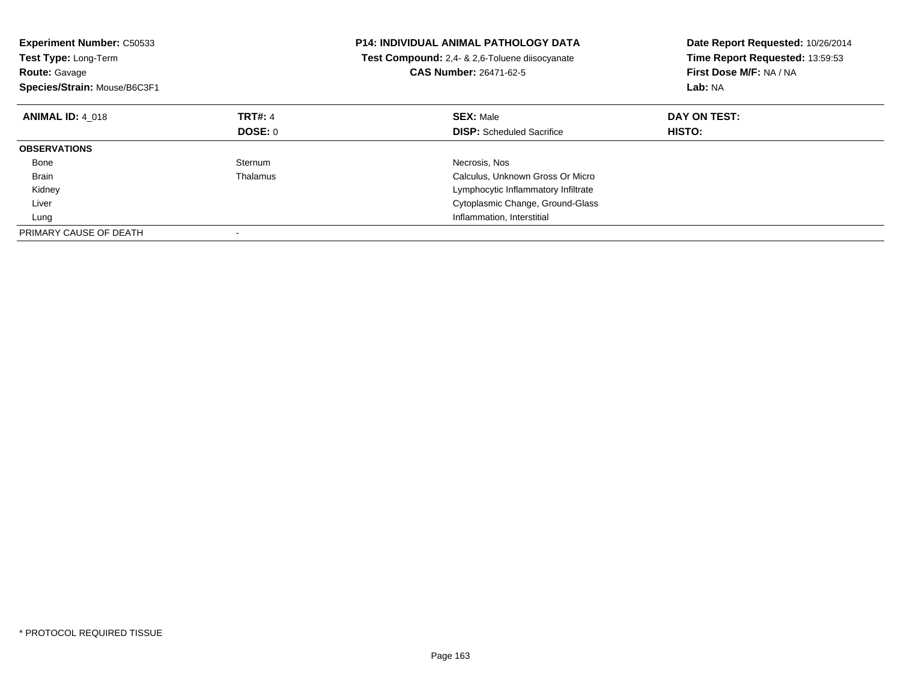| <b>Experiment Number: C50533</b><br>Test Type: Long-Term<br><b>Route: Gavage</b><br>Species/Strain: Mouse/B6C3F1 |                | <b>P14: INDIVIDUAL ANIMAL PATHOLOGY DATA</b><br><b>Test Compound:</b> 2.4- & 2.6-Toluene diisocyanate<br><b>CAS Number: 26471-62-5</b> | Date Report Requested: 10/26/2014<br>Time Report Requested: 13:59:53<br>First Dose M/F: NA / NA<br>Lab: NA |
|------------------------------------------------------------------------------------------------------------------|----------------|----------------------------------------------------------------------------------------------------------------------------------------|------------------------------------------------------------------------------------------------------------|
| <b>ANIMAL ID: 4 018</b>                                                                                          | <b>TRT#: 4</b> | <b>SEX: Male</b>                                                                                                                       | DAY ON TEST:                                                                                               |
|                                                                                                                  | DOSE: 0        | <b>DISP:</b> Scheduled Sacrifice                                                                                                       | <b>HISTO:</b>                                                                                              |
| <b>OBSERVATIONS</b>                                                                                              |                |                                                                                                                                        |                                                                                                            |
| Bone                                                                                                             | Sternum        | Necrosis, Nos                                                                                                                          |                                                                                                            |
| <b>Brain</b>                                                                                                     | Thalamus       | Calculus, Unknown Gross Or Micro                                                                                                       |                                                                                                            |
| Kidney                                                                                                           |                | Lymphocytic Inflammatory Infiltrate                                                                                                    |                                                                                                            |
| Liver                                                                                                            |                | Cytoplasmic Change, Ground-Glass                                                                                                       |                                                                                                            |
| Lung                                                                                                             |                | Inflammation, Interstitial                                                                                                             |                                                                                                            |
| PRIMARY CAUSE OF DEATH                                                                                           |                |                                                                                                                                        |                                                                                                            |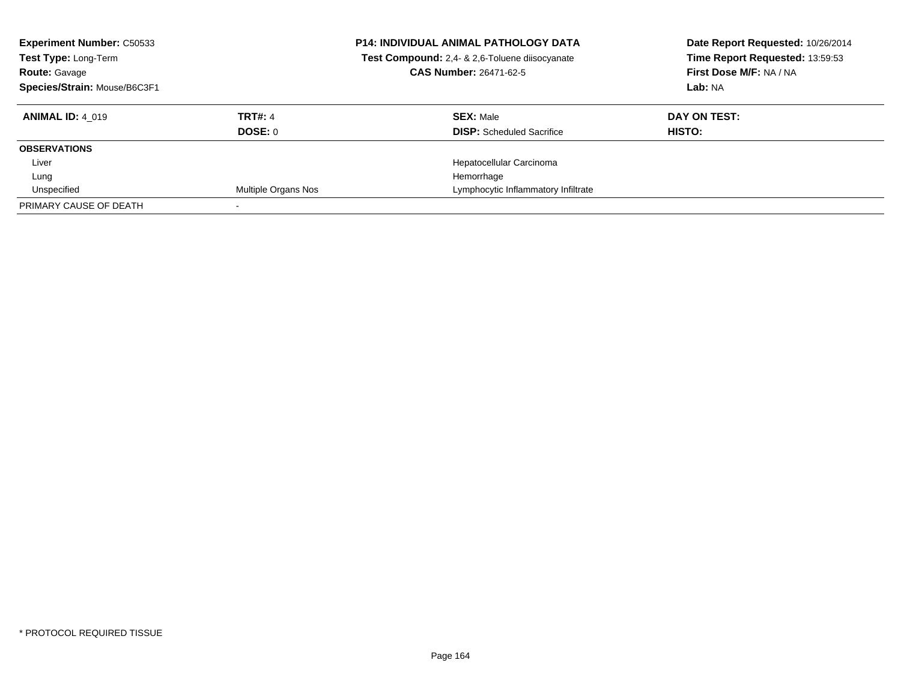| <b>Experiment Number: C50533</b><br>Test Type: Long-Term<br><b>Route: Gavage</b><br>Species/Strain: Mouse/B6C3F1 |                     | <b>P14: INDIVIDUAL ANIMAL PATHOLOGY DATA</b><br>Test Compound: 2,4- & 2,6-Toluene diisocyanate<br><b>CAS Number: 26471-62-5</b> | Date Report Requested: 10/26/2014<br>Time Report Requested: 13:59:53<br>First Dose M/F: NA / NA<br>Lab: NA |
|------------------------------------------------------------------------------------------------------------------|---------------------|---------------------------------------------------------------------------------------------------------------------------------|------------------------------------------------------------------------------------------------------------|
| <b>ANIMAL ID: 4 019</b>                                                                                          | <b>TRT#: 4</b>      | <b>SEX: Male</b>                                                                                                                | DAY ON TEST:                                                                                               |
|                                                                                                                  | DOSE: 0             | <b>DISP:</b> Scheduled Sacrifice                                                                                                | HISTO:                                                                                                     |
| <b>OBSERVATIONS</b>                                                                                              |                     |                                                                                                                                 |                                                                                                            |
| Liver                                                                                                            |                     | Hepatocellular Carcinoma                                                                                                        |                                                                                                            |
| Lung                                                                                                             |                     | Hemorrhage                                                                                                                      |                                                                                                            |
| Unspecified                                                                                                      | Multiple Organs Nos | Lymphocytic Inflammatory Infiltrate                                                                                             |                                                                                                            |
| PRIMARY CAUSE OF DEATH                                                                                           |                     |                                                                                                                                 |                                                                                                            |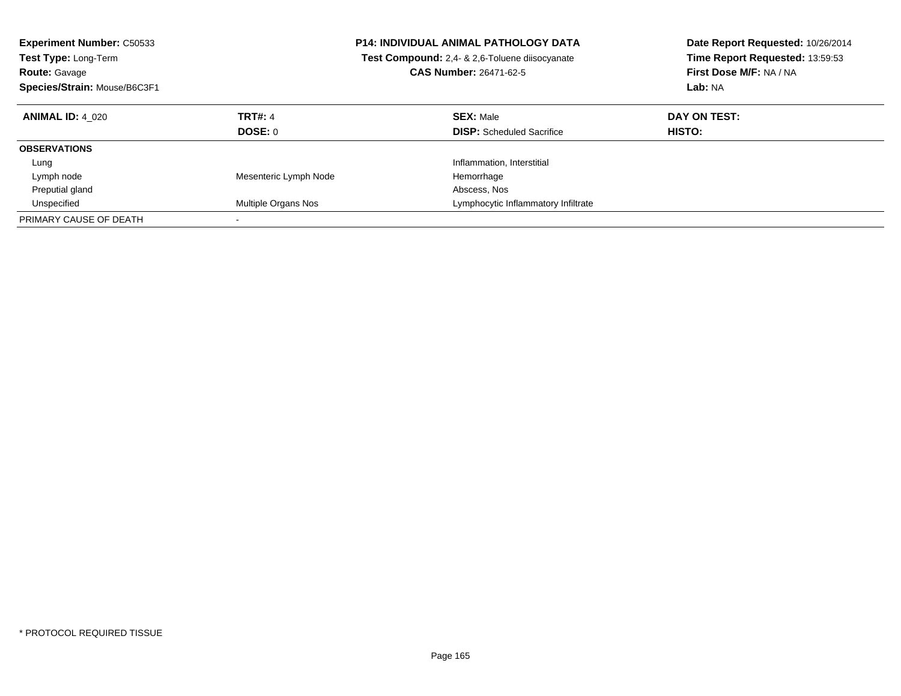| <b>Experiment Number: C50533</b><br><b>Test Type: Long-Term</b><br><b>Route: Gavage</b><br>Species/Strain: Mouse/B6C3F1 |                                  | <b>P14: INDIVIDUAL ANIMAL PATHOLOGY DATA</b><br>Test Compound: 2,4- & 2,6-Toluene diisocyanate<br><b>CAS Number: 26471-62-5</b> | Date Report Requested: 10/26/2014<br>Time Report Requested: 13:59:53<br>First Dose M/F: NA / NA<br>Lab: NA |
|-------------------------------------------------------------------------------------------------------------------------|----------------------------------|---------------------------------------------------------------------------------------------------------------------------------|------------------------------------------------------------------------------------------------------------|
| <b>ANIMAL ID: 4 020</b>                                                                                                 | <b>TRT#: 4</b><br><b>DOSE: 0</b> | <b>SEX: Male</b><br><b>DISP:</b> Scheduled Sacrifice                                                                            | DAY ON TEST:<br>HISTO:                                                                                     |
| <b>OBSERVATIONS</b>                                                                                                     |                                  |                                                                                                                                 |                                                                                                            |
| Lung                                                                                                                    |                                  | Inflammation, Interstitial                                                                                                      |                                                                                                            |
| Lymph node                                                                                                              | Mesenteric Lymph Node            | Hemorrhage                                                                                                                      |                                                                                                            |
| Preputial gland                                                                                                         |                                  | Abscess, Nos                                                                                                                    |                                                                                                            |
| Unspecified                                                                                                             | Multiple Organs Nos              | Lymphocytic Inflammatory Infiltrate                                                                                             |                                                                                                            |
| PRIMARY CAUSE OF DEATH                                                                                                  |                                  |                                                                                                                                 |                                                                                                            |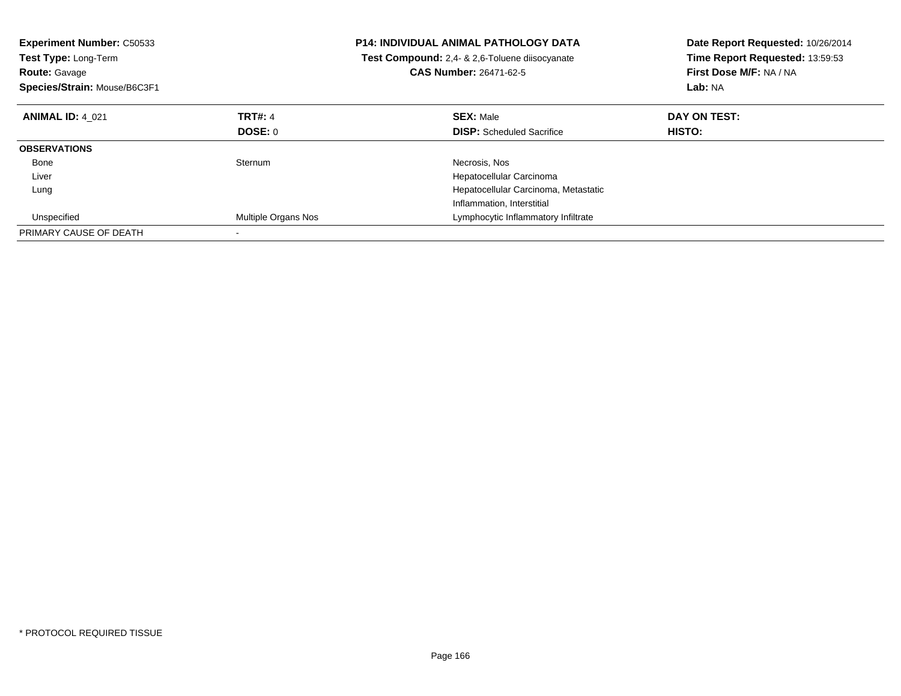| <b>Experiment Number: C50533</b><br><b>Test Type: Long-Term</b><br><b>Route: Gavage</b><br>Species/Strain: Mouse/B6C3F1 |                     | <b>P14: INDIVIDUAL ANIMAL PATHOLOGY DATA</b><br>Test Compound: 2.4- & 2.6-Toluene diisocyanate<br><b>CAS Number: 26471-62-5</b> | Date Report Requested: 10/26/2014<br>Time Report Requested: 13:59:53<br>First Dose M/F: NA / NA<br>Lab: NA |
|-------------------------------------------------------------------------------------------------------------------------|---------------------|---------------------------------------------------------------------------------------------------------------------------------|------------------------------------------------------------------------------------------------------------|
| <b>ANIMAL ID: 4 021</b>                                                                                                 | <b>TRT#: 4</b>      | <b>SEX: Male</b>                                                                                                                | DAY ON TEST:                                                                                               |
|                                                                                                                         | <b>DOSE: 0</b>      | <b>DISP:</b> Scheduled Sacrifice                                                                                                | <b>HISTO:</b>                                                                                              |
| <b>OBSERVATIONS</b>                                                                                                     |                     |                                                                                                                                 |                                                                                                            |
| Bone                                                                                                                    | Sternum             | Necrosis, Nos                                                                                                                   |                                                                                                            |
| Liver                                                                                                                   |                     | Hepatocellular Carcinoma                                                                                                        |                                                                                                            |
| Lung                                                                                                                    |                     | Hepatocellular Carcinoma, Metastatic                                                                                            |                                                                                                            |
|                                                                                                                         |                     | Inflammation, Interstitial                                                                                                      |                                                                                                            |
| Unspecified                                                                                                             | Multiple Organs Nos | Lymphocytic Inflammatory Infiltrate                                                                                             |                                                                                                            |
| PRIMARY CAUSE OF DEATH                                                                                                  |                     |                                                                                                                                 |                                                                                                            |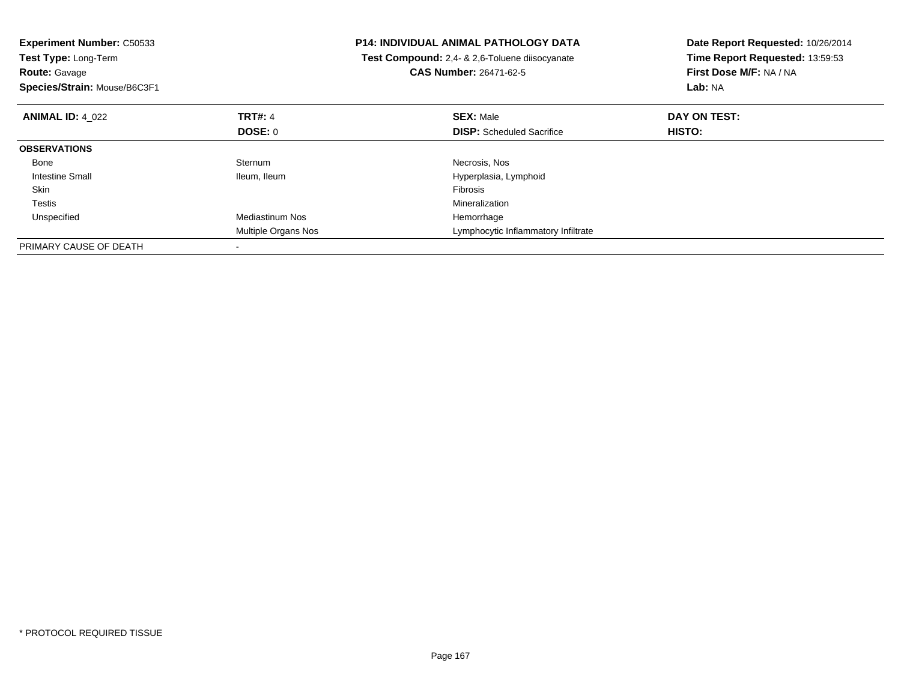| <b>Experiment Number: C50533</b><br>Test Type: Long-Term<br><b>Route: Gavage</b><br>Species/Strain: Mouse/B6C3F1 |                        | <b>P14: INDIVIDUAL ANIMAL PATHOLOGY DATA</b><br>Test Compound: 2,4- & 2,6-Toluene diisocyanate<br><b>CAS Number: 26471-62-5</b> | Date Report Requested: 10/26/2014<br>Time Report Requested: 13:59:53<br>First Dose M/F: NA / NA<br>Lab: NA |
|------------------------------------------------------------------------------------------------------------------|------------------------|---------------------------------------------------------------------------------------------------------------------------------|------------------------------------------------------------------------------------------------------------|
| <b>ANIMAL ID: 4 022</b>                                                                                          | <b>TRT#: 4</b>         | <b>SEX: Male</b>                                                                                                                | DAY ON TEST:                                                                                               |
|                                                                                                                  | DOSE: 0                | <b>DISP:</b> Scheduled Sacrifice                                                                                                | <b>HISTO:</b>                                                                                              |
| <b>OBSERVATIONS</b>                                                                                              |                        |                                                                                                                                 |                                                                                                            |
| Bone                                                                                                             | Sternum                | Necrosis, Nos                                                                                                                   |                                                                                                            |
| Intestine Small                                                                                                  | Ileum, Ileum           | Hyperplasia, Lymphoid                                                                                                           |                                                                                                            |
| Skin                                                                                                             |                        | <b>Fibrosis</b>                                                                                                                 |                                                                                                            |
| <b>Testis</b>                                                                                                    |                        | Mineralization                                                                                                                  |                                                                                                            |
| Unspecified                                                                                                      | <b>Mediastinum Nos</b> | Hemorrhage                                                                                                                      |                                                                                                            |
|                                                                                                                  | Multiple Organs Nos    | Lymphocytic Inflammatory Infiltrate                                                                                             |                                                                                                            |
| PRIMARY CAUSE OF DEATH                                                                                           |                        |                                                                                                                                 |                                                                                                            |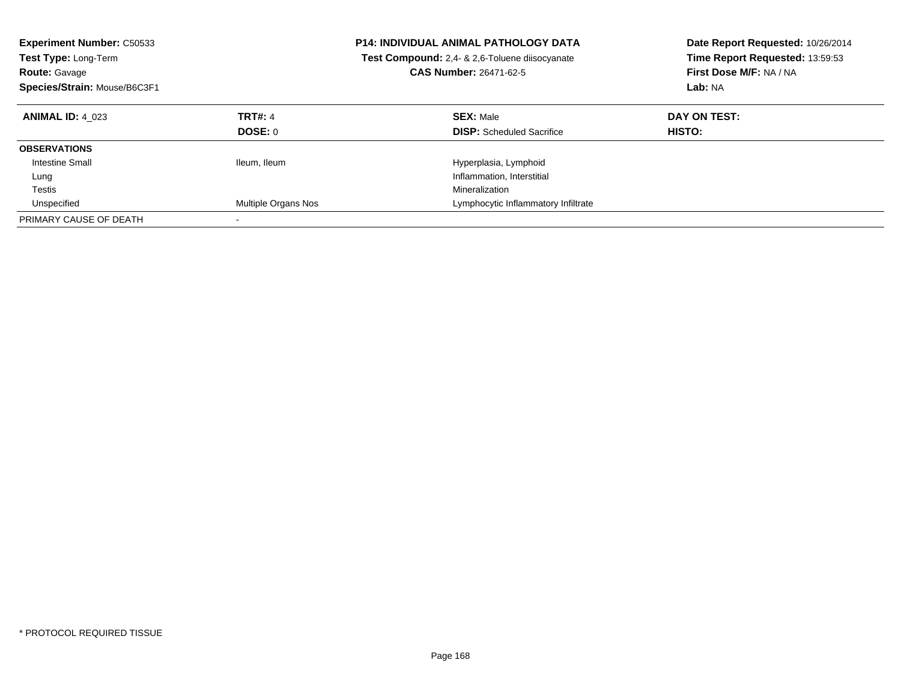| <b>Experiment Number: C50533</b><br><b>Test Type: Long-Term</b><br><b>Route: Gavage</b><br>Species/Strain: Mouse/B6C3F1 |                           | <b>P14: INDIVIDUAL ANIMAL PATHOLOGY DATA</b><br><b>Test Compound:</b> 2.4- & 2.6-Toluene diisocyanate<br><b>CAS Number: 26471-62-5</b> | Date Report Requested: 10/26/2014<br>Time Report Requested: 13:59:53<br>First Dose M/F: NA / NA<br>Lab: NA |
|-------------------------------------------------------------------------------------------------------------------------|---------------------------|----------------------------------------------------------------------------------------------------------------------------------------|------------------------------------------------------------------------------------------------------------|
| <b>ANIMAL ID: 4 023</b>                                                                                                 | <b>TRT#: 4</b><br>DOSE: 0 | <b>SEX: Male</b><br><b>DISP:</b> Scheduled Sacrifice                                                                                   | DAY ON TEST:<br><b>HISTO:</b>                                                                              |
| <b>OBSERVATIONS</b>                                                                                                     |                           |                                                                                                                                        |                                                                                                            |
| Intestine Small                                                                                                         | Ileum, Ileum              | Hyperplasia, Lymphoid                                                                                                                  |                                                                                                            |
| Lung                                                                                                                    |                           | Inflammation, Interstitial                                                                                                             |                                                                                                            |
| Testis                                                                                                                  |                           | Mineralization                                                                                                                         |                                                                                                            |
| Unspecified                                                                                                             | Multiple Organs Nos       | Lymphocytic Inflammatory Infiltrate                                                                                                    |                                                                                                            |
| PRIMARY CAUSE OF DEATH                                                                                                  |                           |                                                                                                                                        |                                                                                                            |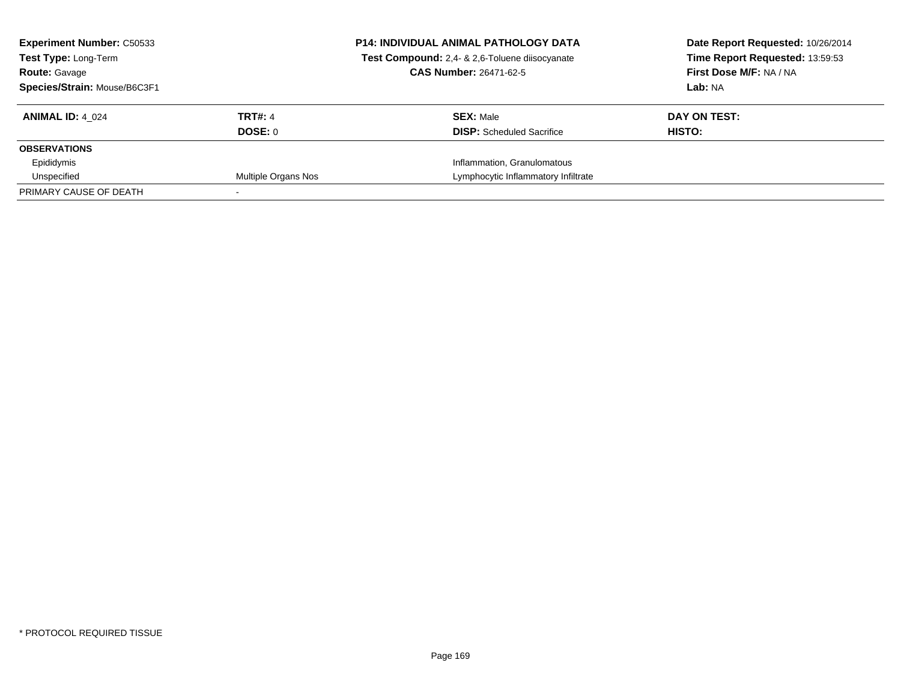| <b>Experiment Number: C50533</b><br><b>Test Type: Long-Term</b><br><b>Route: Gavage</b><br>Species/Strain: Mouse/B6C3F1 |                           | <b>P14: INDIVIDUAL ANIMAL PATHOLOGY DATA</b><br>Test Compound: 2,4- & 2,6-Toluene diisocyanate<br><b>CAS Number: 26471-62-5</b> | Date Report Requested: 10/26/2014<br>Time Report Requested: 13:59:53<br>First Dose M/F: NA / NA<br>Lab: NA |
|-------------------------------------------------------------------------------------------------------------------------|---------------------------|---------------------------------------------------------------------------------------------------------------------------------|------------------------------------------------------------------------------------------------------------|
| <b>ANIMAL ID: 4 024</b>                                                                                                 | <b>TRT#: 4</b><br>DOSE: 0 | <b>SEX: Male</b><br><b>DISP:</b> Scheduled Sacrifice                                                                            | DAY ON TEST:<br>HISTO:                                                                                     |
| <b>OBSERVATIONS</b>                                                                                                     |                           |                                                                                                                                 |                                                                                                            |
| Epididymis                                                                                                              |                           | Inflammation, Granulomatous                                                                                                     |                                                                                                            |
| Unspecified                                                                                                             | Multiple Organs Nos       | Lymphocytic Inflammatory Infiltrate                                                                                             |                                                                                                            |
| PRIMARY CAUSE OF DEATH                                                                                                  |                           |                                                                                                                                 |                                                                                                            |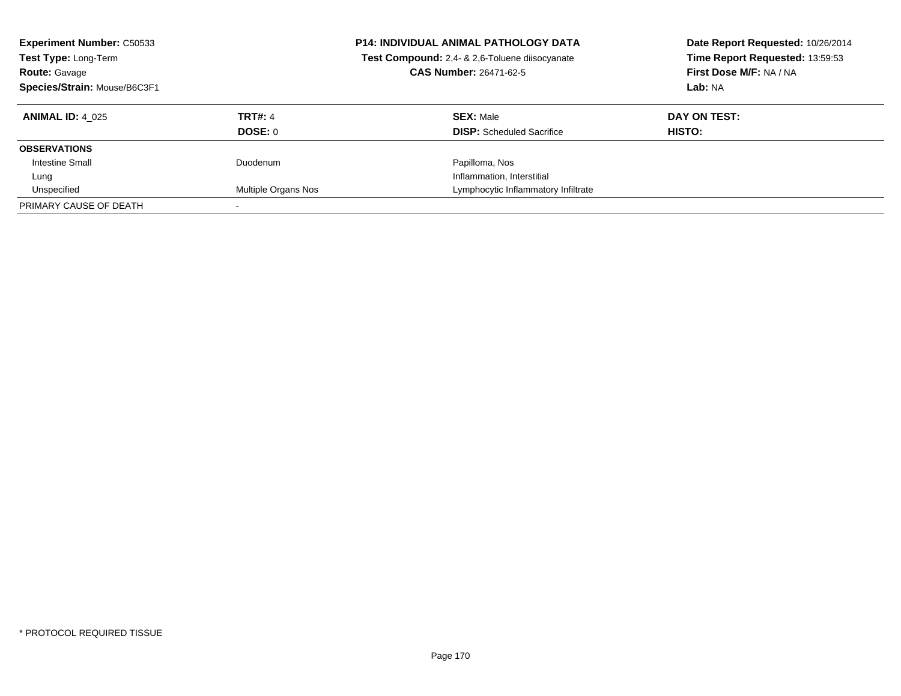| <b>Experiment Number: C50533</b><br>Test Type: Long-Term<br><b>Route: Gavage</b><br>Species/Strain: Mouse/B6C3F1 |                     | <b>P14: INDIVIDUAL ANIMAL PATHOLOGY DATA</b><br>Test Compound: 2,4- & 2,6-Toluene diisocyanate<br><b>CAS Number: 26471-62-5</b> | Date Report Requested: 10/26/2014<br>Time Report Requested: 13:59:53<br>First Dose M/F: NA / NA<br>Lab: NA |
|------------------------------------------------------------------------------------------------------------------|---------------------|---------------------------------------------------------------------------------------------------------------------------------|------------------------------------------------------------------------------------------------------------|
| <b>ANIMAL ID: 4 025</b>                                                                                          | <b>TRT#: 4</b>      | <b>SEX: Male</b>                                                                                                                | DAY ON TEST:                                                                                               |
|                                                                                                                  | DOSE: 0             | <b>DISP:</b> Scheduled Sacrifice                                                                                                | HISTO:                                                                                                     |
| <b>OBSERVATIONS</b>                                                                                              |                     |                                                                                                                                 |                                                                                                            |
| Intestine Small                                                                                                  | Duodenum            | Papilloma, Nos                                                                                                                  |                                                                                                            |
| Lung                                                                                                             |                     | Inflammation, Interstitial                                                                                                      |                                                                                                            |
| Unspecified                                                                                                      | Multiple Organs Nos | Lymphocytic Inflammatory Infiltrate                                                                                             |                                                                                                            |
| PRIMARY CAUSE OF DEATH                                                                                           |                     |                                                                                                                                 |                                                                                                            |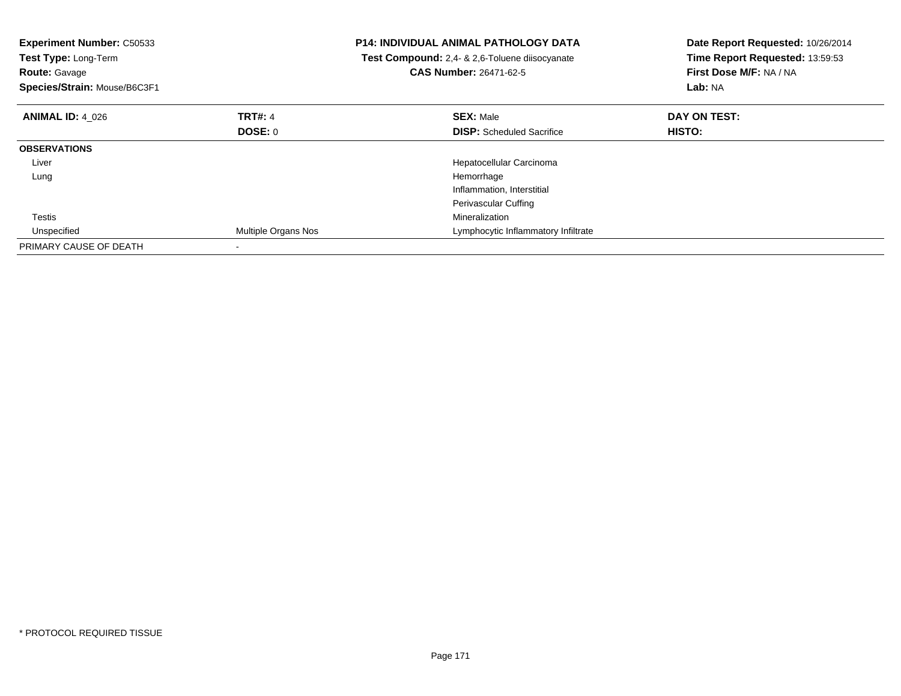| <b>Experiment Number: C50533</b><br>Test Type: Long-Term<br><b>Route: Gavage</b><br>Species/Strain: Mouse/B6C3F1 |                     | <b>P14: INDIVIDUAL ANIMAL PATHOLOGY DATA</b><br>Test Compound: 2,4- & 2,6-Toluene diisocyanate<br><b>CAS Number: 26471-62-5</b> | Date Report Requested: 10/26/2014<br>Time Report Requested: 13:59:53<br>First Dose M/F: NA / NA<br><b>Lab: NA</b> |
|------------------------------------------------------------------------------------------------------------------|---------------------|---------------------------------------------------------------------------------------------------------------------------------|-------------------------------------------------------------------------------------------------------------------|
| <b>ANIMAL ID: 4 026</b>                                                                                          | <b>TRT#: 4</b>      | <b>SEX: Male</b>                                                                                                                | DAY ON TEST:                                                                                                      |
|                                                                                                                  | DOSE: 0             | <b>DISP:</b> Scheduled Sacrifice                                                                                                | <b>HISTO:</b>                                                                                                     |
| <b>OBSERVATIONS</b>                                                                                              |                     |                                                                                                                                 |                                                                                                                   |
| Liver                                                                                                            |                     | Hepatocellular Carcinoma                                                                                                        |                                                                                                                   |
| Lung                                                                                                             |                     | Hemorrhage                                                                                                                      |                                                                                                                   |
|                                                                                                                  |                     | Inflammation, Interstitial                                                                                                      |                                                                                                                   |
|                                                                                                                  |                     | Perivascular Cuffing                                                                                                            |                                                                                                                   |
| Testis                                                                                                           |                     | Mineralization                                                                                                                  |                                                                                                                   |
| Unspecified                                                                                                      | Multiple Organs Nos | Lymphocytic Inflammatory Infiltrate                                                                                             |                                                                                                                   |
| PRIMARY CAUSE OF DEATH                                                                                           |                     |                                                                                                                                 |                                                                                                                   |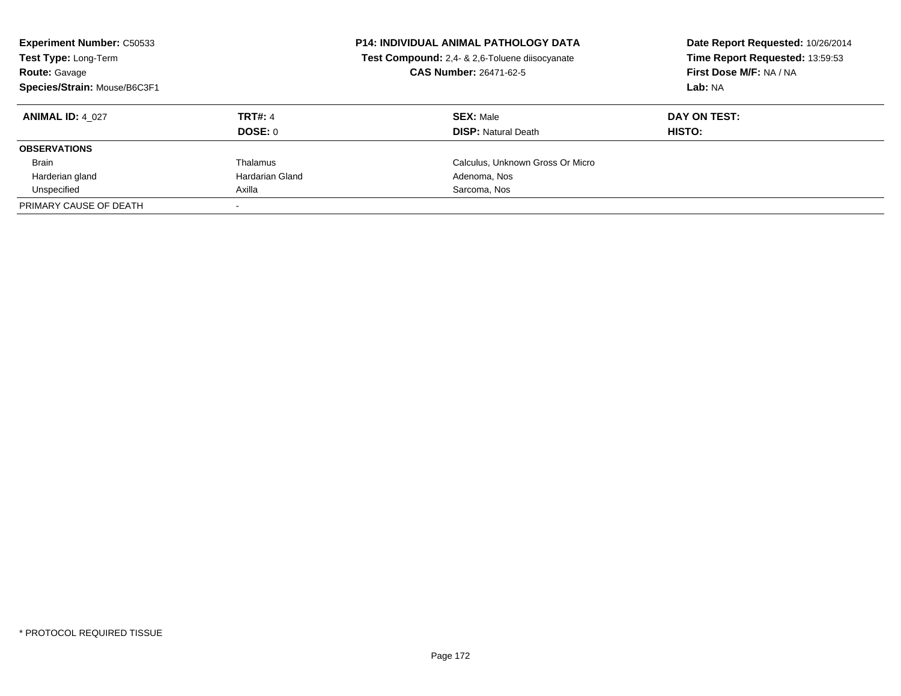| <b>Experiment Number: C50533</b><br>Test Type: Long-Term<br><b>Route: Gavage</b><br>Species/Strain: Mouse/B6C3F1 |                 | <b>P14: INDIVIDUAL ANIMAL PATHOLOGY DATA</b><br>Test Compound: 2,4- & 2,6-Toluene diisocyanate<br>CAS Number: 26471-62-5 | Date Report Requested: 10/26/2014<br>Time Report Requested: 13:59:53<br>First Dose M/F: NA / NA<br>Lab: NA |
|------------------------------------------------------------------------------------------------------------------|-----------------|--------------------------------------------------------------------------------------------------------------------------|------------------------------------------------------------------------------------------------------------|
| <b>ANIMAL ID: 4 027</b>                                                                                          | <b>TRT#: 4</b>  | <b>SEX: Male</b>                                                                                                         | DAY ON TEST:                                                                                               |
|                                                                                                                  | DOSE: 0         | <b>DISP:</b> Natural Death                                                                                               | <b>HISTO:</b>                                                                                              |
| <b>OBSERVATIONS</b>                                                                                              |                 |                                                                                                                          |                                                                                                            |
| <b>Brain</b>                                                                                                     | Thalamus        | Calculus, Unknown Gross Or Micro                                                                                         |                                                                                                            |
| Harderian gland                                                                                                  | Hardarian Gland | Adenoma, Nos                                                                                                             |                                                                                                            |
| Unspecified                                                                                                      | Axilla          | Sarcoma, Nos                                                                                                             |                                                                                                            |
| PRIMARY CAUSE OF DEATH                                                                                           |                 |                                                                                                                          |                                                                                                            |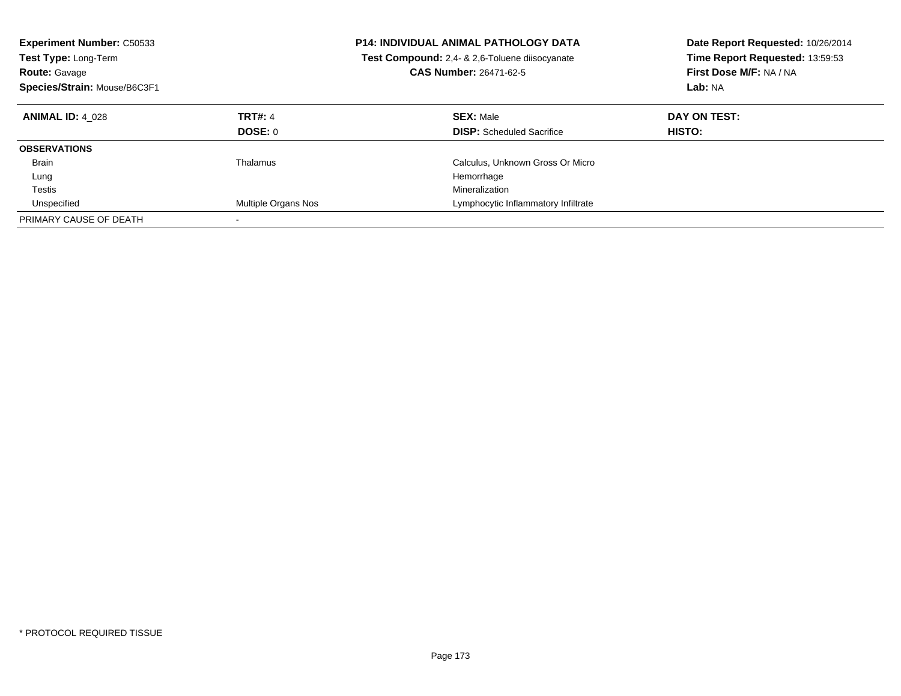| <b>Experiment Number: C50533</b><br><b>Test Type: Long-Term</b><br><b>Route: Gavage</b><br>Species/Strain: Mouse/B6C3F1 |                                  | <b>P14: INDIVIDUAL ANIMAL PATHOLOGY DATA</b><br>Test Compound: 2,4- & 2,6-Toluene diisocyanate<br><b>CAS Number: 26471-62-5</b> | Date Report Requested: 10/26/2014<br>Time Report Requested: 13:59:53<br>First Dose M/F: NA / NA<br>Lab: NA |
|-------------------------------------------------------------------------------------------------------------------------|----------------------------------|---------------------------------------------------------------------------------------------------------------------------------|------------------------------------------------------------------------------------------------------------|
| <b>ANIMAL ID: 4 028</b>                                                                                                 | <b>TRT#: 4</b><br><b>DOSE: 0</b> | <b>SEX: Male</b><br><b>DISP:</b> Scheduled Sacrifice                                                                            | DAY ON TEST:<br><b>HISTO:</b>                                                                              |
| <b>OBSERVATIONS</b>                                                                                                     |                                  |                                                                                                                                 |                                                                                                            |
| <b>Brain</b>                                                                                                            | Thalamus                         | Calculus, Unknown Gross Or Micro                                                                                                |                                                                                                            |
| Lung                                                                                                                    |                                  | Hemorrhage                                                                                                                      |                                                                                                            |
| Testis                                                                                                                  |                                  | Mineralization                                                                                                                  |                                                                                                            |
| Unspecified                                                                                                             | Multiple Organs Nos              | Lymphocytic Inflammatory Infiltrate                                                                                             |                                                                                                            |
| PRIMARY CAUSE OF DEATH                                                                                                  |                                  |                                                                                                                                 |                                                                                                            |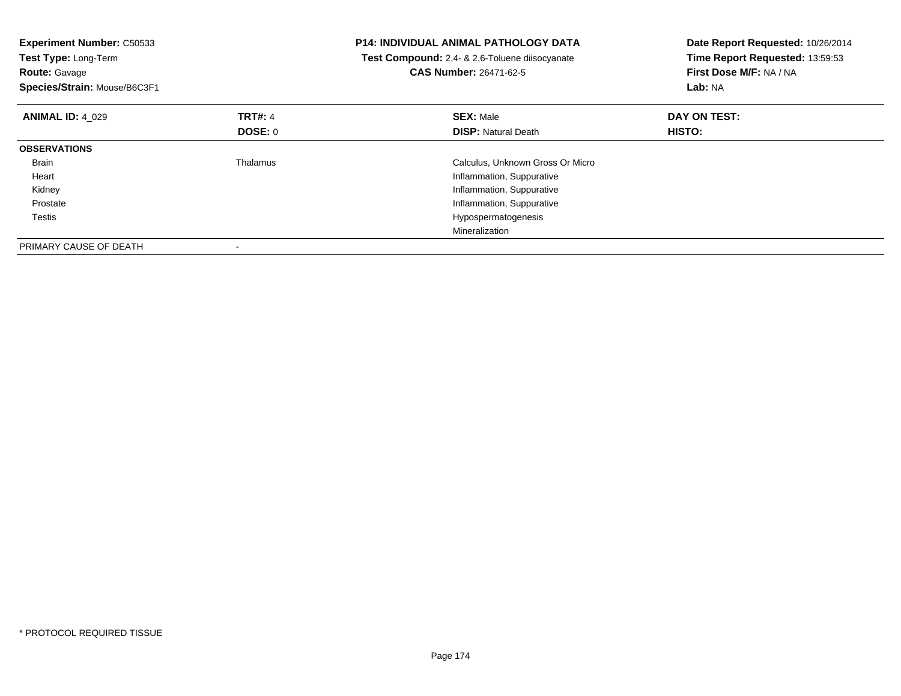| <b>Experiment Number: C50533</b><br>Test Type: Long-Term<br><b>Route: Gavage</b><br>Species/Strain: Mouse/B6C3F1 |                | P14: INDIVIDUAL ANIMAL PATHOLOGY DATA<br>Test Compound: 2,4- & 2,6-Toluene diisocyanate<br><b>CAS Number: 26471-62-5</b> | Date Report Requested: 10/26/2014<br>Time Report Requested: 13:59:53<br>First Dose M/F: NA / NA<br>Lab: NA |
|------------------------------------------------------------------------------------------------------------------|----------------|--------------------------------------------------------------------------------------------------------------------------|------------------------------------------------------------------------------------------------------------|
| <b>ANIMAL ID: 4 029</b>                                                                                          | <b>TRT#: 4</b> | <b>SEX: Male</b>                                                                                                         | DAY ON TEST:                                                                                               |
|                                                                                                                  | <b>DOSE: 0</b> | <b>DISP:</b> Natural Death                                                                                               | <b>HISTO:</b>                                                                                              |
| <b>OBSERVATIONS</b>                                                                                              |                |                                                                                                                          |                                                                                                            |
| <b>Brain</b>                                                                                                     | Thalamus       | Calculus, Unknown Gross Or Micro                                                                                         |                                                                                                            |
| Heart                                                                                                            |                | Inflammation, Suppurative                                                                                                |                                                                                                            |
| Kidney                                                                                                           |                | Inflammation, Suppurative                                                                                                |                                                                                                            |
| Prostate                                                                                                         |                | Inflammation, Suppurative                                                                                                |                                                                                                            |
| Testis                                                                                                           |                | Hypospermatogenesis                                                                                                      |                                                                                                            |
|                                                                                                                  |                | Mineralization                                                                                                           |                                                                                                            |
| PRIMARY CAUSE OF DEATH                                                                                           |                |                                                                                                                          |                                                                                                            |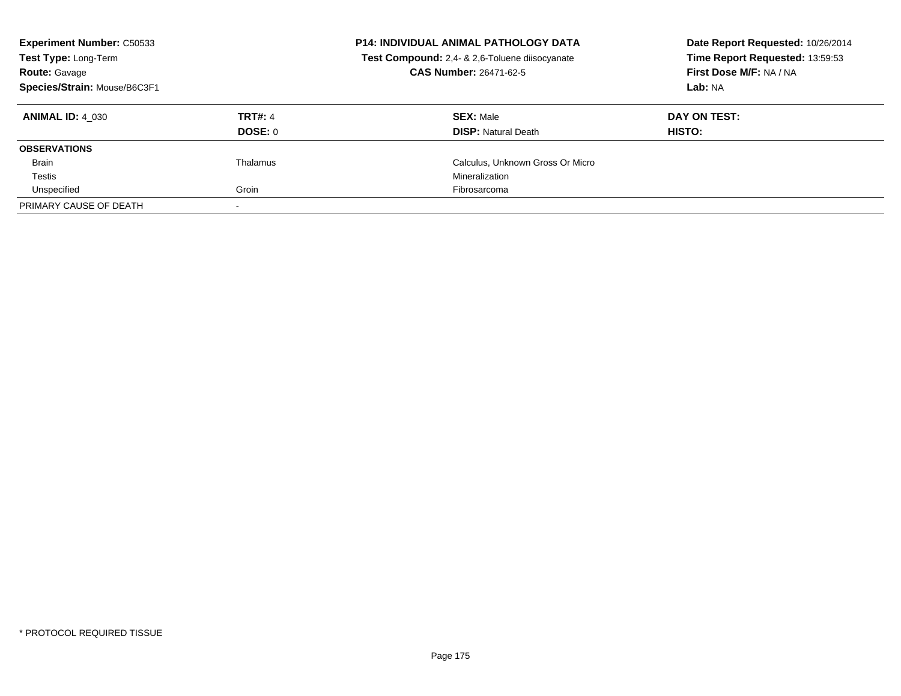| <b>Experiment Number: C50533</b><br>Test Type: Long-Term<br><b>Route: Gavage</b><br>Species/Strain: Mouse/B6C3F1 |                           | <b>P14: INDIVIDUAL ANIMAL PATHOLOGY DATA</b><br>Test Compound: 2,4- & 2,6-Toluene diisocyanate<br><b>CAS Number: 26471-62-5</b> | Date Report Requested: 10/26/2014<br>Time Report Requested: 13:59:53<br>First Dose M/F: NA / NA<br>Lab: NA |
|------------------------------------------------------------------------------------------------------------------|---------------------------|---------------------------------------------------------------------------------------------------------------------------------|------------------------------------------------------------------------------------------------------------|
| <b>ANIMAL ID: 4 030</b>                                                                                          | <b>TRT#: 4</b><br>DOSE: 0 | <b>SEX: Male</b><br><b>DISP:</b> Natural Death                                                                                  | DAY ON TEST:<br>HISTO:                                                                                     |
| <b>OBSERVATIONS</b>                                                                                              |                           |                                                                                                                                 |                                                                                                            |
| <b>Brain</b>                                                                                                     | Thalamus                  | Calculus, Unknown Gross Or Micro                                                                                                |                                                                                                            |
| Testis                                                                                                           |                           | Mineralization                                                                                                                  |                                                                                                            |
| Unspecified                                                                                                      | Groin                     | Fibrosarcoma                                                                                                                    |                                                                                                            |
| PRIMARY CAUSE OF DEATH                                                                                           |                           |                                                                                                                                 |                                                                                                            |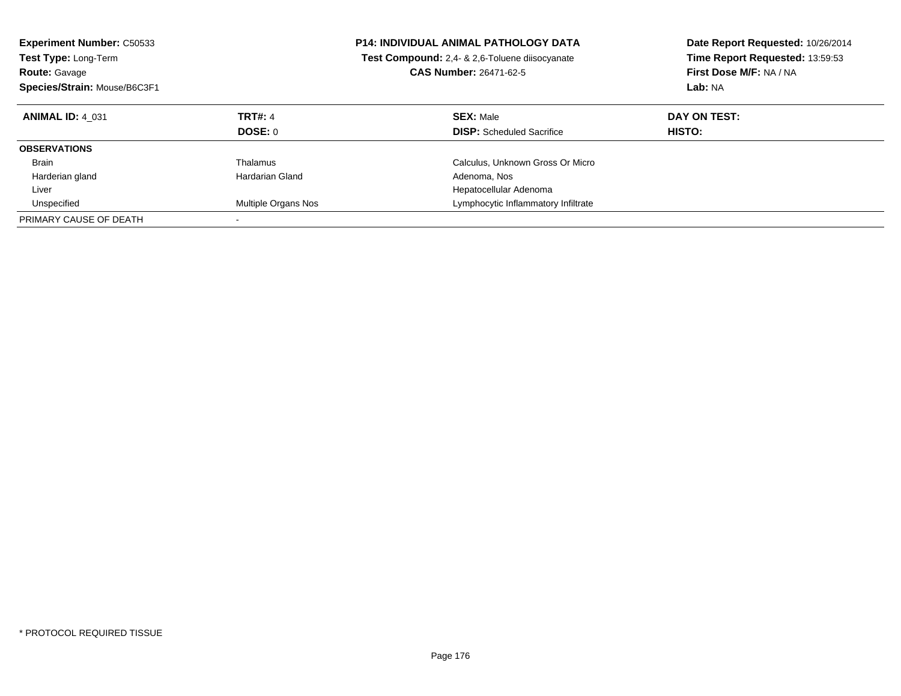| <b>Experiment Number: C50533</b><br><b>Test Type: Long-Term</b><br><b>Route: Gavage</b><br>Species/Strain: Mouse/B6C3F1 |                     | <b>P14: INDIVIDUAL ANIMAL PATHOLOGY DATA</b><br>Test Compound: 2,4- & 2,6-Toluene diisocyanate<br><b>CAS Number: 26471-62-5</b> | Date Report Requested: 10/26/2014<br>Time Report Requested: 13:59:53<br>First Dose M/F: NA / NA<br>Lab: NA |
|-------------------------------------------------------------------------------------------------------------------------|---------------------|---------------------------------------------------------------------------------------------------------------------------------|------------------------------------------------------------------------------------------------------------|
| <b>ANIMAL ID: 4 031</b>                                                                                                 | <b>TRT#: 4</b>      | <b>SEX: Male</b>                                                                                                                | DAY ON TEST:                                                                                               |
|                                                                                                                         | <b>DOSE: 0</b>      | <b>DISP:</b> Scheduled Sacrifice                                                                                                | <b>HISTO:</b>                                                                                              |
| <b>OBSERVATIONS</b>                                                                                                     |                     |                                                                                                                                 |                                                                                                            |
| Brain                                                                                                                   | Thalamus            | Calculus, Unknown Gross Or Micro                                                                                                |                                                                                                            |
| Harderian gland                                                                                                         | Hardarian Gland     | Adenoma, Nos                                                                                                                    |                                                                                                            |
| Liver                                                                                                                   |                     | Hepatocellular Adenoma                                                                                                          |                                                                                                            |
| Unspecified                                                                                                             | Multiple Organs Nos | Lymphocytic Inflammatory Infiltrate                                                                                             |                                                                                                            |
| PRIMARY CAUSE OF DEATH                                                                                                  |                     |                                                                                                                                 |                                                                                                            |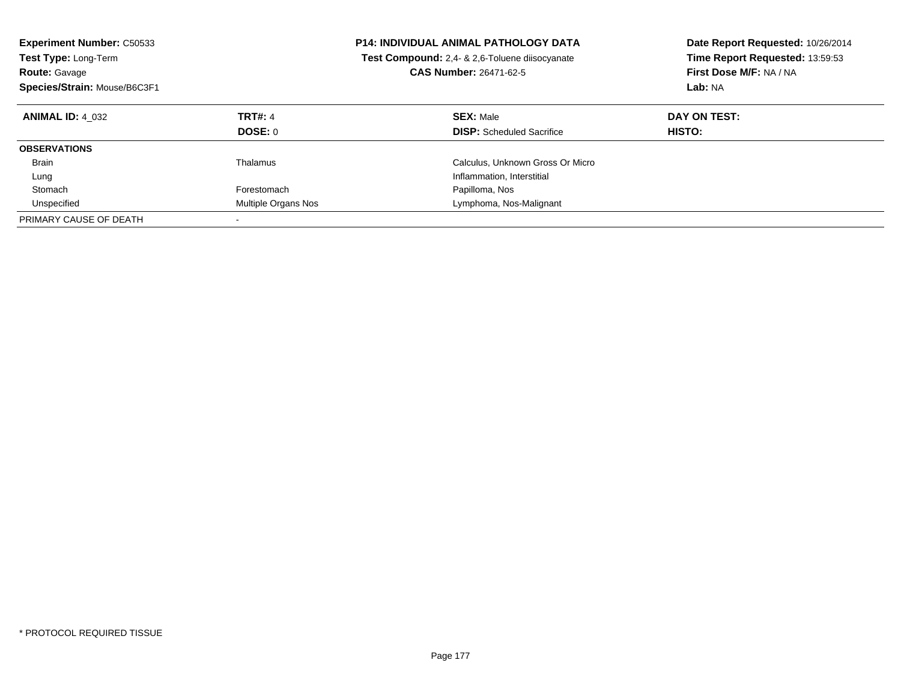| <b>Experiment Number: C50533</b><br><b>Test Type: Long-Term</b><br><b>Route: Gavage</b><br>Species/Strain: Mouse/B6C3F1 |                                  | <b>P14: INDIVIDUAL ANIMAL PATHOLOGY DATA</b><br>Test Compound: 2,4- & 2,6-Toluene diisocyanate<br><b>CAS Number: 26471-62-5</b> | Date Report Requested: 10/26/2014<br>Time Report Requested: 13:59:53<br>First Dose M/F: NA / NA<br>Lab: NA |
|-------------------------------------------------------------------------------------------------------------------------|----------------------------------|---------------------------------------------------------------------------------------------------------------------------------|------------------------------------------------------------------------------------------------------------|
| <b>ANIMAL ID: 4 032</b>                                                                                                 | <b>TRT#: 4</b><br><b>DOSE: 0</b> | <b>SEX: Male</b><br><b>DISP:</b> Scheduled Sacrifice                                                                            | DAY ON TEST:<br>HISTO:                                                                                     |
| <b>OBSERVATIONS</b>                                                                                                     |                                  |                                                                                                                                 |                                                                                                            |
| <b>Brain</b>                                                                                                            | Thalamus                         | Calculus, Unknown Gross Or Micro                                                                                                |                                                                                                            |
| Lung                                                                                                                    |                                  | Inflammation, Interstitial                                                                                                      |                                                                                                            |
| Stomach                                                                                                                 | Forestomach                      | Papilloma, Nos                                                                                                                  |                                                                                                            |
| Unspecified                                                                                                             | Multiple Organs Nos              | Lymphoma, Nos-Malignant                                                                                                         |                                                                                                            |
| PRIMARY CAUSE OF DEATH                                                                                                  |                                  |                                                                                                                                 |                                                                                                            |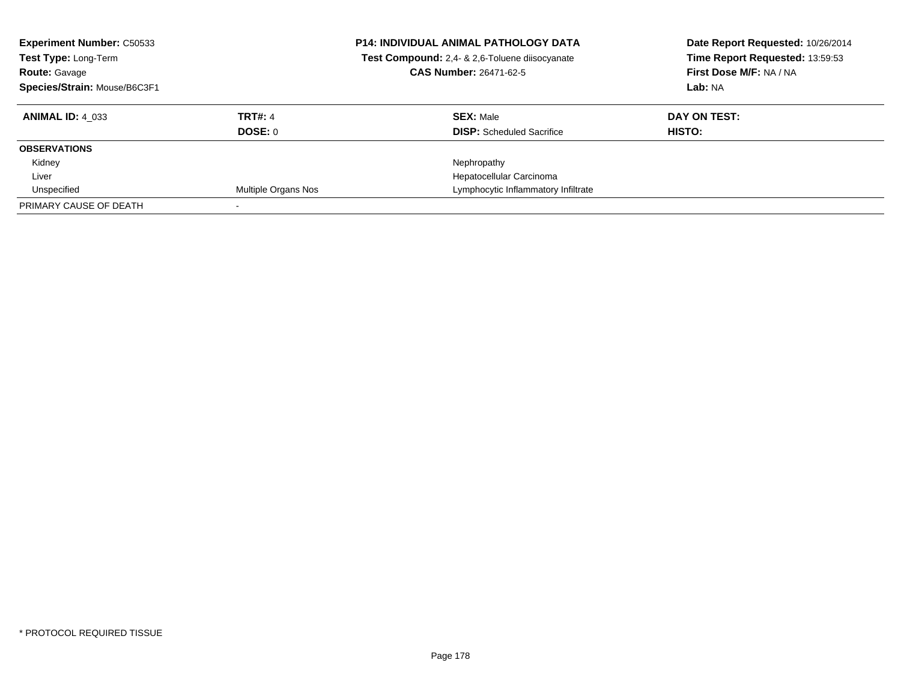| <b>Experiment Number: C50533</b><br>Test Type: Long-Term<br><b>Route: Gavage</b><br>Species/Strain: Mouse/B6C3F1 |                            | <b>P14: INDIVIDUAL ANIMAL PATHOLOGY DATA</b><br>Test Compound: 2,4- & 2,6-Toluene diisocyanate<br><b>CAS Number: 26471-62-5</b> | Date Report Requested: 10/26/2014<br>Time Report Requested: 13:59:53<br>First Dose M/F: NA / NA<br>Lab: NA |
|------------------------------------------------------------------------------------------------------------------|----------------------------|---------------------------------------------------------------------------------------------------------------------------------|------------------------------------------------------------------------------------------------------------|
| <b>ANIMAL ID: 4 033</b>                                                                                          | <b>TRT#: 4</b>             | <b>SEX: Male</b>                                                                                                                | DAY ON TEST:                                                                                               |
|                                                                                                                  | <b>DOSE: 0</b>             | <b>DISP:</b> Scheduled Sacrifice                                                                                                | HISTO:                                                                                                     |
| <b>OBSERVATIONS</b>                                                                                              |                            |                                                                                                                                 |                                                                                                            |
| Kidney                                                                                                           |                            | Nephropathy                                                                                                                     |                                                                                                            |
| Liver                                                                                                            |                            | Hepatocellular Carcinoma                                                                                                        |                                                                                                            |
| Unspecified                                                                                                      | <b>Multiple Organs Nos</b> | Lymphocytic Inflammatory Infiltrate                                                                                             |                                                                                                            |
| PRIMARY CAUSE OF DEATH                                                                                           |                            |                                                                                                                                 |                                                                                                            |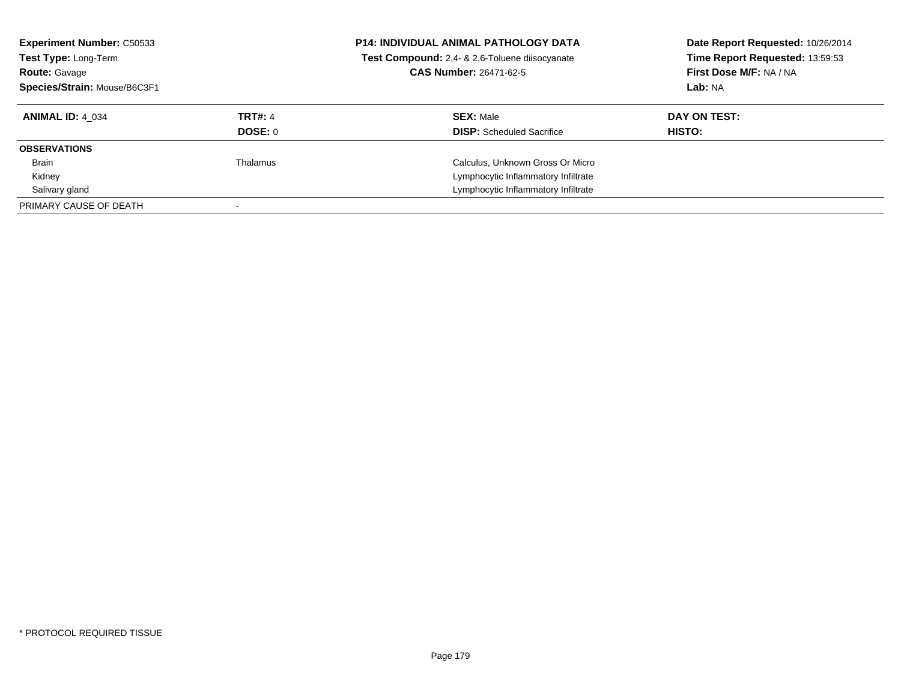| <b>Experiment Number: C50533</b><br>Test Type: Long-Term<br><b>Route: Gavage</b><br>Species/Strain: Mouse/B6C3F1 |                | <b>P14: INDIVIDUAL ANIMAL PATHOLOGY DATA</b><br>Test Compound: 2,4- & 2,6-Toluene diisocyanate<br><b>CAS Number: 26471-62-5</b> | Date Report Requested: 10/26/2014<br>Time Report Requested: 13:59:53<br>First Dose M/F: NA / NA<br>Lab: NA |
|------------------------------------------------------------------------------------------------------------------|----------------|---------------------------------------------------------------------------------------------------------------------------------|------------------------------------------------------------------------------------------------------------|
| <b>ANIMAL ID: 4 034</b>                                                                                          | <b>TRT#: 4</b> | <b>SEX: Male</b>                                                                                                                | DAY ON TEST:                                                                                               |
|                                                                                                                  | DOSE: 0        | <b>DISP:</b> Scheduled Sacrifice                                                                                                | HISTO:                                                                                                     |
| <b>OBSERVATIONS</b>                                                                                              |                |                                                                                                                                 |                                                                                                            |
| <b>Brain</b>                                                                                                     | Thalamus       | Calculus, Unknown Gross Or Micro                                                                                                |                                                                                                            |
| Kidney                                                                                                           |                | Lymphocytic Inflammatory Infiltrate                                                                                             |                                                                                                            |
| Salivary gland                                                                                                   |                | Lymphocytic Inflammatory Infiltrate                                                                                             |                                                                                                            |
| PRIMARY CAUSE OF DEATH                                                                                           |                |                                                                                                                                 |                                                                                                            |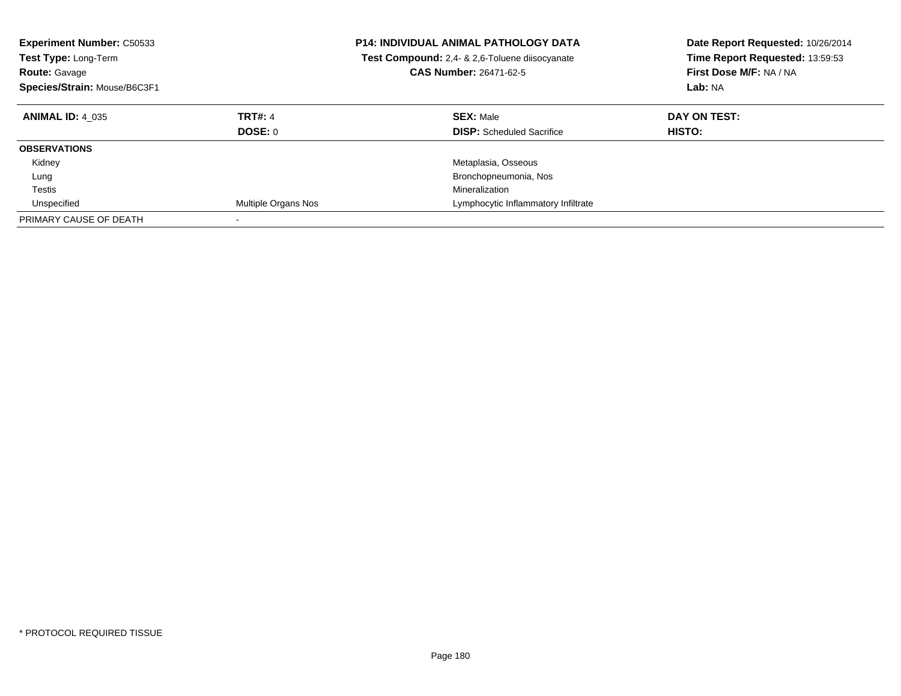| <b>Experiment Number: C50533</b><br><b>Test Type: Long-Term</b><br><b>Route: Gavage</b><br>Species/Strain: Mouse/B6C3F1 |                           | <b>P14: INDIVIDUAL ANIMAL PATHOLOGY DATA</b><br>Test Compound: 2,4- & 2,6-Toluene diisocyanate<br><b>CAS Number: 26471-62-5</b> | Date Report Requested: 10/26/2014<br>Time Report Requested: 13:59:53<br>First Dose M/F: NA / NA<br>Lab: NA |
|-------------------------------------------------------------------------------------------------------------------------|---------------------------|---------------------------------------------------------------------------------------------------------------------------------|------------------------------------------------------------------------------------------------------------|
| <b>ANIMAL ID: 4 035</b>                                                                                                 | <b>TRT#: 4</b><br>DOSE: 0 | <b>SEX: Male</b><br><b>DISP:</b> Scheduled Sacrifice                                                                            | DAY ON TEST:<br><b>HISTO:</b>                                                                              |
| <b>OBSERVATIONS</b>                                                                                                     |                           |                                                                                                                                 |                                                                                                            |
| Kidney                                                                                                                  |                           | Metaplasia, Osseous                                                                                                             |                                                                                                            |
| Lung                                                                                                                    |                           | Bronchopneumonia, Nos                                                                                                           |                                                                                                            |
| Testis                                                                                                                  |                           | Mineralization                                                                                                                  |                                                                                                            |
| Unspecified                                                                                                             | Multiple Organs Nos       | Lymphocytic Inflammatory Infiltrate                                                                                             |                                                                                                            |
| PRIMARY CAUSE OF DEATH                                                                                                  |                           |                                                                                                                                 |                                                                                                            |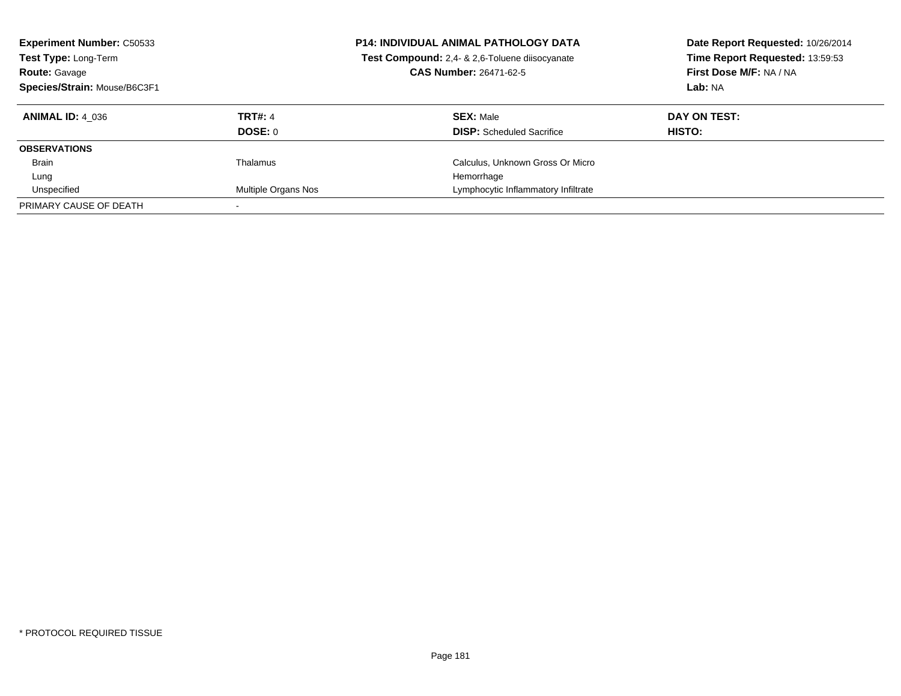| <b>Experiment Number: C50533</b><br>Test Type: Long-Term<br><b>Route: Gavage</b><br>Species/Strain: Mouse/B6C3F1 |                     | <b>P14: INDIVIDUAL ANIMAL PATHOLOGY DATA</b><br>Test Compound: 2,4- & 2,6-Toluene diisocyanate<br><b>CAS Number: 26471-62-5</b> | Date Report Requested: 10/26/2014<br>Time Report Requested: 13:59:53<br>First Dose M/F: NA / NA<br>Lab: NA |
|------------------------------------------------------------------------------------------------------------------|---------------------|---------------------------------------------------------------------------------------------------------------------------------|------------------------------------------------------------------------------------------------------------|
| <b>ANIMAL ID: 4 036</b>                                                                                          | <b>TRT#: 4</b>      | <b>SEX: Male</b>                                                                                                                | DAY ON TEST:                                                                                               |
|                                                                                                                  | DOSE: 0             | <b>DISP:</b> Scheduled Sacrifice                                                                                                | HISTO:                                                                                                     |
| <b>OBSERVATIONS</b>                                                                                              |                     |                                                                                                                                 |                                                                                                            |
| <b>Brain</b>                                                                                                     | Thalamus            | Calculus, Unknown Gross Or Micro                                                                                                |                                                                                                            |
| Lung                                                                                                             |                     | Hemorrhage                                                                                                                      |                                                                                                            |
| Unspecified                                                                                                      | Multiple Organs Nos | Lymphocytic Inflammatory Infiltrate                                                                                             |                                                                                                            |
| PRIMARY CAUSE OF DEATH                                                                                           |                     |                                                                                                                                 |                                                                                                            |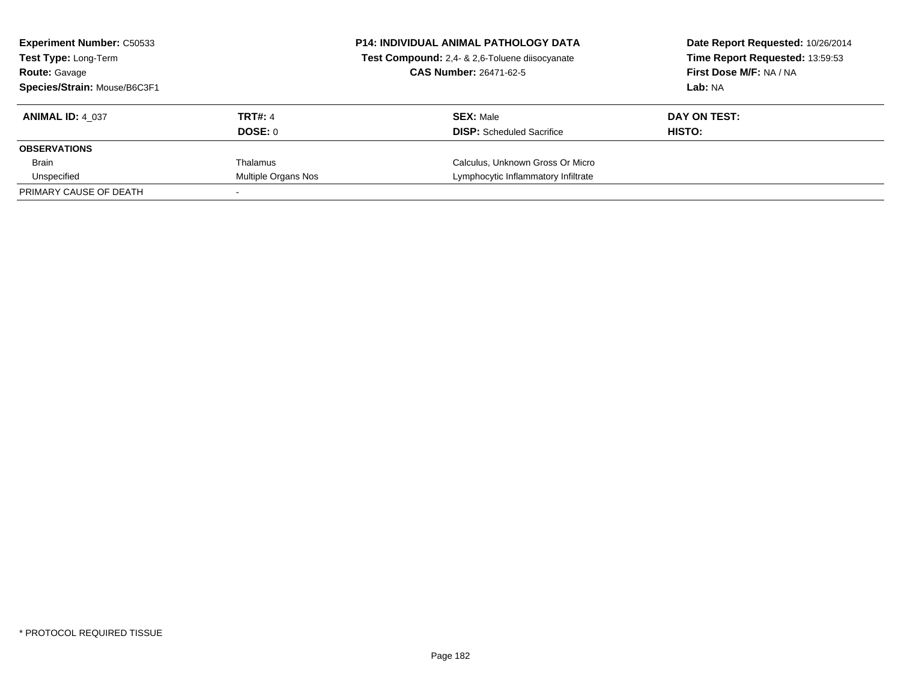| <b>Experiment Number: C50533</b><br><b>Test Type: Long-Term</b><br><b>Route: Gavage</b><br>Species/Strain: Mouse/B6C3F1 |                           | <b>P14: INDIVIDUAL ANIMAL PATHOLOGY DATA</b><br>Test Compound: 2,4- & 2,6-Toluene diisocyanate<br><b>CAS Number: 26471-62-5</b> | Date Report Requested: 10/26/2014<br>Time Report Requested: 13:59:53<br>First Dose M/F: NA / NA<br>Lab: NA |
|-------------------------------------------------------------------------------------------------------------------------|---------------------------|---------------------------------------------------------------------------------------------------------------------------------|------------------------------------------------------------------------------------------------------------|
| <b>ANIMAL ID: 4 037</b>                                                                                                 | <b>TRT#: 4</b><br>DOSE: 0 | <b>SEX: Male</b><br><b>DISP:</b> Scheduled Sacrifice                                                                            | DAY ON TEST:<br>HISTO:                                                                                     |
| <b>OBSERVATIONS</b>                                                                                                     |                           |                                                                                                                                 |                                                                                                            |
| Brain                                                                                                                   | Thalamus                  | Calculus, Unknown Gross Or Micro                                                                                                |                                                                                                            |
| Unspecified                                                                                                             | Multiple Organs Nos       | Lymphocytic Inflammatory Infiltrate                                                                                             |                                                                                                            |
| PRIMARY CAUSE OF DEATH                                                                                                  |                           |                                                                                                                                 |                                                                                                            |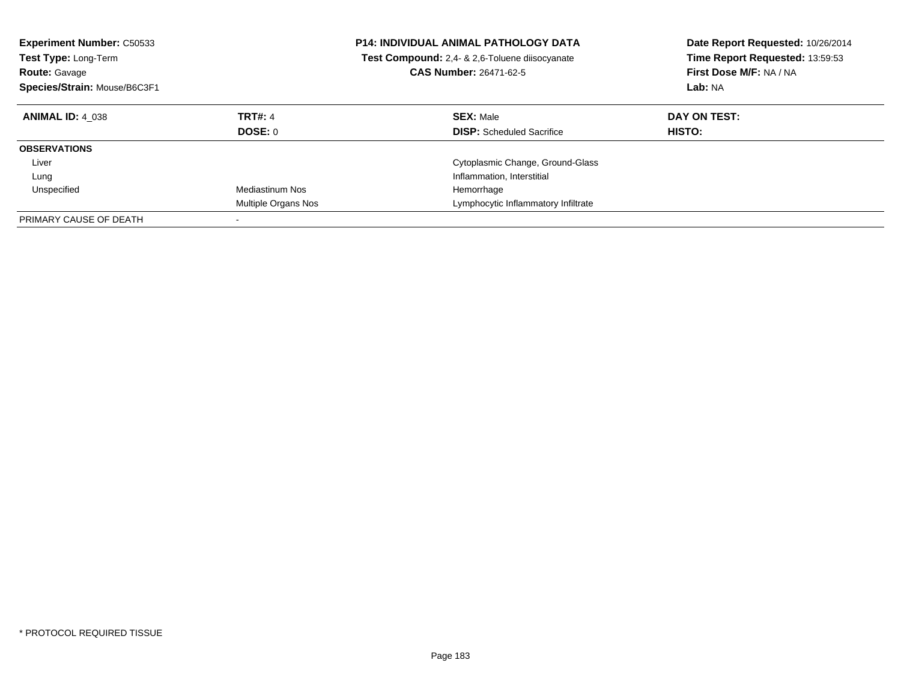| <b>Experiment Number: C50533</b><br>Test Type: Long-Term<br><b>Route: Gavage</b><br>Species/Strain: Mouse/B6C3F1 |                        | <b>P14: INDIVIDUAL ANIMAL PATHOLOGY DATA</b><br>Test Compound: 2,4- & 2,6-Toluene diisocyanate<br><b>CAS Number: 26471-62-5</b> | Date Report Requested: 10/26/2014<br>Time Report Requested: 13:59:53<br>First Dose M/F: NA / NA<br>Lab: NA |
|------------------------------------------------------------------------------------------------------------------|------------------------|---------------------------------------------------------------------------------------------------------------------------------|------------------------------------------------------------------------------------------------------------|
| <b>ANIMAL ID: 4 038</b>                                                                                          | <b>TRT#: 4</b>         | <b>SEX: Male</b>                                                                                                                | DAY ON TEST:                                                                                               |
|                                                                                                                  | DOSE: 0                | <b>DISP:</b> Scheduled Sacrifice                                                                                                | HISTO:                                                                                                     |
| <b>OBSERVATIONS</b>                                                                                              |                        |                                                                                                                                 |                                                                                                            |
| Liver                                                                                                            |                        | Cytoplasmic Change, Ground-Glass                                                                                                |                                                                                                            |
| Lung                                                                                                             |                        | Inflammation, Interstitial                                                                                                      |                                                                                                            |
| Unspecified                                                                                                      | <b>Mediastinum Nos</b> | Hemorrhage                                                                                                                      |                                                                                                            |
|                                                                                                                  | Multiple Organs Nos    | Lymphocytic Inflammatory Infiltrate                                                                                             |                                                                                                            |
| PRIMARY CAUSE OF DEATH                                                                                           |                        |                                                                                                                                 |                                                                                                            |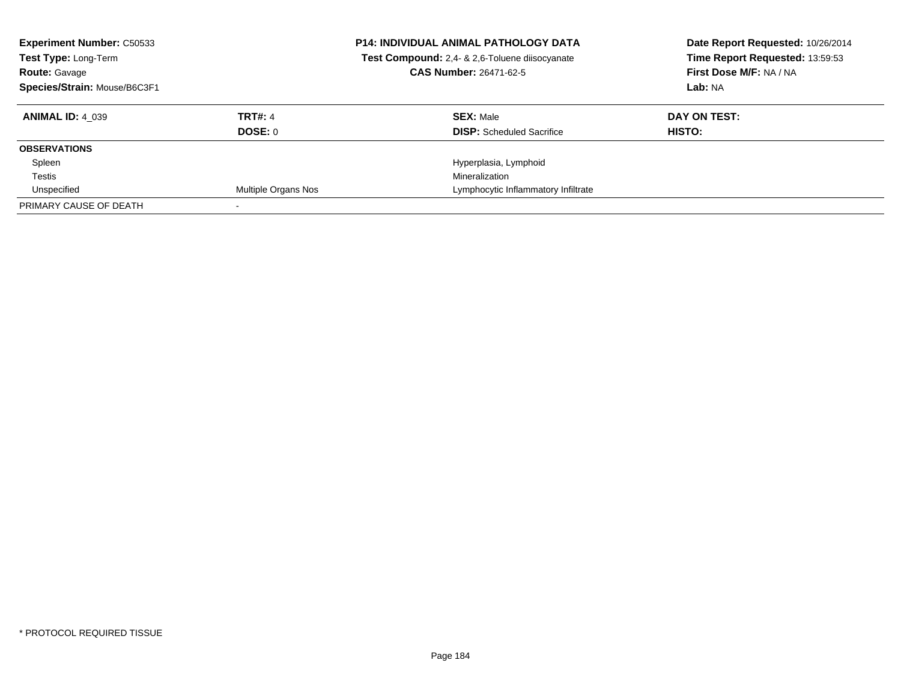| <b>Experiment Number: C50533</b><br>Test Type: Long-Term<br><b>Route: Gavage</b><br>Species/Strain: Mouse/B6C3F1 |                     | <b>P14: INDIVIDUAL ANIMAL PATHOLOGY DATA</b><br>Test Compound: 2,4- & 2,6-Toluene diisocyanate<br><b>CAS Number: 26471-62-5</b> | Date Report Requested: 10/26/2014<br>Time Report Requested: 13:59:53<br>First Dose M/F: NA / NA<br>Lab: NA |
|------------------------------------------------------------------------------------------------------------------|---------------------|---------------------------------------------------------------------------------------------------------------------------------|------------------------------------------------------------------------------------------------------------|
| <b>ANIMAL ID: 4 039</b>                                                                                          | <b>TRT#: 4</b>      | <b>SEX: Male</b>                                                                                                                | DAY ON TEST:                                                                                               |
|                                                                                                                  | <b>DOSE: 0</b>      | <b>DISP:</b> Scheduled Sacrifice                                                                                                | HISTO:                                                                                                     |
| <b>OBSERVATIONS</b>                                                                                              |                     |                                                                                                                                 |                                                                                                            |
| Spleen                                                                                                           |                     | Hyperplasia, Lymphoid                                                                                                           |                                                                                                            |
| Testis                                                                                                           |                     | Mineralization                                                                                                                  |                                                                                                            |
| Unspecified                                                                                                      | Multiple Organs Nos | Lymphocytic Inflammatory Infiltrate                                                                                             |                                                                                                            |
| PRIMARY CAUSE OF DEATH                                                                                           |                     |                                                                                                                                 |                                                                                                            |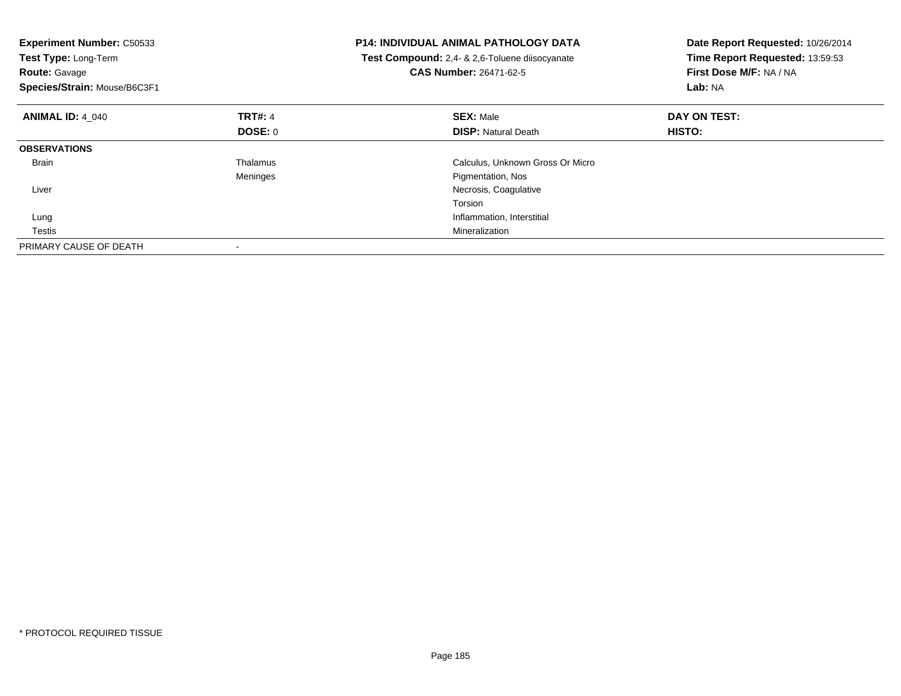| <b>Experiment Number: C50533</b><br>Test Type: Long-Term<br><b>Route: Gavage</b><br>Species/Strain: Mouse/B6C3F1 |                | <b>P14: INDIVIDUAL ANIMAL PATHOLOGY DATA</b><br>Test Compound: 2,4- & 2,6-Toluene diisocyanate<br><b>CAS Number: 26471-62-5</b> | Date Report Requested: 10/26/2014<br>Time Report Requested: 13:59:53<br>First Dose M/F: NA / NA<br>Lab: NA |
|------------------------------------------------------------------------------------------------------------------|----------------|---------------------------------------------------------------------------------------------------------------------------------|------------------------------------------------------------------------------------------------------------|
| <b>ANIMAL ID: 4 040</b>                                                                                          | <b>TRT#: 4</b> | <b>SEX: Male</b>                                                                                                                | DAY ON TEST:                                                                                               |
|                                                                                                                  | DOSE: 0        | <b>DISP:</b> Natural Death                                                                                                      | <b>HISTO:</b>                                                                                              |
| <b>OBSERVATIONS</b>                                                                                              |                |                                                                                                                                 |                                                                                                            |
| <b>Brain</b>                                                                                                     | Thalamus       | Calculus, Unknown Gross Or Micro                                                                                                |                                                                                                            |
|                                                                                                                  | Meninges       | Pigmentation, Nos                                                                                                               |                                                                                                            |
| Liver                                                                                                            |                | Necrosis, Coagulative                                                                                                           |                                                                                                            |
|                                                                                                                  |                | Torsion                                                                                                                         |                                                                                                            |
| Lung                                                                                                             |                | Inflammation, Interstitial                                                                                                      |                                                                                                            |
| Testis                                                                                                           |                | Mineralization                                                                                                                  |                                                                                                            |
| PRIMARY CAUSE OF DEATH                                                                                           |                |                                                                                                                                 |                                                                                                            |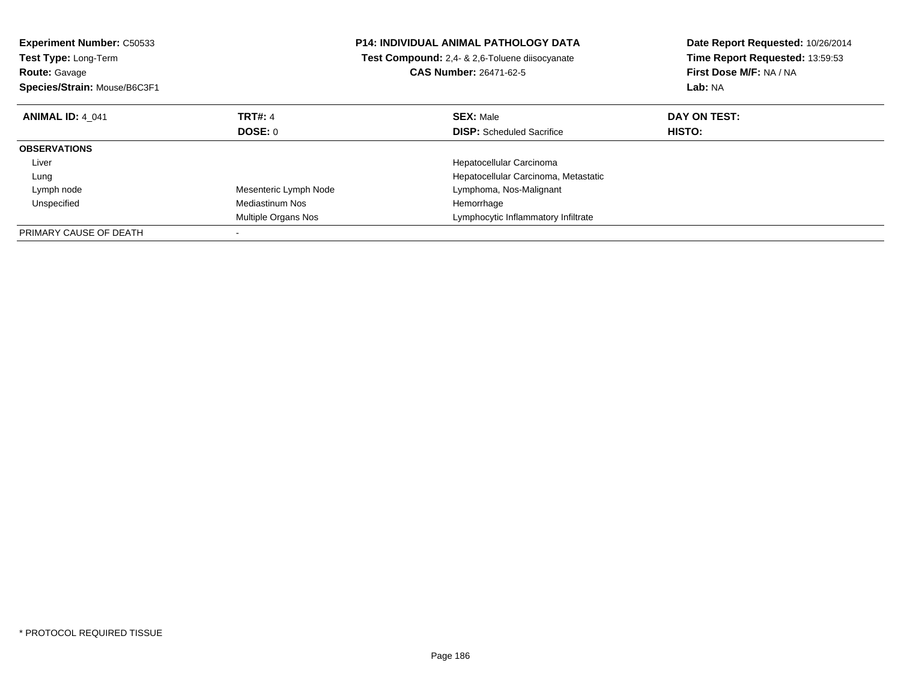| <b>Experiment Number: C50533</b><br><b>Test Type: Long-Term</b><br><b>Route: Gavage</b><br>Species/Strain: Mouse/B6C3F1 |                       | <b>P14: INDIVIDUAL ANIMAL PATHOLOGY DATA</b><br>Test Compound: 2,4- & 2,6-Toluene diisocyanate<br><b>CAS Number: 26471-62-5</b> | Date Report Requested: 10/26/2014<br>Time Report Requested: 13:59:53<br>First Dose M/F: NA / NA<br>Lab: NA |
|-------------------------------------------------------------------------------------------------------------------------|-----------------------|---------------------------------------------------------------------------------------------------------------------------------|------------------------------------------------------------------------------------------------------------|
| <b>ANIMAL ID: 4 041</b>                                                                                                 | <b>TRT#: 4</b>        | <b>SEX: Male</b>                                                                                                                | DAY ON TEST:                                                                                               |
|                                                                                                                         | <b>DOSE: 0</b>        | <b>DISP:</b> Scheduled Sacrifice                                                                                                | <b>HISTO:</b>                                                                                              |
| <b>OBSERVATIONS</b>                                                                                                     |                       |                                                                                                                                 |                                                                                                            |
| Liver                                                                                                                   |                       | Hepatocellular Carcinoma                                                                                                        |                                                                                                            |
| Lung                                                                                                                    |                       | Hepatocellular Carcinoma, Metastatic                                                                                            |                                                                                                            |
| Lymph node                                                                                                              | Mesenteric Lymph Node | Lymphoma, Nos-Malignant                                                                                                         |                                                                                                            |
| Unspecified                                                                                                             | Mediastinum Nos       | Hemorrhage                                                                                                                      |                                                                                                            |
|                                                                                                                         | Multiple Organs Nos   | Lymphocytic Inflammatory Infiltrate                                                                                             |                                                                                                            |
| PRIMARY CAUSE OF DEATH                                                                                                  |                       |                                                                                                                                 |                                                                                                            |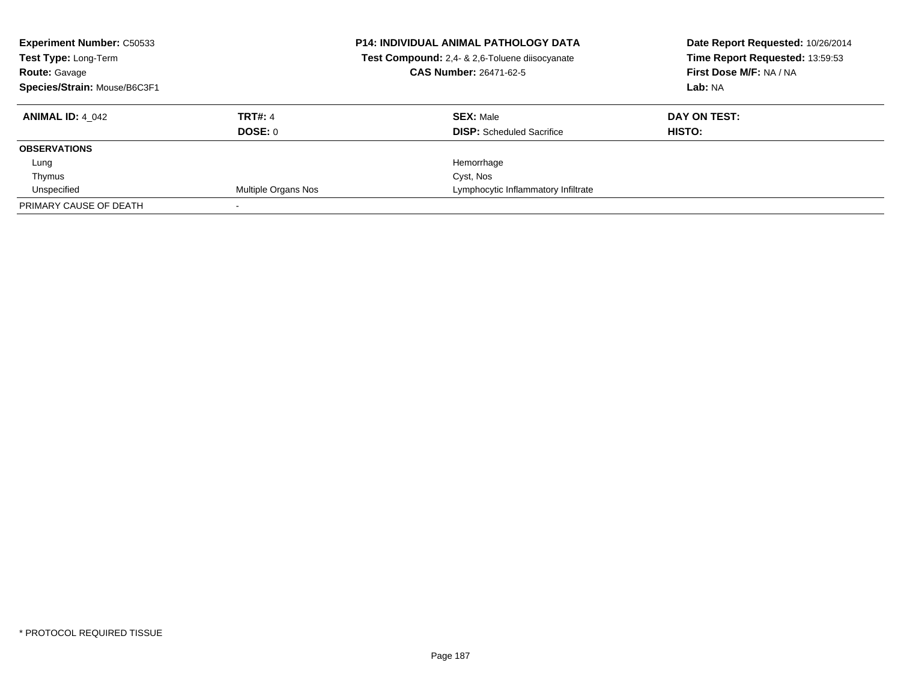| <b>Experiment Number: C50533</b><br>Test Type: Long-Term<br><b>Route: Gavage</b><br>Species/Strain: Mouse/B6C3F1 |                            | <b>P14: INDIVIDUAL ANIMAL PATHOLOGY DATA</b><br>Test Compound: 2,4- & 2,6-Toluene diisocyanate<br><b>CAS Number: 26471-62-5</b> | Date Report Requested: 10/26/2014<br>Time Report Requested: 13:59:53<br>First Dose M/F: NA / NA<br>Lab: NA |
|------------------------------------------------------------------------------------------------------------------|----------------------------|---------------------------------------------------------------------------------------------------------------------------------|------------------------------------------------------------------------------------------------------------|
| <b>ANIMAL ID: 4 042</b>                                                                                          | <b>TRT#: 4</b>             | <b>SEX: Male</b>                                                                                                                | DAY ON TEST:                                                                                               |
|                                                                                                                  | <b>DOSE: 0</b>             | <b>DISP:</b> Scheduled Sacrifice                                                                                                | <b>HISTO:</b>                                                                                              |
| <b>OBSERVATIONS</b>                                                                                              |                            |                                                                                                                                 |                                                                                                            |
| Lung                                                                                                             |                            | Hemorrhage                                                                                                                      |                                                                                                            |
| Thymus                                                                                                           |                            | Cyst, Nos                                                                                                                       |                                                                                                            |
| Unspecified                                                                                                      | <b>Multiple Organs Nos</b> | Lymphocytic Inflammatory Infiltrate                                                                                             |                                                                                                            |
| PRIMARY CAUSE OF DEATH                                                                                           |                            |                                                                                                                                 |                                                                                                            |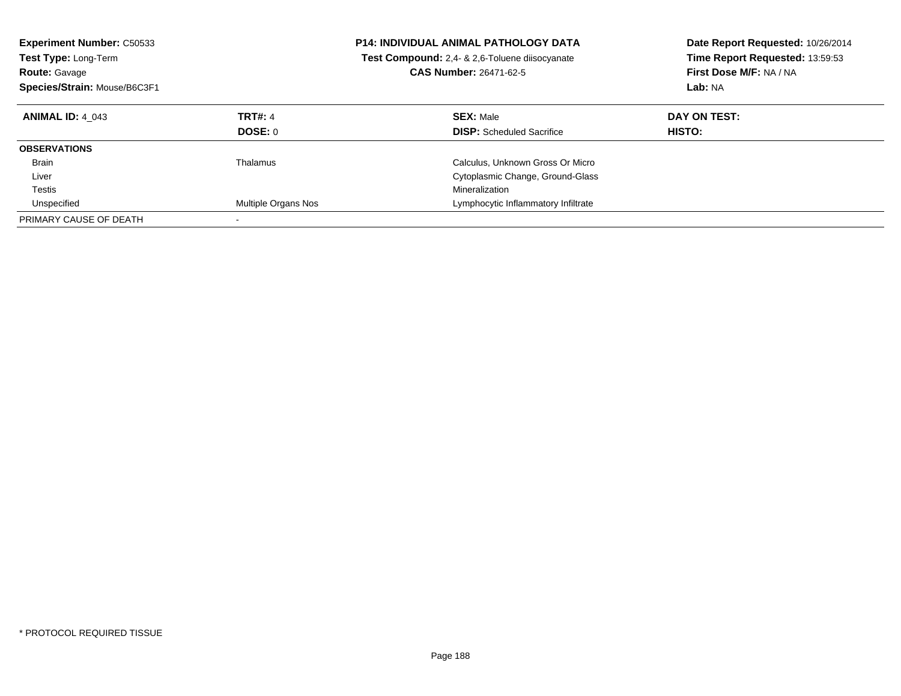| <b>Experiment Number: C50533</b><br><b>Test Type: Long-Term</b><br><b>Route: Gavage</b><br>Species/Strain: Mouse/B6C3F1 |                                  | <b>P14: INDIVIDUAL ANIMAL PATHOLOGY DATA</b><br>Test Compound: 2,4- & 2,6-Toluene diisocyanate<br><b>CAS Number: 26471-62-5</b> | Date Report Requested: 10/26/2014<br>Time Report Requested: 13:59:53<br>First Dose M/F: NA / NA<br>Lab: NA |
|-------------------------------------------------------------------------------------------------------------------------|----------------------------------|---------------------------------------------------------------------------------------------------------------------------------|------------------------------------------------------------------------------------------------------------|
| <b>ANIMAL ID: 4 043</b>                                                                                                 | <b>TRT#: 4</b><br><b>DOSE: 0</b> | <b>SEX: Male</b><br><b>DISP:</b> Scheduled Sacrifice                                                                            | DAY ON TEST:<br>HISTO:                                                                                     |
| <b>OBSERVATIONS</b>                                                                                                     |                                  |                                                                                                                                 |                                                                                                            |
| <b>Brain</b>                                                                                                            | Thalamus                         | Calculus, Unknown Gross Or Micro                                                                                                |                                                                                                            |
| Liver                                                                                                                   |                                  | Cytoplasmic Change, Ground-Glass                                                                                                |                                                                                                            |
| Testis                                                                                                                  |                                  | Mineralization                                                                                                                  |                                                                                                            |
| Unspecified                                                                                                             | Multiple Organs Nos              | Lymphocytic Inflammatory Infiltrate                                                                                             |                                                                                                            |
| PRIMARY CAUSE OF DEATH                                                                                                  |                                  |                                                                                                                                 |                                                                                                            |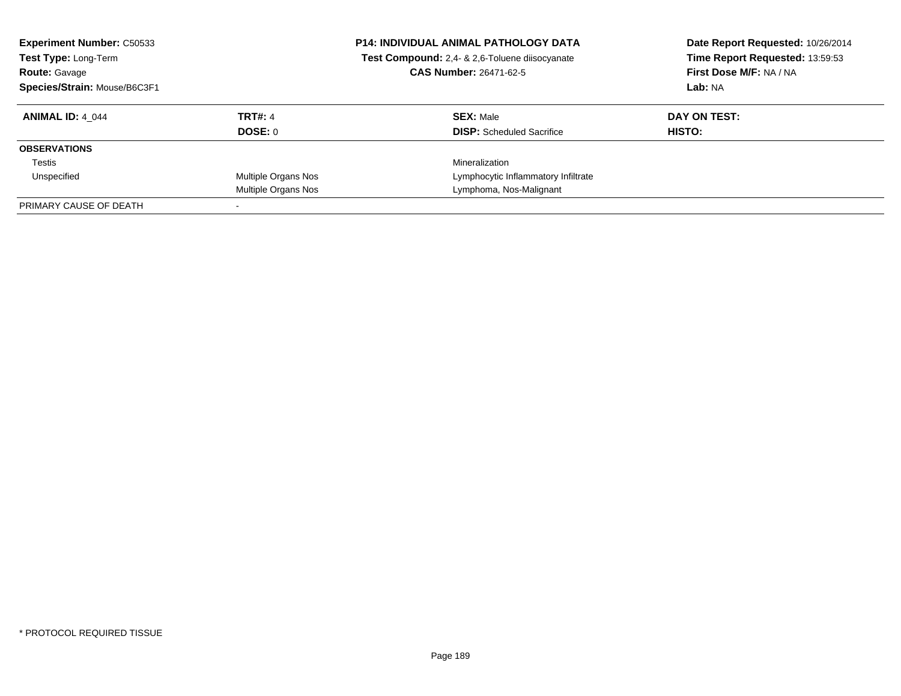| <b>Experiment Number: C50533</b><br>Test Type: Long-Term<br><b>Route: Gavage</b><br>Species/Strain: Mouse/B6C3F1 |                     | <b>P14: INDIVIDUAL ANIMAL PATHOLOGY DATA</b><br>Test Compound: 2,4- & 2,6-Toluene diisocyanate<br><b>CAS Number: 26471-62-5</b> | Date Report Requested: 10/26/2014<br>Time Report Requested: 13:59:53<br>First Dose M/F: NA / NA<br>Lab: NA |
|------------------------------------------------------------------------------------------------------------------|---------------------|---------------------------------------------------------------------------------------------------------------------------------|------------------------------------------------------------------------------------------------------------|
| <b>ANIMAL ID: 4 044</b>                                                                                          | <b>TRT#: 4</b>      | <b>SEX: Male</b>                                                                                                                | DAY ON TEST:                                                                                               |
|                                                                                                                  | DOSE: 0             | <b>DISP:</b> Scheduled Sacrifice                                                                                                | HISTO:                                                                                                     |
| <b>OBSERVATIONS</b>                                                                                              |                     |                                                                                                                                 |                                                                                                            |
| Testis                                                                                                           |                     | Mineralization                                                                                                                  |                                                                                                            |
| Unspecified                                                                                                      | Multiple Organs Nos | Lymphocytic Inflammatory Infiltrate                                                                                             |                                                                                                            |
|                                                                                                                  | Multiple Organs Nos | Lymphoma, Nos-Malignant                                                                                                         |                                                                                                            |
| PRIMARY CAUSE OF DEATH                                                                                           |                     |                                                                                                                                 |                                                                                                            |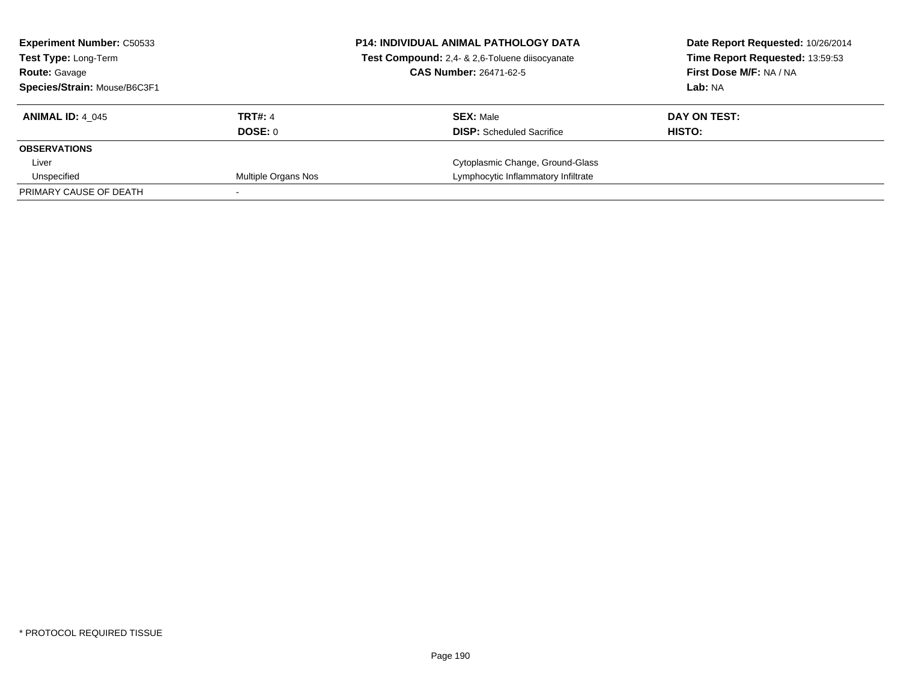| <b>Experiment Number: C50533</b><br><b>Test Type: Long-Term</b> |                     | <b>P14: INDIVIDUAL ANIMAL PATHOLOGY DATA</b><br>Test Compound: 2,4- & 2,6-Toluene diisocyanate | Date Report Requested: 10/26/2014<br>Time Report Requested: 13:59:53 |
|-----------------------------------------------------------------|---------------------|------------------------------------------------------------------------------------------------|----------------------------------------------------------------------|
| <b>Route: Gavage</b>                                            |                     | <b>CAS Number: 26471-62-5</b>                                                                  | First Dose M/F: NA / NA                                              |
| Species/Strain: Mouse/B6C3F1                                    |                     |                                                                                                | Lab: NA                                                              |
| <b>ANIMAL ID: 4 045</b>                                         | <b>TRT#: 4</b>      | <b>SEX: Male</b>                                                                               | DAY ON TEST:                                                         |
|                                                                 | DOSE: 0             | <b>DISP:</b> Scheduled Sacrifice                                                               | HISTO:                                                               |
| <b>OBSERVATIONS</b>                                             |                     |                                                                                                |                                                                      |
| Liver                                                           |                     | Cytoplasmic Change, Ground-Glass                                                               |                                                                      |
| Unspecified                                                     | Multiple Organs Nos | Lymphocytic Inflammatory Infiltrate                                                            |                                                                      |
| PRIMARY CAUSE OF DEATH                                          |                     |                                                                                                |                                                                      |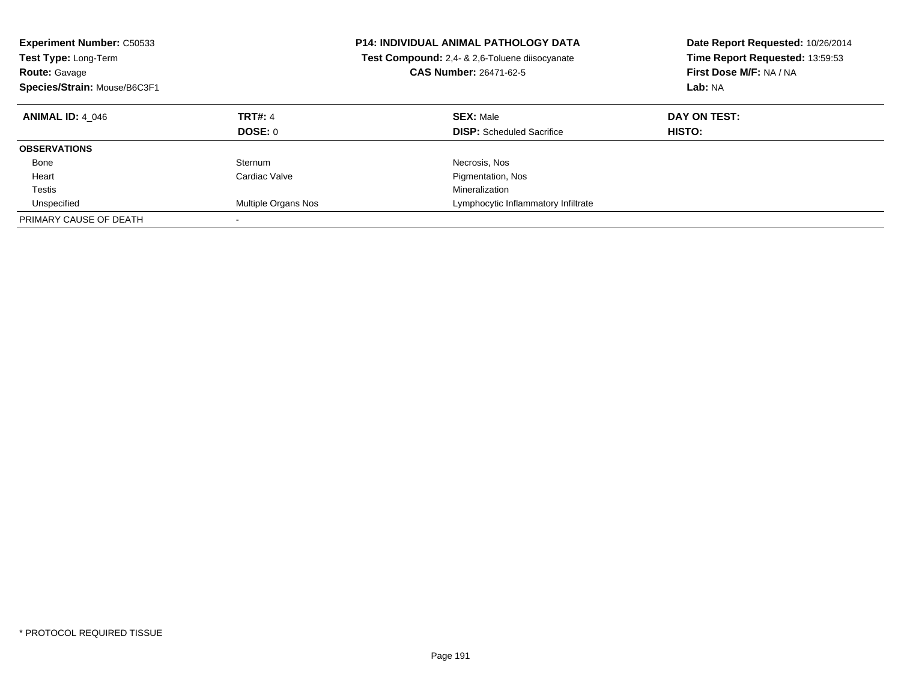| <b>Experiment Number: C50533</b><br>Test Type: Long-Term<br><b>Route: Gavage</b><br>Species/Strain: Mouse/B6C3F1 |                     | <b>P14: INDIVIDUAL ANIMAL PATHOLOGY DATA</b><br><b>Test Compound:</b> 2,4- & 2,6-Toluene diisocyanate<br><b>CAS Number: 26471-62-5</b> | Date Report Requested: 10/26/2014<br>Time Report Requested: 13:59:53<br>First Dose M/F: NA / NA<br>Lab: NA |
|------------------------------------------------------------------------------------------------------------------|---------------------|----------------------------------------------------------------------------------------------------------------------------------------|------------------------------------------------------------------------------------------------------------|
| <b>ANIMAL ID: 4 046</b>                                                                                          | <b>TRT#: 4</b>      | <b>SEX: Male</b>                                                                                                                       | DAY ON TEST:                                                                                               |
|                                                                                                                  | <b>DOSE: 0</b>      | <b>DISP:</b> Scheduled Sacrifice                                                                                                       | HISTO:                                                                                                     |
| <b>OBSERVATIONS</b>                                                                                              |                     |                                                                                                                                        |                                                                                                            |
| Bone                                                                                                             | Sternum             | Necrosis, Nos                                                                                                                          |                                                                                                            |
| Heart                                                                                                            | Cardiac Valve       | Pigmentation, Nos                                                                                                                      |                                                                                                            |
| Testis                                                                                                           |                     | Mineralization                                                                                                                         |                                                                                                            |
| Unspecified                                                                                                      | Multiple Organs Nos | Lymphocytic Inflammatory Infiltrate                                                                                                    |                                                                                                            |
| PRIMARY CAUSE OF DEATH                                                                                           |                     |                                                                                                                                        |                                                                                                            |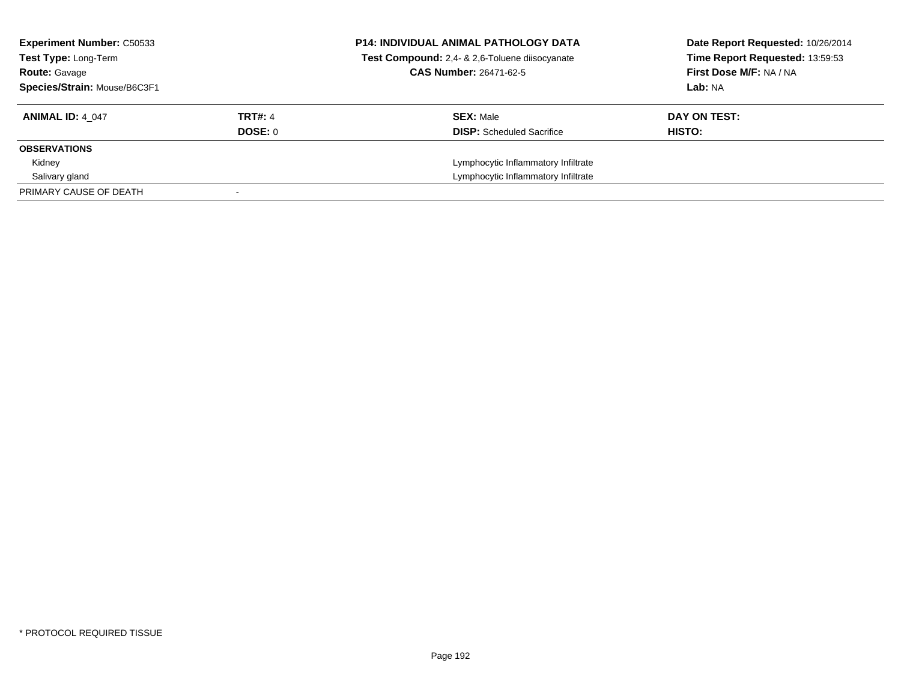| <b>Experiment Number: C50533</b><br><b>Test Type: Long-Term</b><br><b>Route: Gavage</b><br>Species/Strain: Mouse/B6C3F1 |                           | <b>P14: INDIVIDUAL ANIMAL PATHOLOGY DATA</b><br>Test Compound: 2,4- & 2,6-Toluene diisocyanate<br><b>CAS Number: 26471-62-5</b> | Date Report Requested: 10/26/2014<br>Time Report Requested: 13:59:53<br>First Dose M/F: NA / NA<br>Lab: NA |
|-------------------------------------------------------------------------------------------------------------------------|---------------------------|---------------------------------------------------------------------------------------------------------------------------------|------------------------------------------------------------------------------------------------------------|
| <b>ANIMAL ID: 4 047</b>                                                                                                 | <b>TRT#: 4</b><br>DOSE: 0 | <b>SEX: Male</b><br><b>DISP:</b> Scheduled Sacrifice                                                                            | DAY ON TEST:<br>HISTO:                                                                                     |
| <b>OBSERVATIONS</b>                                                                                                     |                           |                                                                                                                                 |                                                                                                            |
| Kidney                                                                                                                  |                           | Lymphocytic Inflammatory Infiltrate                                                                                             |                                                                                                            |
| Salivary gland                                                                                                          |                           | Lymphocytic Inflammatory Infiltrate                                                                                             |                                                                                                            |
| PRIMARY CAUSE OF DEATH                                                                                                  |                           |                                                                                                                                 |                                                                                                            |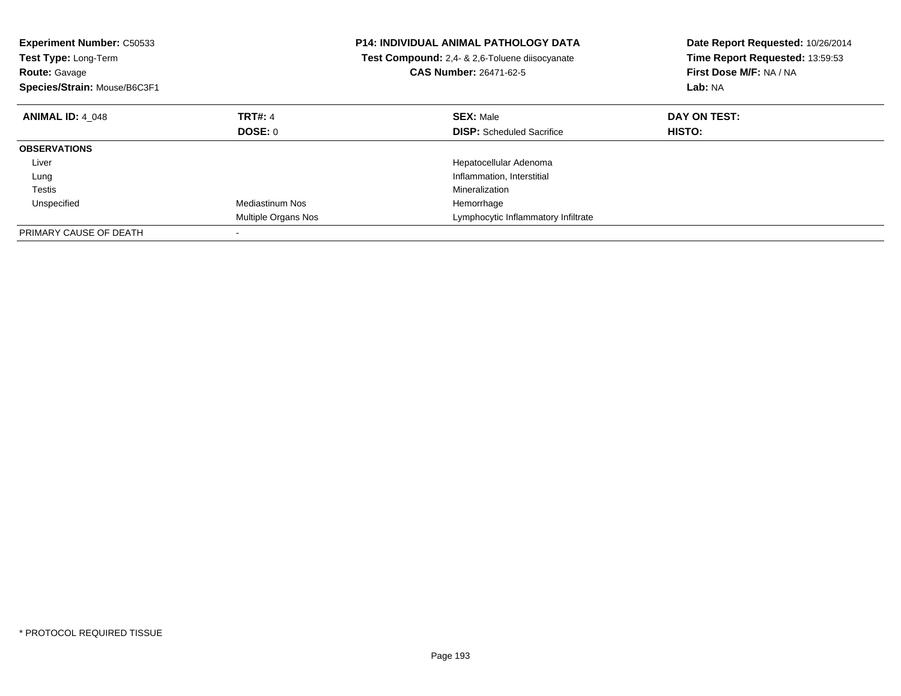| <b>Experiment Number: C50533</b><br>Test Type: Long-Term<br><b>Route: Gavage</b><br>Species/Strain: Mouse/B6C3F1 |                        | <b>P14: INDIVIDUAL ANIMAL PATHOLOGY DATA</b><br>Test Compound: 2,4- & 2,6-Toluene diisocyanate<br><b>CAS Number: 26471-62-5</b> | Date Report Requested: 10/26/2014<br>Time Report Requested: 13:59:53<br>First Dose M/F: NA / NA<br>Lab: NA |
|------------------------------------------------------------------------------------------------------------------|------------------------|---------------------------------------------------------------------------------------------------------------------------------|------------------------------------------------------------------------------------------------------------|
| <b>ANIMAL ID: 4 048</b>                                                                                          | <b>TRT#: 4</b>         | <b>SEX: Male</b>                                                                                                                | DAY ON TEST:                                                                                               |
|                                                                                                                  | DOSE: 0                | <b>DISP:</b> Scheduled Sacrifice                                                                                                | HISTO:                                                                                                     |
| <b>OBSERVATIONS</b>                                                                                              |                        |                                                                                                                                 |                                                                                                            |
| Liver                                                                                                            |                        | Hepatocellular Adenoma                                                                                                          |                                                                                                            |
| Lung                                                                                                             |                        | Inflammation, Interstitial                                                                                                      |                                                                                                            |
| Testis                                                                                                           |                        | Mineralization                                                                                                                  |                                                                                                            |
| Unspecified                                                                                                      | <b>Mediastinum Nos</b> | Hemorrhage                                                                                                                      |                                                                                                            |
|                                                                                                                  | Multiple Organs Nos    | Lymphocytic Inflammatory Infiltrate                                                                                             |                                                                                                            |
| PRIMARY CAUSE OF DEATH                                                                                           |                        |                                                                                                                                 |                                                                                                            |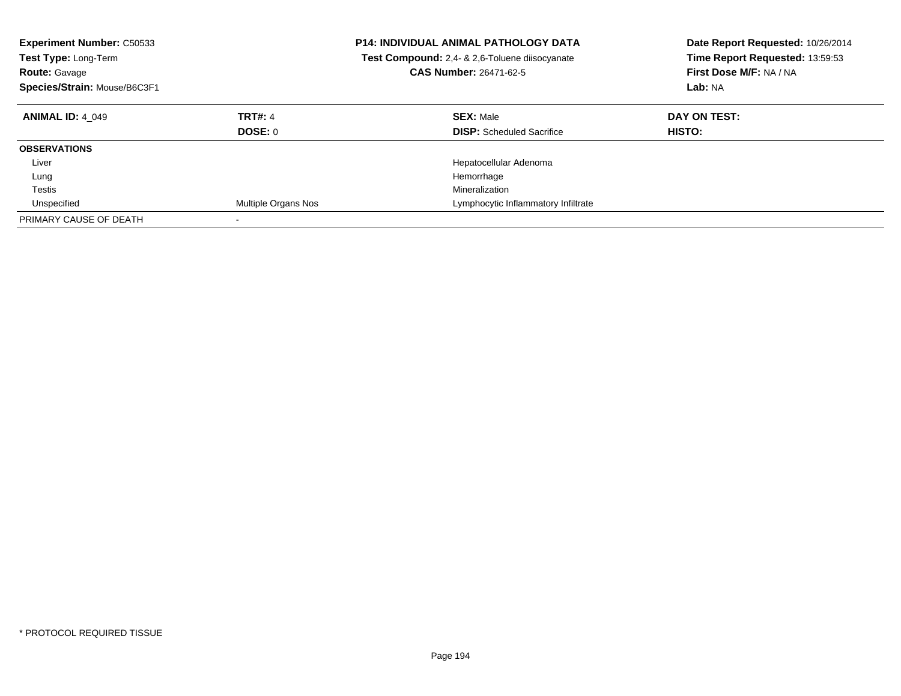| <b>Experiment Number: C50533</b><br><b>Test Type: Long-Term</b><br><b>Route: Gavage</b><br>Species/Strain: Mouse/B6C3F1 |                           | <b>P14: INDIVIDUAL ANIMAL PATHOLOGY DATA</b><br>Test Compound: 2,4- & 2,6-Toluene diisocyanate<br><b>CAS Number: 26471-62-5</b> | Date Report Requested: 10/26/2014<br>Time Report Requested: 13:59:53<br>First Dose M/F: NA / NA<br>Lab: NA |
|-------------------------------------------------------------------------------------------------------------------------|---------------------------|---------------------------------------------------------------------------------------------------------------------------------|------------------------------------------------------------------------------------------------------------|
| <b>ANIMAL ID: 4 049</b>                                                                                                 | <b>TRT#: 4</b><br>DOSE: 0 | <b>SEX: Male</b><br><b>DISP:</b> Scheduled Sacrifice                                                                            | DAY ON TEST:<br><b>HISTO:</b>                                                                              |
| <b>OBSERVATIONS</b>                                                                                                     |                           |                                                                                                                                 |                                                                                                            |
| Liver                                                                                                                   |                           | Hepatocellular Adenoma                                                                                                          |                                                                                                            |
| Lung                                                                                                                    |                           | Hemorrhage                                                                                                                      |                                                                                                            |
| Testis                                                                                                                  |                           | Mineralization                                                                                                                  |                                                                                                            |
| Unspecified                                                                                                             | Multiple Organs Nos       | Lymphocytic Inflammatory Infiltrate                                                                                             |                                                                                                            |
| PRIMARY CAUSE OF DEATH                                                                                                  |                           |                                                                                                                                 |                                                                                                            |